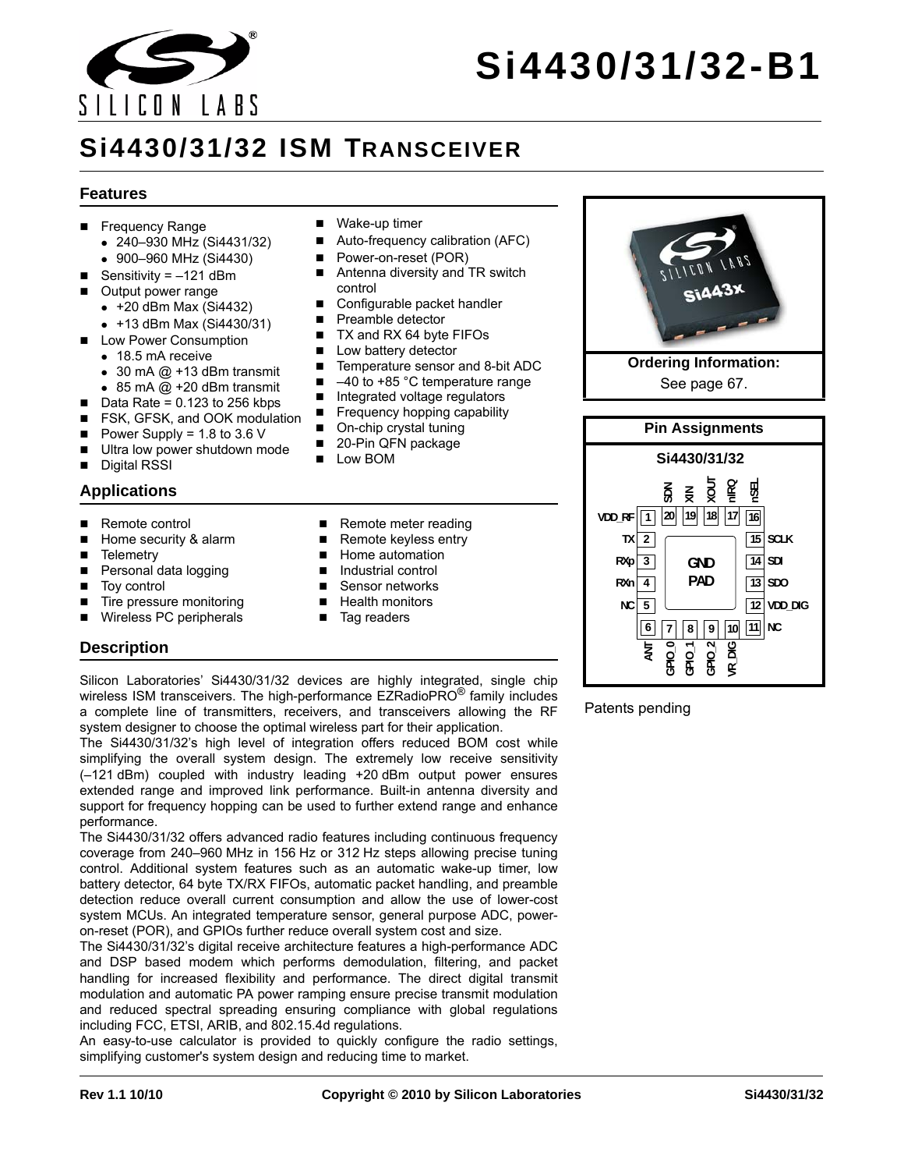

# **Si4430/31/32-B1**

## **Si4430/31/32 ISM TRANSCEIVER**

#### **Features**

- Frequency Range
	- 240–930 MHz (Si4431/32)
	- 900–960 MHz (Si4430)
- Sensitivity =  $-121$  dBm
- Output power range
	- $\bullet$  +20 dBm Max (Si4432)
	- +13 dBm Max (Si4430/31)
- **Low Power Consumption** 
	- 18.5 mA receive
	- $\bullet$  30 mA @ +13 dBm transmit
	- $\bullet$  85 mA  $@$  +20 dBm transmit
- $\blacksquare$  Data Rate = 0.123 to 256 kbps
- FSK, GFSK, and OOK modulation
- Power Supply =  $1.8$  to  $3.6$  V
- Ultra low power shutdown mode
- Digital RSSI

#### **Applications**

- Remote control
- Home security & alarm
- **Telemetry**
- Personal data logging
- Toy control
- Tire pressure monitoring
- Wireless PC peripherals
- Wake-up timer
- Auto-frequency calibration (AFC)
- Power-on-reset (POR)
- Antenna diversity and TR switch control
- Configurable packet handler
- Preamble detector
- TX and RX 64 byte FIFOs
- **Low battery detector**
- Temperature sensor and 8-bit ADC
- $\blacksquare$  -40 to +85 °C temperature range
- Integrated voltage regulators
- Frequency hopping capability
- On-chip crystal tuning
- 20-Pin QFN package
- **Low BOM**
- Remote meter reading
- Remote keyless entry
- Home automation
- **Industrial control**
- 
- 
- Tag readers

Silicon Laboratories' Si4430/31/32 devices are highly integrated, single chip wireless ISM transceivers. The high-performance EZRadioPRO<sup>®</sup> family includes a complete line of transmitters, receivers, and transceivers allowing the RF system designer to choose the optimal wireless part for their application.

The Si4430/31/32's high level of integration offers reduced BOM cost while simplifying the overall system design. The extremely low receive sensitivity (–121 dBm) coupled with industry leading +20 dBm output power ensures extended range and improved link performance. Built-in antenna diversity and support for frequency hopping can be used to further extend range and enhance performance.

The Si4430/31/32 offers advanced radio features including continuous frequency coverage from 240–960 MHz in 156 Hz or 312 Hz steps allowing precise tuning control. Additional system features such as an automatic wake-up timer, low battery detector, 64 byte TX/RX FIFOs, automatic packet handling, and preamble detection reduce overall current consumption and allow the use of lower-cost system MCUs. An integrated temperature sensor, general purpose ADC, poweron-reset (POR), and GPIOs further reduce overall system cost and size.

The Si4430/31/32's digital receive architecture features a high-performance ADC and DSP based modem which performs demodulation, filtering, and packet handling for increased flexibility and performance. The direct digital transmit modulation and automatic PA power ramping ensure precise transmit modulation and reduced spectral spreading ensuring compliance with global regulations including FCC, ETSI, ARIB, and 802.15.4d regulations.

An easy-to-use calculator is provided to quickly configure the radio settings, simplifying customer's system design and reducing time to market.



See [page 67.](#page-66-0)



#### Patents pending

- Sensor networks ■ Health monitors
- 

**Description**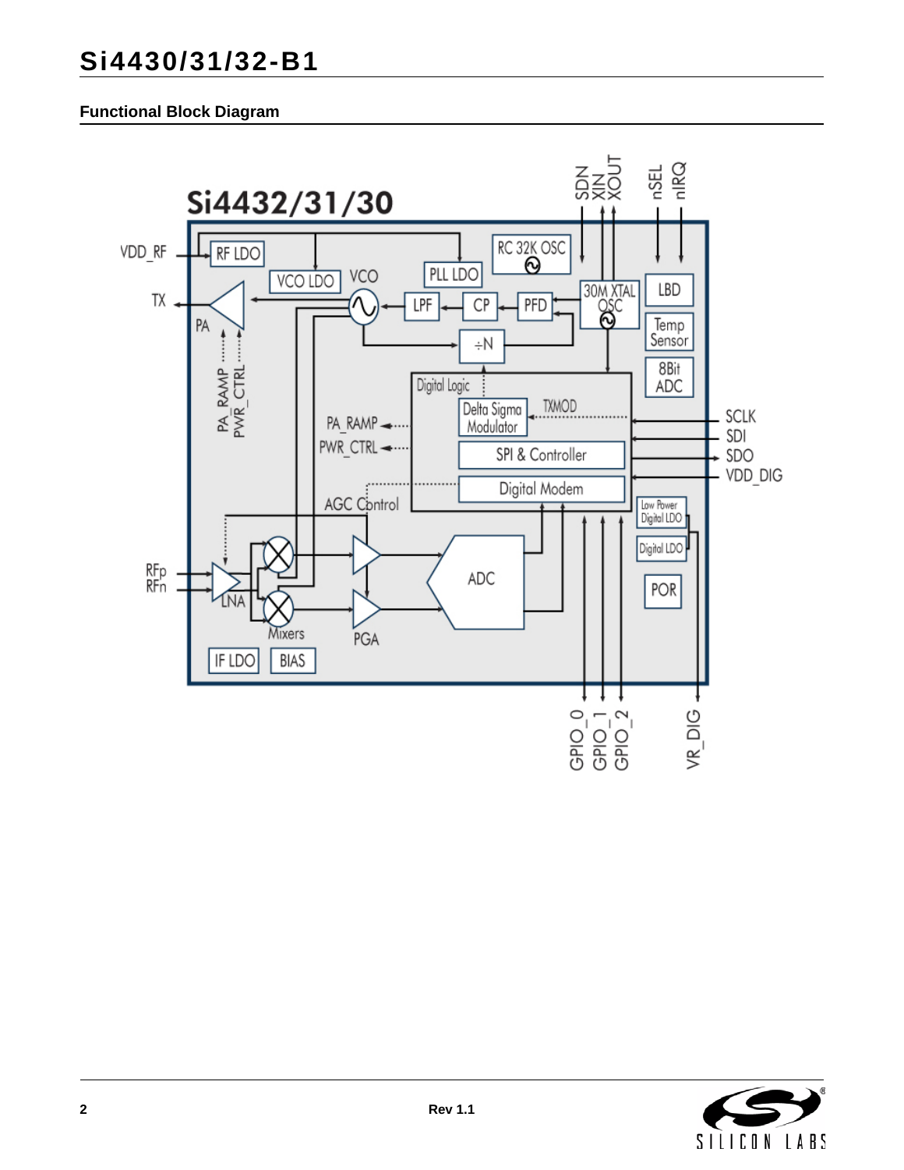## **Functional Block Diagram**



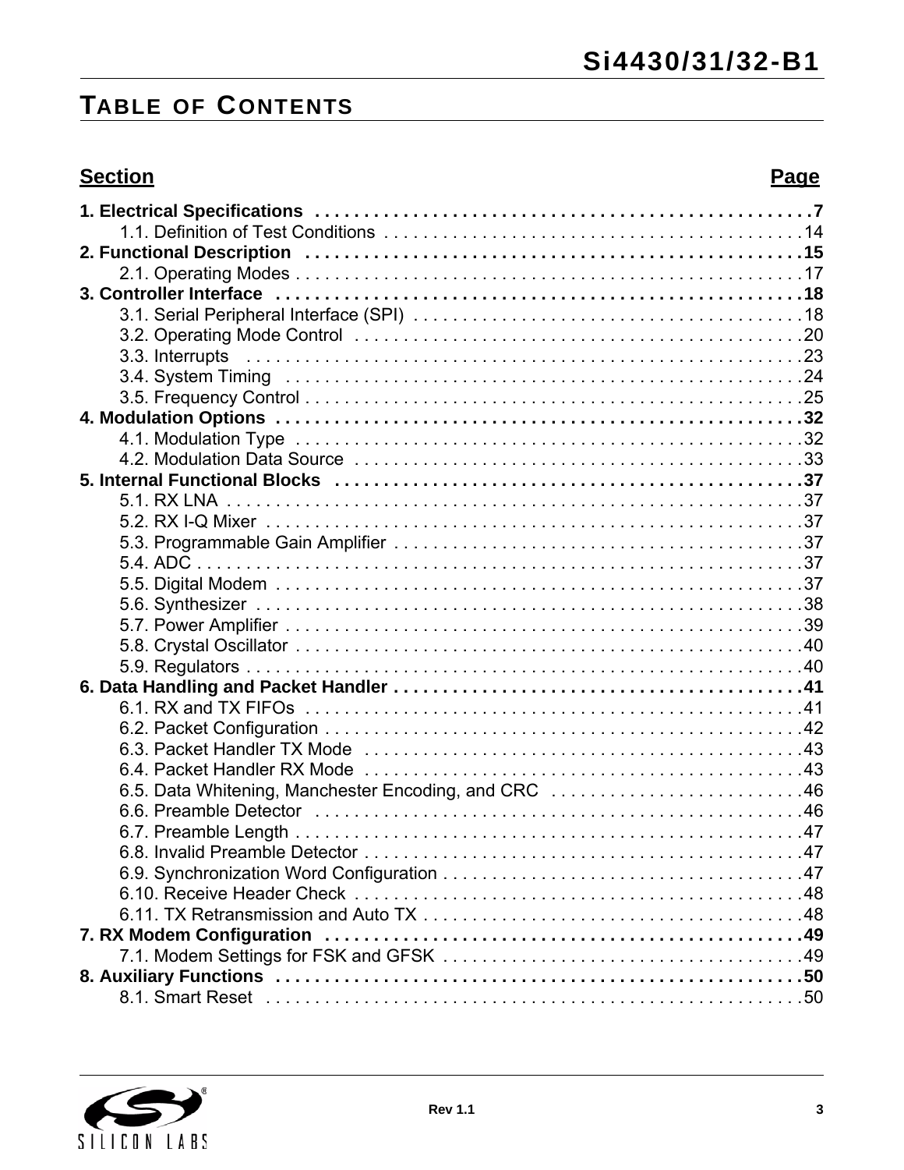## **TABLE OF CONTENTS**

## **Section Page**

| 6.5. Data Whitening, Manchester Encoding, and CRC 46 |
|------------------------------------------------------|
|                                                      |
|                                                      |
|                                                      |
|                                                      |
|                                                      |
|                                                      |
|                                                      |
|                                                      |
|                                                      |
|                                                      |
|                                                      |

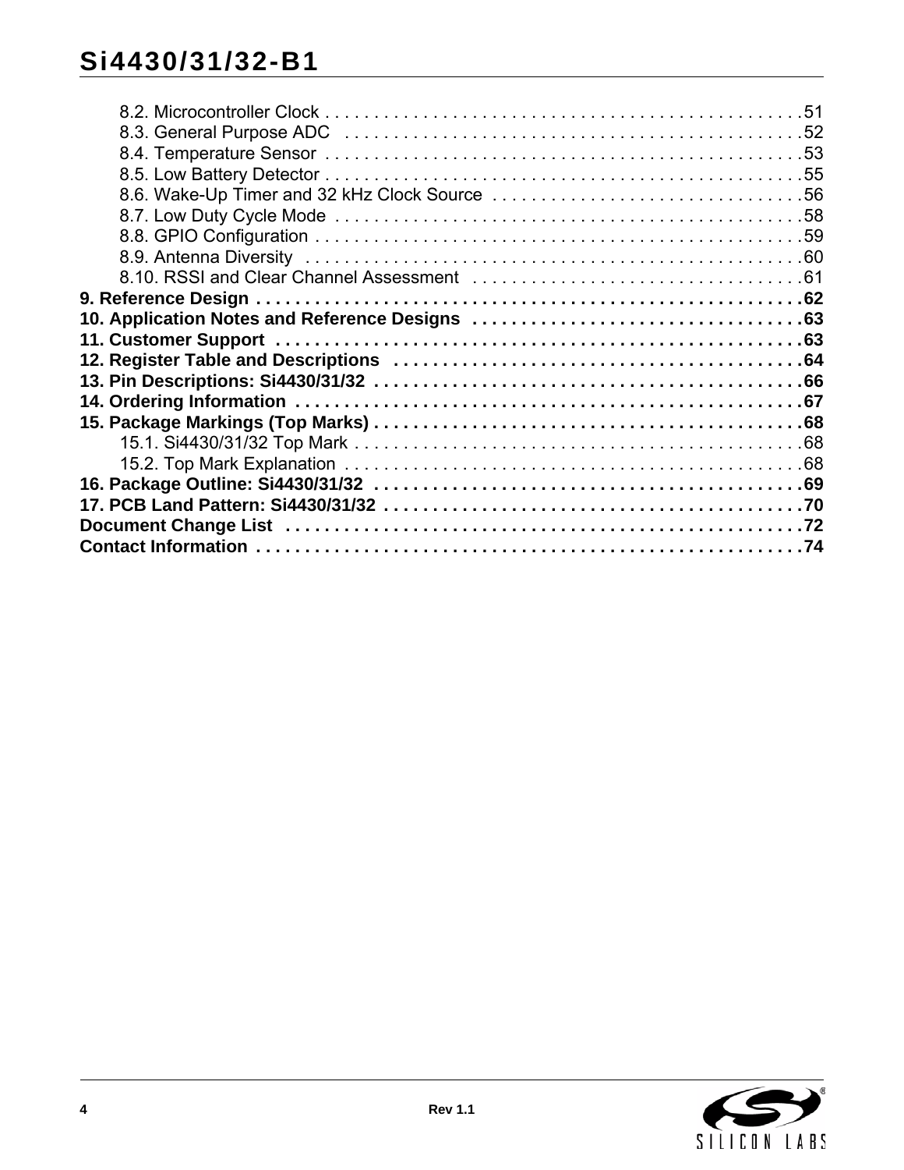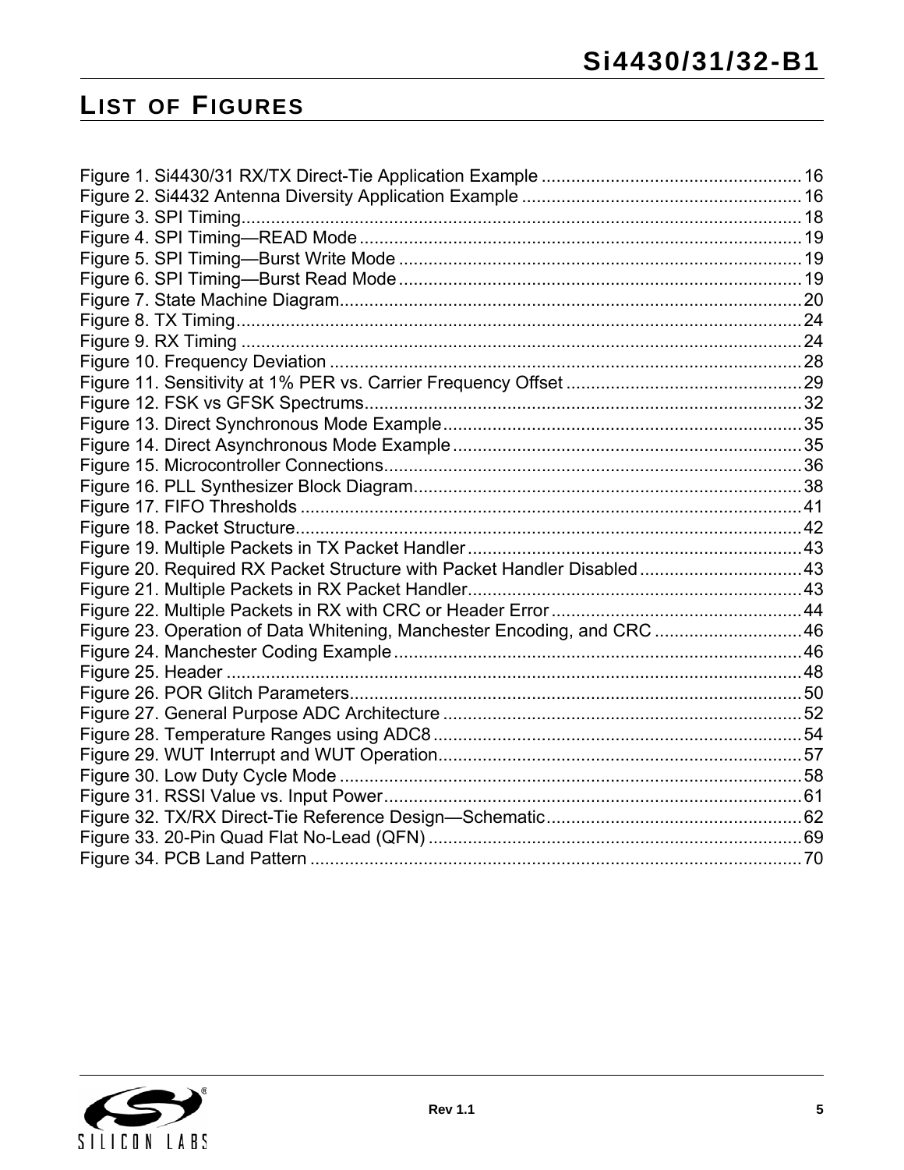## **LIST OF FIGURES**

| Figure 20. Required RX Packet Structure with Packet Handler Disabled 43 |  |
|-------------------------------------------------------------------------|--|
|                                                                         |  |
|                                                                         |  |
| Figure 23. Operation of Data Whitening, Manchester Encoding, and CRC 46 |  |
|                                                                         |  |
|                                                                         |  |
|                                                                         |  |
|                                                                         |  |
|                                                                         |  |
|                                                                         |  |
|                                                                         |  |
|                                                                         |  |
|                                                                         |  |
|                                                                         |  |
|                                                                         |  |

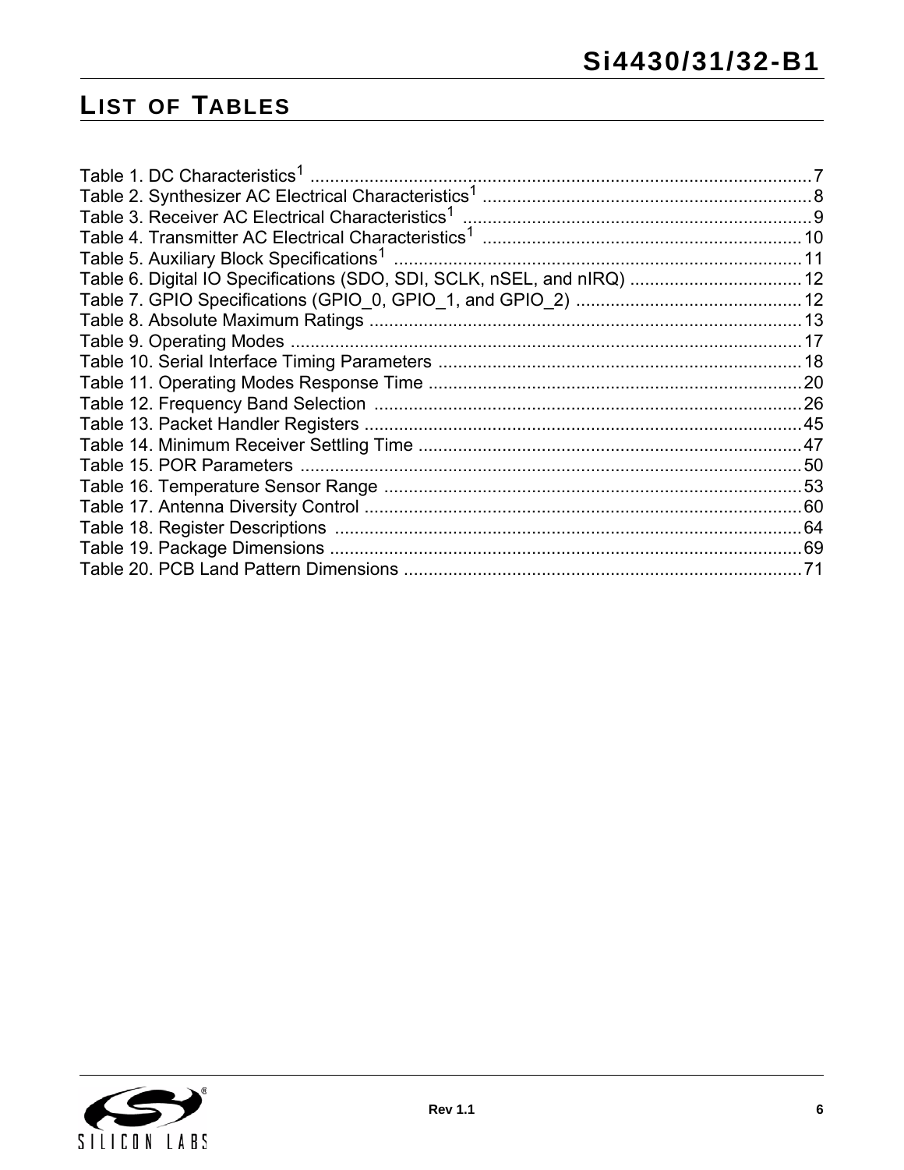## **LIST OF TABLES**

| Table 1. DC Characteristics <sup>1</sup>                                |    |
|-------------------------------------------------------------------------|----|
|                                                                         |    |
| Table 3. Receiver AC Electrical Characteristics <sup>1</sup>            |    |
|                                                                         |    |
| Table 5. Auxiliary Block Specifications <sup>1</sup>                    |    |
| Table 6. Digital IO Specifications (SDO, SDI, SCLK, nSEL, and nIRQ)  12 |    |
|                                                                         |    |
|                                                                         |    |
| Table 9. Operating Modes                                                | 17 |
|                                                                         |    |
|                                                                         |    |
|                                                                         | 26 |
|                                                                         |    |
|                                                                         |    |
|                                                                         | 50 |
|                                                                         |    |
|                                                                         |    |
|                                                                         | 64 |
|                                                                         |    |
|                                                                         | 71 |

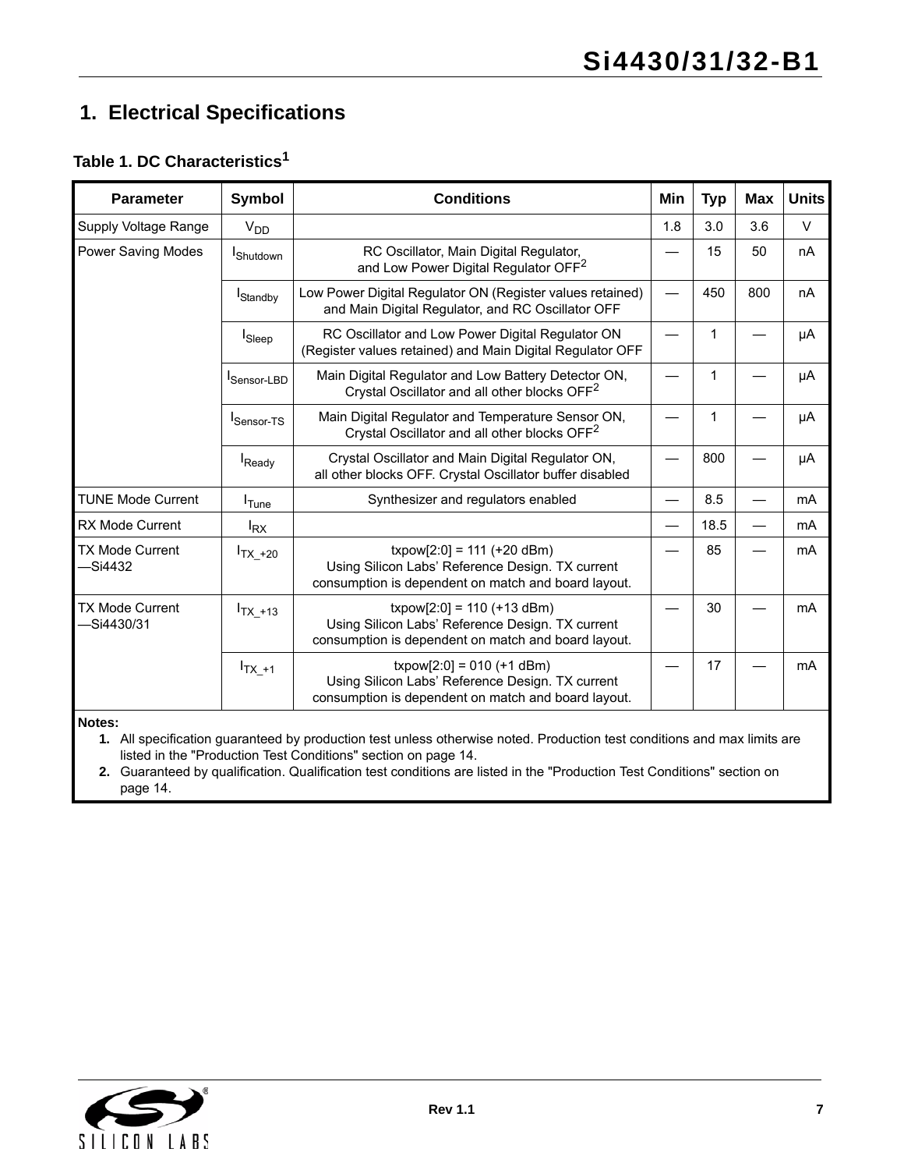## <span id="page-6-0"></span>**1. Electrical Specifications**

## **Table 1. DC Characteristics<sup>1</sup>**

| <b>Parameter</b>                     | <b>Symbol</b>      | <b>Conditions</b>                                                                                                                       | Min | <b>Typ</b> | <b>Max</b> | <b>Units</b> |
|--------------------------------------|--------------------|-----------------------------------------------------------------------------------------------------------------------------------------|-----|------------|------------|--------------|
| Supply Voltage Range                 | V <sub>DD</sub>    |                                                                                                                                         | 1.8 | 3.0        | 3.6        | $\vee$       |
| Power Saving Modes                   | <b>I</b> Shutdown  | RC Oscillator, Main Digital Regulator,<br>and Low Power Digital Regulator OFF <sup>2</sup>                                              |     | 15         | 50         | nA           |
|                                      | <b>I</b> Standby   | Low Power Digital Regulator ON (Register values retained)<br>and Main Digital Regulator, and RC Oscillator OFF                          |     | 450        | 800        | nA           |
|                                      | I <sub>Sleep</sub> | RC Oscillator and Low Power Digital Regulator ON<br>(Register values retained) and Main Digital Regulator OFF                           |     | 1          |            | μA           |
|                                      | Sensor-LBD         | Main Digital Regulator and Low Battery Detector ON,<br>Crystal Oscillator and all other blocks OFF <sup>2</sup>                         |     | 1          |            | μA           |
|                                      | Sensor-TS          | Main Digital Regulator and Temperature Sensor ON,<br>Crystal Oscillator and all other blocks OFF <sup>2</sup>                           |     | 1          |            | μA           |
|                                      | Ready              | Crystal Oscillator and Main Digital Regulator ON,<br>all other blocks OFF. Crystal Oscillator buffer disabled                           |     | 800        |            | μA           |
| <b>TUNE Mode Current</b>             | $I$ Tune           | Synthesizer and regulators enabled                                                                                                      |     | 8.5        |            | mA           |
| <b>RX Mode Current</b>               | $I_{\mathsf{RX}}$  |                                                                                                                                         |     | 18.5       |            | mA           |
| <b>TX Mode Current</b><br>—Si4432    | $I_{TX_+20}$       | $txpow[2:0] = 111 (+20 dBm)$<br>Using Silicon Labs' Reference Design. TX current<br>consumption is dependent on match and board layout. |     | 85         |            | mA           |
| <b>TX Mode Current</b><br>-Si4430/31 | $I_{TX_+13}$       | $txpow[2:0] = 110 (+13 dBm)$<br>Using Silicon Labs' Reference Design. TX current<br>consumption is dependent on match and board layout. |     | 30         |            | mA           |
|                                      | $I_{TX_+1}$        | $txpow[2:0] = 010 (+1 dBm)$<br>Using Silicon Labs' Reference Design. TX current<br>consumption is dependent on match and board layout.  |     | 17         |            | mA           |

**Notes:**

**1.** All specification guaranteed by production test unless otherwise noted. Production test conditions and max limits are listed in the "Production Test Conditions" section on [page 14.](#page-13-0)

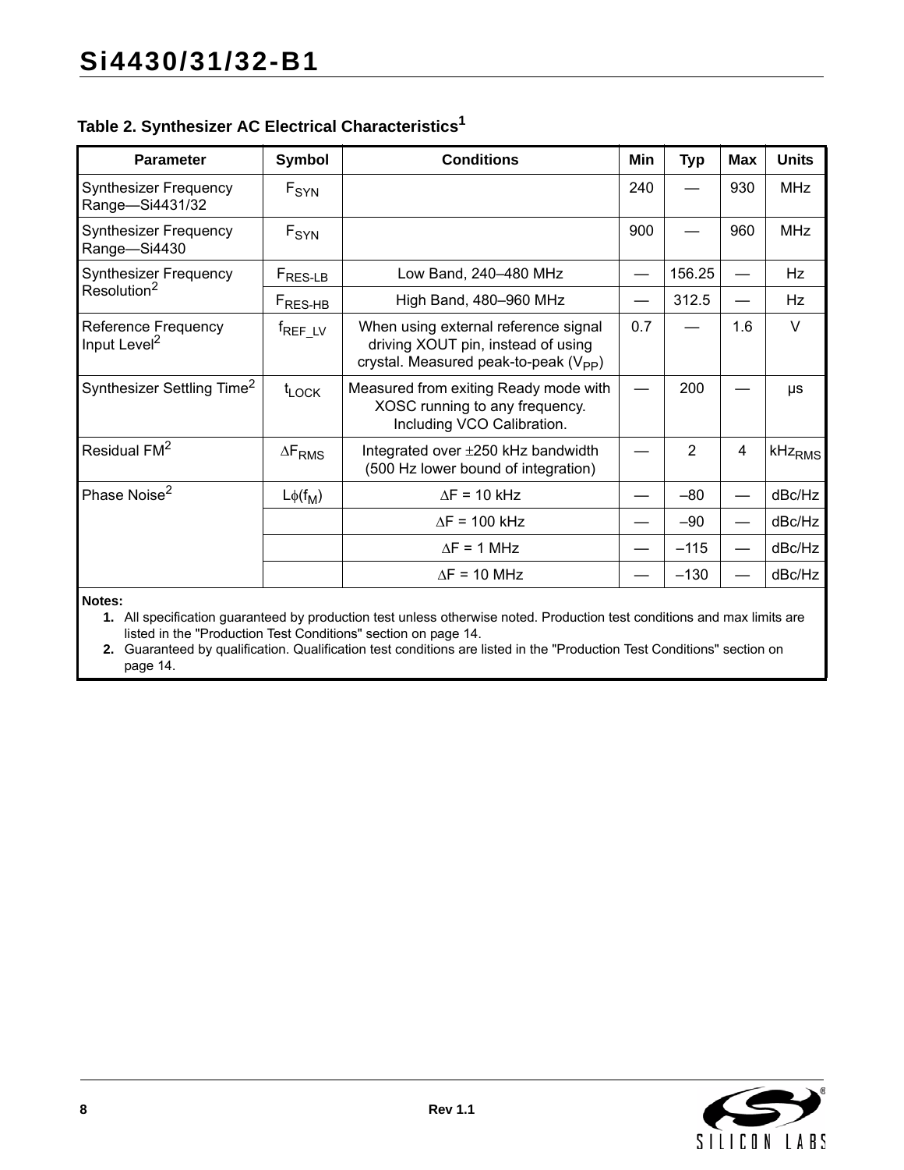## **Table 2. Synthesizer AC Electrical Characteristics1**

| <b>Parameter</b>                                       | Symbol              | <b>Conditions</b>                                                                                                               | Min | <b>Typ</b>     | <b>Max</b> | <b>Units</b>       |
|--------------------------------------------------------|---------------------|---------------------------------------------------------------------------------------------------------------------------------|-----|----------------|------------|--------------------|
| <b>Synthesizer Frequency</b><br>Range-Si4431/32        | $F_{SYN}$           |                                                                                                                                 | 240 |                | 930        | <b>MHz</b>         |
| <b>Synthesizer Frequency</b><br>Range-Si4430           | F <sub>SYN</sub>    |                                                                                                                                 | 900 |                | 960        | <b>MHz</b>         |
| <b>Synthesizer Frequency</b>                           | F <sub>RES-LB</sub> | Low Band, 240-480 MHz                                                                                                           |     | 156.25         |            | Hz                 |
| Resolution <sup>2</sup>                                | $F_{RES-HB}$        | High Band, 480-960 MHz                                                                                                          |     | 312.5          |            | Hz                 |
| <b>Reference Frequency</b><br>Input Level <sup>2</sup> | <sup>f</sup> REF_LV | When using external reference signal<br>driving XOUT pin, instead of using<br>crystal. Measured peak-to-peak (V <sub>PP</sub> ) | 0.7 |                | 1.6        | $\vee$             |
| Synthesizer Settling Time <sup>2</sup>                 | $t_{\text{LOCK}}$   | Measured from exiting Ready mode with<br>XOSC running to any frequency.<br>Including VCO Calibration.                           |     | 200            |            | μs                 |
| Residual FM <sup>2</sup>                               | $\Delta F_{RMS}$    | Integrated over ±250 kHz bandwidth<br>(500 Hz lower bound of integration)                                                       |     | $\overline{2}$ | 4          | kHz <sub>RMS</sub> |
| Phase Noise <sup>2</sup>                               | $L\phi(f_M)$        | $\Delta F = 10$ kHz                                                                                                             |     | $-80$          |            | dBc/Hz             |
|                                                        |                     | $\Delta F = 100$ kHz                                                                                                            |     | $-90$          |            | dBc/Hz             |
|                                                        |                     | $\Delta F = 1$ MHz                                                                                                              |     | $-115$         |            | dBc/Hz             |
|                                                        |                     | $\Delta F = 10$ MHz                                                                                                             |     | $-130$         |            | dBc/Hz             |

**Notes:**

**1.** All specification guaranteed by production test unless otherwise noted. Production test conditions and max limits are listed in the "Production Test Conditions" section on [page 14.](#page-13-0)

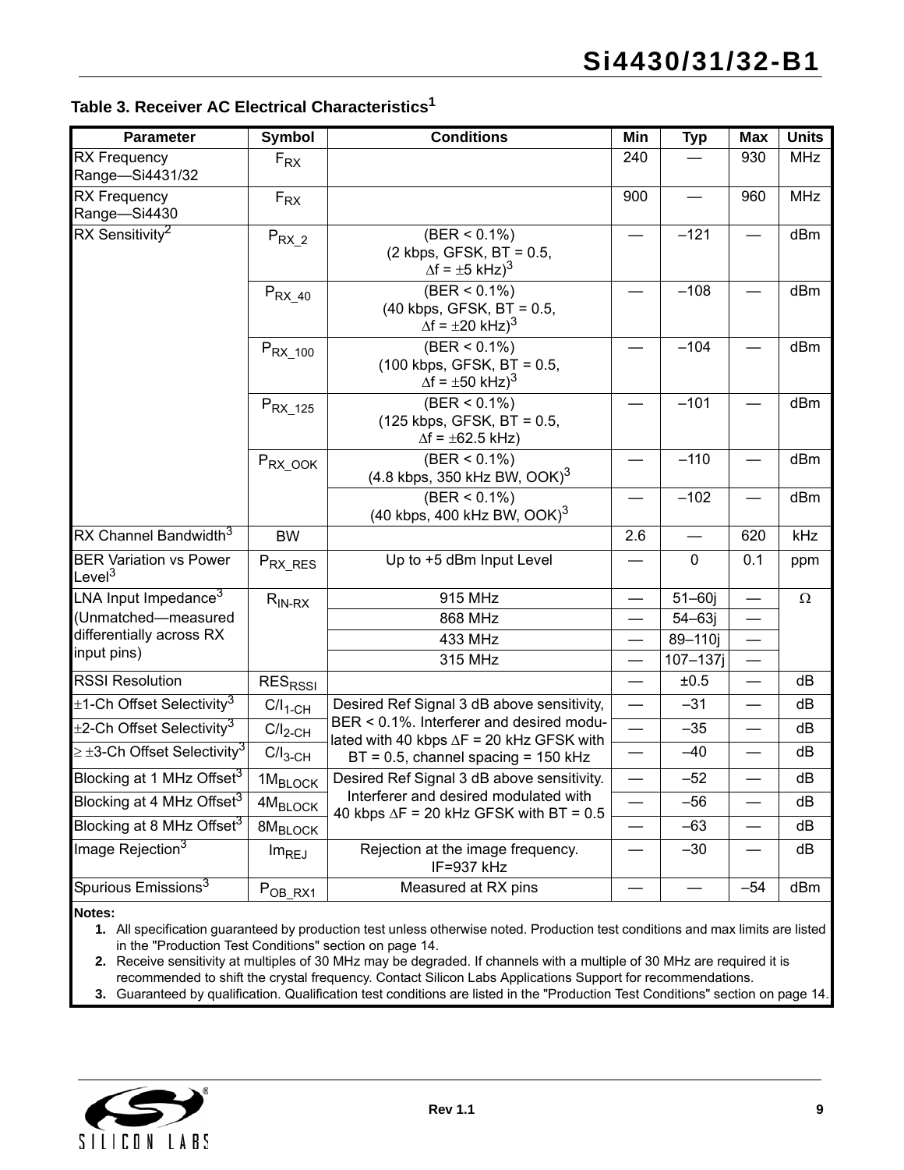|  |  | Table 3. Receiver AC Electrical Characteristics $^{\mathsf{1}}$ |  |
|--|--|-----------------------------------------------------------------|--|
|  |  |                                                                 |  |

| <b>Parameter</b>                                    | <b>Symbol</b>       | <b>Conditions</b>                                                                                     | Min                      | <b>Typ</b>  | <b>Max</b>               | <b>Units</b> |
|-----------------------------------------------------|---------------------|-------------------------------------------------------------------------------------------------------|--------------------------|-------------|--------------------------|--------------|
| <b>RX Frequency</b><br>Range-Si4431/32              | $F_{\rm RX}$        |                                                                                                       | 240                      |             | 930                      | <b>MHz</b>   |
| <b>RX Frequency</b><br>Range-Si4430                 | $F_{\mathsf{RX}}$   |                                                                                                       | 900                      |             | 960                      | <b>MHz</b>   |
| RX Sensitivity <sup>2</sup>                         | $P_{RX_2}$          | $(BER < 0.1\%)$<br>(2 kbps, GFSK, BT = 0.5,<br>$\Delta f = \pm 5$ kHz $)^3$                           |                          | $-121$      |                          | dBm          |
|                                                     | $P_{RX_40}$         | $(BER < 0.1\%)$<br>$(40 \text{ kbps}, \text{GFSK}, \text{BT} = 0.5,$<br>$\Delta f = \pm 20$ kHz $)^3$ |                          | $-108$      |                          | dBm          |
|                                                     | $P_{RX_100}$        | $(BER < 0.1\%)$<br>(100 kbps, GFSK, BT = 0.5,<br>$\Delta f = \pm 50$ kHz $)^3$                        |                          | $-104$      |                          | dBm          |
|                                                     | $P_{RX_125}$        | $(BER < 0.1\%)$<br>(125 kbps, GFSK, BT = 0.5,<br>$\Delta f = \pm 62.5$ kHz)                           |                          | $-101$      |                          | dBm          |
|                                                     | $P_{RX_000K}$       | $(BER < 0.1\%)$<br>$(4.8 \text{ kbps}, 350 \text{ kHz BW}, \text{OOK})^3$                             |                          | $-110$      |                          | dBm          |
|                                                     |                     | $(BER < 0.1\%)$<br>(40 kbps, 400 kHz BW, OOK) $3$                                                     |                          | $-102$      |                          | dBm          |
| RX Channel Bandwidth <sup>3</sup>                   | <b>BW</b>           |                                                                                                       | 2.6                      |             | 620                      | kHz          |
| <b>BER Variation vs Power</b><br>Level <sup>3</sup> | $P_{RX\_RES}$       | Up to +5 dBm Input Level                                                                              |                          | $\mathbf 0$ | 0.1                      | ppm          |
| LNA Input Impedance $3$                             | $R_{IN-RX}$         | 915 MHz                                                                                               |                          | $51 - 60j$  |                          | $\Omega$     |
| (Unmatched-measured                                 |                     | 868 MHz                                                                                               | $\overline{\phantom{0}}$ | $54 - 63j$  | $\overline{\phantom{0}}$ |              |
| differentially across RX<br>input pins)             |                     | 433 MHz                                                                                               |                          | 89-110j     |                          |              |
|                                                     |                     | 315 MHz                                                                                               |                          | $107 - 137$ |                          |              |
| <b>RSSI Resolution</b>                              | RES <sub>RSSI</sub> |                                                                                                       |                          | ±0.5        |                          | dB           |
| $\pm$ 1-Ch Offset Selectivity <sup>3</sup>          | $C/I_{1-CH}$        | Desired Ref Signal 3 dB above sensitivity,                                                            |                          | $-31$       |                          | dB           |
| $\pm$ 2-Ch Offset Selectivity $^3$                  | $C/I_{2-CH}$        | BER < 0.1%. Interferer and desired modu-<br>lated with 40 kbps $\Delta F = 20$ kHz GFSK with          | $\overline{\phantom{0}}$ | $-35$       |                          | dB           |
| $\geq \pm$ 3-Ch Offset Selectivity $^3$             | $C/I_{3-CH}$        | $BT = 0.5$ , channel spacing = 150 kHz                                                                |                          | $-40$       |                          | dB           |
| Blocking at 1 MHz Offset <sup>3</sup>               | 1M <sub>BLOCK</sub> | Desired Ref Signal 3 dB above sensitivity.                                                            |                          | $-52$       |                          | dB           |
| Blocking at 4 MHz Offset <sup>3</sup>               | $4 M_{\rm BLOCK}$   | Interferer and desired modulated with                                                                 |                          | $-56$       |                          | dB           |
| Blocking at 8 MHz Offset <sup>3</sup>               | 8M <sub>BLOCK</sub> | 40 kbps $\Delta F = 20$ kHz GFSK with BT = 0.5                                                        |                          | $-63$       |                          | dB           |
| Image Rejection <sup>3</sup>                        | Im <sub>REJ</sub>   | Rejection at the image frequency.<br>IF=937 kHz                                                       |                          | $-30$       |                          | dB           |
| Spurious Emissions <sup>3</sup>                     | $P_{OB_RX1}$        | Measured at RX pins                                                                                   |                          |             | $-54$                    | dBm          |

**Notes:**

**1.** All specification guaranteed by production test unless otherwise noted. Production test conditions and max limits are listed in the "Production Test Conditions" section on [page 14.](#page-13-0)

**2.** Receive sensitivity at multiples of 30 MHz may be degraded. If channels with a multiple of 30 MHz are required it is recommended to shift the crystal frequency. Contact Silicon Labs Applications Support for recommendations.

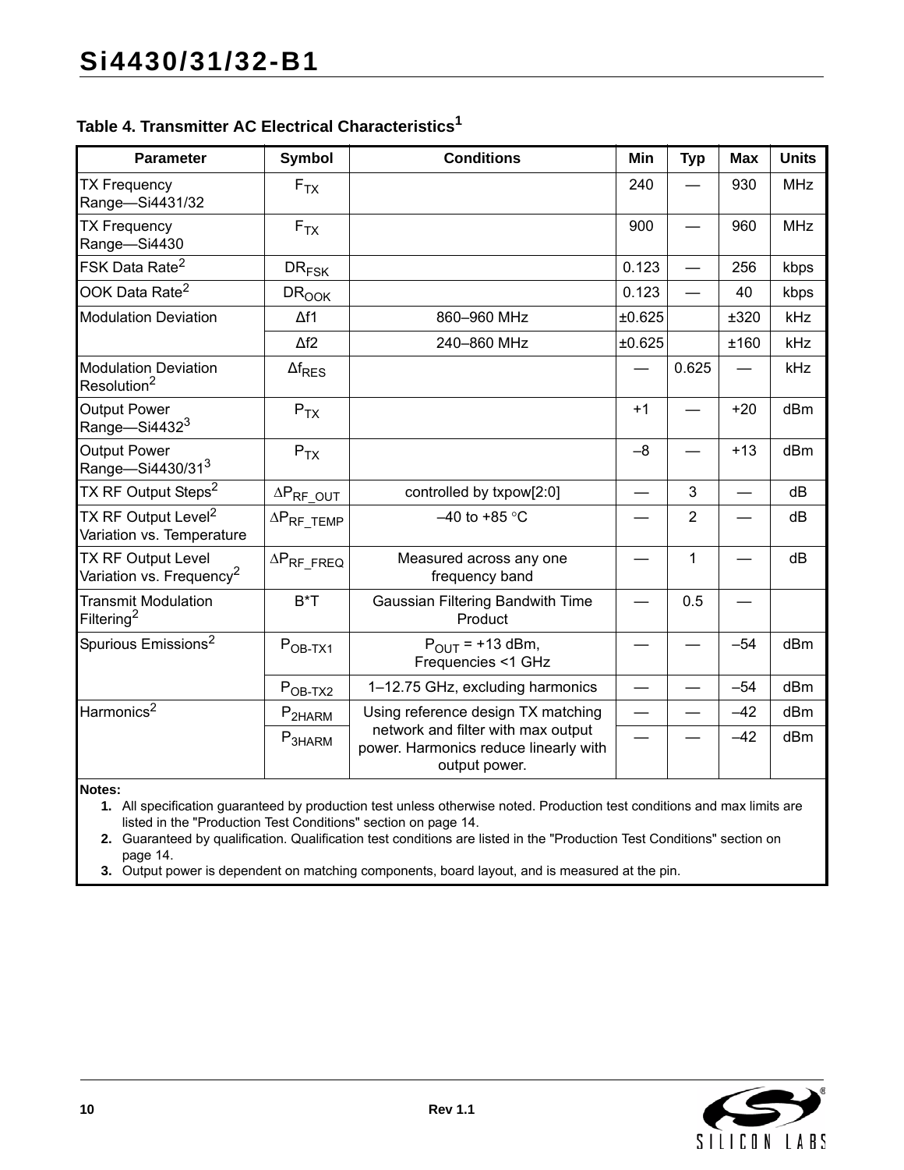## **Table 4. Transmitter AC Electrical Characteristics<sup>1</sup>**

| <b>Parameter</b>                                                  | Symbol                | <b>Conditions</b>                                                                            | Min    | <b>Typ</b>     | Max   | <b>Units</b> |
|-------------------------------------------------------------------|-----------------------|----------------------------------------------------------------------------------------------|--------|----------------|-------|--------------|
| <b>TX Frequency</b><br>Range-Si4431/32                            | $F_{TX}$              |                                                                                              | 240    |                | 930   | <b>MHz</b>   |
| <b>TX Frequency</b><br>Range-Si4430                               | $F_{TX}$              |                                                                                              | 900    |                | 960   | <b>MHz</b>   |
| FSK Data Rate <sup>2</sup>                                        | $DR_{FSK}$            |                                                                                              | 0.123  |                | 256   | kbps         |
| OOK Data Rate <sup>2</sup>                                        | <b>DROOK</b>          |                                                                                              | 0.123  |                | 40    | kbps         |
| <b>Modulation Deviation</b>                                       | $\Delta f1$           | 860-960 MHz                                                                                  | ±0.625 |                | ±320  | <b>kHz</b>   |
|                                                                   | $\Delta f2$           | 240-860 MHz                                                                                  | ±0.625 |                | ±160  | kHz          |
| <b>Modulation Deviation</b><br>Resolution <sup>2</sup>            | $\Delta f_{RES}$      |                                                                                              |        | 0.625          |       | kHz          |
| <b>Output Power</b><br>Range-Si4432 <sup>3</sup>                  | $P_{TX}$              |                                                                                              | $+1$   |                | $+20$ | dBm          |
| <b>Output Power</b><br>Range-Si4430/313                           | $P_{TX}$              |                                                                                              | $-8$   |                | $+13$ | dBm          |
| TX RF Output Steps <sup>2</sup>                                   | $\Delta P_{RF\_OUT}$  | controlled by txpow[2:0]                                                                     |        | 3              |       | dB           |
| TX RF Output Level <sup>2</sup><br>Variation vs. Temperature      | $\Delta P_{RF\_TEMP}$ | $-40$ to +85 °C                                                                              |        | $\overline{2}$ |       | dB           |
| <b>TX RF Output Level</b><br>Variation vs. Frequency <sup>2</sup> | $\Delta P_{RF\_FREG}$ | Measured across any one<br>frequency band                                                    |        | 1              |       | dB           |
| <b>Transmit Modulation</b><br>Filtering <sup>2</sup>              | $B^*T$                | Gaussian Filtering Bandwith Time<br>Product                                                  |        | 0.5            |       |              |
| Spurious Emissions <sup>2</sup>                                   | $POB-TX1$             | $P_{OUIT}$ = +13 dBm,<br>Frequencies <1 GHz                                                  |        |                | $-54$ | dBm          |
|                                                                   | $POB-TX2$             | 1-12.75 GHz, excluding harmonics                                                             |        |                | $-54$ | dBm          |
| Harmonics <sup>2</sup>                                            | P <sub>2HARM</sub>    | Using reference design TX matching                                                           |        |                | $-42$ | dBm          |
|                                                                   | P <sub>3HARM</sub>    | network and filter with max output<br>power. Harmonics reduce linearly with<br>output power. |        |                | $-42$ | dBm          |

**Notes:**

**1.** All specification guaranteed by production test unless otherwise noted. Production test conditions and max limits are listed in the "Production Test Conditions" section on [page 14](#page-13-0).

**2.** Guaranteed by qualification. Qualification test conditions are listed in the "Production Test Conditions" section on [page 14](#page-13-0).

**3.** Output power is dependent on matching components, board layout, and is measured at the pin.

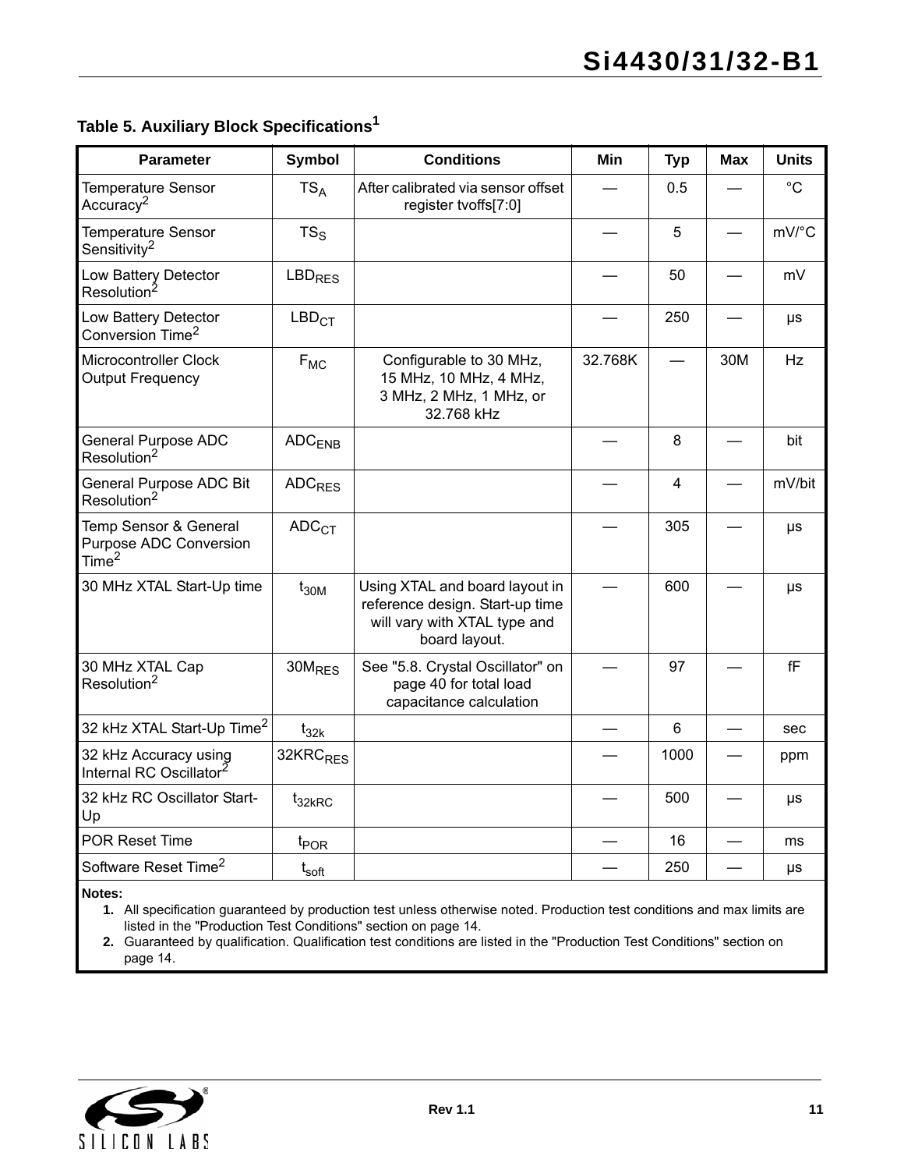## **Table 5. Auxiliary Block Specifications1**

| <b>Parameter</b>                                                            | Symbol                   | <b>Conditions</b>                                                                                                  | Min     | <b>Typ</b> | <b>Max</b> | <b>Units</b>     |
|-----------------------------------------------------------------------------|--------------------------|--------------------------------------------------------------------------------------------------------------------|---------|------------|------------|------------------|
| <b>Temperature Sensor</b><br>Accuracy <sup>2</sup>                          | $TS_A$                   | After calibrated via sensor offset<br>register tvoffs[7:0]                                                         |         | 0.5        |            | $^{\circ}C$      |
| <b>Temperature Sensor</b><br>Sensitivity <sup>2</sup>                       | $TS_S$                   |                                                                                                                    |         | 5          |            | mV/°C            |
| Low Battery Detector<br>Resolution <sup>2</sup>                             | <b>LBD<sub>RES</sub></b> |                                                                                                                    |         | 50         |            | mV               |
| Low Battery Detector<br>Conversion Time <sup>2</sup>                        | LBD <sub>CT</sub>        |                                                                                                                    |         | 250        |            | $\mu s$          |
| Microcontroller Clock<br><b>Output Frequency</b>                            | $F_{MC}$                 | Configurable to 30 MHz,<br>15 MHz, 10 MHz, 4 MHz,<br>3 MHz, 2 MHz, 1 MHz, or<br>32.768 kHz                         | 32.768K |            | 30M        | <b>Hz</b>        |
| <b>General Purpose ADC</b><br>Resolution <sup>2</sup>                       | $ADC$ <sub>FNB</sub>     |                                                                                                                    |         | 8          |            | bit              |
| General Purpose ADC Bit<br>Resolution <sup>2</sup>                          | <b>ADC<sub>RES</sub></b> |                                                                                                                    |         | 4          |            | mV/bit           |
| Temp Sensor & General<br><b>Purpose ADC Conversion</b><br>Time <sup>2</sup> | ADC <sub>CT</sub>        |                                                                                                                    |         | 305        |            | μs               |
| 30 MHz XTAL Start-Up time                                                   | $t_{30M}$                | Using XTAL and board layout in<br>reference design. Start-up time<br>will vary with XTAL type and<br>board layout. |         | 600        |            | μs               |
| 30 MHz XTAL Cap<br>Resolution <sup>2</sup>                                  | 30M <sub>RFS</sub>       | See "5.8. Crystal Oscillator" on<br>page 40 for total load<br>capacitance calculation                              |         | 97         |            | ${\sf f}{\sf F}$ |
| 32 kHz XTAL Start-Up Time <sup>2</sup>                                      | $t_{32k}$                |                                                                                                                    |         | 6          |            | sec              |
| 32 kHz Accuracy using<br>Internal RC Oscillator <sup>2</sup>                | 32KRC <sub>RES</sub>     |                                                                                                                    |         | 1000       |            | ppm              |
| 32 kHz RC Oscillator Start-<br>Up                                           | $t_{32kRC}$              |                                                                                                                    |         | 500        |            | $\mu s$          |
| <b>POR Reset Time</b>                                                       | $t_{\text{POR}}$         |                                                                                                                    |         | 16         |            | ms               |
| Software Reset Time <sup>2</sup>                                            | $t_{\mathsf{soft}}$      |                                                                                                                    |         | 250        |            | μs               |

**Notes:**

**1.** All specification guaranteed by production test unless otherwise noted. Production test conditions and max limits are listed in the "Production Test Conditions" section on [page 14.](#page-13-0)

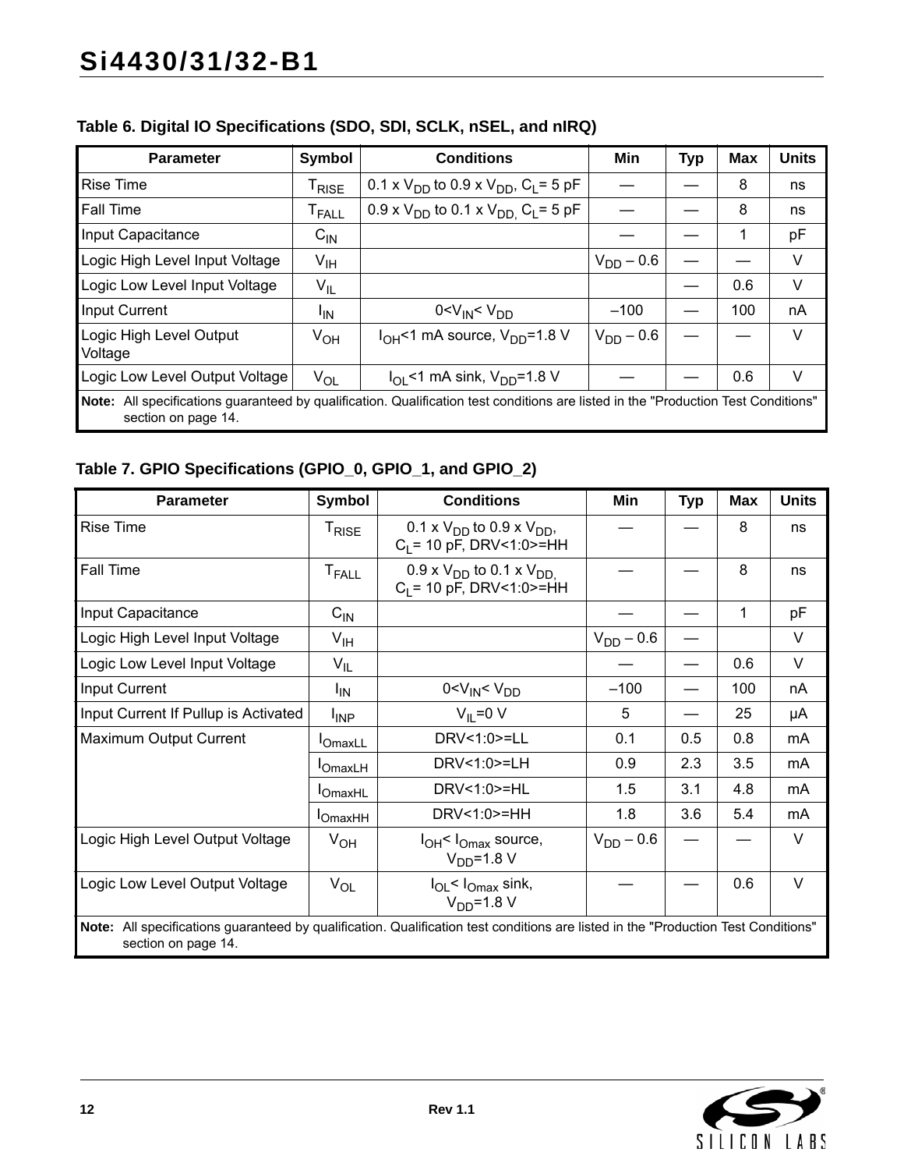| <b>Parameter</b>                                                                                                                                             | Symbol                       | <b>Conditions</b>                                             | Min            | <b>Typ</b> | <b>Max</b> | <b>Units</b> |  |
|--------------------------------------------------------------------------------------------------------------------------------------------------------------|------------------------------|---------------------------------------------------------------|----------------|------------|------------|--------------|--|
| <b>Rise Time</b>                                                                                                                                             | <sup>I</sup> RISE            | 0.1 x $V_{DD}$ to 0.9 x $V_{DD}$ , $C_L$ = 5 pF               |                |            | 8          | ns           |  |
| <b>Fall Time</b>                                                                                                                                             | $\mathsf{T}_{\mathsf{FALL}}$ | $0.9 \times V_{DD}$ to 0.1 x $V_{DD}$ , C <sub>L</sub> = 5 pF |                |            | 8          | ns           |  |
| Input Capacitance                                                                                                                                            | $C_{IN}$                     |                                                               |                |            | 1          | pF           |  |
| Logic High Level Input Voltage                                                                                                                               | V <sub>IH</sub>              |                                                               | $V_{DD} - 0.6$ |            |            | V            |  |
| Logic Low Level Input Voltage                                                                                                                                | $V_{IL}$                     |                                                               |                |            | 0.6        | V            |  |
| <b>Input Current</b>                                                                                                                                         | <sup>I</sup> IN              | 0 < V <sub>IN</sub> < V <sub>DD</sub>                         | $-100$         |            | 100        | nA           |  |
| Logic High Level Output<br>Voltage                                                                                                                           | $V_{OH}$                     | $I_{OH}$ <1 mA source, $V_{DD}$ =1.8 V                        | $V_{DD} - 0.6$ |            |            | V            |  |
| Logic Low Level Output Voltage                                                                                                                               | $V_{OL}$                     | $I_{\text{OI}}$ <1 mA sink, $V_{\text{DD}}$ =1.8 V            |                |            | 0.6        | V            |  |
| Note:<br>All specifications guaranteed by qualification. Qualification test conditions are listed in the "Production Test Conditions"<br>section on page 14. |                              |                                                               |                |            |            |              |  |

## **Table 6. Digital IO Specifications (SDO, SDI, SCLK, nSEL, and nIRQ)**

## **Table 7. GPIO Specifications (GPIO\_0, GPIO\_1, and GPIO\_2)**

| <b>Parameter</b>                                                                                                                                          | <b>Symbol</b>                | <b>Conditions</b>                                                | Min            | <b>Typ</b> | Max | <b>Units</b> |  |  |
|-----------------------------------------------------------------------------------------------------------------------------------------------------------|------------------------------|------------------------------------------------------------------|----------------|------------|-----|--------------|--|--|
| <b>Rise Time</b>                                                                                                                                          | $\mathsf{T}_{\mathsf{RISE}}$ | 0.1 x $V_{DD}$ to 0.9 x $V_{DD}$ ,<br>$C_1$ = 10 pF, DRV<1:0>=HH |                |            | 8   | ns           |  |  |
| <b>Fall Time</b>                                                                                                                                          | <b>T</b> <sub>FALL</sub>     | 0.9 x $V_{DD}$ to 0.1 x $V_{DD}$<br>$C_1$ = 10 pF, DRV<1:0>=HH   |                |            | 8   | ns           |  |  |
| Input Capacitance                                                                                                                                         | $C_{\text{IN}}$              |                                                                  |                |            | 1   | pF           |  |  |
| Logic High Level Input Voltage                                                                                                                            | $V_{\text{IH}}$              |                                                                  | $V_{DD} - 0.6$ |            |     | V            |  |  |
| Logic Low Level Input Voltage                                                                                                                             | $V_{IL}$                     |                                                                  |                |            | 0.6 | $\vee$       |  |  |
| Input Current                                                                                                                                             | ΙM                           | 0 < V <sub>IN</sub> < V <sub>DD</sub>                            | $-100$         |            | 100 | nA           |  |  |
| Input Current If Pullup is Activated                                                                                                                      | $I_{\text{INP}}$             | $V_{II} = 0 V$                                                   | 5              |            | 25  | μA           |  |  |
| Maximum Output Current                                                                                                                                    | <b>I</b> OmaxLL              | DRV<1:0>=LL                                                      | 0.1            | 0.5        | 0.8 | mA           |  |  |
|                                                                                                                                                           | <b>OmaxLH</b>                | DRV<1:0>=LH                                                      | 0.9            | 2.3        | 3.5 | mA           |  |  |
|                                                                                                                                                           | <b>I</b> OmaxHL              | DRV<1:0>=HL                                                      | 1.5            | 3.1        | 4.8 | mA           |  |  |
|                                                                                                                                                           | $I_{OmaxHH}$                 | DRV<1:0>=HH                                                      | 1.8            | 3.6        | 5.4 | mA           |  |  |
| Logic High Level Output Voltage                                                                                                                           | $V_{OH}$                     | $I_{OH}$ $I_{Omax}$ source,<br>$VDD=1.8 V$                       | $V_{DD} - 0.6$ |            |     | $\vee$       |  |  |
| Logic Low Level Output Voltage                                                                                                                            | $V_{OL}$                     | $I_{OL}$ < $I_{Omax}$ sink,<br>$VDD=1.8 V$                       |                |            | 0.6 | $\vee$       |  |  |
| Note: All specifications guaranteed by qualification. Qualification test conditions are listed in the "Production Test Conditions"<br>section on page 14. |                              |                                                                  |                |            |     |              |  |  |

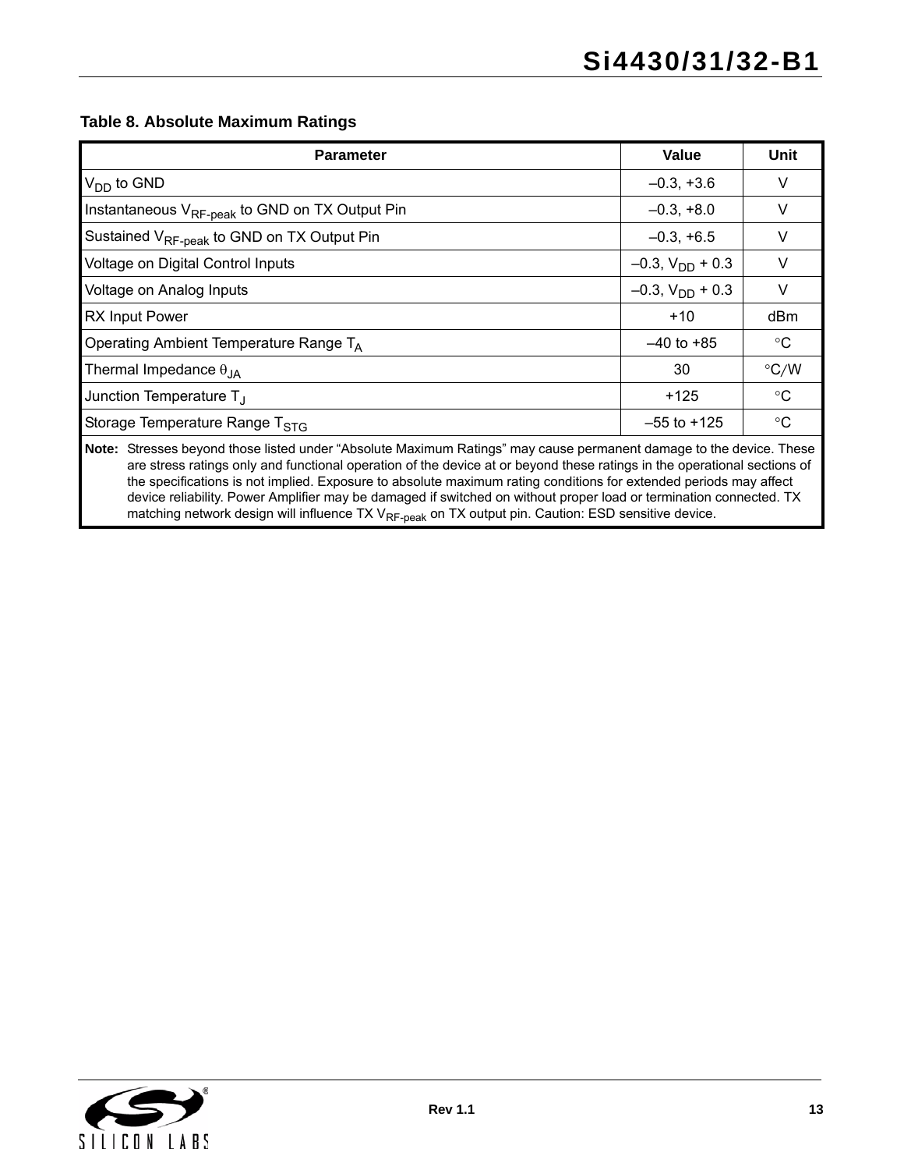#### **Table 8. Absolute Maximum Ratings**

| <b>Parameter</b>                                                                                                                                                                                                                                | Value                   | Unit          |  |  |  |  |
|-------------------------------------------------------------------------------------------------------------------------------------------------------------------------------------------------------------------------------------------------|-------------------------|---------------|--|--|--|--|
| $V_{DD}$ to GND                                                                                                                                                                                                                                 | $-0.3, +3.6$            | V             |  |  |  |  |
| Instantaneous V <sub>RF-peak</sub> to GND on TX Output Pin                                                                                                                                                                                      | $-0.3, +8.0$            | V             |  |  |  |  |
| Sustained V <sub>RF-peak</sub> to GND on TX Output Pin                                                                                                                                                                                          | $-0.3, +6.5$            | V             |  |  |  |  |
| Voltage on Digital Control Inputs                                                                                                                                                                                                               | $-0.3$ , $V_{DD}$ + 0.3 | V             |  |  |  |  |
| Voltage on Analog Inputs                                                                                                                                                                                                                        | $-0.3$ , $V_{DD}$ + 0.3 | V             |  |  |  |  |
| <b>RX Input Power</b>                                                                                                                                                                                                                           | $+10$                   | dBm           |  |  |  |  |
| Operating Ambient Temperature Range T <sub>A</sub>                                                                                                                                                                                              | $-40$ to $+85$          | $^{\circ}C$   |  |  |  |  |
| Thermal Impedance $\theta_{JA}$                                                                                                                                                                                                                 | 30                      | $\degree$ C/W |  |  |  |  |
| Junction Temperature $T_{\perp}$                                                                                                                                                                                                                | $+125$                  | $^{\circ}C$   |  |  |  |  |
| Storage Temperature Range T <sub>STG</sub>                                                                                                                                                                                                      | $-55$ to $+125$         | $^{\circ}C$   |  |  |  |  |
| Note: Stresses beyond those listed under "Absolute Maximum Ratings" may cause permanent damage to the device. These<br>are stress ratings only and functional operation of the device at or beyond these ratings in the operational sections of |                         |               |  |  |  |  |

the specifications is not implied. Exposure to absolute maximum rating conditions for extended periods may affect device reliability. Power Amplifier may be damaged if switched on without proper load or termination connected. TX matching network design will influence TX V<sub>RF-peak</sub> on TX output pin. Caution: ESD sensitive device.

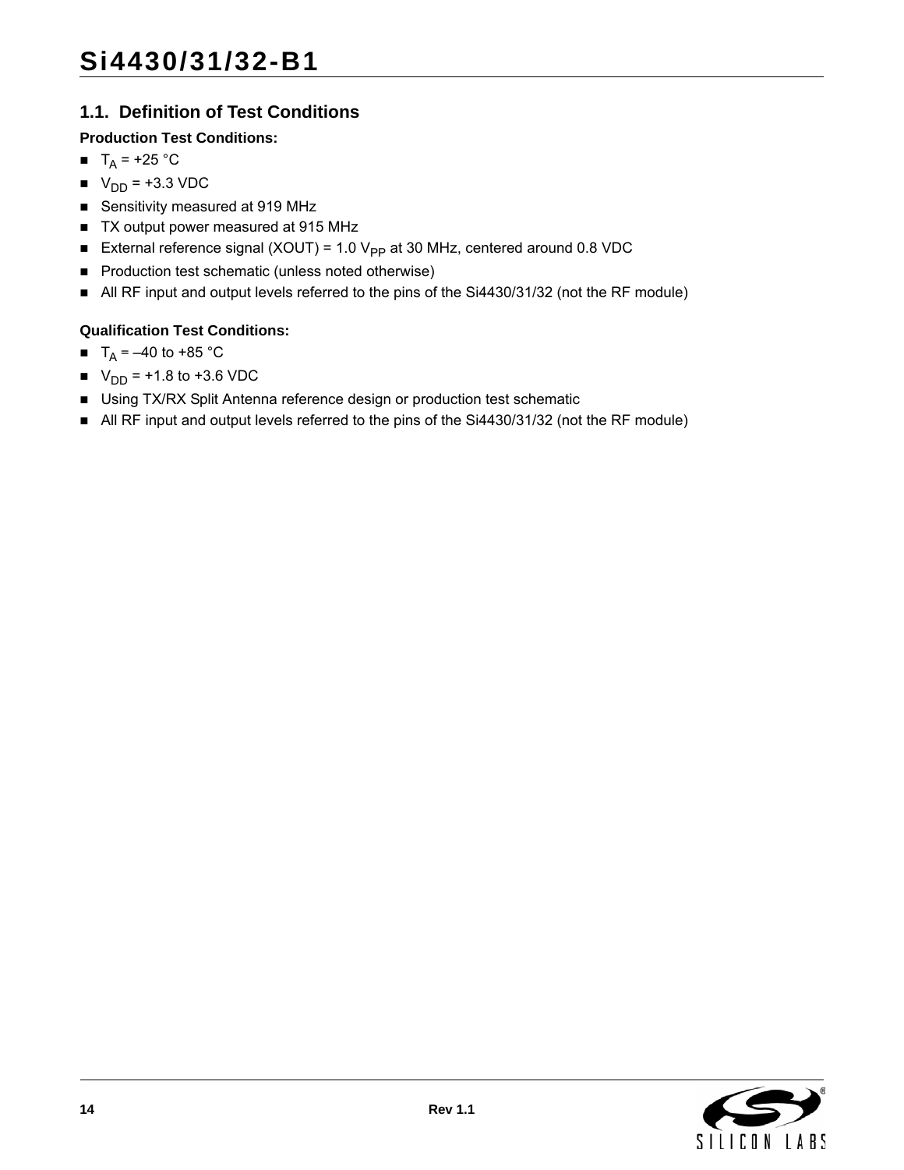## <span id="page-13-0"></span>**1.1. Definition of Test Conditions**

## **Production Test Conditions:**

- $T_A$  = +25 °C
- $V_{DD} = +3.3 \text{ VDC}$
- Sensitivity measured at 919 MHz
- TX output power measured at 915 MHz
- External reference signal (XOUT) = 1.0  $V_{PP}$  at 30 MHz, centered around 0.8 VDC
- **Production test schematic (unless noted otherwise)**
- All RF input and output levels referred to the pins of the Si4430/31/32 (not the RF module)

## **Qualification Test Conditions:**

- $T_A = -40$  to +85 °C
- $V_{DD} = +1.8$  to +3.6 VDC
- Using TX/RX Split Antenna reference design or production test schematic
- All RF input and output levels referred to the pins of the Si4430/31/32 (not the RF module)

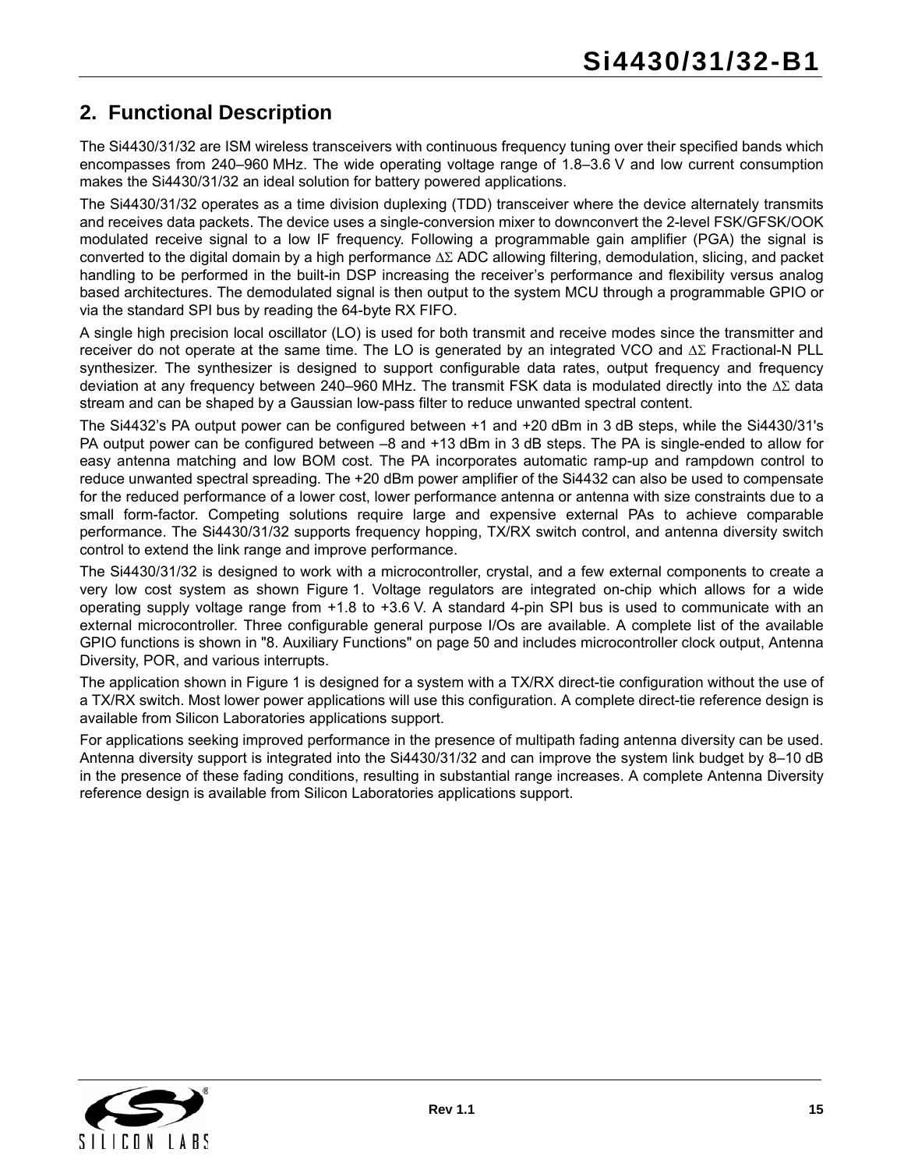## <span id="page-14-0"></span>**2. Functional Description**

The Si4430/31/32 are ISM wireless transceivers with continuous frequency tuning over their specified bands which encompasses from 240–960 MHz. The wide operating voltage range of 1.8–3.6 V and low current consumption makes the Si4430/31/32 an ideal solution for battery powered applications.

The Si4430/31/32 operates as a time division duplexing (TDD) transceiver where the device alternately transmits and receives data packets. The device uses a single-conversion mixer to downconvert the 2-level FSK/GFSK/OOK modulated receive signal to a low IF frequency. Following a programmable gain amplifier (PGA) the signal is converted to the digital domain by a high performance  $\Delta\Sigma$  ADC allowing filtering, demodulation, slicing, and packet handling to be performed in the built-in DSP increasing the receiver's performance and flexibility versus analog based architectures. The demodulated signal is then output to the system MCU through a programmable GPIO or via the standard SPI bus by reading the 64-byte RX FIFO.

A single high precision local oscillator (LO) is used for both transmit and receive modes since the transmitter and receiver do not operate at the same time. The LO is generated by an integrated VCO and  $\Delta\Sigma$  Fractional-N PLL synthesizer. The synthesizer is designed to support configurable data rates, output frequency and frequency deviation at any frequency between 240–960 MHz. The transmit FSK data is modulated directly into the  $\Delta\Sigma$  data stream and can be shaped by a Gaussian low-pass filter to reduce unwanted spectral content.

The Si4432's PA output power can be configured between +1 and +20 dBm in 3 dB steps, while the Si4430/31's PA output power can be configured between –8 and +13 dBm in 3 dB steps. The PA is single-ended to allow for easy antenna matching and low BOM cost. The PA incorporates automatic ramp-up and rampdown control to reduce unwanted spectral spreading. The +20 dBm power amplifier of the Si4432 can also be used to compensate for the reduced performance of a lower cost, lower performance antenna or antenna with size constraints due to a small form-factor. Competing solutions require large and expensive external PAs to achieve comparable performance. The Si4430/31/32 supports frequency hopping, TX/RX switch control, and antenna diversity switch control to extend the link range and improve performance.

The Si4430/31/32 is designed to work with a microcontroller, crystal, and a few external components to create a very low cost system as shown [Figure 1](#page-15-0). Voltage regulators are integrated on-chip which allows for a wide operating supply voltage range from +1.8 to +3.6 V. A standard 4-pin SPI bus is used to communicate with an external microcontroller. Three configurable general purpose I/Os are available. A complete list of the available GPIO functions is shown in ["8. Auxiliary Functions" on page 50](#page-49-0) and includes microcontroller clock output, Antenna Diversity, POR, and various interrupts.

The application shown in [Figure 1](#page-15-0) is designed for a system with a TX/RX direct-tie configuration without the use of a TX/RX switch. Most lower power applications will use this configuration. A complete direct-tie reference design is available from Silicon Laboratories applications support.

For applications seeking improved performance in the presence of multipath fading antenna diversity can be used. Antenna diversity support is integrated into the Si4430/31/32 and can improve the system link budget by 8–10 dB in the presence of these fading conditions, resulting in substantial range increases. A complete Antenna Diversity reference design is available from Silicon Laboratories applications support.

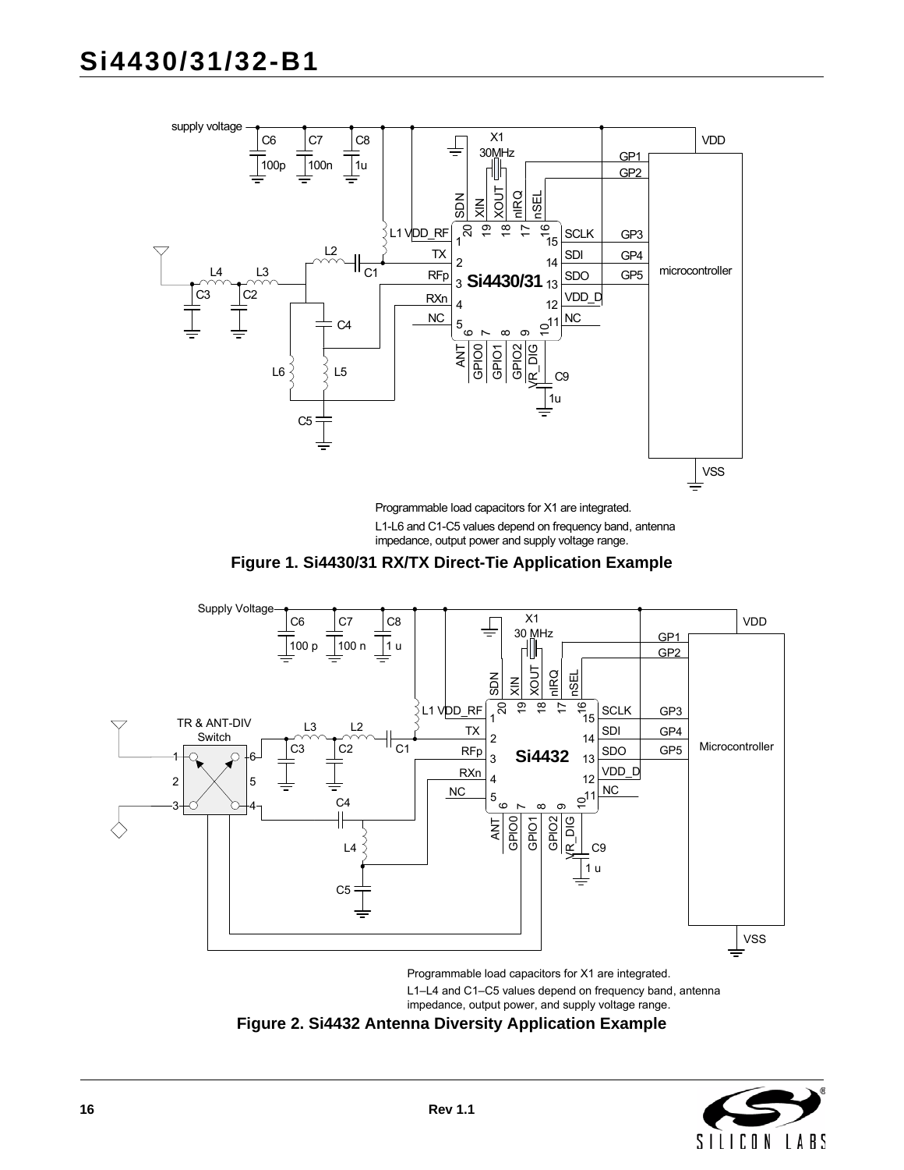

L1-L6 and C1-C5 values depend on frequency band, antenna impedance, output power and supply voltage range. Programmable load capacitors for X1 are integrated.



<span id="page-15-0"></span>

Programmable load capacitors for X1 are integrated.

L1–L4 and C1–C5 values depend on frequency band, antenna

impedance, output power, and supply voltage range.

<span id="page-15-1"></span>

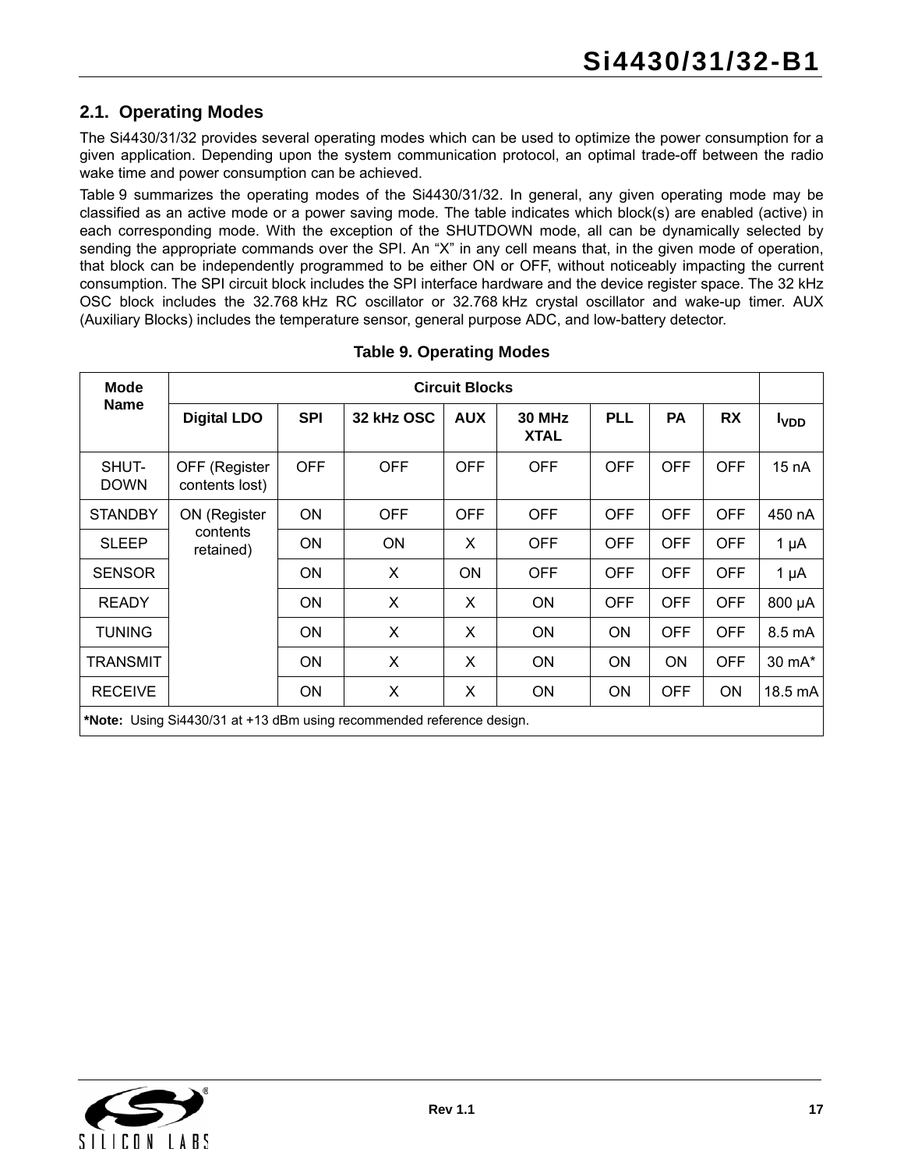## <span id="page-16-0"></span>**2.1. Operating Modes**

The Si4430/31/32 provides several operating modes which can be used to optimize the power consumption for a given application. Depending upon the system communication protocol, an optimal trade-off between the radio wake time and power consumption can be achieved.

[Table 9](#page-16-1) summarizes the operating modes of the Si4430/31/32. In general, any given operating mode may be classified as an active mode or a power saving mode. The table indicates which block(s) are enabled (active) in each corresponding mode. With the exception of the SHUTDOWN mode, all can be dynamically selected by sending the appropriate commands over the SPI. An "X" in any cell means that, in the given mode of operation, that block can be independently programmed to be either ON or OFF, without noticeably impacting the current consumption. The SPI circuit block includes the SPI interface hardware and the device register space. The 32 kHz OSC block includes the 32.768 kHz RC oscillator or 32.768 kHz crystal oscillator and wake-up timer. AUX (Auxiliary Blocks) includes the temperature sensor, general purpose ADC, and low-battery detector.

<span id="page-16-1"></span>

| <b>Mode</b>          |                                                                       |            |            | <b>Circuit Blocks</b> |                              |            |            |            |              |
|----------------------|-----------------------------------------------------------------------|------------|------------|-----------------------|------------------------------|------------|------------|------------|--------------|
| <b>Name</b>          | <b>Digital LDO</b>                                                    | <b>SPI</b> | 32 kHz OSC | <b>AUX</b>            | <b>30 MHz</b><br><b>XTAL</b> | <b>PLL</b> | <b>PA</b>  | <b>RX</b>  | <b>I</b> VDD |
| SHUT-<br><b>DOWN</b> | OFF (Register<br>contents lost)                                       | <b>OFF</b> | <b>OFF</b> | <b>OFF</b>            | <b>OFF</b>                   | <b>OFF</b> | <b>OFF</b> | <b>OFF</b> | 15 nA        |
| <b>STANDBY</b>       | ON (Register                                                          | <b>ON</b>  | <b>OFF</b> | <b>OFF</b>            | <b>OFF</b>                   | <b>OFF</b> | <b>OFF</b> | <b>OFF</b> | 450 nA       |
| <b>SLEEP</b>         | contents<br>retained)                                                 | <b>ON</b>  | ON         | X                     | <b>OFF</b>                   | <b>OFF</b> | <b>OFF</b> | <b>OFF</b> | 1 $\mu$ A    |
| <b>SENSOR</b>        |                                                                       | <b>ON</b>  | X          | <b>ON</b>             | <b>OFF</b>                   | <b>OFF</b> | <b>OFF</b> | <b>OFF</b> | 1 $\mu$ A    |
| <b>READY</b>         |                                                                       | <b>ON</b>  | X          | X                     | <b>ON</b>                    | <b>OFF</b> | <b>OFF</b> | <b>OFF</b> | 800 µA       |
| <b>TUNING</b>        |                                                                       | <b>ON</b>  | X          | X                     | <b>ON</b>                    | <b>ON</b>  | <b>OFF</b> | <b>OFF</b> | 8.5 mA       |
| <b>TRANSMIT</b>      |                                                                       | <b>ON</b>  | X          | X                     | <b>ON</b>                    | ON         | ON         | <b>OFF</b> | 30 mA*       |
| <b>RECEIVE</b>       |                                                                       | <b>ON</b>  | X          | X                     | <b>ON</b>                    | <b>ON</b>  | <b>OFF</b> | ON         | 18.5 mA      |
|                      | *Note: Using Si4430/31 at +13 dBm using recommended reference design. |            |            |                       |                              |            |            |            |              |

### **Table 9. Operating Modes**

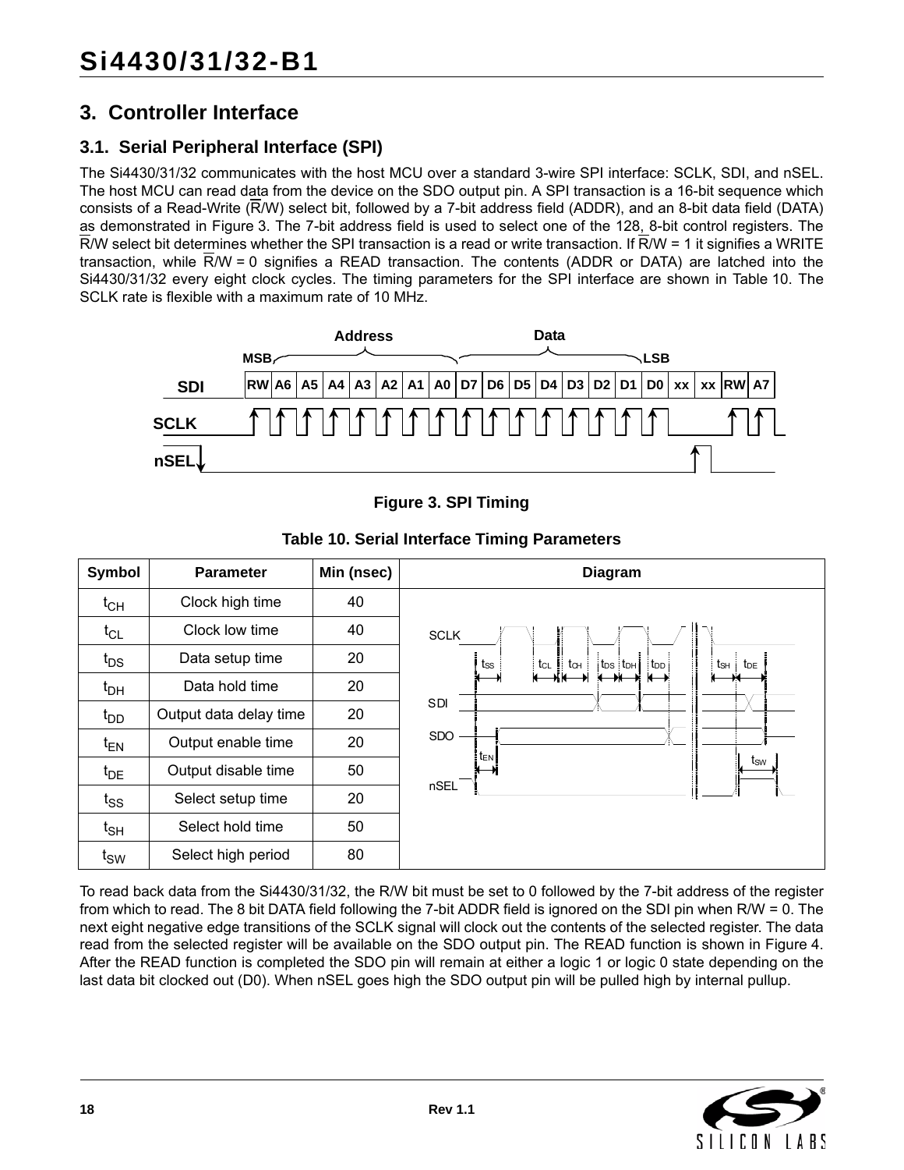## <span id="page-17-0"></span>**3. Controller Interface**

## <span id="page-17-1"></span>**3.1. Serial Peripheral Interface (SPI)**

The Si4430/31/32 communicates with the host MCU over a standard 3-wire SPI interface: SCLK, SDI, and nSEL. The host MCU can read data from the device on the SDO output pin. A SPI transaction is a 16-bit sequence which consists of a Read-Write (R/W) select bit, followed by a 7-bit address field (ADDR), and an 8-bit data field (DATA) as demonstrated in [Figure 3](#page-17-2). The 7-bit address field is used to select one of the 128, 8-bit control registers. The  $\overline{R}/W$  select bit determines whether the SPI transaction is a read or write transaction. If  $\overline{R}/W = 1$  it signifies a WRITE transaction, while R/W = 0 signifies a READ transaction. The contents (ADDR or DATA) are latched into the Si4430/31/32 every eight clock cycles. The timing parameters for the SPI interface are shown in [Table 10](#page-17-3). The SCLK rate is flexible with a maximum rate of 10 MHz.



**Figure 3. SPI Timing**

<span id="page-17-3"></span><span id="page-17-2"></span>

| Symbol       | <b>Parameter</b>       | Min (nsec) | <b>Diagram</b>                                                                                                     |
|--------------|------------------------|------------|--------------------------------------------------------------------------------------------------------------------|
| $t_{CH}$     | Clock high time        | 40         |                                                                                                                    |
| $t_{CL}$     | Clock low time         | 40         | <b>SCLK</b>                                                                                                        |
| $t_{DS}$     | Data setup time        | 20         | $t_{SS}$<br>$\parallel$ t <sub>o+</sub><br>$ t_{DS} t_{DH} $ t <sub>DD</sub><br>tsh<br>$t_{CL}$<br>t <sub>DE</sub> |
| $t_{DH}$     | Data hold time         | 20         | ₩                                                                                                                  |
| $t_{DD}$     | Output data delay time | 20         | SDI                                                                                                                |
| $t_{EN}$     | Output enable time     | 20         | <b>SDO</b><br>$t_{EN}$                                                                                             |
| $t_{DE}$     | Output disable time    | 50         | $t_{\text{SW}}$                                                                                                    |
| $t_{SS}$     | Select setup time      | 20         | nSEL                                                                                                               |
| $t_{\sf SH}$ | Select hold time       | 50         |                                                                                                                    |
| $t_{SW}$     | Select high period     | 80         |                                                                                                                    |

**Table 10. Serial Interface Timing Parameters**

To read back data from the Si4430/31/32, the R/W bit must be set to 0 followed by the 7-bit address of the register from which to read. The 8 bit DATA field following the 7-bit ADDR field is ignored on the SDI pin when R/W = 0. The next eight negative edge transitions of the SCLK signal will clock out the contents of the selected register. The data read from the selected register will be available on the SDO output pin. The READ function is shown in [Figure 4](#page-18-0). After the READ function is completed the SDO pin will remain at either a logic 1 or logic 0 state depending on the last data bit clocked out (D0). When nSEL goes high the SDO output pin will be pulled high by internal pullup.

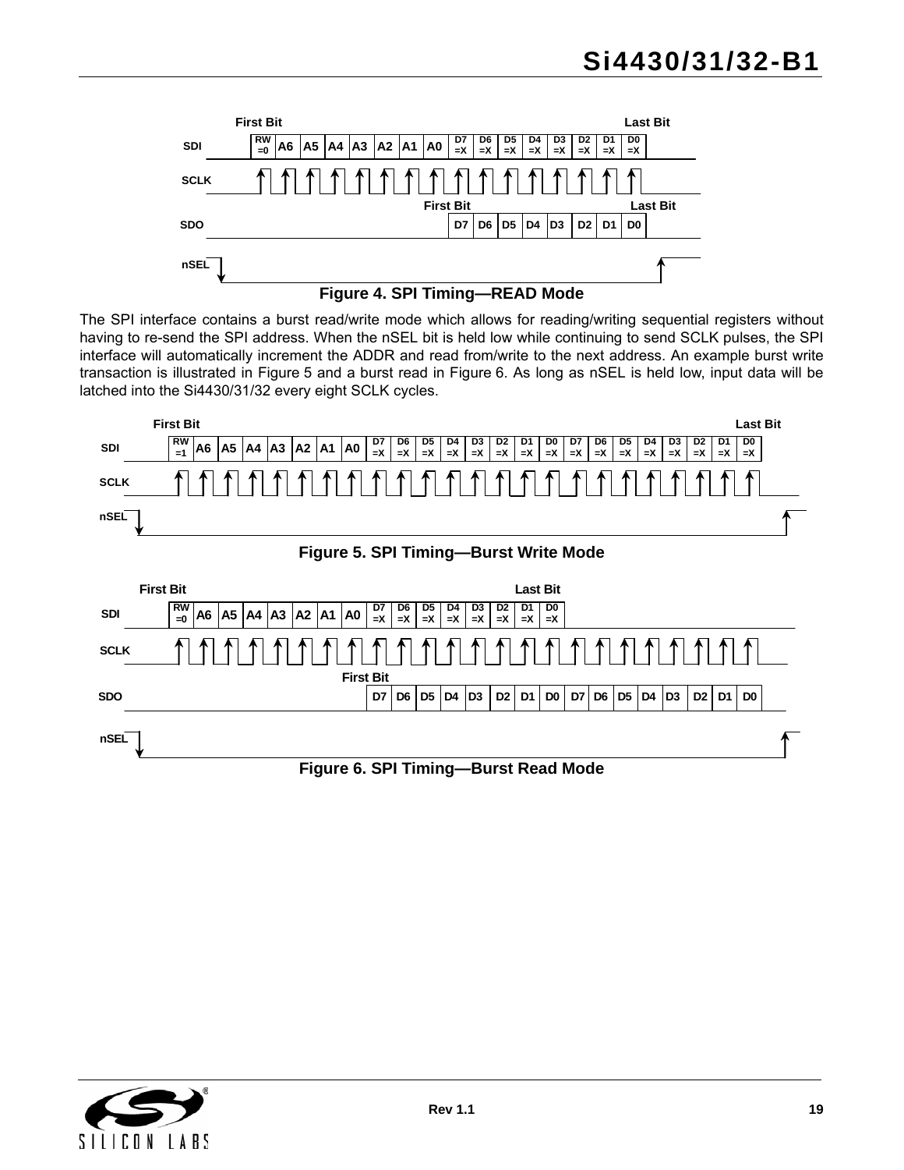



<span id="page-18-0"></span>The SPI interface contains a burst read/write mode which allows for reading/writing sequential registers without having to re-send the SPI address. When the nSEL bit is held low while continuing to send SCLK pulses, the SPI interface will automatically increment the ADDR and read from/write to the next address. An example burst write transaction is illustrated in [Figure 5](#page-18-1) and a burst read in [Figure 6.](#page-18-2) As long as nSEL is held low, input data will be latched into the Si4430/31/32 every eight SCLK cycles.

<span id="page-18-1"></span>

<span id="page-18-2"></span>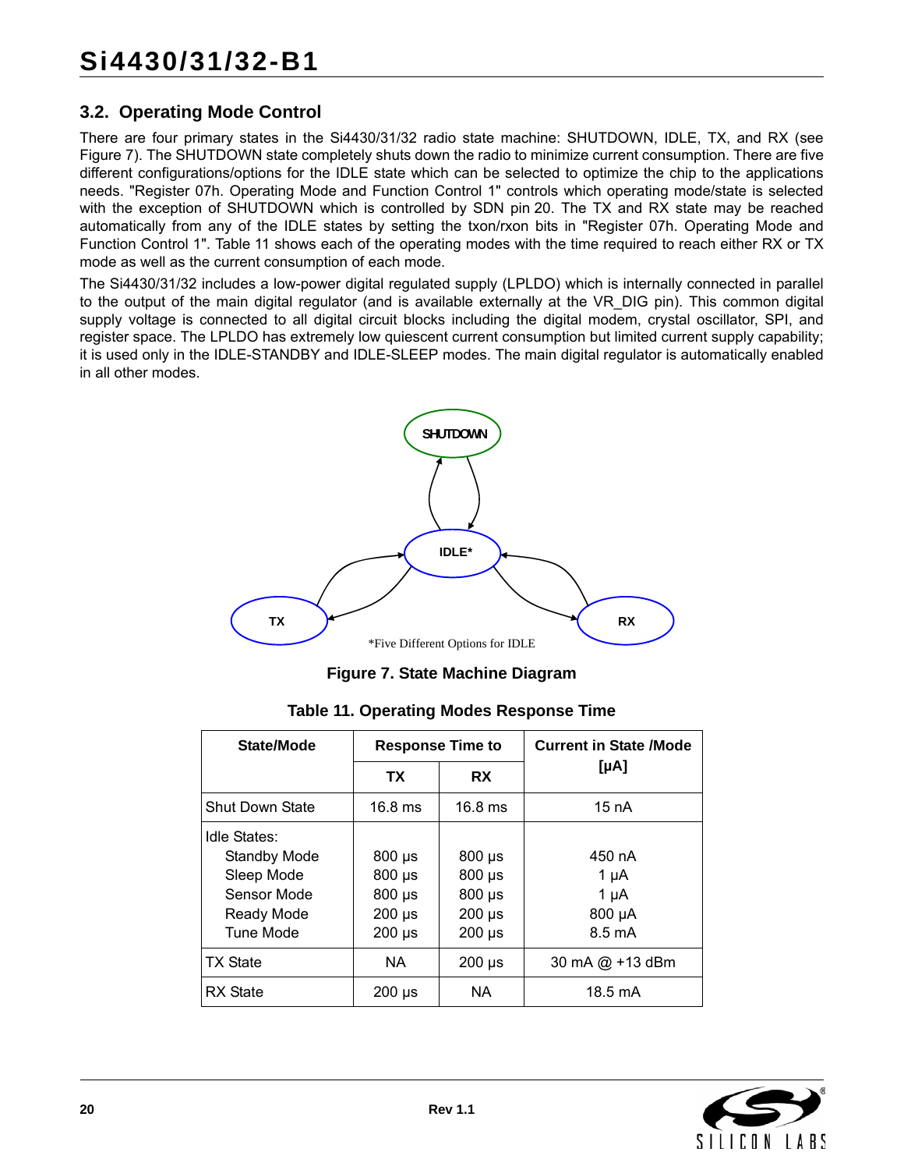## <span id="page-19-0"></span>**3.2. Operating Mode Control**

There are four primary states in the Si4430/31/32 radio state machine: SHUTDOWN, IDLE, TX, and RX (see [Figure 7\)](#page-19-1). The SHUTDOWN state completely shuts down the radio to minimize current consumption. There are five different configurations/options for the IDLE state which can be selected to optimize the chip to the applications needs. "Register 07h. Operating Mode and Function Control 1" controls which operating mode/state is selected with the exception of SHUTDOWN which is controlled by SDN pin 20. The TX and RX state may be reached automatically from any of the IDLE states by setting the txon/rxon bits in "Register 07h. Operating Mode and Function Control 1". [Table 11](#page-19-2) shows each of the operating modes with the time required to reach either RX or TX mode as well as the current consumption of each mode.

The Si4430/31/32 includes a low-power digital regulated supply (LPLDO) which is internally connected in parallel to the output of the main digital regulator (and is available externally at the VR\_DIG pin). This common digital supply voltage is connected to all digital circuit blocks including the digital modem, crystal oscillator, SPI, and register space. The LPLDO has extremely low quiescent current consumption but limited current supply capability; it is used only in the IDLE-STANDBY and IDLE-SLEEP modes. The main digital regulator is automatically enabled in all other modes.



**Figure 7. State Machine Diagram**

<span id="page-19-2"></span><span id="page-19-1"></span>

| State/Mode             | <b>Response Time to</b> |                           | <b>Current in State /Mode</b> |
|------------------------|-------------------------|---------------------------|-------------------------------|
|                        | ТX                      | <b>RX</b>                 | [µA]                          |
| <b>Shut Down State</b> | $16.8$ ms               | $16.8$ ms                 | 15 $nA$                       |
| Idle States:           |                         |                           |                               |
| <b>Standby Mode</b>    | $800 \mu s$             | $800 \text{ }\mu\text{s}$ | 450 nA                        |
| Sleep Mode             | $800 \mu s$             | $800 \mu s$               | 1 µA                          |
| Sensor Mode            | $800 \mu s$             | $800 \mu s$               | $1 \mu A$                     |
| Ready Mode             | $200 \mu s$             | $200 \mu s$               | 800 µA                        |
| <b>Tune Mode</b>       | $200 \mu s$             | $200 \mu s$               | $8.5 \text{ mA}$              |
| <b>TX State</b>        | NA.                     | $200 \text{ }\mu\text{s}$ | 30 mA $@$ +13 dBm             |
| <b>RX</b> State        | $200 \mu s$             | NA.                       | $18.5 \text{ mA}$             |

**Table 11. Operating Modes Response Time**

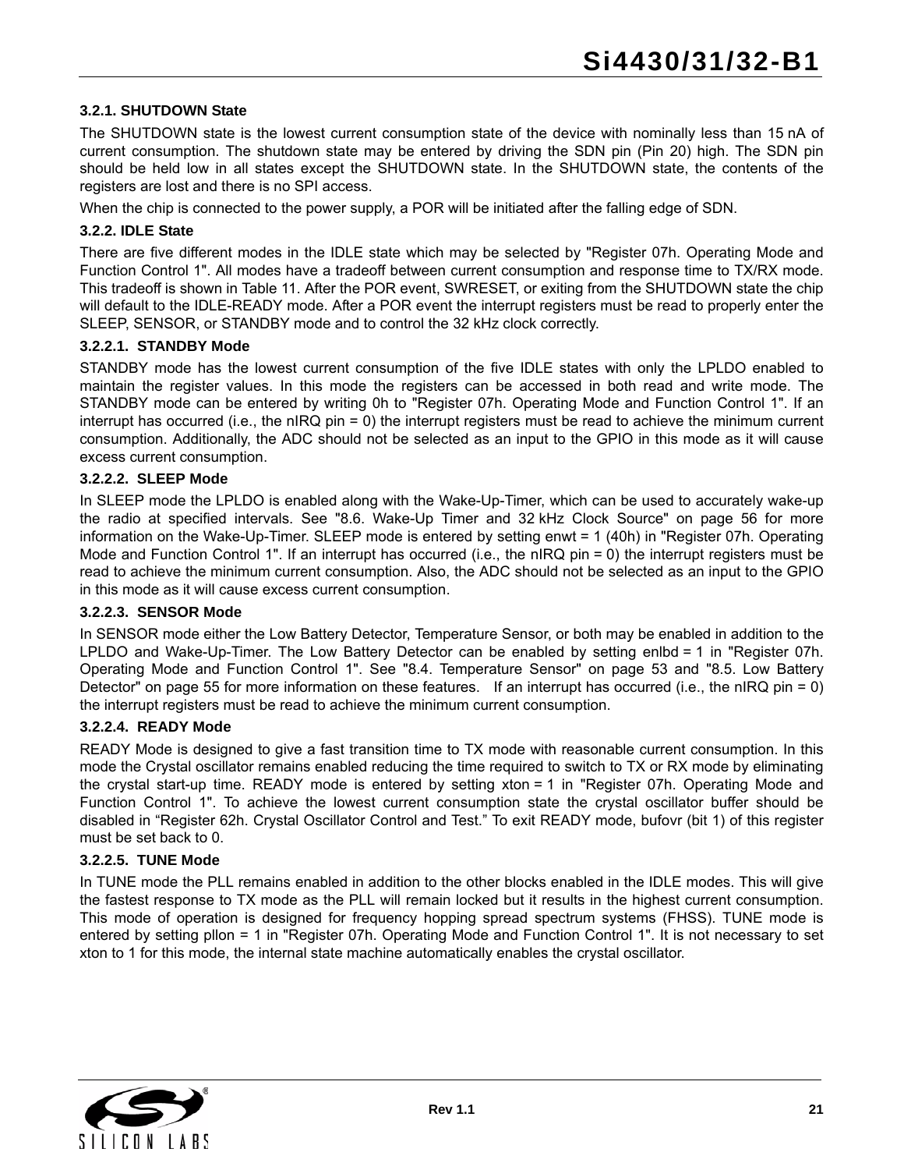#### **3.2.1. SHUTDOWN State**

The SHUTDOWN state is the lowest current consumption state of the device with nominally less than 15 nA of current consumption. The shutdown state may be entered by driving the SDN pin (Pin 20) high. The SDN pin should be held low in all states except the SHUTDOWN state. In the SHUTDOWN state, the contents of the registers are lost and there is no SPI access.

When the chip is connected to the power supply, a POR will be initiated after the falling edge of SDN.

#### **3.2.2. IDLE State**

There are five different modes in the IDLE state which may be selected by "Register 07h. Operating Mode and Function Control 1". All modes have a tradeoff between current consumption and response time to TX/RX mode. This tradeoff is shown in [Table 11.](#page-19-2) After the POR event, SWRESET, or exiting from the SHUTDOWN state the chip will default to the IDLE-READY mode. After a POR event the interrupt registers must be read to properly enter the SLEEP, SENSOR, or STANDBY mode and to control the 32 kHz clock correctly.

#### **3.2.2.1. STANDBY Mode**

STANDBY mode has the lowest current consumption of the five IDLE states with only the LPLDO enabled to maintain the register values. In this mode the registers can be accessed in both read and write mode. The STANDBY mode can be entered by writing 0h to "Register 07h. Operating Mode and Function Control 1". If an interrupt has occurred (i.e., the nIRQ pin = 0) the interrupt registers must be read to achieve the minimum current consumption. Additionally, the ADC should not be selected as an input to the GPIO in this mode as it will cause excess current consumption.

#### **3.2.2.2. SLEEP Mode**

In SLEEP mode the LPLDO is enabled along with the Wake-Up-Timer, which can be used to accurately wake-up the radio at specified intervals. See ["8.6. Wake-Up Timer and 32 kHz Clock Source" on page 56](#page-55-0) for more information on the Wake-Up-Timer. SLEEP mode is entered by setting enwt = 1 (40h) in "Register 07h. Operating Mode and Function Control 1". If an interrupt has occurred (i.e., the nIRQ pin = 0) the interrupt registers must be read to achieve the minimum current consumption. Also, the ADC should not be selected as an input to the GPIO in this mode as it will cause excess current consumption.

#### **3.2.2.3. SENSOR Mode**

In SENSOR mode either the Low Battery Detector, Temperature Sensor, or both may be enabled in addition to the LPLDO and Wake-Up-Timer. The Low Battery Detector can be enabled by setting enlbd = 1 in "Register 07h. Operating Mode and Function Control 1". See ["8.4. Temperature Sensor" on page 53](#page-52-0) and ["8.5. Low Battery](#page-54-0) [Detector" on page 55](#page-54-0) for more information on these features. If an interrupt has occurred (i.e., the nIRQ pin = 0) the interrupt registers must be read to achieve the minimum current consumption.

#### **3.2.2.4. READY Mode**

READY Mode is designed to give a fast transition time to TX mode with reasonable current consumption. In this mode the Crystal oscillator remains enabled reducing the time required to switch to TX or RX mode by eliminating the crystal start-up time. READY mode is entered by setting xton = 1 in "Register 07h. Operating Mode and Function Control 1". To achieve the lowest current consumption state the crystal oscillator buffer should be disabled in "Register 62h. Crystal Oscillator Control and Test." To exit READY mode, bufovr (bit 1) of this register must be set back to 0.

#### **3.2.2.5. TUNE Mode**

In TUNE mode the PLL remains enabled in addition to the other blocks enabled in the IDLE modes. This will give the fastest response to TX mode as the PLL will remain locked but it results in the highest current consumption. This mode of operation is designed for frequency hopping spread spectrum systems (FHSS). TUNE mode is entered by setting pllon = 1 in "Register 07h. Operating Mode and Function Control 1". It is not necessary to set xton to 1 for this mode, the internal state machine automatically enables the crystal oscillator.

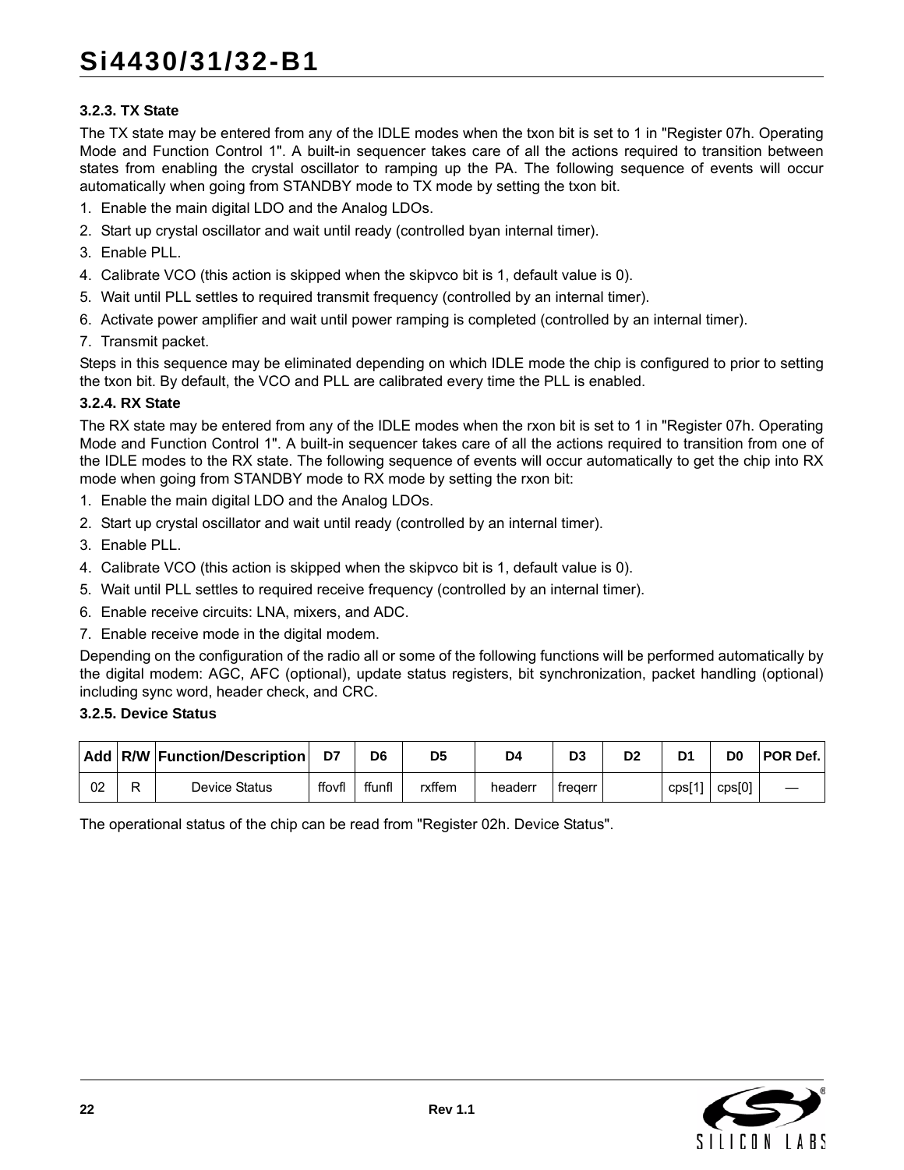#### **3.2.3. TX State**

The TX state may be entered from any of the IDLE modes when the txon bit is set to 1 in "Register 07h. Operating Mode and Function Control 1". A built-in sequencer takes care of all the actions required to transition between states from enabling the crystal oscillator to ramping up the PA. The following sequence of events will occur automatically when going from STANDBY mode to TX mode by setting the txon bit.

- 1. Enable the main digital LDO and the Analog LDOs.
- 2. Start up crystal oscillator and wait until ready (controlled byan internal timer).
- 3. Enable PLL.
- 4. Calibrate VCO (this action is skipped when the skipvco bit is 1, default value is 0).
- 5. Wait until PLL settles to required transmit frequency (controlled by an internal timer).
- 6. Activate power amplifier and wait until power ramping is completed (controlled by an internal timer).
- 7. Transmit packet.

Steps in this sequence may be eliminated depending on which IDLE mode the chip is configured to prior to setting the txon bit. By default, the VCO and PLL are calibrated every time the PLL is enabled.

#### **3.2.4. RX State**

The RX state may be entered from any of the IDLE modes when the rxon bit is set to 1 in "Register 07h. Operating Mode and Function Control 1". A built-in sequencer takes care of all the actions required to transition from one of the IDLE modes to the RX state. The following sequence of events will occur automatically to get the chip into RX mode when going from STANDBY mode to RX mode by setting the rxon bit:

- 1. Enable the main digital LDO and the Analog LDOs.
- 2. Start up crystal oscillator and wait until ready (controlled by an internal timer).
- 3. Enable PLL.
- 4. Calibrate VCO (this action is skipped when the skipvco bit is 1, default value is 0).
- 5. Wait until PLL settles to required receive frequency (controlled by an internal timer).
- 6. Enable receive circuits: LNA, mixers, and ADC.
- 7. Enable receive mode in the digital modem.

Depending on the configuration of the radio all or some of the following functions will be performed automatically by the digital modem: AGC, AFC (optional), update status registers, bit synchronization, packet handling (optional) including sync word, header check, and CRC.

#### **3.2.5. Device Status**

|    | Add   R/W   Function/Description |        | D6    | D5     | D4      | D <sub>3</sub> | D2 | D <sub>1</sub>  | D <sub>0</sub> | <b>POR Def.</b> |
|----|----------------------------------|--------|-------|--------|---------|----------------|----|-----------------|----------------|-----------------|
| 02 | Device Status                    | ffovfl | ffunf | rxffem | headerr | treaerr        |    | $\Gamma$ cps[1' | cps[0]         |                 |

The operational status of the chip can be read from "Register 02h. Device Status".

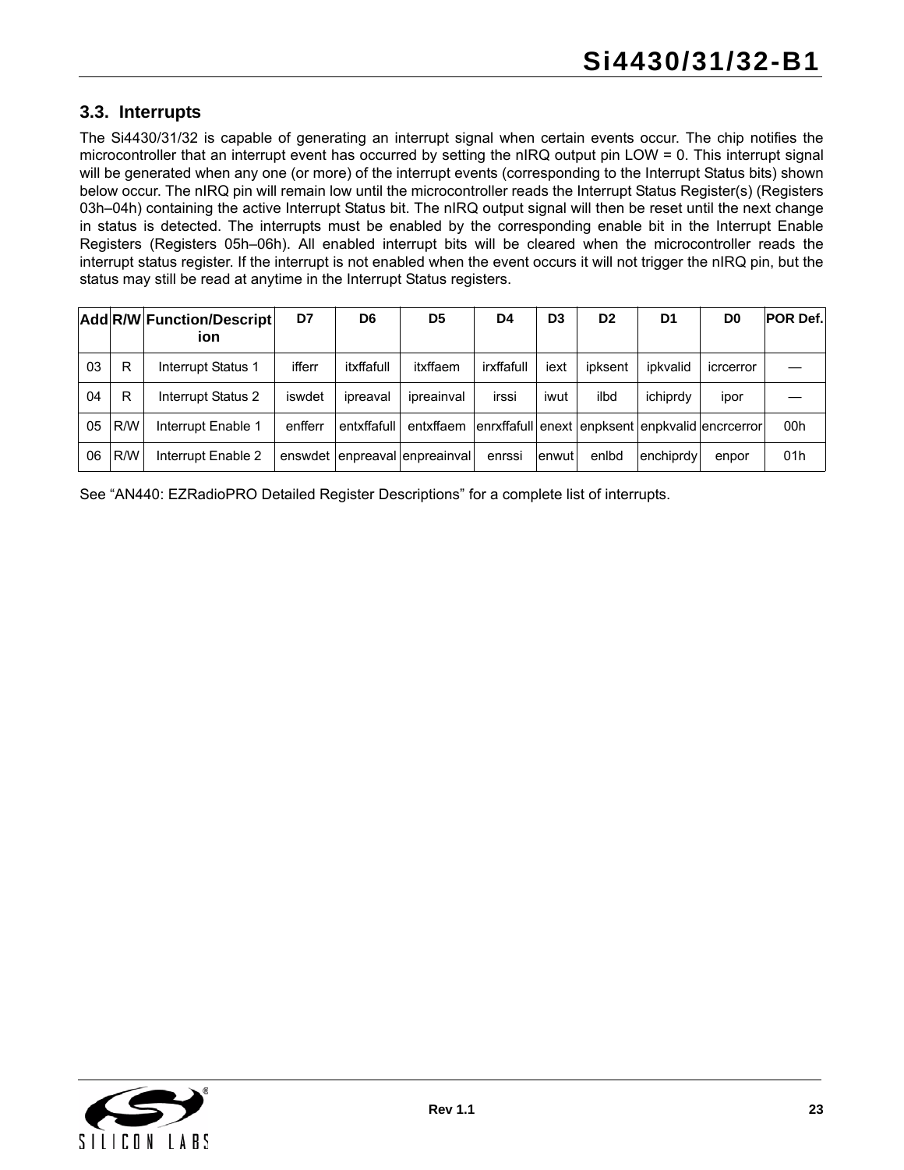## <span id="page-22-0"></span>**3.3. Interrupts**

The Si4430/31/32 is capable of generating an interrupt signal when certain events occur. The chip notifies the microcontroller that an interrupt event has occurred by setting the nIRQ output pin LOW = 0. This interrupt signal will be generated when any one (or more) of the interrupt events (corresponding to the Interrupt Status bits) shown below occur. The nIRQ pin will remain low until the microcontroller reads the Interrupt Status Register(s) (Registers 03h–04h) containing the active Interrupt Status bit. The nIRQ output signal will then be reset until the next change in status is detected. The interrupts must be enabled by the corresponding enable bit in the Interrupt Enable Registers (Registers 05h–06h). All enabled interrupt bits will be cleared when the microcontroller reads the interrupt status register. If the interrupt is not enabled when the event occurs it will not trigger the nIRQ pin, but the status may still be read at anytime in the Interrupt Status registers.

|    |     | <b>Add R/W Function/Descript</b><br>ion | D7      | D6          | D <sub>5</sub>        | D4         | D <sub>3</sub> | D <sub>2</sub> | D1        | D <sub>0</sub>                                  | <b>POR Def.</b> |
|----|-----|-----------------------------------------|---------|-------------|-----------------------|------------|----------------|----------------|-----------|-------------------------------------------------|-----------------|
| 03 | R   | Interrupt Status 1                      | ifferr  | itxffafull  | itxffaem              | irxffafull | iext           | ipksent        | ipkvalid  | icrcerror                                       |                 |
| 04 | R   | Interrupt Status 2                      | iswdet  | ipreaval    | ipreainval            | irssi      | iwut           | ilbd           | ichiprdy  | ipor                                            |                 |
| 05 | R/W | Interrupt Enable 1                      | enfferr | entxffafull | entxffaem             |            |                |                |           | enrxffafull enext enpksent enpkvalid encreerror | 00h             |
| 06 | R/W | Interrupt Enable 2                      | enswdet |             | enpreaval enpreainval | enrssi     | <b>enwut</b>   | enlbd          | enchiprdy | enpor                                           | 01h             |

See "AN440: EZRadioPRO Detailed Register Descriptions" for a complete list of interrupts.

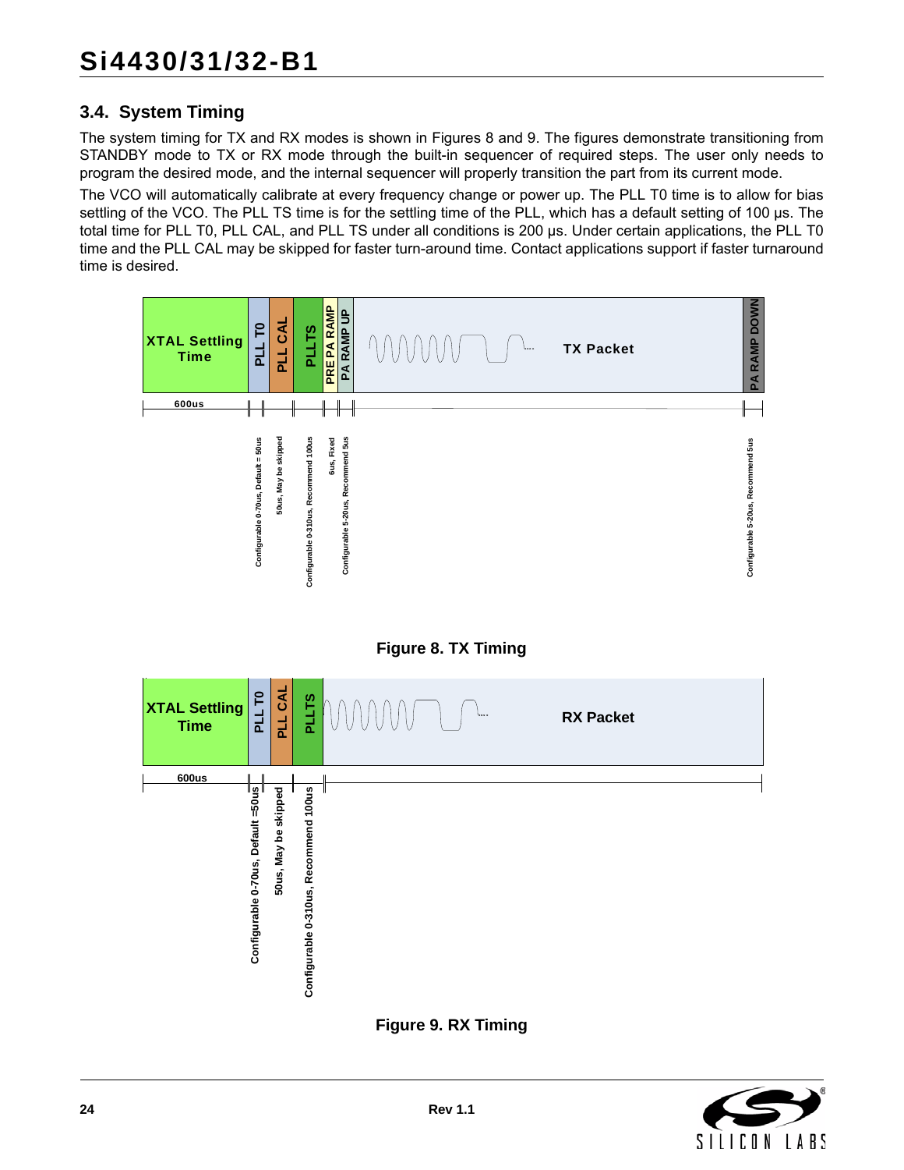## <span id="page-23-0"></span>**3.4. System Timing**

The system timing for TX and RX modes is shown in Figures [8](#page-23-1) and [9](#page-23-2). The figures demonstrate transitioning from STANDBY mode to TX or RX mode through the built-in sequencer of required steps. The user only needs to program the desired mode, and the internal sequencer will properly transition the part from its current mode.

The VCO will automatically calibrate at every frequency change or power up. The PLL T0 time is to allow for bias settling of the VCO. The PLL TS time is for the settling time of the PLL, which has a default setting of 100 µs. The total time for PLL T0, PLL CAL, and PLL TS under all conditions is 200 µs. Under certain applications, the PLL T0 time and the PLL CAL may be skipped for faster turn-around time. Contact applications support if faster turnaround time is desired.





<span id="page-23-1"></span>

<span id="page-23-2"></span>**Figure 9. RX Timing**

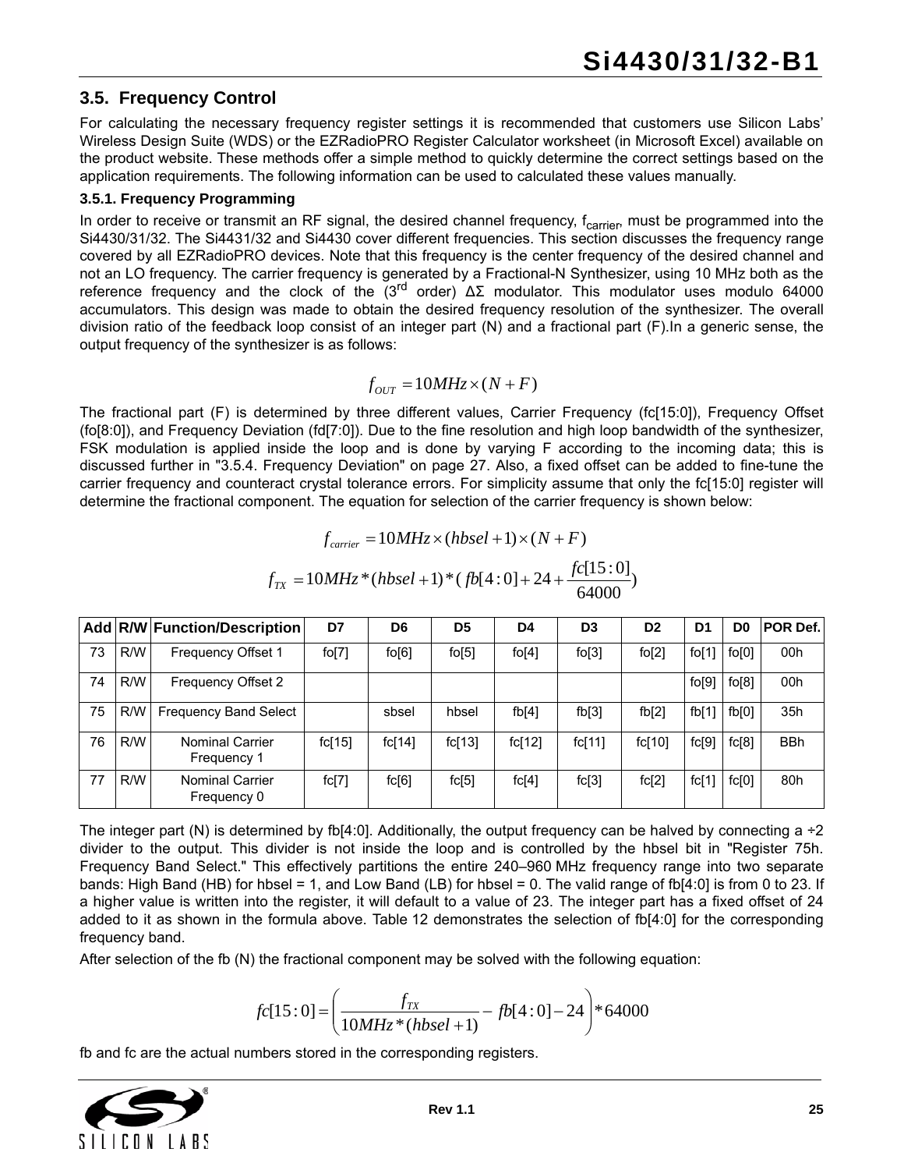### <span id="page-24-0"></span>**3.5. Frequency Control**

For calculating the necessary frequency register settings it is recommended that customers use Silicon Labs' Wireless Design Suite (WDS) or the EZRadioPRO Register Calculator worksheet (in Microsoft Excel) available on the product website. These methods offer a simple method to quickly determine the correct settings based on the application requirements. The following information can be used to calculated these values manually.

#### **3.5.1. Frequency Programming**

In order to receive or transmit an RF signal, the desired channel frequency, f<sub>carrier</sub>, must be programmed into the Si4430/31/32. The Si4431/32 and Si4430 cover different frequencies. This section discusses the frequency range covered by all EZRadioPRO devices. Note that this frequency is the center frequency of the desired channel and not an LO frequency. The carrier frequency is generated by a Fractional-N Synthesizer, using 10 MHz both as the reference frequency and the clock of the (3<sup>rd</sup> order)  $ΔΣ$  modulator. This modulator uses modulo 64000 accumulators. This design was made to obtain the desired frequency resolution of the synthesizer. The overall division ratio of the feedback loop consist of an integer part (N) and a fractional part (F).In a generic sense, the output frequency of the synthesizer is as follows:

$$
f_{OUT} = 10MHz \times (N + F)
$$

The fractional part (F) is determined by three different values, Carrier Frequency (fc[15:0]), Frequency Offset (fo[8:0]), and Frequency Deviation (fd[7:0]). Due to the fine resolution and high loop bandwidth of the synthesizer, FSK modulation is applied inside the loop and is done by varying F according to the incoming data; this is discussed further in ["3.5.4. Frequency Deviation" on page 27.](#page-26-0) Also, a fixed offset can be added to fine-tune the carrier frequency and counteract crystal tolerance errors. For simplicity assume that only the fc[15:0] register will determine the fractional component. The equation for selection of the carrier frequency is shown below:

$$
f_{\text{carrier}} = 10MHz \times (hbsel + 1) \times (N + F)
$$

$$
f_{\text{TX}} = 10MHz \times (hbsel + 1) \times (fb[4:0] + 24 + \frac{fc[15:0]}{64000})
$$

|    |     | Add R/W Function/Description          | D7     | D <sub>6</sub> | D <sub>5</sub> | D <sub>4</sub> | D <sub>3</sub> | D <sub>2</sub> | D1    | D0    | POR Def.   |
|----|-----|---------------------------------------|--------|----------------|----------------|----------------|----------------|----------------|-------|-------|------------|
| 73 | R/W | <b>Frequency Offset 1</b>             | fo[7]  | $f$ o $[6]$    | fo[5]          | $f$ o[4]       | fo[3]          | fo[2]          | fo[1] | fo[0] | 00h        |
| 74 | R/W | Frequency Offset 2                    |        |                |                |                |                |                | fo[9] | fo[8] | 00h        |
| 75 | R/W | <b>Frequency Band Select</b>          |        | sbsel          | hbsel          | fb[4]          | fb[3]          | fb[2]          | fb[1] | fb[0] | 35h        |
| 76 | R/W | <b>Nominal Carrier</b><br>Frequency 1 | fc[15] | fc[14]         | fc[13]         | fc[12]         | fc[11]         | fc[10]         | fc[9] | fc[8] | <b>BBh</b> |
| 77 | R/W | <b>Nominal Carrier</b><br>Frequency 0 | fc[7]  | fc[6]          | fc[5]          | fc[4]          | fc[3]          | fc[2]          | fc[1] | fc[0] | 80h        |

The integer part (N) is determined by fb[4:0]. Additionally, the output frequency can be halved by connecting a  $\div 2$ divider to the output. This divider is not inside the loop and is controlled by the hbsel bit in "Register 75h. Frequency Band Select." This effectively partitions the entire 240–960 MHz frequency range into two separate bands: High Band (HB) for hbsel = 1, and Low Band (LB) for hbsel = 0. The valid range of fb[4:0] is from 0 to 23. If a higher value is written into the register, it will default to a value of 23. The integer part has a fixed offset of 24 added to it as shown in the formula above. [Table 12](#page-25-0) demonstrates the selection of fb[4:0] for the corresponding frequency band.

After selection of the fb (N) the fractional component may be solved with the following equation:

$$
fc[15:0] = \left(\frac{f_{TX}}{10MHz*(hbsel+1)} - fb[4:0] - 24\right) * 64000
$$

fb and fc are the actual numbers stored in the corresponding registers.

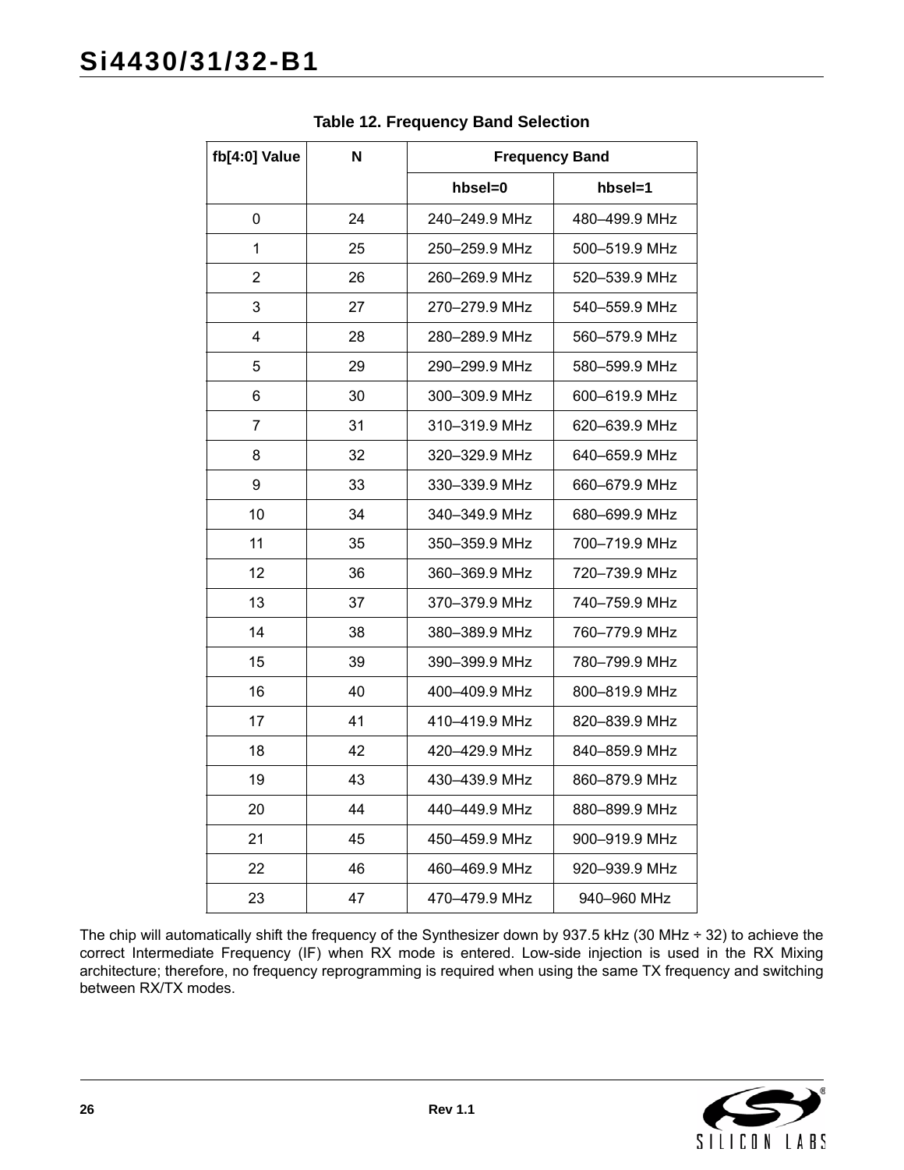<span id="page-25-0"></span>

| fb[4:0] Value  | N  | <b>Frequency Band</b> |               |
|----------------|----|-----------------------|---------------|
|                |    | hbsel=0               | hbsel=1       |
| 0              | 24 | 240-249.9 MHz         | 480-499.9 MHz |
| 1              | 25 | 250-259.9 MHz         | 500-519.9 MHz |
| $\overline{2}$ | 26 | 260-269.9 MHz         | 520-539.9 MHz |
| 3              | 27 | 270-279.9 MHz         | 540-559.9 MHz |
| 4              | 28 | 280-289.9 MHz         | 560-579.9 MHz |
| 5              | 29 | 290-299.9 MHz         | 580-599.9 MHz |
| 6              | 30 | 300-309.9 MHz         | 600-619.9 MHz |
| 7              | 31 | 310-319.9 MHz         | 620-639.9 MHz |
| 8              | 32 | 320-329.9 MHz         | 640-659.9 MHz |
| 9              | 33 | 330-339.9 MHz         | 660-679.9 MHz |
| 10             | 34 | 340-349.9 MHz         | 680-699.9 MHz |
| 11             | 35 | 350-359.9 MHz         | 700-719.9 MHz |
| 12             | 36 | 360-369.9 MHz         | 720-739.9 MHz |
| 13             | 37 | 370-379.9 MHz         | 740-759.9 MHz |
| 14             | 38 | 380-389.9 MHz         | 760-779.9 MHz |
| 15             | 39 | 390-399.9 MHz         | 780-799.9 MHz |
| 16             | 40 | 400-409.9 MHz         | 800-819.9 MHz |
| 17             | 41 | 410-419.9 MHz         | 820-839.9 MHz |
| 18             | 42 | 420-429.9 MHz         | 840-859.9 MHz |
| 19             | 43 | 430-439.9 MHz         | 860-879.9 MHz |
| 20             | 44 | 440-449.9 MHz         | 880-899.9 MHz |
| 21             | 45 | 450-459.9 MHz         | 900-919.9 MHz |
| 22             | 46 | 460-469.9 MHz         | 920-939.9 MHz |
| 23             | 47 | 470-479.9 MHz         | 940-960 MHz   |

**Table 12. Frequency Band Selection**

The chip will automatically shift the frequency of the Synthesizer down by 937.5 kHz (30 MHz ÷ 32) to achieve the correct Intermediate Frequency (IF) when RX mode is entered. Low-side injection is used in the RX Mixing architecture; therefore, no frequency reprogramming is required when using the same TX frequency and switching between RX/TX modes.

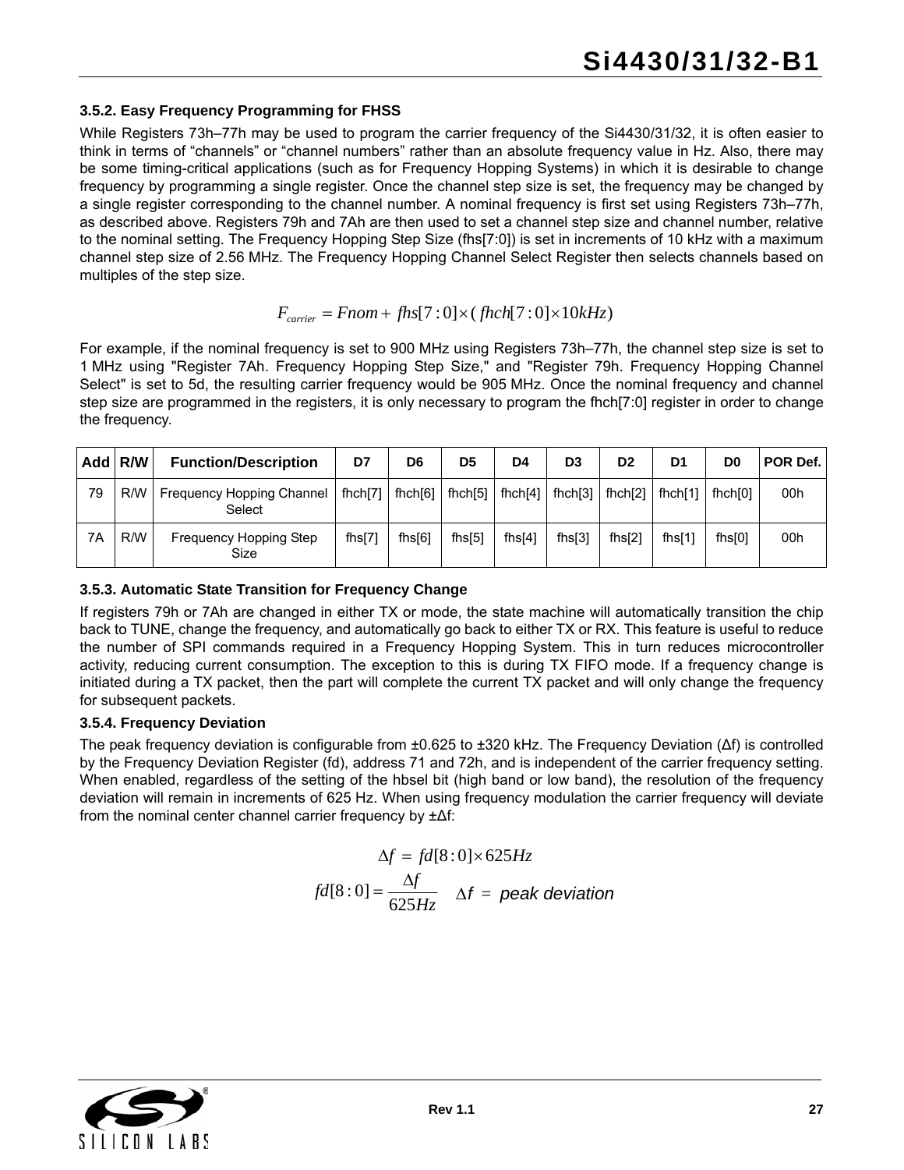#### **3.5.2. Easy Frequency Programming for FHSS**

While Registers 73h–77h may be used to program the carrier frequency of the Si4430/31/32, it is often easier to think in terms of "channels" or "channel numbers" rather than an absolute frequency value in Hz. Also, there may be some timing-critical applications (such as for Frequency Hopping Systems) in which it is desirable to change frequency by programming a single register. Once the channel step size is set, the frequency may be changed by a single register corresponding to the channel number. A nominal frequency is first set using Registers 73h–77h, as described above. Registers 79h and 7Ah are then used to set a channel step size and channel number, relative to the nominal setting. The Frequency Hopping Step Size (fhs[7:0]) is set in increments of 10 kHz with a maximum channel step size of 2.56 MHz. The Frequency Hopping Channel Select Register then selects channels based on multiples of the step size.

## $F_{\text{carrier}} = \text{From} + \text{fhs}[7:0] \times (\text{fhch}[7:0] \times 10 \text{kHz})$

For example, if the nominal frequency is set to 900 MHz using Registers 73h–77h, the channel step size is set to 1 MHz using "Register 7Ah. Frequency Hopping Step Size," and "Register 79h. Frequency Hopping Channel Select" is set to 5d, the resulting carrier frequency would be 905 MHz. Once the nominal frequency and channel step size are programmed in the registers, it is only necessary to program the fhch[7:0] register in order to change the frequency.

|    | Add R/W | <b>Function/Description</b>         | D7        | D <sub>6</sub> | D <sub>5</sub> | D4         | D <sub>3</sub> | D <sub>2</sub> | D <sub>1</sub> | D0      | POR Def. |
|----|---------|-------------------------------------|-----------|----------------|----------------|------------|----------------|----------------|----------------|---------|----------|
| 79 | R/W     | Frequency Hopping Channel<br>Select | fhch[7]   | f hch[6]       | fhch $[5]$     | fhch $[4]$ | fhch $[3]$     | f hch[2]       | fhch[1]        | fhch[0] | 00h      |
| 7A | R/W     | Frequency Hopping Step<br>Size      | fhs $[7]$ | $f$ hs $[6]$   | fhs $[5]$      | fhs $[4]$  | fhs[3]         | $f$ hs $[2]$   | fhs $[1]$      | fhs[0]  | 00h      |

#### **3.5.3. Automatic State Transition for Frequency Change**

If registers 79h or 7Ah are changed in either TX or mode, the state machine will automatically transition the chip back to TUNE, change the frequency, and automatically go back to either TX or RX. This feature is useful to reduce the number of SPI commands required in a Frequency Hopping System. This in turn reduces microcontroller activity, reducing current consumption. The exception to this is during TX FIFO mode. If a frequency change is initiated during a TX packet, then the part will complete the current TX packet and will only change the frequency for subsequent packets.

#### <span id="page-26-0"></span>**3.5.4. Frequency Deviation**

The peak frequency deviation is configurable from ±0.625 to ±320 kHz. The Frequency Deviation (Δf) is controlled by the Frequency Deviation Register (fd), address 71 and 72h, and is independent of the carrier frequency setting. When enabled, regardless of the setting of the hbsel bit (high band or low band), the resolution of the frequency deviation will remain in increments of 625 Hz. When using frequency modulation the carrier frequency will deviate from the nominal center channel carrier frequency by ±Δf:

$$
\Delta f = fd[8:0] \times 625Hz
$$
  
fd[8:0] =  $\frac{\Delta f}{625Hz}$   $\Delta f$  = peak deviation

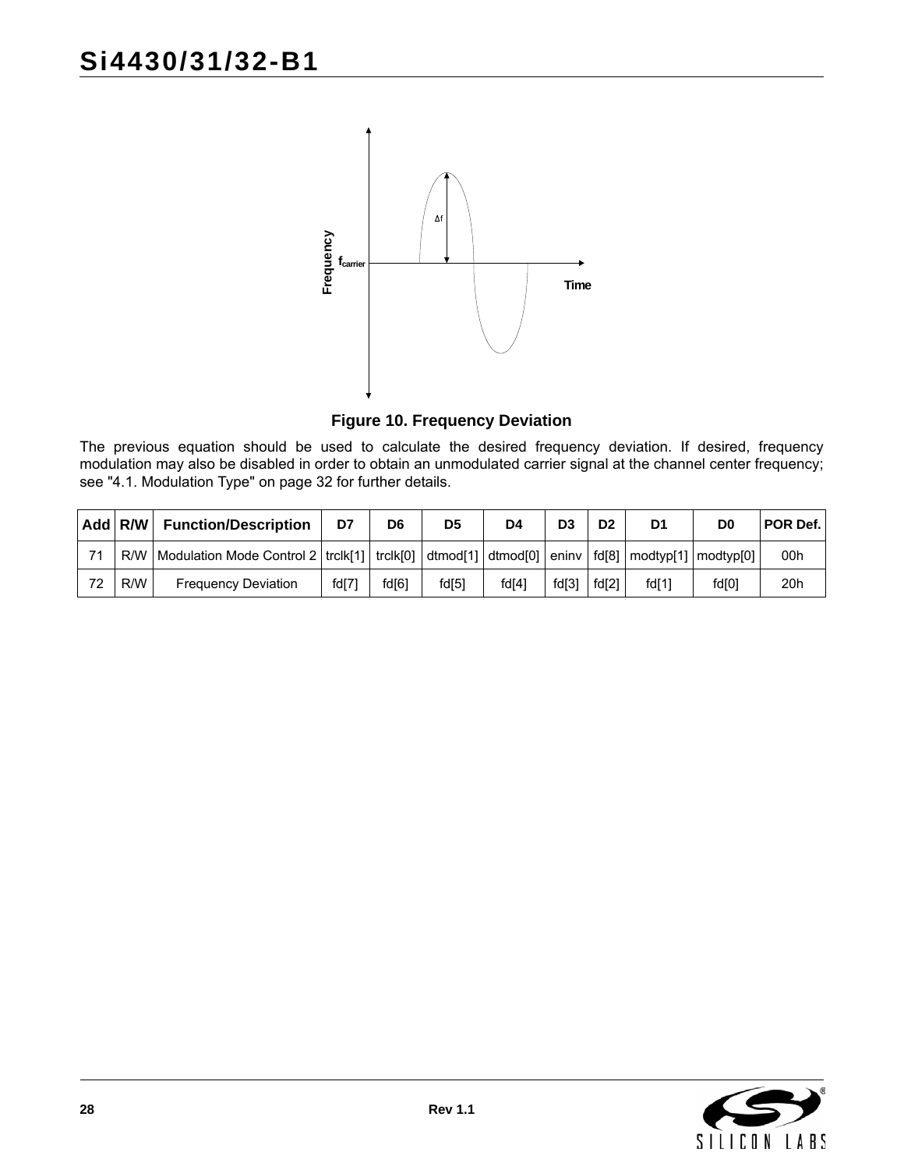

**Figure 10. Frequency Deviation**

<span id="page-27-0"></span>

|     |                                                                                                                                                                                                                                                                                             |                                  | Frequency<br>T <sub>carrier</sub> |                |                |                                       | Time           |                |                |                |          |
|-----|---------------------------------------------------------------------------------------------------------------------------------------------------------------------------------------------------------------------------------------------------------------------------------------------|----------------------------------|-----------------------------------|----------------|----------------|---------------------------------------|----------------|----------------|----------------|----------------|----------|
|     |                                                                                                                                                                                                                                                                                             |                                  |                                   |                |                | <b>Figure 10. Frequency Deviation</b> |                |                |                |                |          |
|     | The previous equation should be used to calculate the desired frequency deviation. If desired, frequency<br>modulation may also be disabled in order to obtain an unmodulated carrier signal at the channel center frequency;<br>see "4.1. Modulation Type" on page 32 for further details. |                                  |                                   |                |                |                                       |                |                |                |                |          |
| Add | R/W                                                                                                                                                                                                                                                                                         | <b>Function/Description</b>      | D7                                | D <sub>6</sub> | D <sub>5</sub> | D <sub>4</sub>                        | D <sub>3</sub> | D <sub>2</sub> | D <sub>1</sub> | D <sub>0</sub> | POR Def. |
| 71  | R/W                                                                                                                                                                                                                                                                                         | <b>Modulation Mode Control 2</b> | trclk $[1]$                       | trclk[0]       | dtmod[1]       | dtmod <sup>[0]</sup>                  | eninv          | fd[8]          | modtyp[1]      | modtyp[0]      | 00h      |
| 72  | R/W                                                                                                                                                                                                                                                                                         | <b>Frequency Deviation</b>       | fd[7]                             | fd[6]          | fd[5]          | fd[4]                                 | fd[3]          | fd[2]          | fd[1]          | fd[0]          | 20h      |

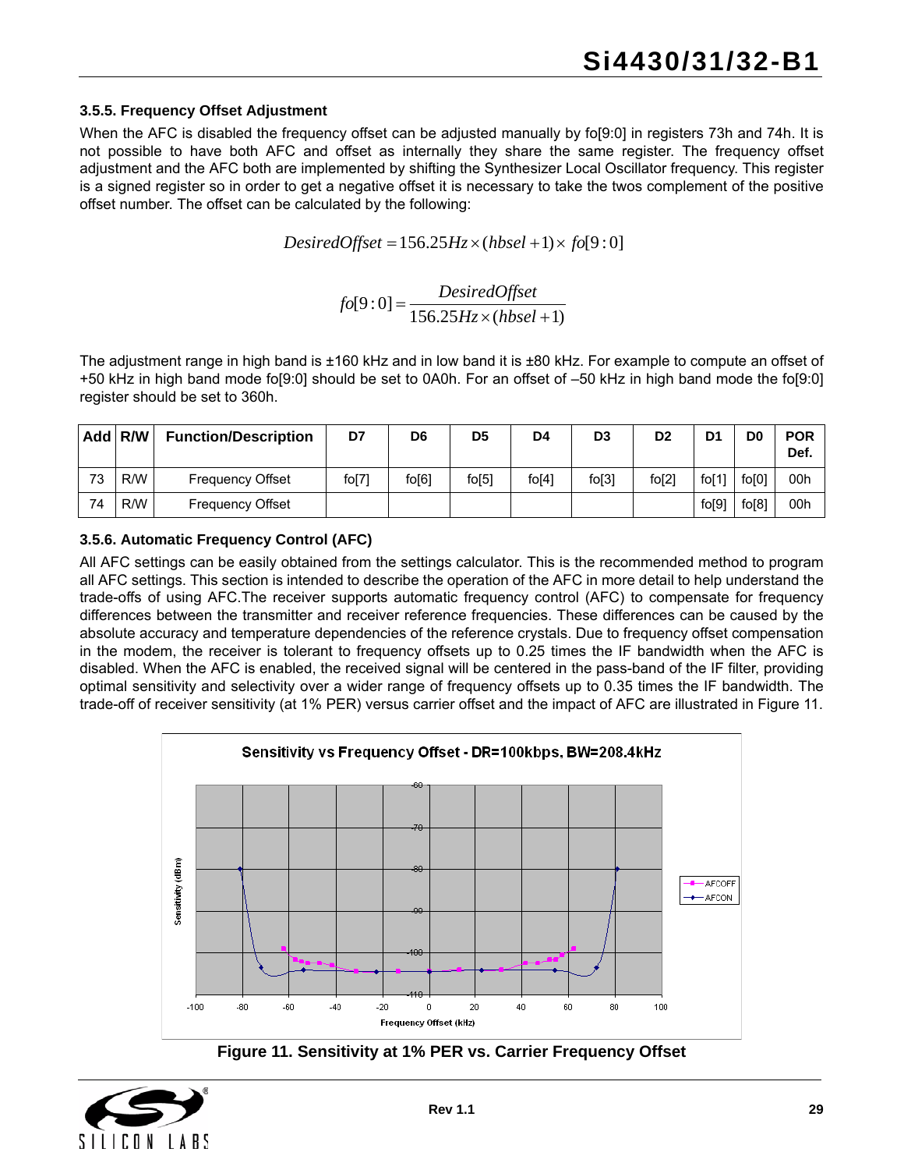#### **3.5.5. Frequency Offset Adjustment**

When the AFC is disabled the frequency offset can be adjusted manually by fo[9:0] in registers 73h and 74h. It is not possible to have both AFC and offset as internally they share the same register. The frequency offset adjustment and the AFC both are implemented by shifting the Synthesizer Local Oscillator frequency. This register is a signed register so in order to get a negative offset it is necessary to take the twos complement of the positive offset number. The offset can be calculated by the following:

 $DesiredOffset = 156.25Hz \times (hbsel + 1) \times f0[9:0]$ 

 $f_0[9:0] = \frac{DesiredOffset}{156.25 Hz \times (hbsel + 1)}$ 

The adjustment range in high band is ±160 kHz and in low band it is ±80 kHz. For example to compute an offset of +50 kHz in high band mode fo[9:0] should be set to 0A0h. For an offset of –50 kHz in high band mode the fo[9:0] register should be set to 360h.

|    | Add R/W | <b>Function/Description</b> | D7    | D <sub>6</sub> | D <sub>5</sub> | D <sub>4</sub> | D <sub>3</sub> | D <sub>2</sub> | D <sub>1</sub> | D <sub>0</sub> | <b>POR</b><br>Def. |
|----|---------|-----------------------------|-------|----------------|----------------|----------------|----------------|----------------|----------------|----------------|--------------------|
| 73 | R/W     | <b>Frequency Offset</b>     | fo[7] | $f$ o $[6]$    | $f$ o $[5]$    | $f$ o[4]       | fo[3]          | fo[2]          | fo $[1]$       | fo[0]          | 00h                |
| 74 | R/W     | <b>Frequency Offset</b>     |       |                |                |                |                |                | fo[9]          | fo[8]          | 00h                |

**3.5.6. Automatic Frequency Control (AFC)**

All AFC settings can be easily obtained from the settings calculator. This is the recommended method to program all AFC settings. This section is intended to describe the operation of the AFC in more detail to help understand the trade-offs of using AFC.The receiver supports automatic frequency control (AFC) to compensate for frequency differences between the transmitter and receiver reference frequencies. These differences can be caused by the absolute accuracy and temperature dependencies of the reference crystals. Due to frequency offset compensation in the modem, the receiver is tolerant to frequency offsets up to 0.25 times the IF bandwidth when the AFC is disabled. When the AFC is enabled, the received signal will be centered in the pass-band of the IF filter, providing optimal sensitivity and selectivity over a wider range of frequency offsets up to 0.35 times the IF bandwidth. The trade-off of receiver sensitivity (at 1% PER) versus carrier offset and the impact of AFC are illustrated in [Figure 11.](#page-28-0)





<span id="page-28-0"></span>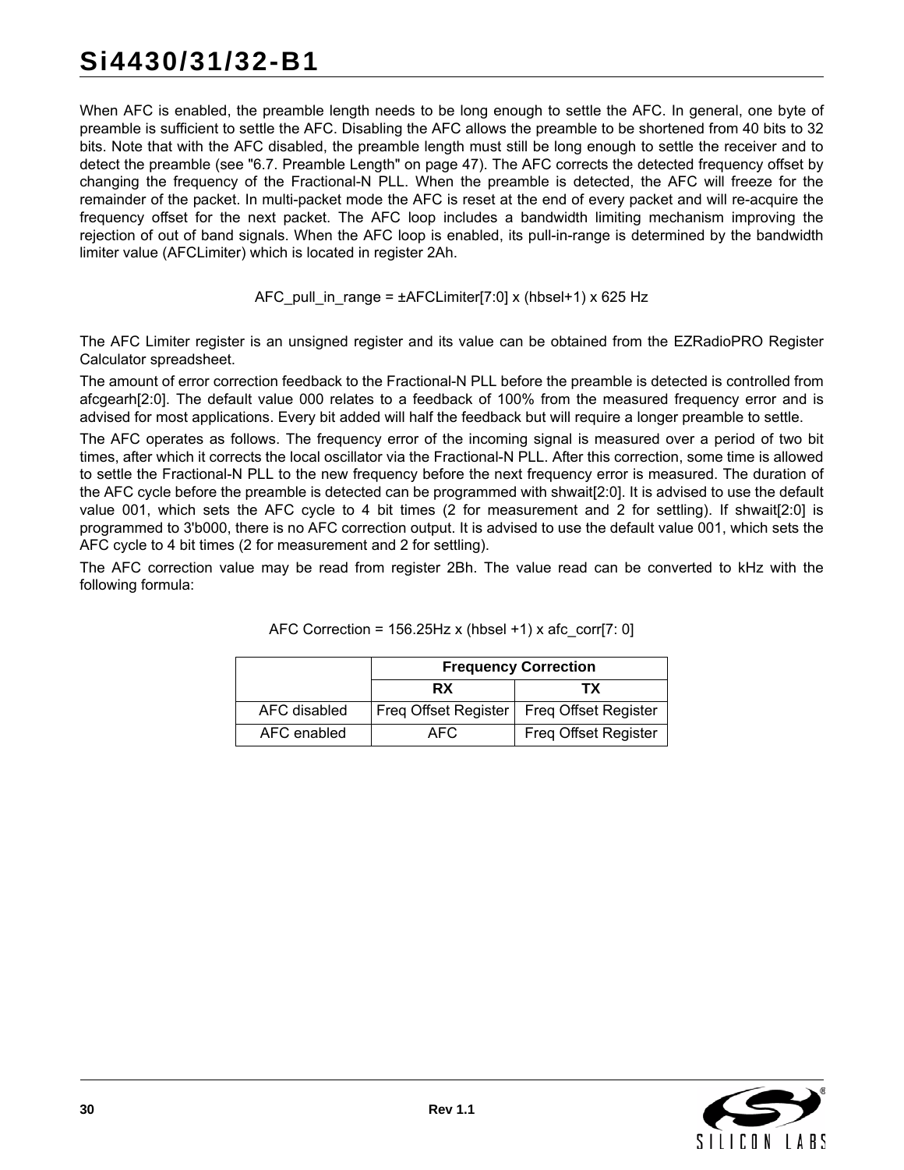## **Si4430/31/32-B1**

When AFC is enabled, the preamble length needs to be long enough to settle the AFC. In general, one byte of preamble is sufficient to settle the AFC. Disabling the AFC allows the preamble to be shortened from 40 bits to 32 bits. Note that with the AFC disabled, the preamble length must still be long enough to settle the receiver and to detect the preamble (see ["6.7. Preamble Length" on page 47](#page-46-0)). The AFC corrects the detected frequency offset by changing the frequency of the Fractional-N PLL. When the preamble is detected, the AFC will freeze for the remainder of the packet. In multi-packet mode the AFC is reset at the end of every packet and will re-acquire the frequency offset for the next packet. The AFC loop includes a bandwidth limiting mechanism improving the rejection of out of band signals. When the AFC loop is enabled, its pull-in-range is determined by the bandwidth limiter value (AFCLimiter) which is located in register 2Ah.

$$
AFC\_pull_in_range = \pm AFCLimiter[7:0] \times (hbsel+1) \times 625 Hz
$$

The AFC Limiter register is an unsigned register and its value can be obtained from the EZRadioPRO Register Calculator spreadsheet.

The amount of error correction feedback to the Fractional-N PLL before the preamble is detected is controlled from afcgearh[2:0]. The default value 000 relates to a feedback of 100% from the measured frequency error and is advised for most applications. Every bit added will half the feedback but will require a longer preamble to settle.

The AFC operates as follows. The frequency error of the incoming signal is measured over a period of two bit times, after which it corrects the local oscillator via the Fractional-N PLL. After this correction, some time is allowed to settle the Fractional-N PLL to the new frequency before the next frequency error is measured. The duration of the AFC cycle before the preamble is detected can be programmed with shwait[2:0]. It is advised to use the default value 001, which sets the AFC cycle to 4 bit times (2 for measurement and 2 for settling). If shwait[2:0] is programmed to 3'b000, there is no AFC correction output. It is advised to use the default value 001, which sets the AFC cycle to 4 bit times (2 for measurement and 2 for settling).

The AFC correction value may be read from register 2Bh. The value read can be converted to kHz with the following formula:

|              |                      | <b>Frequency Correction</b> |
|--------------|----------------------|-----------------------------|
|              | <b>RX</b>            | тх                          |
| AFC disabled | Freq Offset Register | Freq Offset Register        |
| AFC enabled  | AFC.                 | Freq Offset Register        |

| AFC Correction = 156.25Hz x (hbsel +1) x afc_corr[7: 0] |  |  |  |
|---------------------------------------------------------|--|--|--|
|                                                         |  |  |  |

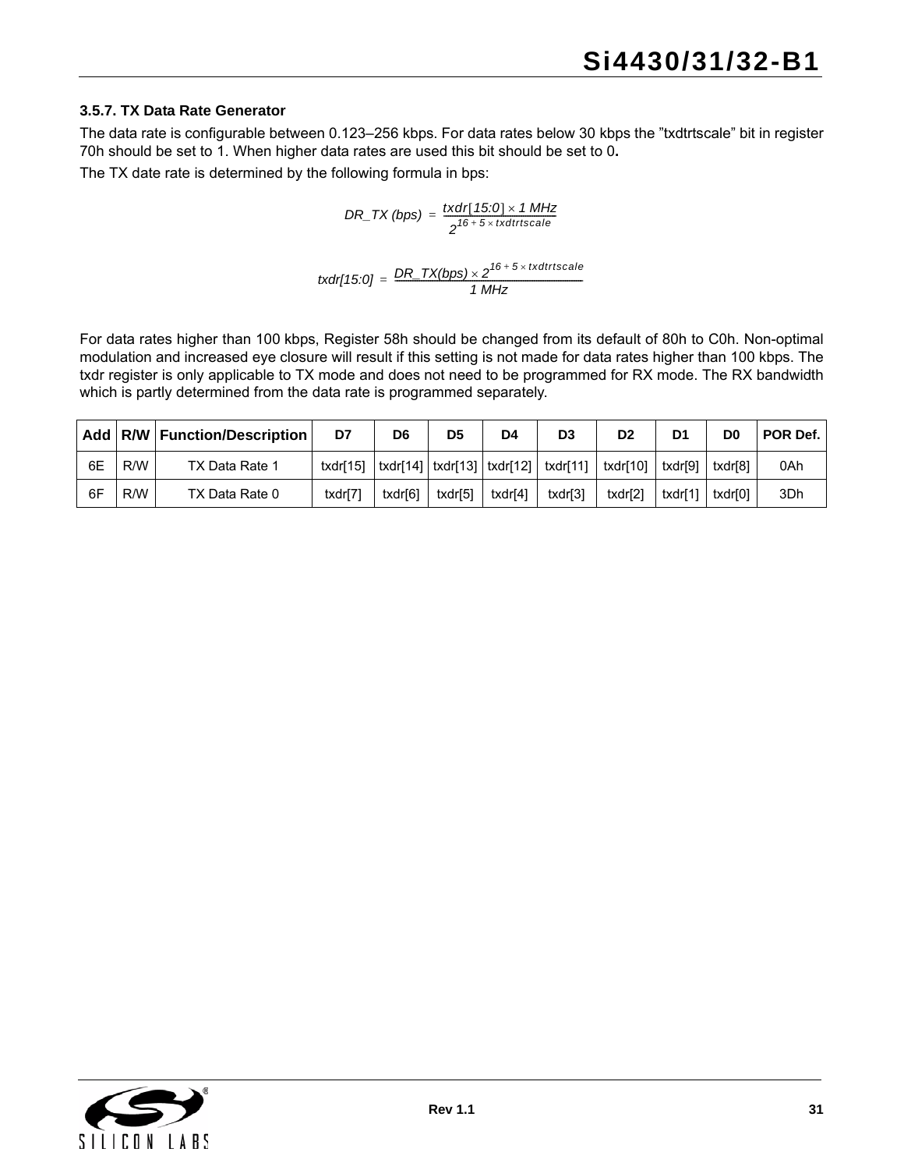#### **3.5.7. TX Data Rate Generator**

The data rate is configurable between 0.123–256 kbps. For data rates below 30 kbps the "txdtrtscale" bit in register 70h should be set to 1. When higher data rates are used this bit should be set to 0**.**

The TX date rate is determined by the following formula in bps:

$$
DR\_TX (bps) = \frac{txdr[15:0] \times 1 \text{ MHz}}{2^{16+5 \times txdtrtscale}}
$$

$$
txdr[15:0] = \frac{DR\_TX(bps) \times 2^{16+5 \times txdtrtscale}}{1 \, MHz}
$$

For data rates higher than 100 kbps, Register 58h should be changed from its default of 80h to C0h. Non-optimal modulation and increased eye closure will result if this setting is not made for data rates higher than 100 kbps. The txdr register is only applicable to TX mode and does not need to be programmed for RX mode. The RX bandwidth which is partly determined from the data rate is programmed separately.

|    |     | Add   R/W   Function/Description | D7       | D6      | D <sub>5</sub> | D4      | D3                                                             | D <sub>2</sub> | D1      | D0      | POR Def. |
|----|-----|----------------------------------|----------|---------|----------------|---------|----------------------------------------------------------------|----------------|---------|---------|----------|
| 6E | R/W | TX Data Rate 1                   | txdr[15] |         |                |         | txdr[14]   txdr[13]   txdr[12]   txdr[11]   txdr[10]   txdr[9] |                |         | txdr[8] | 0Ah      |
| 6F | R/W | TX Data Rate 0                   | txdr[7]  | txdr[6] | txdr[5]        | txdr[4] | txdr[3]                                                        | txdr[2]        | txdr[1] | txdr[0] | 3Dh      |

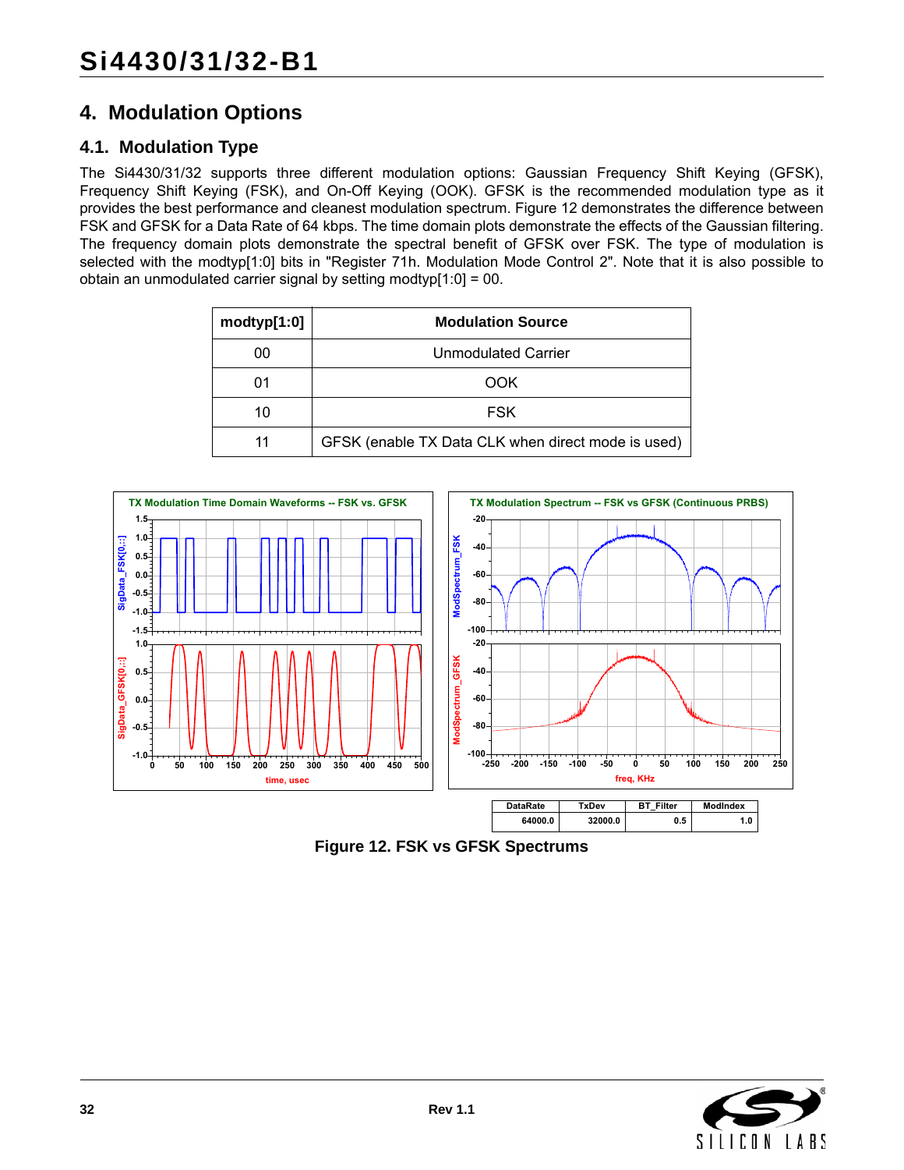## <span id="page-31-0"></span>**4. Modulation Options**

## <span id="page-31-1"></span>**4.1. Modulation Type**

The Si4430/31/32 supports three different modulation options: Gaussian Frequency Shift Keying (GFSK), Frequency Shift Keying (FSK), and On-Off Keying (OOK). GFSK is the recommended modulation type as it provides the best performance and cleanest modulation spectrum. [Figure 12](#page-31-2) demonstrates the difference between FSK and GFSK for a Data Rate of 64 kbps. The time domain plots demonstrate the effects of the Gaussian filtering. The frequency domain plots demonstrate the spectral benefit of GFSK over FSK. The type of modulation is selected with the modtyp[1:0] bits in "Register 71h. Modulation Mode Control 2". Note that it is also possible to obtain an unmodulated carrier signal by setting modtyp[1:0] = 00.

| modtyp[1:0] | <b>Modulation Source</b>                           |
|-------------|----------------------------------------------------|
| 00          | <b>Unmodulated Carrier</b>                         |
| 01          | <b>OOK</b>                                         |
| 10          | <b>FSK</b>                                         |
| 11          | GFSK (enable TX Data CLK when direct mode is used) |



<span id="page-31-2"></span>**Figure 12. FSK vs GFSK Spectrums**

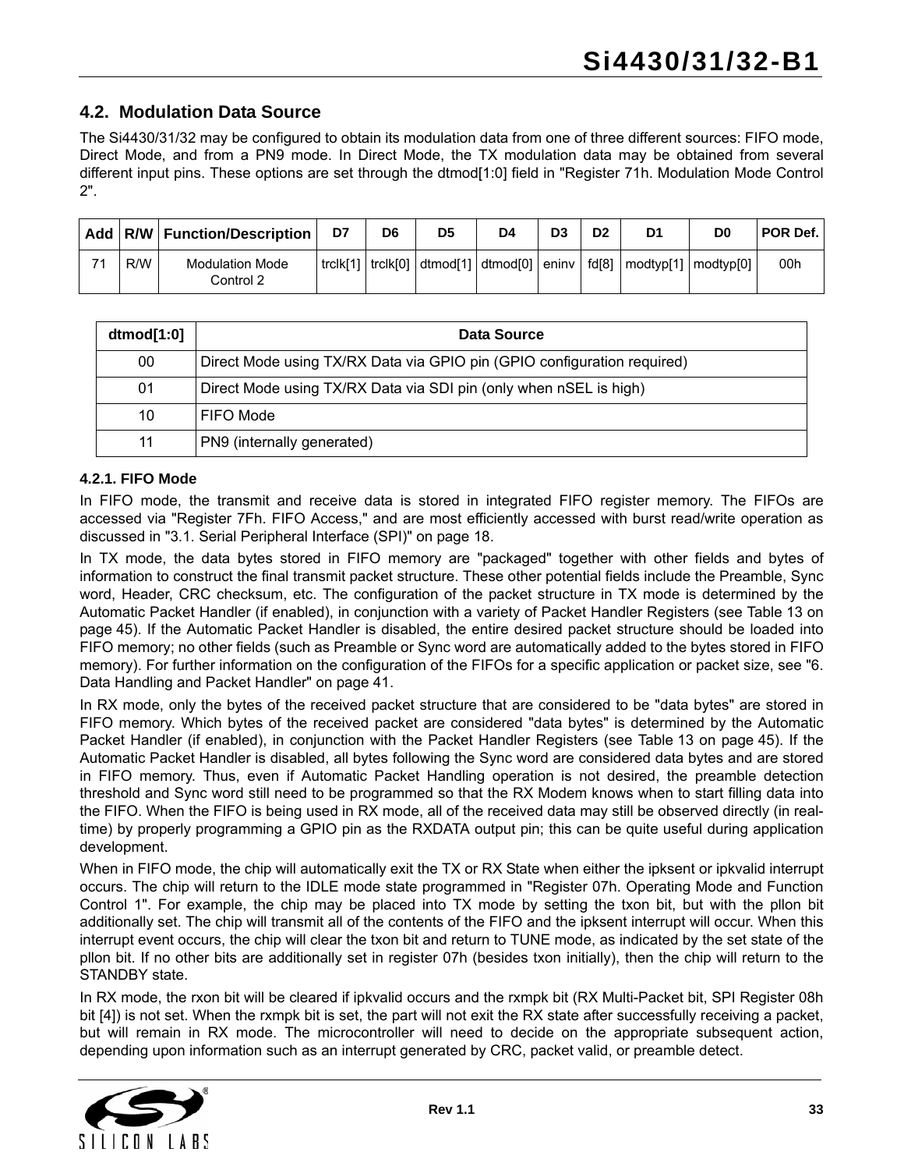## <span id="page-32-0"></span>**4.2. Modulation Data Source**

The Si4430/31/32 may be configured to obtain its modulation data from one of three different sources: FIFO mode, Direct Mode, and from a PN9 mode. In Direct Mode, the TX modulation data may be obtained from several different input pins. These options are set through the dtmod[1:0] field in "Register 71h. Modulation Mode Control 2".

|    |     | Add   R/W   Function/Description    | D7       | D6 | D <sub>5</sub>                             | D4 | D <sub>3</sub> | D2    | D1                                            | D0 | POR Def. |
|----|-----|-------------------------------------|----------|----|--------------------------------------------|----|----------------|-------|-----------------------------------------------|----|----------|
| 74 | R/W | <b>Modulation Mode</b><br>Control 2 | trclk[1] |    | $ $ trclk[0] $ $ dtmod[1] $ $ dtmod[0] $ $ |    | eninv l        | fd[8] | modtyp <sup>[1]</sup>   modtyp <sup>[0]</sup> |    | 00h      |

| dtmod[1:0] | Data Source                                                             |
|------------|-------------------------------------------------------------------------|
| 00         | Direct Mode using TX/RX Data via GPIO pin (GPIO configuration required) |
| 01         | Direct Mode using TX/RX Data via SDI pin (only when nSEL is high)       |
| 10         | FIFO Mode                                                               |
| 11         | PN9 (internally generated)                                              |

#### **4.2.1. FIFO Mode**

In FIFO mode, the transmit and receive data is stored in integrated FIFO register memory. The FIFOs are accessed via "Register 7Fh. FIFO Access," and are most efficiently accessed with burst read/write operation as discussed in ["3.1. Serial Peripheral Interface \(SPI\)" on page 18.](#page-17-1)

In TX mode, the data bytes stored in FIFO memory are "packaged" together with other fields and bytes of information to construct the final transmit packet structure. These other potential fields include the Preamble, Sync word, Header, CRC checksum, etc. The configuration of the packet structure in TX mode is determined by the Automatic Packet Handler (if enabled), in conjunction with a variety of Packet Handler Registers (see [Table 13 on](#page-44-0) [page 45\)](#page-44-0). If the Automatic Packet Handler is disabled, the entire desired packet structure should be loaded into FIFO memory; no other fields (such as Preamble or Sync word are automatically added to the bytes stored in FIFO memory). For further information on the configuration of the FIFOs for a specific application or packet size, see ["6.](#page-40-0) [Data Handling and Packet Handler" on page 41](#page-40-0).

In RX mode, only the bytes of the received packet structure that are considered to be "data bytes" are stored in FIFO memory. Which bytes of the received packet are considered "data bytes" is determined by the Automatic Packet Handler (if enabled), in conjunction with the Packet Handler Registers (see [Table 13 on page 45\)](#page-44-0). If the Automatic Packet Handler is disabled, all bytes following the Sync word are considered data bytes and are stored in FIFO memory. Thus, even if Automatic Packet Handling operation is not desired, the preamble detection threshold and Sync word still need to be programmed so that the RX Modem knows when to start filling data into the FIFO. When the FIFO is being used in RX mode, all of the received data may still be observed directly (in realtime) by properly programming a GPIO pin as the RXDATA output pin; this can be quite useful during application development.

When in FIFO mode, the chip will automatically exit the TX or RX State when either the ipksent or ipkvalid interrupt occurs. The chip will return to the IDLE mode state programmed in "Register 07h. Operating Mode and Function Control 1". For example, the chip may be placed into TX mode by setting the txon bit, but with the pllon bit additionally set. The chip will transmit all of the contents of the FIFO and the ipksent interrupt will occur. When this interrupt event occurs, the chip will clear the txon bit and return to TUNE mode, as indicated by the set state of the pllon bit. If no other bits are additionally set in register 07h (besides txon initially), then the chip will return to the STANDBY state.

In RX mode, the rxon bit will be cleared if ipkvalid occurs and the rxmpk bit (RX Multi-Packet bit, SPI Register 08h bit [4]) is not set. When the rxmpk bit is set, the part will not exit the RX state after successfully receiving a packet, but will remain in RX mode. The microcontroller will need to decide on the appropriate subsequent action, depending upon information such as an interrupt generated by CRC, packet valid, or preamble detect.

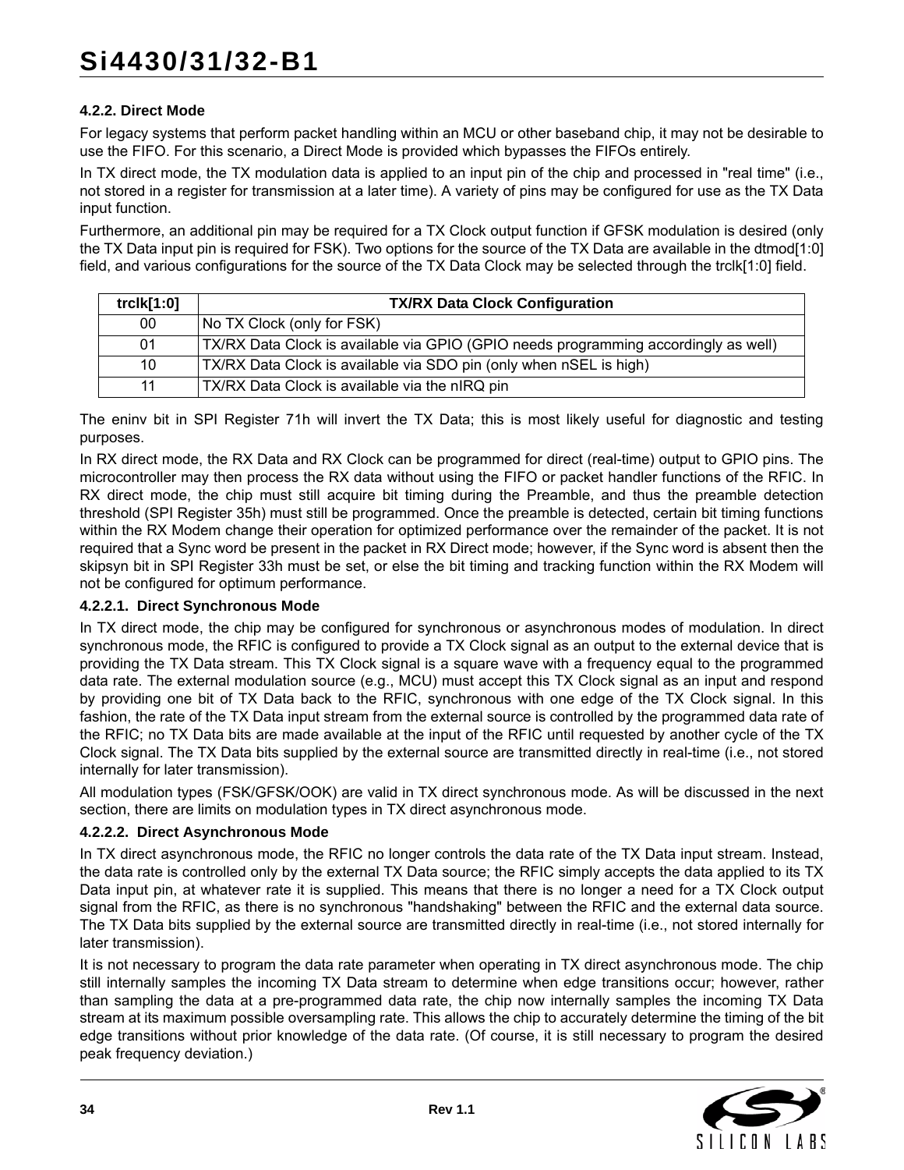#### **4.2.2. Direct Mode**

For legacy systems that perform packet handling within an MCU or other baseband chip, it may not be desirable to use the FIFO. For this scenario, a Direct Mode is provided which bypasses the FIFOs entirely.

In TX direct mode, the TX modulation data is applied to an input pin of the chip and processed in "real time" (i.e., not stored in a register for transmission at a later time). A variety of pins may be configured for use as the TX Data input function.

Furthermore, an additional pin may be required for a TX Clock output function if GFSK modulation is desired (only the TX Data input pin is required for FSK). Two options for the source of the TX Data are available in the dtmod[1:0] field, and various configurations for the source of the TX Data Clock may be selected through the trclk[1:0] field.

| trclk[1:0] | <b>TX/RX Data Clock Configuration</b>                                               |
|------------|-------------------------------------------------------------------------------------|
| 00         | No TX Clock (only for FSK)                                                          |
| 01         | TX/RX Data Clock is available via GPIO (GPIO needs programming accordingly as well) |
| 10         | TX/RX Data Clock is available via SDO pin (only when nSEL is high)                  |
| 11         | TX/RX Data Clock is available via the nIRQ pin                                      |

The eninv bit in SPI Register 71h will invert the TX Data; this is most likely useful for diagnostic and testing purposes.

In RX direct mode, the RX Data and RX Clock can be programmed for direct (real-time) output to GPIO pins. The microcontroller may then process the RX data without using the FIFO or packet handler functions of the RFIC. In RX direct mode, the chip must still acquire bit timing during the Preamble, and thus the preamble detection threshold (SPI Register 35h) must still be programmed. Once the preamble is detected, certain bit timing functions within the RX Modem change their operation for optimized performance over the remainder of the packet. It is not required that a Sync word be present in the packet in RX Direct mode; however, if the Sync word is absent then the skipsyn bit in SPI Register 33h must be set, or else the bit timing and tracking function within the RX Modem will not be configured for optimum performance.

#### **4.2.2.1. Direct Synchronous Mode**

In TX direct mode, the chip may be configured for synchronous or asynchronous modes of modulation. In direct synchronous mode, the RFIC is configured to provide a TX Clock signal as an output to the external device that is providing the TX Data stream. This TX Clock signal is a square wave with a frequency equal to the programmed data rate. The external modulation source (e.g., MCU) must accept this TX Clock signal as an input and respond by providing one bit of TX Data back to the RFIC, synchronous with one edge of the TX Clock signal. In this fashion, the rate of the TX Data input stream from the external source is controlled by the programmed data rate of the RFIC; no TX Data bits are made available at the input of the RFIC until requested by another cycle of the TX Clock signal. The TX Data bits supplied by the external source are transmitted directly in real-time (i.e., not stored internally for later transmission).

All modulation types (FSK/GFSK/OOK) are valid in TX direct synchronous mode. As will be discussed in the next section, there are limits on modulation types in TX direct asynchronous mode.

#### **4.2.2.2. Direct Asynchronous Mode**

In TX direct asynchronous mode, the RFIC no longer controls the data rate of the TX Data input stream. Instead, the data rate is controlled only by the external TX Data source; the RFIC simply accepts the data applied to its TX Data input pin, at whatever rate it is supplied. This means that there is no longer a need for a TX Clock output signal from the RFIC, as there is no synchronous "handshaking" between the RFIC and the external data source. The TX Data bits supplied by the external source are transmitted directly in real-time (i.e., not stored internally for later transmission).

It is not necessary to program the data rate parameter when operating in TX direct asynchronous mode. The chip still internally samples the incoming TX Data stream to determine when edge transitions occur; however, rather than sampling the data at a pre-programmed data rate, the chip now internally samples the incoming TX Data stream at its maximum possible oversampling rate. This allows the chip to accurately determine the timing of the bit edge transitions without prior knowledge of the data rate. (Of course, it is still necessary to program the desired peak frequency deviation.)

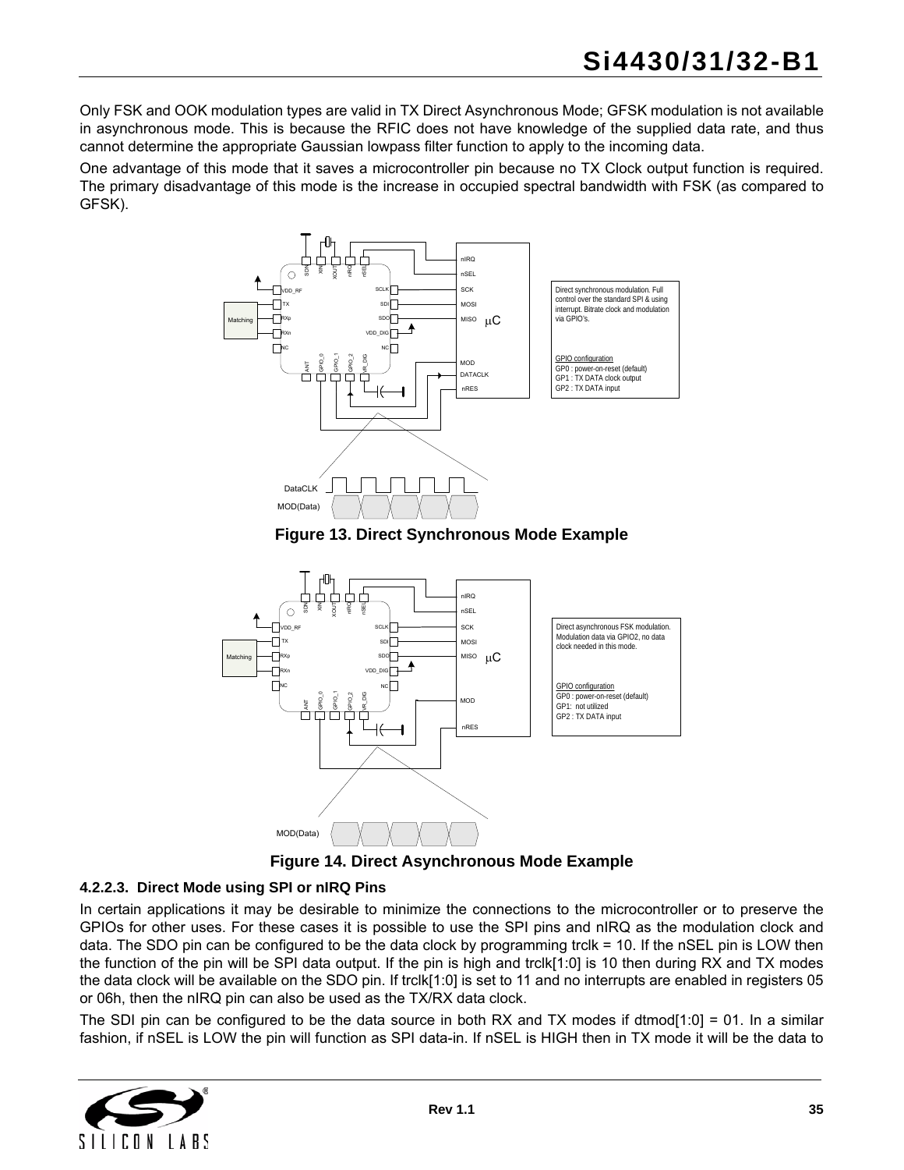Only FSK and OOK modulation types are valid in TX Direct Asynchronous Mode; GFSK modulation is not available in asynchronous mode. This is because the RFIC does not have knowledge of the supplied data rate, and thus cannot determine the appropriate Gaussian lowpass filter function to apply to the incoming data.

One advantage of this mode that it saves a microcontroller pin because no TX Clock output function is required. The primary disadvantage of this mode is the increase in occupied spectral bandwidth with FSK (as compared to GFSK).



**Figure 13. Direct Synchronous Mode Example**

<span id="page-34-0"></span>

**Figure 14. Direct Asynchronous Mode Example**

#### <span id="page-34-1"></span>**4.2.2.3. Direct Mode using SPI or nIRQ Pins**

In certain applications it may be desirable to minimize the connections to the microcontroller or to preserve the GPIOs for other uses. For these cases it is possible to use the SPI pins and nIRQ as the modulation clock and data. The SDO pin can be configured to be the data clock by programming trclk = 10. If the nSEL pin is LOW then the function of the pin will be SPI data output. If the pin is high and trclk[1:0] is 10 then during RX and TX modes the data clock will be available on the SDO pin. If trclk[1:0] is set to 11 and no interrupts are enabled in registers 05 or 06h, then the nIRQ pin can also be used as the TX/RX data clock.

The SDI pin can be configured to be the data source in both RX and TX modes if dtmod[1:0] = 01. In a similar fashion, if nSEL is LOW the pin will function as SPI data-in. If nSEL is HIGH then in TX mode it will be the data to

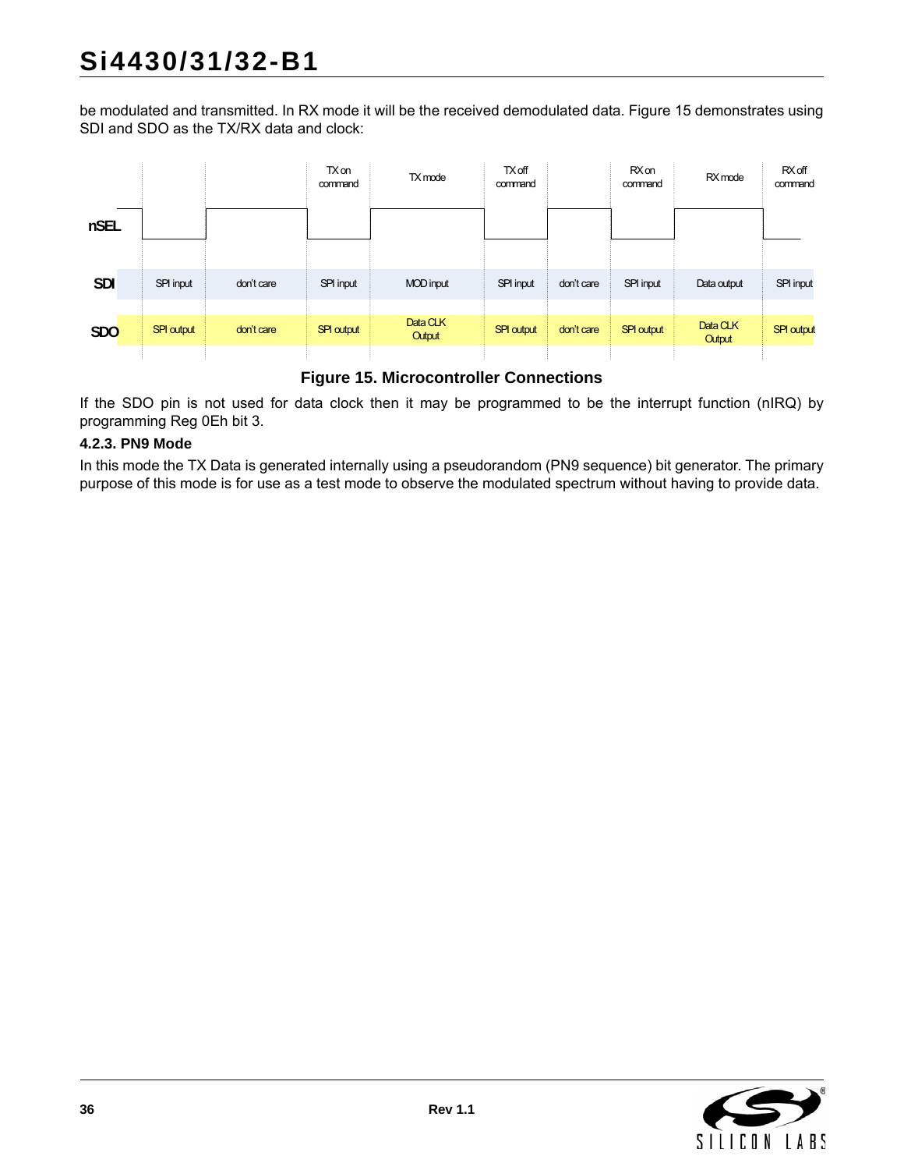be modulated and transmitted. In RX mode it will be the received demodulated data. [Figure 15](#page-35-0) demonstrates using SDI and SDO as the TX/RX data and clock:

|            |                   |            | TX on<br>command  | TX mode          | <b>TX off</b><br>command |            | <b>RX</b> on<br>command | RX mode       | RX off<br>command |
|------------|-------------------|------------|-------------------|------------------|--------------------------|------------|-------------------------|---------------|-------------------|
| nSEL       |                   |            |                   |                  |                          |            |                         |               |                   |
|            |                   |            |                   |                  |                          |            |                         |               |                   |
| <b>SDI</b> | SPI input         | don't care | SPI input         | <b>MOD</b> input | SPI input                | don't care | SPI input               | Data output   | SPI input         |
|            |                   |            |                   | Data CLK         |                          |            |                         | Data CLK      |                   |
| <b>SDO</b> | <b>SPI output</b> | don't care | <b>SPI output</b> | Output           | <b>SPI output</b>        | don't care | <b>SPI output</b>       | <b>Output</b> | <b>SPI output</b> |
|            |                   |            |                   |                  |                          |            |                         |               |                   |

### **Figure 15. Microcontroller Connections**

<span id="page-35-0"></span>If the SDO pin is not used for data clock then it may be programmed to be the interrupt function (nIRQ) by programming Reg 0Eh bit 3.

#### **4.2.3. PN9 Mode**

In this mode the TX Data is generated internally using a pseudorandom (PN9 sequence) bit generator. The primary purpose of this mode is for use as a test mode to observe the modulated spectrum without having to provide data.

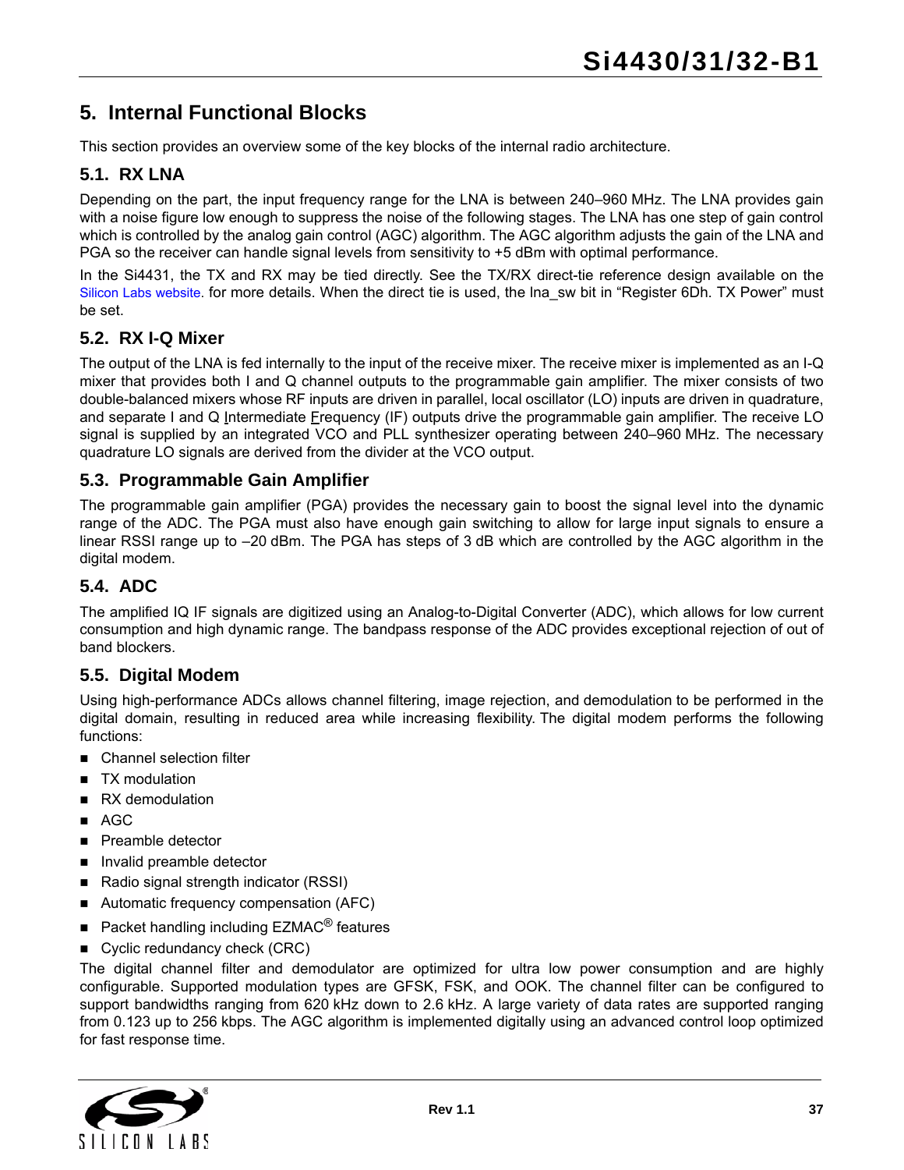# **5. Internal Functional Blocks**

This section provides an overview some of the key blocks of the internal radio architecture.

### **5.1. RX LNA**

Depending on the part, the input frequency range for the LNA is between 240–960 MHz. The LNA provides gain with a noise figure low enough to suppress the noise of the following stages. The LNA has one step of gain control which is controlled by the analog gain control (AGC) algorithm. The AGC algorithm adjusts the gain of the LNA and PGA so the receiver can handle signal levels from sensitivity to +5 dBm with optimal performance.

In the Si4431, the TX and RX may be tied directly. See the TX/RX direct-tie reference design available on the [Silicon Labs website](https://www.silabs.com/products/wireless/EZRadioPRO/Pages/default.aspx). for more details. When the direct tie is used, the lna\_sw bit in "Register 6Dh. TX Power" must be set.

#### **5.2. RX I-Q Mixer**

The output of the LNA is fed internally to the input of the receive mixer. The receive mixer is implemented as an I-Q mixer that provides both I and Q channel outputs to the programmable gain amplifier. The mixer consists of two double-balanced mixers whose RF inputs are driven in parallel, local oscillator (LO) inputs are driven in quadrature, and separate I and Q Intermediate Frequency (IF) outputs drive the programmable gain amplifier. The receive LO signal is supplied by an integrated VCO and PLL synthesizer operating between 240–960 MHz. The necessary quadrature LO signals are derived from the divider at the VCO output.

#### **5.3. Programmable Gain Amplifier**

The programmable gain amplifier (PGA) provides the necessary gain to boost the signal level into the dynamic range of the ADC. The PGA must also have enough gain switching to allow for large input signals to ensure a linear RSSI range up to –20 dBm. The PGA has steps of 3 dB which are controlled by the AGC algorithm in the digital modem.

#### **5.4. ADC**

The amplified IQ IF signals are digitized using an Analog-to-Digital Converter (ADC), which allows for low current consumption and high dynamic range. The bandpass response of the ADC provides exceptional rejection of out of band blockers.

#### **5.5. Digital Modem**

Using high-performance ADCs allows channel filtering, image rejection, and demodulation to be performed in the digital domain, resulting in reduced area while increasing flexibility. The digital modem performs the following functions:

- **Channel selection filter**
- TX modulation
- RX demodulation
- AGC
- **Preamble detector**
- Invalid preamble detector
- Radio signal strength indicator (RSSI)
- Automatic frequency compensation (AFC)
- Packet handling including  $EZMAC^{\circledR}$  features
- Cyclic redundancy check (CRC)

The digital channel filter and demodulator are optimized for ultra low power consumption and are highly configurable. Supported modulation types are GFSK, FSK, and OOK. The channel filter can be configured to support bandwidths ranging from 620 kHz down to 2.6 kHz. A large variety of data rates are supported ranging from 0.123 up to 256 kbps. The AGC algorithm is implemented digitally using an advanced control loop optimized for fast response time.

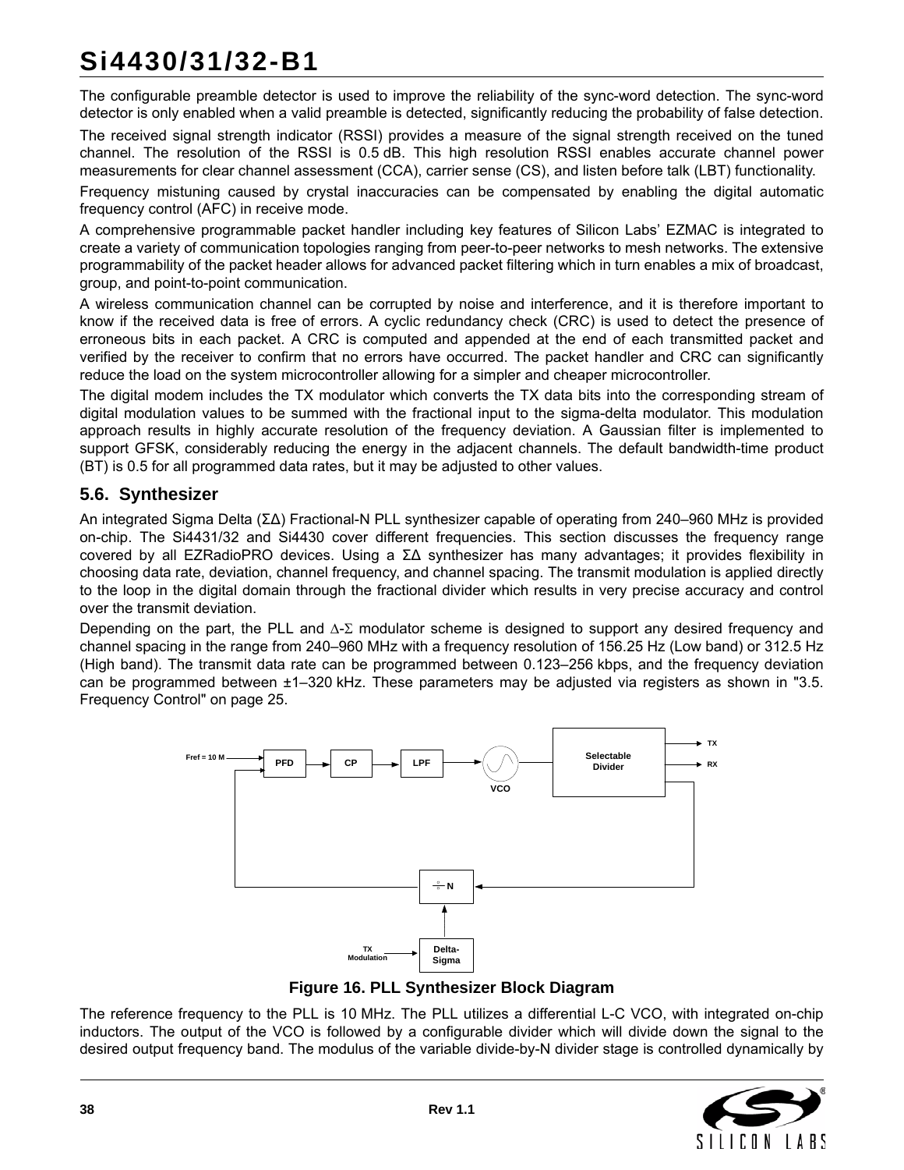# **Si4430/31/32-B1**

The configurable preamble detector is used to improve the reliability of the sync-word detection. The sync-word detector is only enabled when a valid preamble is detected, significantly reducing the probability of false detection.

The received signal strength indicator (RSSI) provides a measure of the signal strength received on the tuned channel. The resolution of the RSSI is 0.5 dB. This high resolution RSSI enables accurate channel power measurements for clear channel assessment (CCA), carrier sense (CS), and listen before talk (LBT) functionality.

Frequency mistuning caused by crystal inaccuracies can be compensated by enabling the digital automatic frequency control (AFC) in receive mode.

A comprehensive programmable packet handler including key features of Silicon Labs' EZMAC is integrated to create a variety of communication topologies ranging from peer-to-peer networks to mesh networks. The extensive programmability of the packet header allows for advanced packet filtering which in turn enables a mix of broadcast, group, and point-to-point communication.

A wireless communication channel can be corrupted by noise and interference, and it is therefore important to know if the received data is free of errors. A cyclic redundancy check (CRC) is used to detect the presence of erroneous bits in each packet. A CRC is computed and appended at the end of each transmitted packet and verified by the receiver to confirm that no errors have occurred. The packet handler and CRC can significantly reduce the load on the system microcontroller allowing for a simpler and cheaper microcontroller.

The digital modem includes the TX modulator which converts the TX data bits into the corresponding stream of digital modulation values to be summed with the fractional input to the sigma-delta modulator. This modulation approach results in highly accurate resolution of the frequency deviation. A Gaussian filter is implemented to support GFSK, considerably reducing the energy in the adjacent channels. The default bandwidth-time product (BT) is 0.5 for all programmed data rates, but it may be adjusted to other values.

### **5.6. Synthesizer**

An integrated Sigma Delta (ΣΔ) Fractional-N PLL synthesizer capable of operating from 240–960 MHz is provided on-chip. The Si4431/32 and Si4430 cover different frequencies. This section discusses the frequency range covered by all EZRadioPRO devices. Using a ΣΔ synthesizer has many advantages; it provides flexibility in choosing data rate, deviation, channel frequency, and channel spacing. The transmit modulation is applied directly to the loop in the digital domain through the fractional divider which results in very precise accuracy and control over the transmit deviation.

Depending on the part, the PLL and  $\Delta$ - $\Sigma$  modulator scheme is designed to support any desired frequency and channel spacing in the range from 240–960 MHz with a frequency resolution of 156.25 Hz (Low band) or 312.5 Hz (High band). The transmit data rate can be programmed between 0.123–256 kbps, and the frequency deviation can be programmed between ±1–320 kHz. These parameters may be adjusted via registers as shown in ["3.5.](#page-24-0) [Frequency Control" on page 25](#page-24-0).



**Figure 16. PLL Synthesizer Block Diagram**

The reference frequency to the PLL is 10 MHz. The PLL utilizes a differential L-C VCO, with integrated on-chip inductors. The output of the VCO is followed by a configurable divider which will divide down the signal to the desired output frequency band. The modulus of the variable divide-by-N divider stage is controlled dynamically by

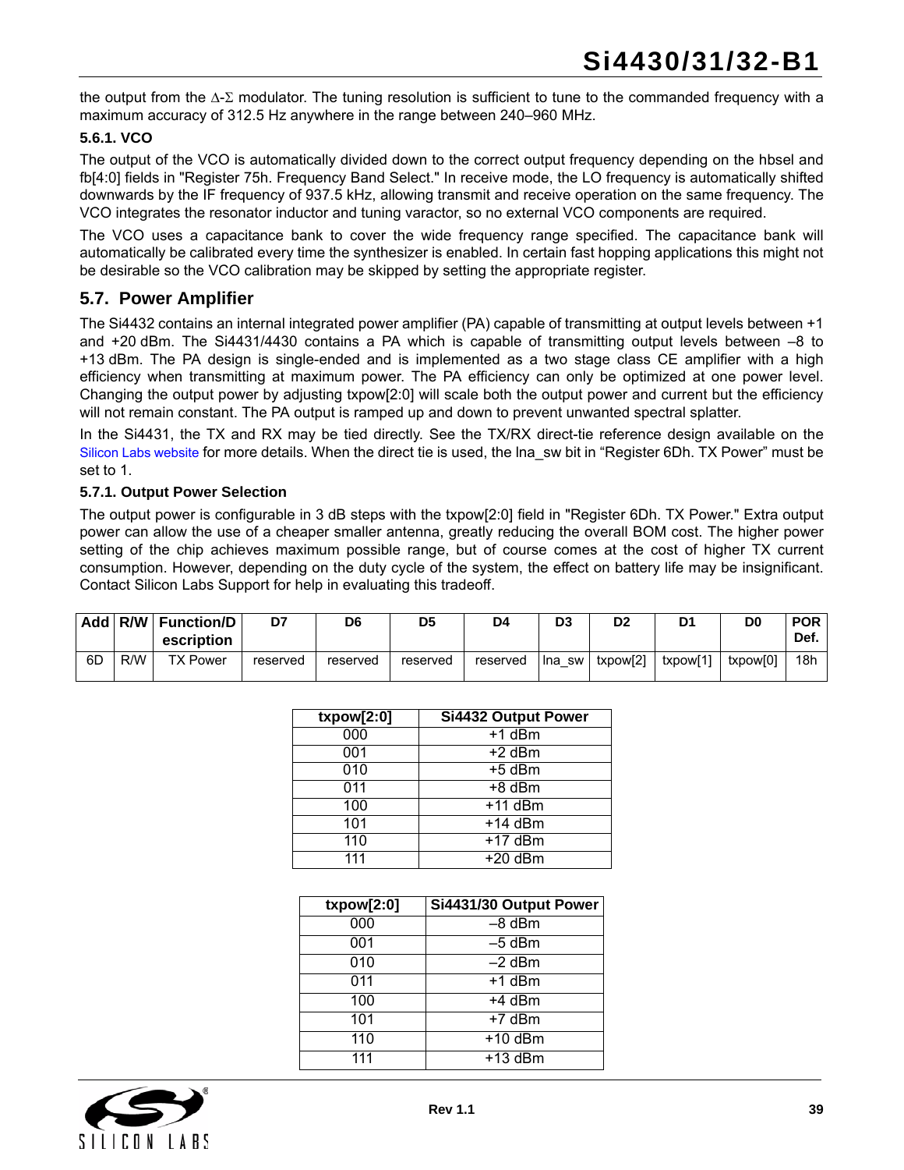the output from the  $\Delta$ - $\Sigma$  modulator. The tuning resolution is sufficient to tune to the commanded frequency with a maximum accuracy of 312.5 Hz anywhere in the range between 240–960 MHz.

#### **5.6.1. VCO**

The output of the VCO is automatically divided down to the correct output frequency depending on the hbsel and fb[4:0] fields in "Register 75h. Frequency Band Select." In receive mode, the LO frequency is automatically shifted downwards by the IF frequency of 937.5 kHz, allowing transmit and receive operation on the same frequency. The VCO integrates the resonator inductor and tuning varactor, so no external VCO components are required.

The VCO uses a capacitance bank to cover the wide frequency range specified. The capacitance bank will automatically be calibrated every time the synthesizer is enabled. In certain fast hopping applications this might not be desirable so the VCO calibration may be skipped by setting the appropriate register.

#### **5.7. Power Amplifier**

The Si4432 contains an internal integrated power amplifier (PA) capable of transmitting at output levels between +1 and +20 dBm. The Si4431/4430 contains a PA which is capable of transmitting output levels between –8 to +13 dBm. The PA design is single-ended and is implemented as a two stage class CE amplifier with a high efficiency when transmitting at maximum power. The PA efficiency can only be optimized at one power level. Changing the output power by adjusting txpow[2:0] will scale both the output power and current but the efficiency will not remain constant. The PA output is ramped up and down to prevent unwanted spectral splatter.

In the Si4431, the TX and RX may be tied directly. See the TX/RX direct-tie reference design available on the [Silicon Labs website](https://www.silabs.com/products/wireless/EZRadioPRO/Pages/default.aspx) for more details. When the direct tie is used, the lna\_sw bit in "Register 6Dh. TX Power" must be set to 1.

#### **5.7.1. Output Power Selection**

The output power is configurable in 3 dB steps with the txpow[2:0] field in "Register 6Dh. TX Power." Extra output power can allow the use of a cheaper smaller antenna, greatly reducing the overall BOM cost. The higher power setting of the chip achieves maximum possible range, but of course comes at the cost of higher TX current consumption. However, depending on the duty cycle of the system, the effect on battery life may be insignificant. Contact Silicon Labs Support for help in evaluating this tradeoff.

|    |     | Add R/W Function/D<br>escription | D7       | D6       | D <sub>5</sub> | D4       | D <sub>3</sub> | D <sub>2</sub> | D١       | D0       | <b>POR</b><br>Def. |
|----|-----|----------------------------------|----------|----------|----------------|----------|----------------|----------------|----------|----------|--------------------|
| 6D | R/W | <b>TX Power</b>                  | reserved | reserved | reserved       | reserved | lna swl        | txpow[2]       | txpow[1] | txpow[0] | 18h                |

| txpow[2:0]  | Si4432 Output Power |
|-------------|---------------------|
| 000         | $+1$ dBm            |
| 001         | $+2$ dBm            |
| 010         | $+5$ dBm            |
| 011         | $+8$ dBm            |
| 100         | $+11$ dBm           |
| 101         | $+14$ dBm           |
| 110         | $+17$ dBm           |
| $\bar{1}11$ | $+20$ dBm           |

| txpow[2:0] | Si4431/30 Output Power |
|------------|------------------------|
| 000        | $-8$ dBm               |
| 001        | $-5$ dBm               |
| 010        | $-2$ dBm               |
| 011        | +1 dBm                 |
| 100        | $+4$ dBm               |
| 101        | $+7$ dBm               |
| 110        | $+10$ dBm              |
| 111        | $+13$ dBm              |

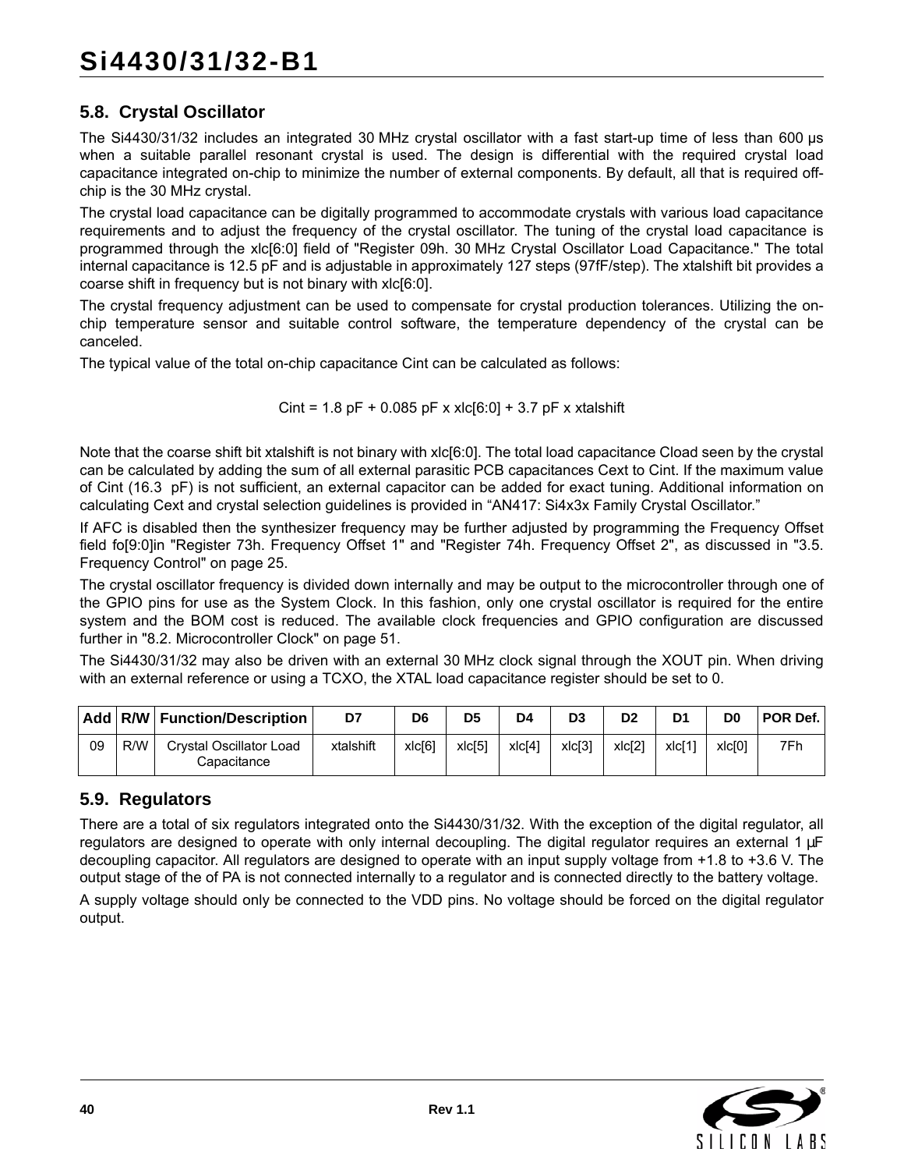## **5.8. Crystal Oscillator**

The Si4430/31/32 includes an integrated 30 MHz crystal oscillator with a fast start-up time of less than 600 µs when a suitable parallel resonant crystal is used. The design is differential with the required crystal load capacitance integrated on-chip to minimize the number of external components. By default, all that is required offchip is the 30 MHz crystal.

The crystal load capacitance can be digitally programmed to accommodate crystals with various load capacitance requirements and to adjust the frequency of the crystal oscillator. The tuning of the crystal load capacitance is programmed through the xlc[6:0] field of "Register 09h. 30 MHz Crystal Oscillator Load Capacitance." The total internal capacitance is 12.5 pF and is adjustable in approximately 127 steps (97fF/step). The xtalshift bit provides a coarse shift in frequency but is not binary with xlc[6:0].

The crystal frequency adjustment can be used to compensate for crystal production tolerances. Utilizing the onchip temperature sensor and suitable control software, the temperature dependency of the crystal can be canceled.

The typical value of the total on-chip capacitance Cint can be calculated as follows:

Cint =  $1.8$  pF +  $0.085$  pF x xlc[6:0] +  $3.7$  pF x xtalshift

Note that the coarse shift bit xtalshift is not binary with xlc[6:0]. The total load capacitance Cload seen by the crystal can be calculated by adding the sum of all external parasitic PCB capacitances Cext to Cint. If the maximum value of Cint (16.3 pF) is not sufficient, an external capacitor can be added for exact tuning. Additional information on calculating Cext and crystal selection guidelines is provided in "AN417: Si4x3x Family Crystal Oscillator."

If AFC is disabled then the synthesizer frequency may be further adjusted by programming the Frequency Offset field fo[9:0]in "Register 73h. Frequency Offset 1" and "Register 74h. Frequency Offset 2", as discussed in ["3.5.](#page-24-0) [Frequency Control" on page 25](#page-24-0).

The crystal oscillator frequency is divided down internally and may be output to the microcontroller through one of the GPIO pins for use as the System Clock. In this fashion, only one crystal oscillator is required for the entire system and the BOM cost is reduced. The available clock frequencies and GPIO configuration are discussed further in ["8.2. Microcontroller Clock" on page 51.](#page-50-0)

The Si4430/31/32 may also be driven with an external 30 MHz clock signal through the XOUT pin. When driving with an external reference or using a TCXO, the XTAL load capacitance register should be set to 0.

|    |     | Add R/W Function/Description           | D7        | D <sub>6</sub> | D5     | D4                 | D <sub>3</sub> | D <sub>2</sub>     | D <sub>1</sub> | D0     | POR Def. |
|----|-----|----------------------------------------|-----------|----------------|--------|--------------------|----------------|--------------------|----------------|--------|----------|
| 09 | R/W | Crystal Oscillator Load<br>Capacitance | xtalshift | xlc[6]         | xlc[5] | xlc <sup>[4]</sup> | xlc[3]         | xlc <sup>[2]</sup> | xlc[1]         | x c[0] | 7Fh      |

### **5.9. Regulators**

There are a total of six regulators integrated onto the Si4430/31/32. With the exception of the digital regulator, all regulators are designed to operate with only internal decoupling. The digital regulator requires an external 1 µF decoupling capacitor. All regulators are designed to operate with an input supply voltage from +1.8 to +3.6 V. The output stage of the of PA is not connected internally to a regulator and is connected directly to the battery voltage.

A supply voltage should only be connected to the VDD pins. No voltage should be forced on the digital regulator output.

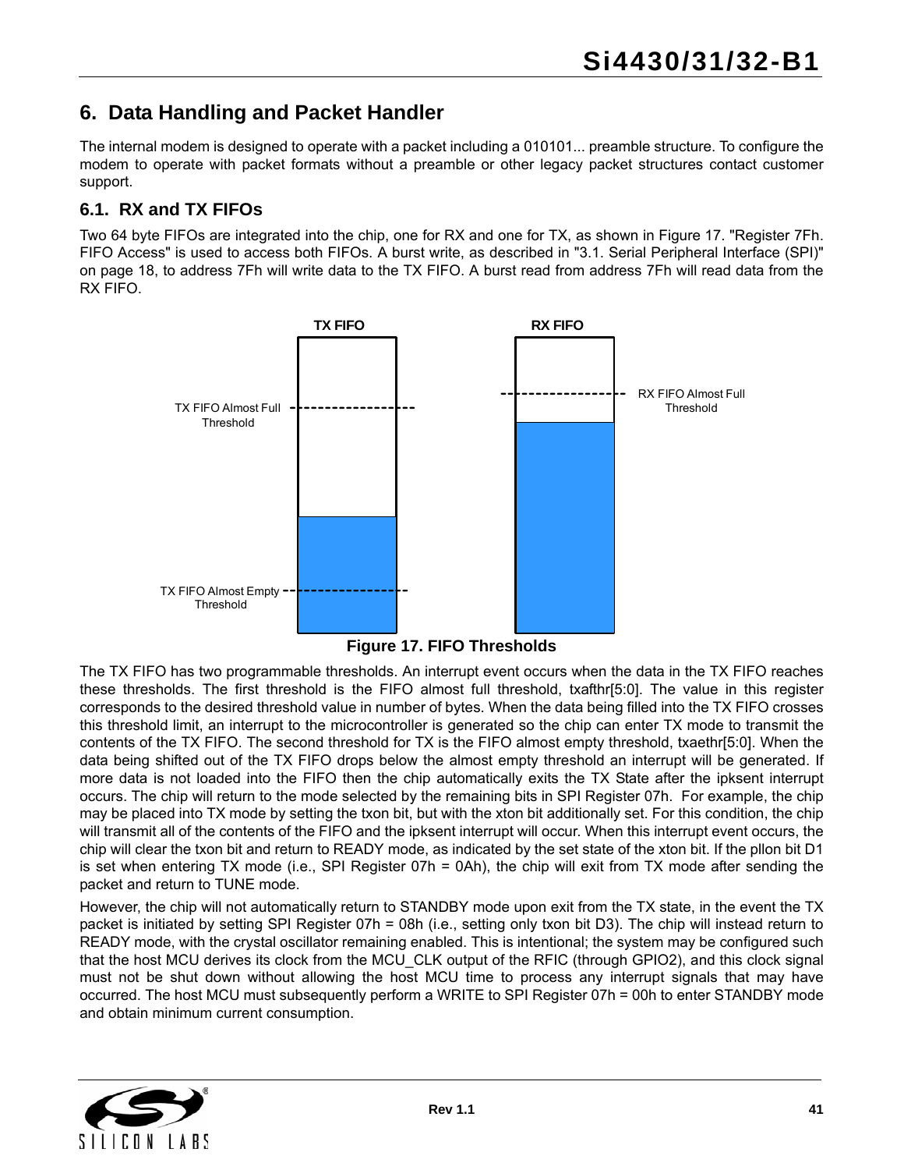# **6. Data Handling and Packet Handler**

The internal modem is designed to operate with a packet including a 010101... preamble structure. To configure the modem to operate with packet formats without a preamble or other legacy packet structures contact customer support.

### <span id="page-40-1"></span>**6.1. RX and TX FIFOs**

Two 64 byte FIFOs are integrated into the chip, one for RX and one for TX, as shown in [Figure 17.](#page-40-0) "Register 7Fh. FIFO Access" is used to access both FIFOs. A burst write, as described in ["3.1. Serial Peripheral Interface \(SPI\)"](#page-17-0) [on page 18,](#page-17-0) to address 7Fh will write data to the TX FIFO. A burst read from address 7Fh will read data from the RX FIFO.



**Figure 17. FIFO Thresholds**

<span id="page-40-0"></span>The TX FIFO has two programmable thresholds. An interrupt event occurs when the data in the TX FIFO reaches these thresholds. The first threshold is the FIFO almost full threshold, txafthr[5:0]. The value in this register corresponds to the desired threshold value in number of bytes. When the data being filled into the TX FIFO crosses this threshold limit, an interrupt to the microcontroller is generated so the chip can enter TX mode to transmit the contents of the TX FIFO. The second threshold for TX is the FIFO almost empty threshold, txaethr[5:0]. When the data being shifted out of the TX FIFO drops below the almost empty threshold an interrupt will be generated. If more data is not loaded into the FIFO then the chip automatically exits the TX State after the ipksent interrupt occurs. The chip will return to the mode selected by the remaining bits in SPI Register 07h. For example, the chip may be placed into TX mode by setting the txon bit, but with the xton bit additionally set. For this condition, the chip will transmit all of the contents of the FIFO and the ipksent interrupt will occur. When this interrupt event occurs, the chip will clear the txon bit and return to READY mode, as indicated by the set state of the xton bit. If the pllon bit D1 is set when entering TX mode (i.e., SPI Register 07h = 0Ah), the chip will exit from TX mode after sending the packet and return to TUNE mode.

However, the chip will not automatically return to STANDBY mode upon exit from the TX state, in the event the TX packet is initiated by setting SPI Register 07h = 08h (i.e., setting only txon bit D3). The chip will instead return to READY mode, with the crystal oscillator remaining enabled. This is intentional; the system may be configured such that the host MCU derives its clock from the MCU\_CLK output of the RFIC (through GPIO2), and this clock signal must not be shut down without allowing the host MCU time to process any interrupt signals that may have occurred. The host MCU must subsequently perform a WRITE to SPI Register 07h = 00h to enter STANDBY mode and obtain minimum current consumption.

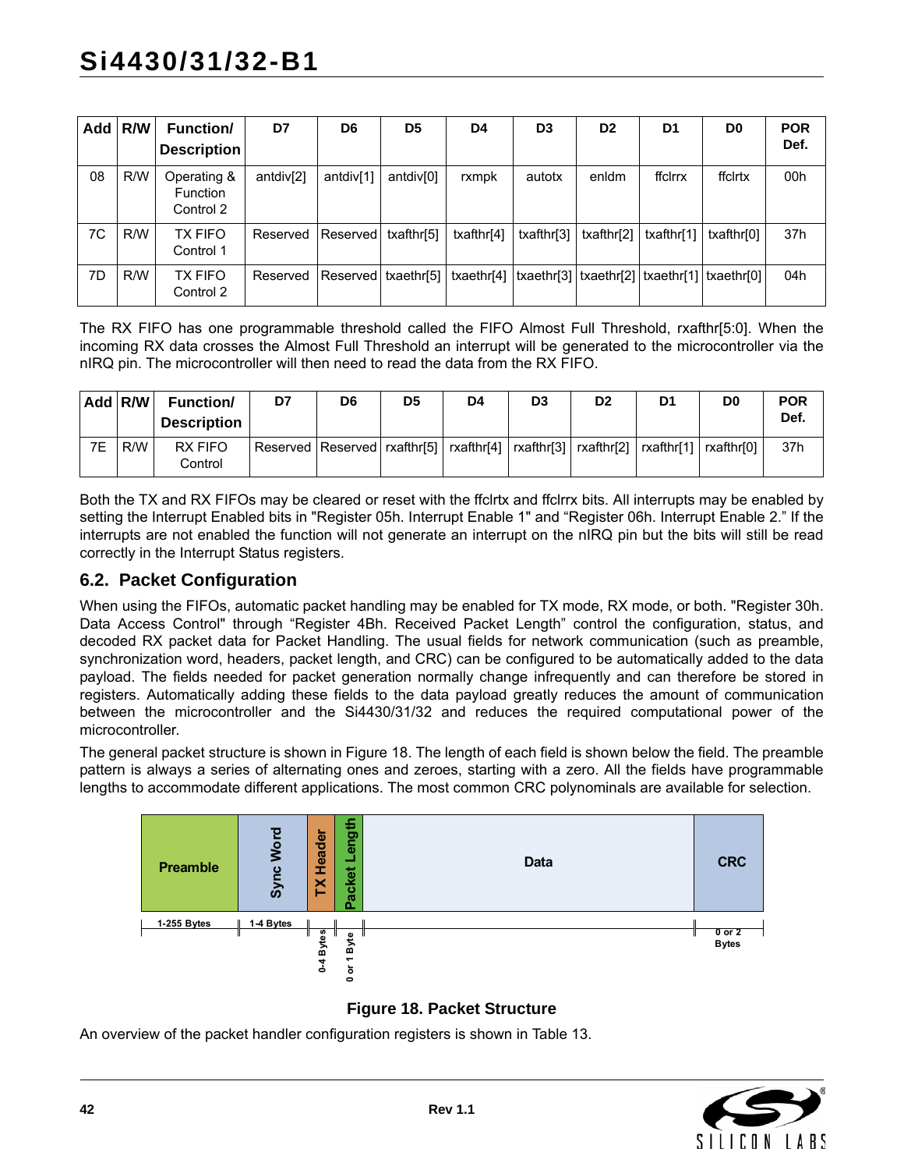| <b>Add</b> | R/W | <b>Function/</b><br><b>Description</b>      | D7                    | D6        | D <sub>5</sub>        | D4                                                                         | D <sub>3</sub> | D <sub>2</sub> | D1         | D <sub>0</sub> | <b>POR</b><br>Def. |
|------------|-----|---------------------------------------------|-----------------------|-----------|-----------------------|----------------------------------------------------------------------------|----------------|----------------|------------|----------------|--------------------|
| 08         | R/W | Operating &<br><b>Function</b><br>Control 2 | antdiv <sup>[2]</sup> | antdiv[1] | antdiv <sup>[0]</sup> | rxmpk                                                                      | autotx         | enldm          | ffclrrx    | ffclrtx        | 00h                |
| 7C         | R/W | TX FIFO<br>Control 1                        | Reserved   Reserved   |           | txafthr[5]            | txafthr[4]                                                                 | txafthr[3]     | txafthr[2]     | txafthr[1] | txafthr[0]     | 37h                |
| 7D         | R/W | <b>TX FIFO</b><br>Control 2                 | Reserved              |           |                       | Reserved txaethr[5] txaethr[4] txaethr[3] txaethr[2] txaethr[1] txaethr[0] |                |                |            |                | 04h                |

The RX FIFO has one programmable threshold called the FIFO Almost Full Threshold, rxafthr[5:0]. When the incoming RX data crosses the Almost Full Threshold an interrupt will be generated to the microcontroller via the nIRQ pin. The microcontroller will then need to read the data from the RX FIFO.

|    | Add $R/W$ | <b>Function/</b><br><b>Description</b> | D7                                                                                                | D <sub>6</sub> | D <sub>5</sub> | D4 | D <sub>3</sub> | D <sub>2</sub> | D1 | D <sub>0</sub> | <b>POR</b><br>Def. |
|----|-----------|----------------------------------------|---------------------------------------------------------------------------------------------------|----------------|----------------|----|----------------|----------------|----|----------------|--------------------|
| 7E | R/W       | RX FIFO<br>Control                     | Reserved   Reserved   rxafthr[5]   rxafthr[4]   rxafthr[3]   rxafthr[2]   rxafthr[1]   rxafthr[0] |                |                |    |                |                |    |                | 37h                |

Both the TX and RX FIFOs may be cleared or reset with the ffclrtx and ffclrrx bits. All interrupts may be enabled by setting the Interrupt Enabled bits in "Register 05h. Interrupt Enable 1" and "Register 06h. Interrupt Enable 2." If the interrupts are not enabled the function will not generate an interrupt on the nIRQ pin but the bits will still be read correctly in the Interrupt Status registers.

#### <span id="page-41-1"></span>**6.2. Packet Configuration**

When using the FIFOs, automatic packet handling may be enabled for TX mode, RX mode, or both. "Register 30h. Data Access Control" through "Register 4Bh. Received Packet Length" control the configuration, status, and decoded RX packet data for Packet Handling. The usual fields for network communication (such as preamble, synchronization word, headers, packet length, and CRC) can be configured to be automatically added to the data payload. The fields needed for packet generation normally change infrequently and can therefore be stored in registers. Automatically adding these fields to the data payload greatly reduces the amount of communication between the microcontroller and the Si4430/31/32 and reduces the required computational power of the microcontroller.

The general packet structure is shown in [Figure 18](#page-41-0). The length of each field is shown below the field. The preamble pattern is always a series of alternating ones and zeroes, starting with a zero. All the fields have programmable lengths to accommodate different applications. The most common CRC polynominals are available for selection.



**Figure 18. Packet Structure**

<span id="page-41-0"></span>An overview of the packet handler configuration registers is shown in [Table 13](#page-44-0).

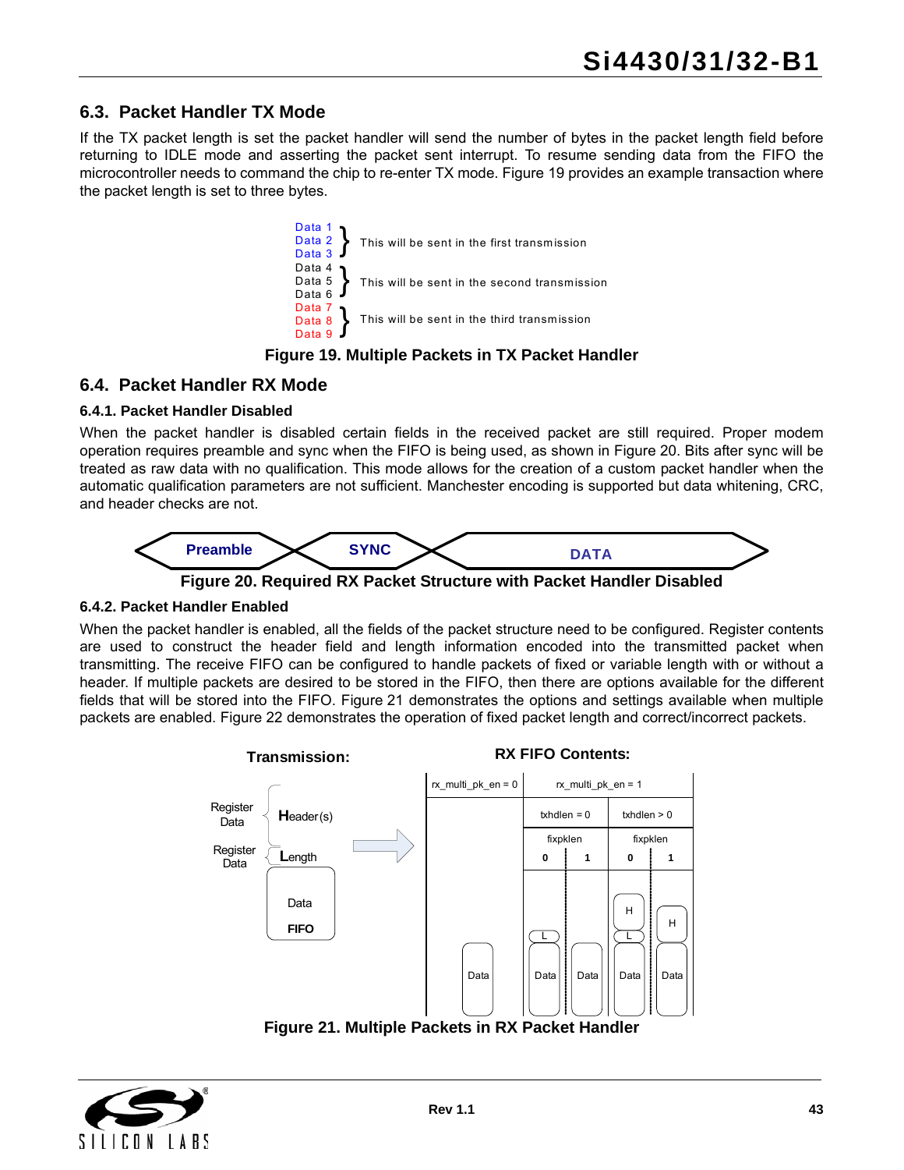### **6.3. Packet Handler TX Mode**

If the TX packet length is set the packet handler will send the number of bytes in the packet length field before returning to IDLE mode and asserting the packet sent interrupt. To resume sending data from the FIFO the microcontroller needs to command the chip to re-enter TX mode. [Figure 19](#page-42-0) provides an example transaction where the packet length is set to three bytes.



#### **Figure 19. Multiple Packets in TX Packet Handler**

#### <span id="page-42-0"></span>**6.4. Packet Handler RX Mode**

#### **6.4.1. Packet Handler Disabled**

When the packet handler is disabled certain fields in the received packet are still required. Proper modem operation requires preamble and sync when the FIFO is being used, as shown in [Figure 20](#page-42-1). Bits after sync will be treated as raw data with no qualification. This mode allows for the creation of a custom packet handler when the automatic qualification parameters are not sufficient. Manchester encoding is supported but data whitening, CRC, and header checks are not.



**Figure 20. Required RX Packet Structure with Packet Handler Disabled**

#### <span id="page-42-1"></span>**6.4.2. Packet Handler Enabled**

When the packet handler is enabled, all the fields of the packet structure need to be configured. Register contents are used to construct the header field and length information encoded into the transmitted packet when transmitting. The receive FIFO can be configured to handle packets of fixed or variable length with or without a header. If multiple packets are desired to be stored in the FIFO, then there are options available for the different fields that will be stored into the FIFO. [Figure 21](#page-42-2) demonstrates the options and settings available when multiple packets are enabled. [Figure 22](#page-43-0) demonstrates the operation of fixed packet length and correct/incorrect packets.



**Figure 21. Multiple Packets in RX Packet Handler**

<span id="page-42-2"></span>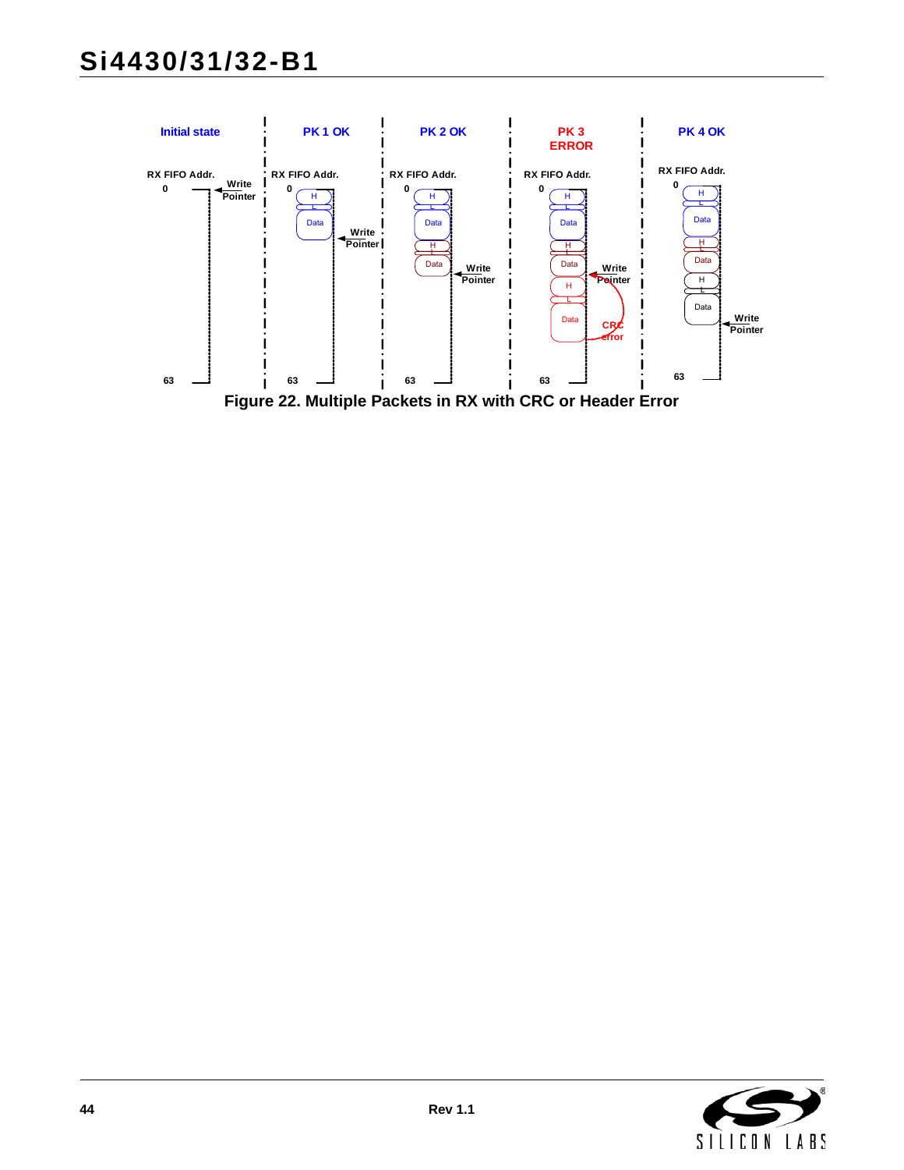# **Si4430/31/32-B1**

<span id="page-43-0"></span>

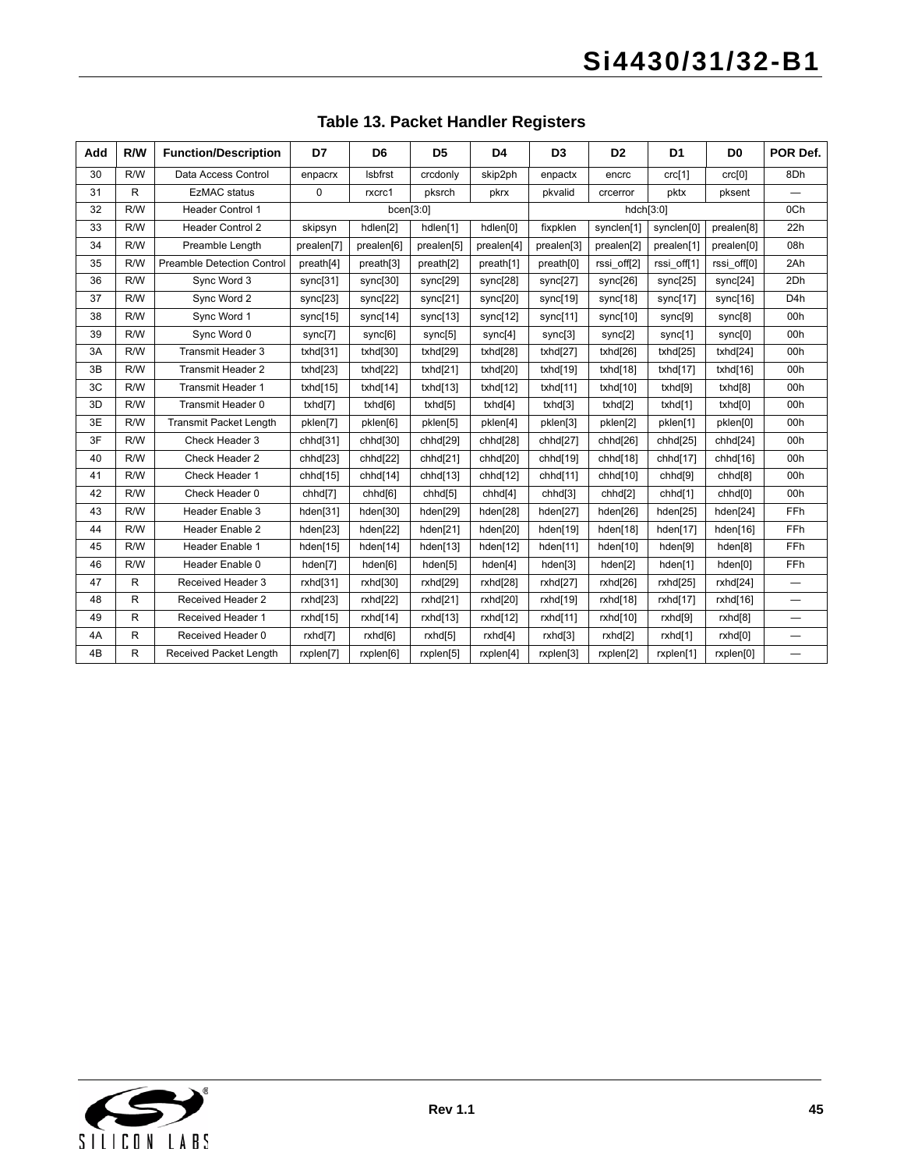<span id="page-44-0"></span>

| Add | R/W          | <b>Function/Description</b>       | D7          | D <sub>6</sub>      | D <sub>5</sub>      | D4                  | D <sub>3</sub> | D <sub>2</sub> | D <sub>1</sub> | D <sub>0</sub>      | POR Def.         |
|-----|--------------|-----------------------------------|-------------|---------------------|---------------------|---------------------|----------------|----------------|----------------|---------------------|------------------|
| 30  | R/W          | Data Access Control               | enpacrx     | Isbfrst             | crcdonly            | skip2ph             | enpactx        | encrc          | crc[1]         | crc[0]              | 8Dh              |
| 31  | $\mathsf{R}$ | <b>EzMAC</b> status               | $\mathbf 0$ | rxcrc1              | pksrch              | pkrx                | pkvalid        | crcerror       | pktx           | pksent              |                  |
| 32  | R/W          | <b>Header Control 1</b>           |             | bcen[3:0]           |                     |                     |                | hdch[3:0]      |                |                     | 0Ch              |
| 33  | R/W          | <b>Header Control 2</b>           | skipsyn     | hdlen[2]            | hdlen[1]            | hdlen[0]            | fixpklen       | synclen[1]     | synclen[0]     | prealen[8]          | 22h              |
| 34  | R/W          | Preamble Length                   | prealen[7]  | prealen[6]          | prealen[5]          | prealen[4]          | prealen[3]     | prealen[2]     | prealen[1]     | prealen[0]          | 08h              |
| 35  | R/W          | <b>Preamble Detection Control</b> | preath[4]   | preath[3]           | preath[2]           | preath[1]           | preath[0]      | rssi_off[2]    | rssi_off[1]    | rssi_off[0]         | 2Ah              |
| 36  | R/W          | Sync Word 3                       | sync[31]    | sync[30]            | sync[29]            | sync[28]            | sync[27]       | sync[26]       | sync[25]       | sync[24]            | 2Dh              |
| 37  | R/W          | Sync Word 2                       | sync[23]    | sync[22]            | sync[21]            | sync[20]            | sync[19]       | sync[18]       | sync[17]       | sync[16]            | D <sub>4</sub> h |
| 38  | R/W          | Svnc Word 1                       | sync[15]    | sync[14]            | sync[13]            | sync[12]            | sync[11]       | sync[10]       | sync[9]        | sync[8]             | 00h              |
| 39  | R/W          | Sync Word 0                       | sync[7]     | sync[6]             | sync[5]             | sync[4]             | sync[3]        | sync[2]        | sync[1]        | sync[0]             | 00h              |
| 3A  | R/W          | <b>Transmit Header 3</b>          | txhd[31]    | txhd[30]            | txhd[29]            | txhd[28]            | txhd[27]       | txhd[26]       | txhd[25]       | txhd[24]            | 00h              |
| 3B  | R/W          | <b>Transmit Header 2</b>          | txhd[23]    | txhd[22]            | txhd $[21]$         | txhd[20]            | txhdf19        | txhd[18]       | txhd[17]       | txhd $[16]$         | 00h              |
| 3C  | R/W          | <b>Transmit Header 1</b>          | txhd[15]    | txhdf14]            | txhd[13]            | txhd[12]            | txhd[11]       | txhd[10]       | txhd[9]        | txhd[8]             | 00h              |
| 3D  | R/W          | Transmit Header 0                 | txhd[7]     | txhd[6]             | txhd[5]             | txhd[4]             | txhd[3]        | txhd[2]        | txhd[1]        | txhd[0]             | 00h              |
| 3E  | R/W          | Transmit Packet Length            | pklen[7]    | pklen[6]            | pklen[5]            | pklen[4]            | pklen[3]       | pklen[2]       | pklen[1]       | pklen[0]            | 00h              |
| 3F  | R/W          | Check Header 3                    | chhd[31]    | chhd[30]            | chhd[29]            | chhd[28]            | chhd[27]       | chhd[26]       | chhd[25]       | chhd[24]            | 00h              |
| 40  | R/W          | Check Header 2                    | chhd[23]    | chhd[22]            | chhd[21]            | chhd[20]            | chhd[19]       | chhd[18]       | chhd[17]       | chhd[16]            | 00h              |
| 41  | R/W          | Check Header 1                    | chhd[15]    | chhd[14]            | chhd[13]            | chhd[12]            | chhd[11]       | chhd[10]       | chhd[9]        | chhd <sup>[8]</sup> | 00h              |
| 42  | R/W          | Check Header 0                    | chhd[7]     | chhd <sup>[6]</sup> | chhd <sup>[5]</sup> | chhd <sup>[4]</sup> | chhd[3]        | chhd[2]        | chhd[1]        | chhd <sup>[0]</sup> | 00h              |
| 43  | R/W          | Header Enable 3                   | hden[31]    | hden[30]            | hden[29]            | hden[28]            | hden[27]       | hden[26]       | hden[25]       | hden[24]            | FFh              |
| 44  | R/W          | Header Enable 2                   | hden[23]    | hden[22]            | hden[21]            | hden[20]            | hden[19]       | hden[18]       | hden[17]       | hden[16]            | FFh              |
| 45  | R/W          | Header Enable 1                   | hden[15]    | hden[14]            | hden[13]            | hden[12]            | hden[11]       | hden[10]       | hden[9]        | hden[8]             | FFh              |
| 46  | R/W          | Header Enable 0                   | hden[7]     | hden[6]             | hden[5]             | hden[4]             | hden[3]        | hden[2]        | hden[1]        | hden[0]             | FFh              |
| 47  | $\mathsf{R}$ | Received Header 3                 | rxhd[31]    | rxhd[30]            | rxhd[29]            | rxhd[28]            | rxhd[27]       | rxhd[26]       | rxhd[25]       | rxhd[24]            |                  |
| 48  | R            | Received Header 2                 | rxhd[23]    | rxhd[22]            | rxhd[21]            | rxhd[20]            | rxhd[19]       | rxhd[18]       | rxhd[17]       | rxhd[16]            |                  |
| 49  | $\mathsf{R}$ | Received Header 1                 | rxhd[15]    | rxhd[14]            | rxhd[13]            | rxhd[12]            | rxhd[11]       | rxhd[10]       | rxhd[9]        | rxhd[8]             |                  |
| 4A  | $\mathsf{R}$ | Received Header 0                 | rxhd[7]     | rxhd[6]             | rxhd[5]             | rxhd[4]             | rxhd[3]        | rxhd[2]        | rxhd[1]        | rxhd[0]             | -                |
| 4B  | R            | Received Packet Length            | rxplen[7]   | rxplen[6]           | rxplen[5]           | rxplen[4]           | rxplen[3]      | rxplen[2]      | rxplen[1]      | rxplen[0]           |                  |

## **Table 13. Packet Handler Registers**

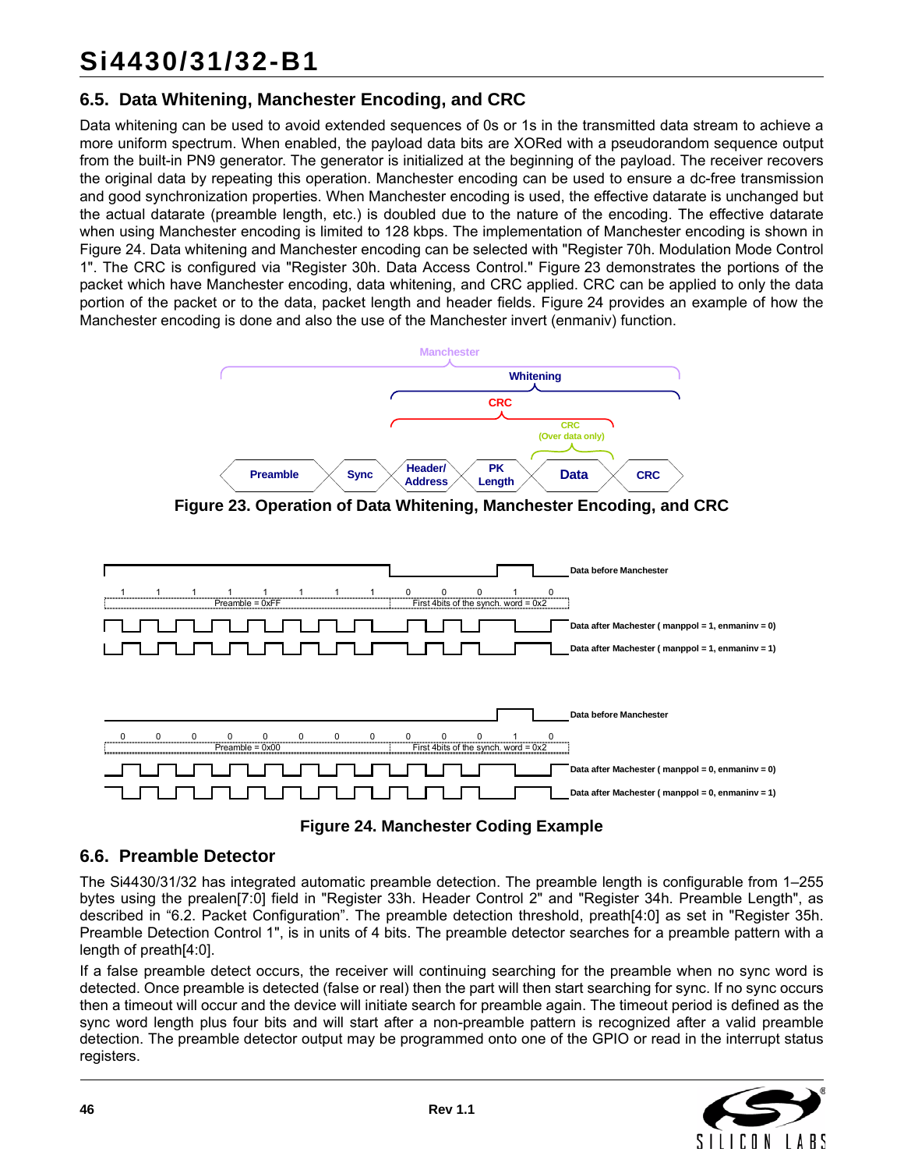### **6.5. Data Whitening, Manchester Encoding, and CRC**

Data whitening can be used to avoid extended sequences of 0s or 1s in the transmitted data stream to achieve a more uniform spectrum. When enabled, the payload data bits are XORed with a pseudorandom sequence output from the built-in PN9 generator. The generator is initialized at the beginning of the payload. The receiver recovers the original data by repeating this operation. Manchester encoding can be used to ensure a dc-free transmission and good synchronization properties. When Manchester encoding is used, the effective datarate is unchanged but the actual datarate (preamble length, etc.) is doubled due to the nature of the encoding. The effective datarate when using Manchester encoding is limited to 128 kbps. The implementation of Manchester encoding is shown in [Figure 24](#page-45-1). Data whitening and Manchester encoding can be selected with "Register 70h. Modulation Mode Control 1". The CRC is configured via "Register 30h. Data Access Control." [Figure 23](#page-45-0) demonstrates the portions of the packet which have Manchester encoding, data whitening, and CRC applied. CRC can be applied to only the data portion of the packet or to the data, packet length and header fields. [Figure 24](#page-45-1) provides an example of how the Manchester encoding is done and also the use of the Manchester invert (enmaniv) function.



**Figure 23. Operation of Data Whitening, Manchester Encoding, and CRC**

<span id="page-45-0"></span>



### <span id="page-45-1"></span>**6.6. Preamble Detector**

The Si4430/31/32 has integrated automatic preamble detection. The preamble length is configurable from 1–255 bytes using the prealen[7:0] field in "Register 33h. Header Control 2" and "Register 34h. Preamble Length", as described in ["6.2. Packet Configuration".](#page-41-1) The preamble detection threshold, preath[4:0] as set in "Register 35h. Preamble Detection Control 1", is in units of 4 bits. The preamble detector searches for a preamble pattern with a length of preath[4:0].

If a false preamble detect occurs, the receiver will continuing searching for the preamble when no sync word is detected. Once preamble is detected (false or real) then the part will then start searching for sync. If no sync occurs then a timeout will occur and the device will initiate search for preamble again. The timeout period is defined as the sync word length plus four bits and will start after a non-preamble pattern is recognized after a valid preamble detection. The preamble detector output may be programmed onto one of the GPIO or read in the interrupt status registers.

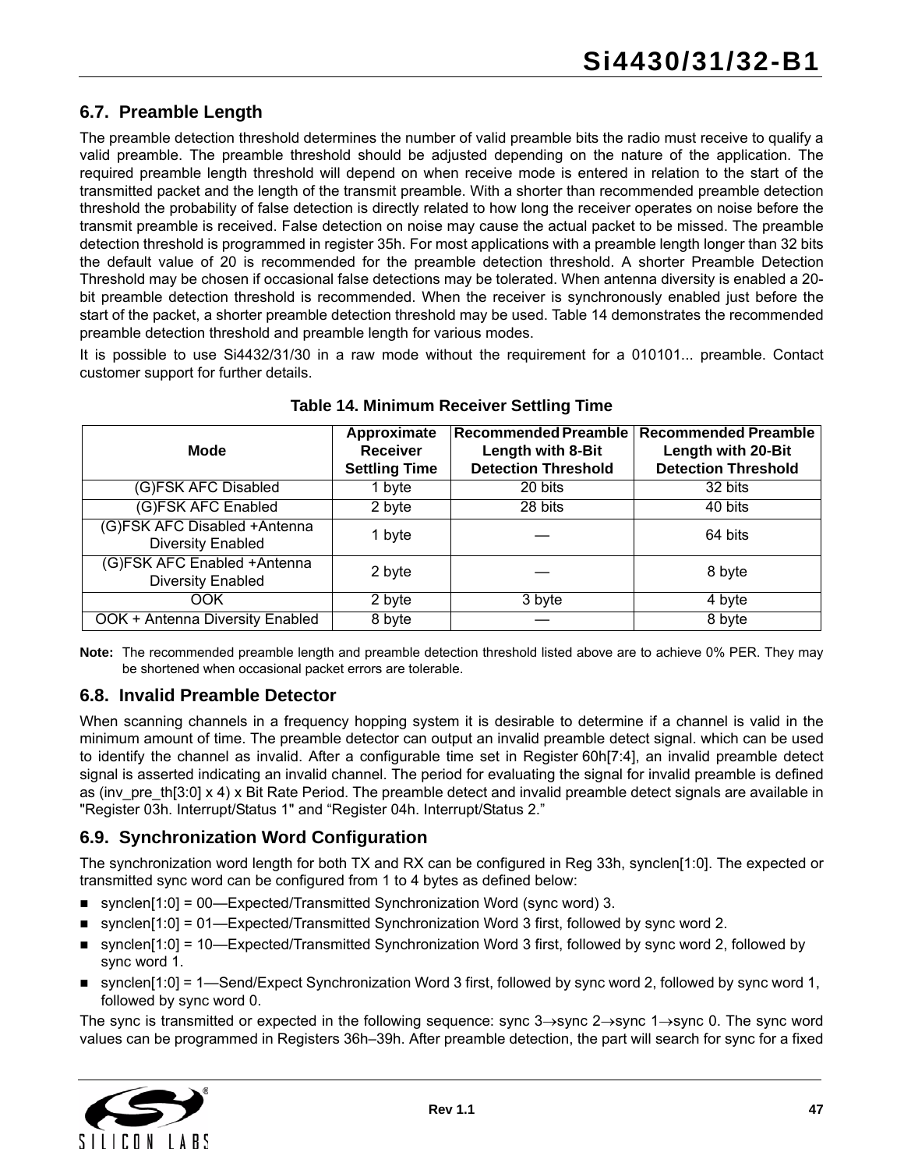### **6.7. Preamble Length**

The preamble detection threshold determines the number of valid preamble bits the radio must receive to qualify a valid preamble. The preamble threshold should be adjusted depending on the nature of the application. The required preamble length threshold will depend on when receive mode is entered in relation to the start of the transmitted packet and the length of the transmit preamble. With a shorter than recommended preamble detection threshold the probability of false detection is directly related to how long the receiver operates on noise before the transmit preamble is received. False detection on noise may cause the actual packet to be missed. The preamble detection threshold is programmed in register 35h. For most applications with a preamble length longer than 32 bits the default value of 20 is recommended for the preamble detection threshold. A shorter Preamble Detection Threshold may be chosen if occasional false detections may be tolerated. When antenna diversity is enabled a 20 bit preamble detection threshold is recommended. When the receiver is synchronously enabled just before the start of the packet, a shorter preamble detection threshold may be used. [Table 14](#page-46-0) demonstrates the recommended preamble detection threshold and preamble length for various modes.

It is possible to use Si4432/31/30 in a raw mode without the requirement for a 010101... preamble. Contact customer support for further details.

<span id="page-46-0"></span>

| <b>Mode</b>                                              | Approximate<br><b>Receiver</b><br><b>Settling Time</b> | Recommended Preamble<br>Length with 8-Bit<br><b>Detection Threshold</b> | <b>Recommended Preamble</b><br>Length with 20-Bit<br><b>Detection Threshold</b> |
|----------------------------------------------------------|--------------------------------------------------------|-------------------------------------------------------------------------|---------------------------------------------------------------------------------|
| (G)FSK AFC Disabled                                      | 1 byte                                                 | 20 bits                                                                 | $\overline{3}2$ bits                                                            |
| (G)FSK AFC Enabled                                       | 2 byte                                                 | 28 bits                                                                 | 40 bits                                                                         |
| (G)FSK AFC Disabled +Antenna<br><b>Diversity Enabled</b> | 1 byte                                                 |                                                                         | 64 bits                                                                         |
| (G)FSK AFC Enabled +Antenna<br><b>Diversity Enabled</b>  | 2 byte                                                 |                                                                         | 8 byte                                                                          |
| OOK                                                      | 2 byte                                                 | 3 byte                                                                  | 4 byte                                                                          |
| OOK + Antenna Diversity Enabled                          | 8 byte                                                 |                                                                         | 8 byte                                                                          |

#### **Table 14. Minimum Receiver Settling Time**

**Note:** The recommended preamble length and preamble detection threshold listed above are to achieve 0% PER. They may be shortened when occasional packet errors are tolerable.

#### **6.8. Invalid Preamble Detector**

When scanning channels in a frequency hopping system it is desirable to determine if a channel is valid in the minimum amount of time. The preamble detector can output an invalid preamble detect signal. which can be used to identify the channel as invalid. After a configurable time set in Register 60h[7:4], an invalid preamble detect signal is asserted indicating an invalid channel. The period for evaluating the signal for invalid preamble is defined as (inv\_pre\_th[3:0] x 4) x Bit Rate Period. The preamble detect and invalid preamble detect signals are available in "Register 03h. Interrupt/Status 1" and "Register 04h. Interrupt/Status 2."

#### **6.9. Synchronization Word Configuration**

The synchronization word length for both TX and RX can be configured in Reg 33h, synclen[1:0]. The expected or transmitted sync word can be configured from 1 to 4 bytes as defined below:

- synclen[1:0] = 00—Expected/Transmitted Synchronization Word (sync word) 3.
- synclen[1:0] = 01—Expected/Transmitted Synchronization Word 3 first, followed by sync word 2.
- synclen[1:0] = 10—Expected/Transmitted Synchronization Word 3 first, followed by sync word 2, followed by sync word 1.
- synclen $[1:0]$  = 1—Send/Expect Synchronization Word 3 first, followed by sync word 2, followed by sync word 1, followed by sync word 0.

The sync is transmitted or expected in the following sequence: sync  $3\rightarrow$ sync  $2\rightarrow$ sync  $1\rightarrow$ sync 0. The sync word values can be programmed in Registers 36h–39h. After preamble detection, the part will search for sync for a fixed

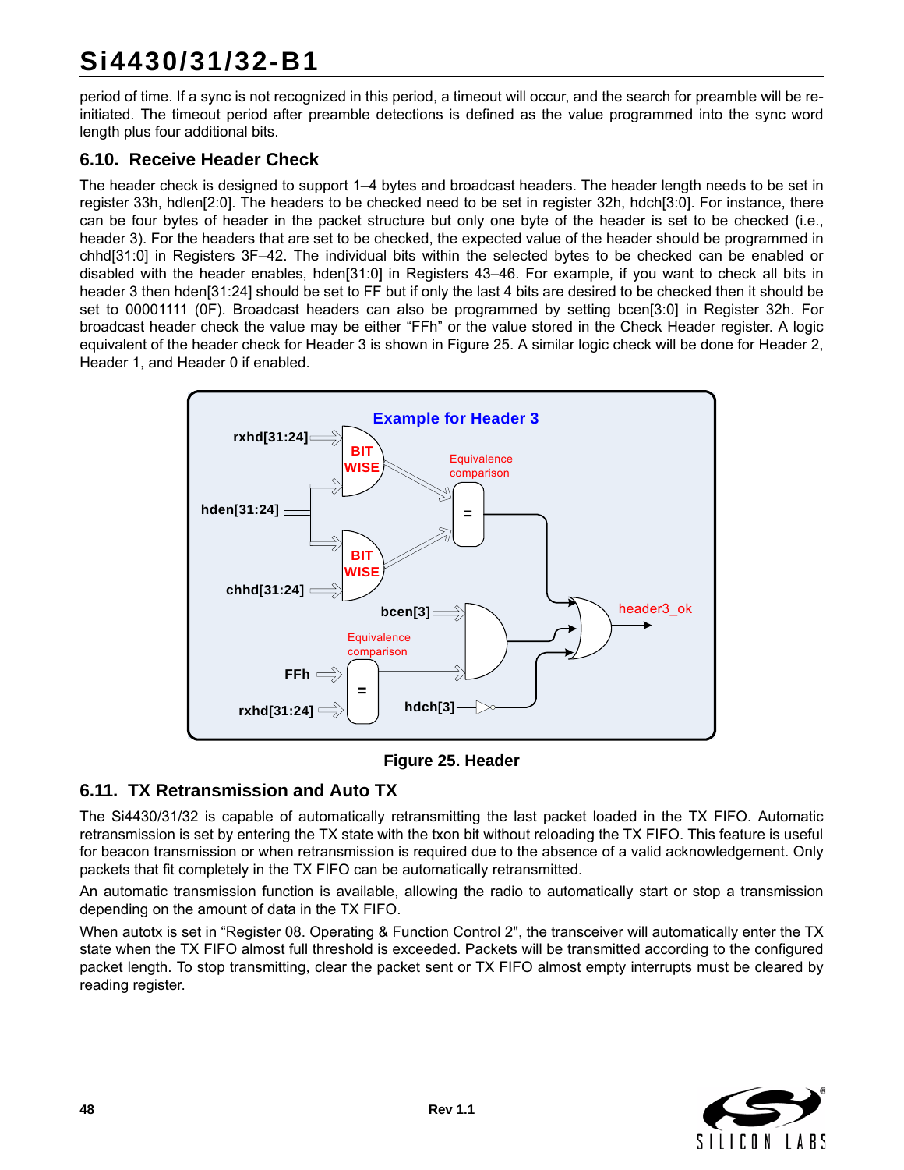# **Si4430/31/32-B1**

period of time. If a sync is not recognized in this period, a timeout will occur, and the search for preamble will be reinitiated. The timeout period after preamble detections is defined as the value programmed into the sync word length plus four additional bits.

### **6.10. Receive Header Check**

The header check is designed to support 1–4 bytes and broadcast headers. The header length needs to be set in register 33h, hdlen[2:0]. The headers to be checked need to be set in register 32h, hdch[3:0]. For instance, there can be four bytes of header in the packet structure but only one byte of the header is set to be checked (i.e., header 3). For the headers that are set to be checked, the expected value of the header should be programmed in chhd[31:0] in Registers 3F–42. The individual bits within the selected bytes to be checked can be enabled or disabled with the header enables, hden[31:0] in Registers 43–46. For example, if you want to check all bits in header 3 then hden[31:24] should be set to FF but if only the last 4 bits are desired to be checked then it should be set to 00001111 (0F). Broadcast headers can also be programmed by setting bcen[3:0] in Register 32h. For broadcast header check the value may be either "FFh" or the value stored in the Check Header register. A logic equivalent of the header check for Header 3 is shown in [Figure 25](#page-47-0). A similar logic check will be done for Header 2, Header 1, and Header 0 if enabled.



**Figure 25. Header**

### <span id="page-47-0"></span>**6.11. TX Retransmission and Auto TX**

The Si4430/31/32 is capable of automatically retransmitting the last packet loaded in the TX FIFO. Automatic retransmission is set by entering the TX state with the txon bit without reloading the TX FIFO. This feature is useful for beacon transmission or when retransmission is required due to the absence of a valid acknowledgement. Only packets that fit completely in the TX FIFO can be automatically retransmitted.

An automatic transmission function is available, allowing the radio to automatically start or stop a transmission depending on the amount of data in the TX FIFO.

When autotx is set in "Register 08. Operating & Function Control 2", the transceiver will automatically enter the TX state when the TX FIFO almost full threshold is exceeded. Packets will be transmitted according to the configured packet length. To stop transmitting, clear the packet sent or TX FIFO almost empty interrupts must be cleared by reading register.

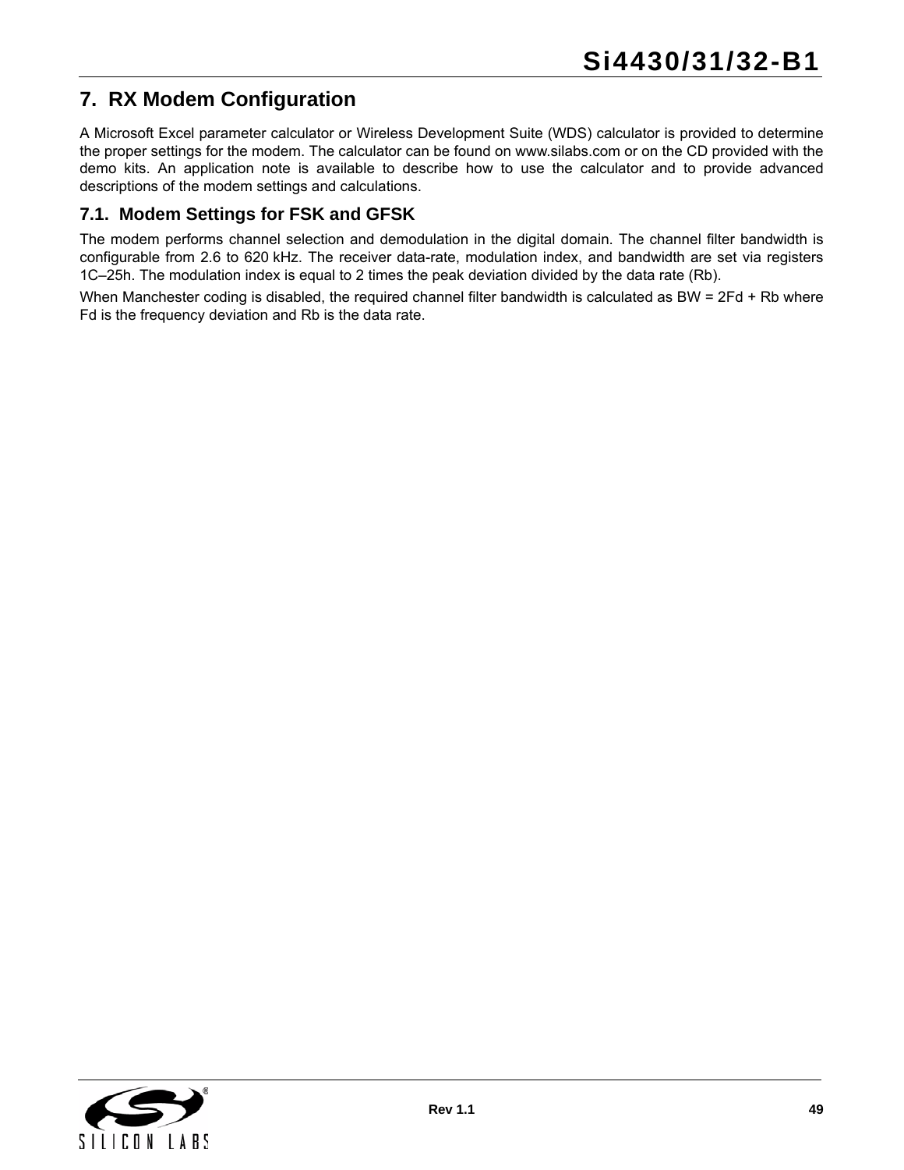# <span id="page-48-0"></span>**7. RX Modem Configuration**

[A Microsoft Excel parameter calculator or Wireless Development Suite \(WDS\) calculator is provided to determine](www.silabs.com) the proper settings for the modem. The calculator can be found on www.silabs.com or on the CD provided with the demo kits. An application note is available to describe how to use the calculator and to provide advanced descriptions of the modem settings and calculations.

#### **7.1. Modem Settings for FSK and GFSK**

The modem performs channel selection and demodulation in the digital domain. The channel filter bandwidth is configurable from 2.6 to 620 kHz. The receiver data-rate, modulation index, and bandwidth are set via registers 1C–25h. The modulation index is equal to 2 times the peak deviation divided by the data rate (Rb).

When Manchester coding is disabled, the required channel filter bandwidth is calculated as BW = 2Fd + Rb where Fd is the frequency deviation and Rb is the data rate.

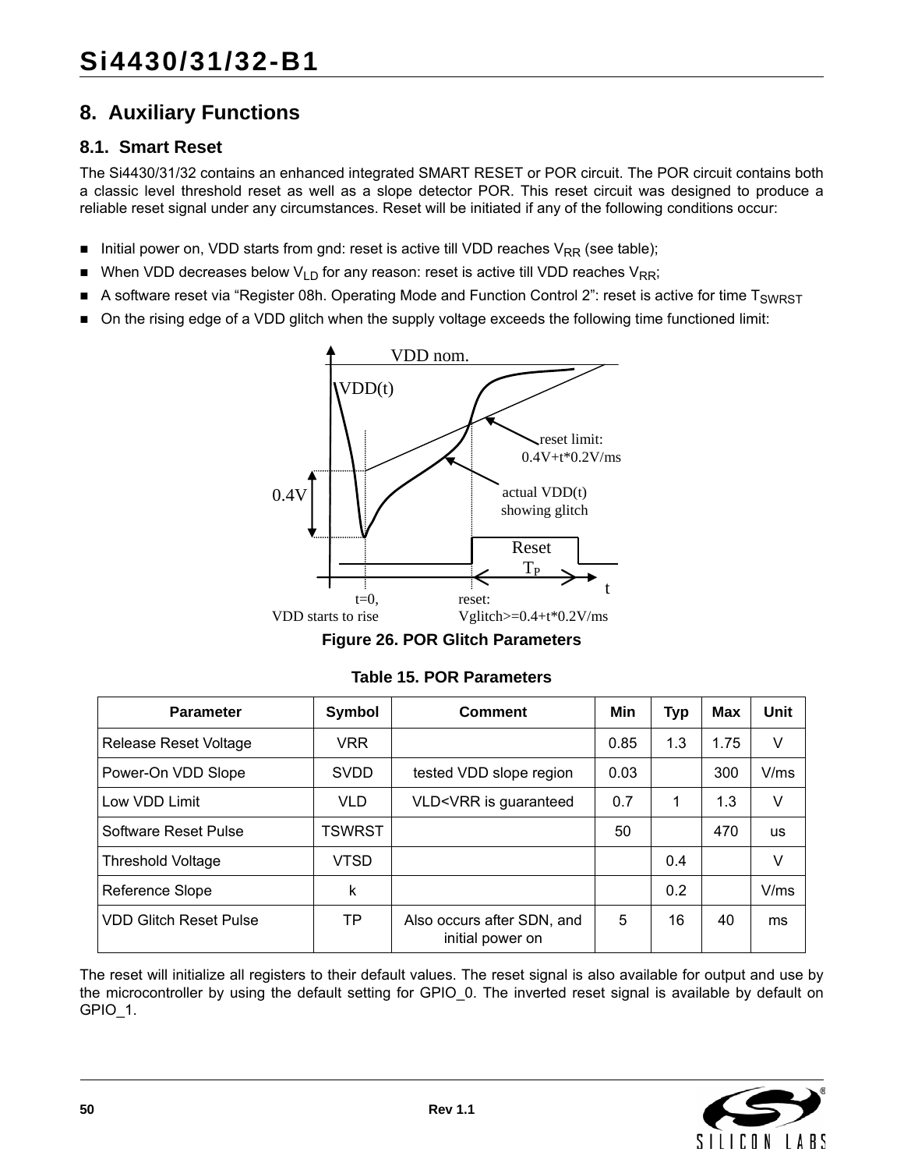# **8. Auxiliary Functions**

#### **8.1. Smart Reset**

The Si4430/31/32 contains an enhanced integrated SMART RESET or POR circuit. The POR circuit contains both a classic level threshold reset as well as a slope detector POR. This reset circuit was designed to produce a reliable reset signal under any circumstances. Reset will be initiated if any of the following conditions occur:

- Initial power on, VDD starts from gnd: reset is active till VDD reaches  $V_{RR}$  (see table);
- When VDD decreases below  $V_{LD}$  for any reason: reset is active till VDD reaches  $V_{RR}$ ;
- A software reset via "Register 08h. Operating Mode and Function Control 2": reset is active for time  $T_{SWRST}$
- On the rising edge of a VDD glitch when the supply voltage exceeds the following time functioned limit:



**Figure 26. POR Glitch Parameters**

| <b>Parameter</b>              | <b>Symbol</b> | <b>Comment</b>                                                                        | Min  | <b>Typ</b> | <b>Max</b> | Unit      |
|-------------------------------|---------------|---------------------------------------------------------------------------------------|------|------------|------------|-----------|
| Release Reset Voltage         | <b>VRR</b>    |                                                                                       | 0.85 | 1.3        | 1.75       | V         |
| Power-On VDD Slope            | <b>SVDD</b>   | tested VDD slope region                                                               | 0.03 |            | 300        | V/ms      |
| Low VDD Limit                 | <b>VLD</b>    | VLD <vrr guaranteed<="" is="" td=""><td>0.7</td><td></td><td>1.3</td><td>V</td></vrr> | 0.7  |            | 1.3        | V         |
| Software Reset Pulse          | <b>TSWRST</b> |                                                                                       | 50   |            | 470        | <b>us</b> |
| <b>Threshold Voltage</b>      | <b>VTSD</b>   |                                                                                       |      | 0.4        |            | V         |
| Reference Slope               | k             |                                                                                       |      | 0.2        |            | V/ms      |
| <b>VDD Glitch Reset Pulse</b> | TP            | Also occurs after SDN, and<br>initial power on                                        | 5    | 16         | 40         | ms        |

The reset will initialize all registers to their default values. The reset signal is also available for output and use by the microcontroller by using the default setting for GPIO\_0. The inverted reset signal is available by default on GPIO\_1.

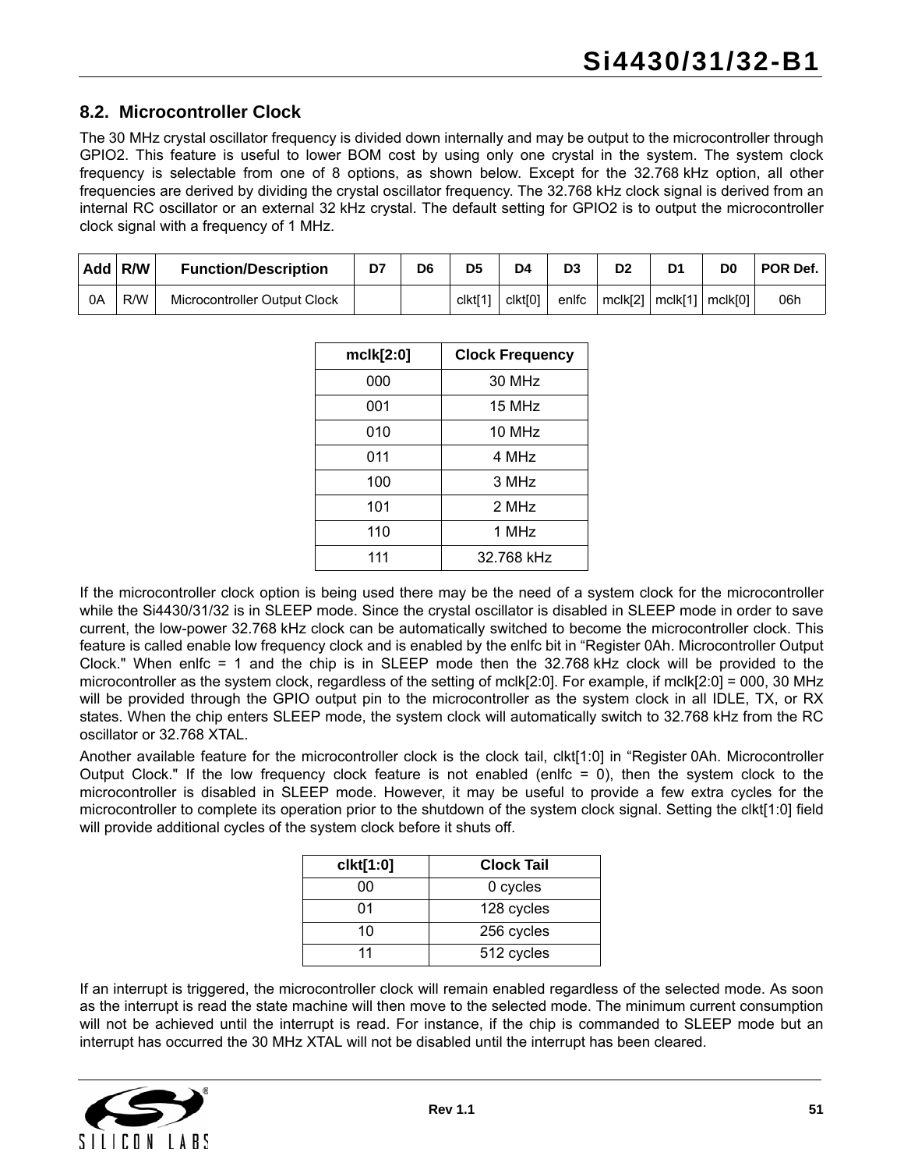#### <span id="page-50-0"></span>**8.2. Microcontroller Clock**

The 30 MHz crystal oscillator frequency is divided down internally and may be output to the microcontroller through GPIO2. This feature is useful to lower BOM cost by using only one crystal in the system. The system clock frequency is selectable from one of 8 options, as shown below. Except for the 32.768 kHz option, all other frequencies are derived by dividing the crystal oscillator frequency. The 32.768 kHz clock signal is derived from an internal RC oscillator or an external 32 kHz crystal. The default setting for GPIO2 is to output the microcontroller clock signal with a frequency of 1 MHz.

|    | Add R/W | <b>Function/Description</b>  | D7 | D <sub>6</sub> | D <sub>5</sub>      | D4                  | D3    | D <sub>2</sub> | D <sub>1</sub>                | D0 | POR Def. |
|----|---------|------------------------------|----|----------------|---------------------|---------------------|-------|----------------|-------------------------------|----|----------|
| 0Α | R/W     | Microcontroller Output Clock |    |                | clkt <sup>[1]</sup> | clkt <sub>[0]</sub> | enlfc | mclk[2]        | $\lceil mck[1] \rceil mck[0]$ |    | 06h      |

| mclk[2:0] | <b>Clock Frequency</b> |
|-----------|------------------------|
| 000       | 30 MHz                 |
| 001       | 15 MHz                 |
| 010       | 10 MHz                 |
| 011       | 4 MHz                  |
| 100       | 3 MHz                  |
| 101       | 2 MHz                  |
| 110       | 1 MHz                  |
| 111       | 32.768 kHz             |

If the microcontroller clock option is being used there may be the need of a system clock for the microcontroller while the Si4430/31/32 is in SLEEP mode. Since the crystal oscillator is disabled in SLEEP mode in order to save current, the low-power 32.768 kHz clock can be automatically switched to become the microcontroller clock. This feature is called enable low frequency clock and is enabled by the enlfc bit in "Register 0Ah. Microcontroller Output Clock." When enlfc = 1 and the chip is in SLEEP mode then the 32.768 kHz clock will be provided to the microcontroller as the system clock, regardless of the setting of mclk[2:0]. For example, if mclk[2:0] = 000, 30 MHz will be provided through the GPIO output pin to the microcontroller as the system clock in all IDLE, TX, or RX states. When the chip enters SLEEP mode, the system clock will automatically switch to 32.768 kHz from the RC oscillator or 32.768 XTAL.

Another available feature for the microcontroller clock is the clock tail, clkt[1:0] in "Register 0Ah. Microcontroller Output Clock." If the low frequency clock feature is not enabled (enlfc  $= 0$ ), then the system clock to the microcontroller is disabled in SLEEP mode. However, it may be useful to provide a few extra cycles for the microcontroller to complete its operation prior to the shutdown of the system clock signal. Setting the clkt[1:0] field will provide additional cycles of the system clock before it shuts off.

| clkt[1:0] | <b>Clock Tail</b> |
|-----------|-------------------|
| 00        | 0 cycles          |
| 01        | 128 cycles        |
| 10        | 256 cycles        |
| 11        | 512 cycles        |

If an interrupt is triggered, the microcontroller clock will remain enabled regardless of the selected mode. As soon as the interrupt is read the state machine will then move to the selected mode. The minimum current consumption will not be achieved until the interrupt is read. For instance, if the chip is commanded to SLEEP mode but an interrupt has occurred the 30 MHz XTAL will not be disabled until the interrupt has been cleared.

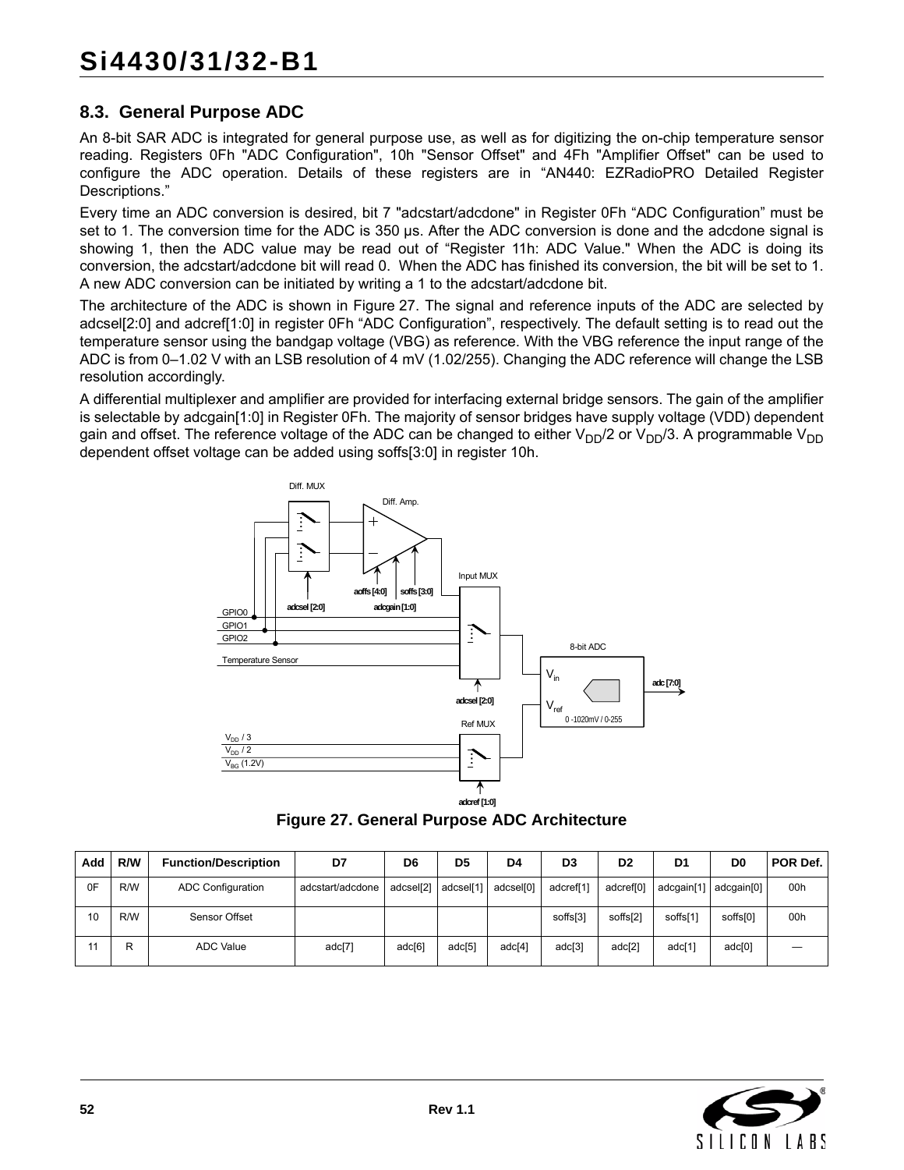## <span id="page-51-1"></span>**8.3. General Purpose ADC**

An 8-bit SAR ADC is integrated for general purpose use, as well as for digitizing the on-chip temperature sensor reading. Registers 0Fh "ADC Configuration", 10h "Sensor Offset" and 4Fh "Amplifier Offset" can be used to configure the ADC operation. Details of these registers are in "AN440: EZRadioPRO Detailed Register Descriptions."

Every time an ADC conversion is desired, bit 7 "adcstart/adcdone" in Register 0Fh "ADC Configuration" must be set to 1. The conversion time for the ADC is 350 µs. After the ADC conversion is done and the adcdone signal is showing 1, then the ADC value may be read out of "Register 11h: ADC Value." When the ADC is doing its conversion, the adcstart/adcdone bit will read 0. When the ADC has finished its conversion, the bit will be set to 1. A new ADC conversion can be initiated by writing a 1 to the adcstart/adcdone bit.

The architecture of the ADC is shown in [Figure 27.](#page-51-0) The signal and reference inputs of the ADC are selected by adcsel[2:0] and adcref[1:0] in register 0Fh "ADC Configuration", respectively. The default setting is to read out the temperature sensor using the bandgap voltage (VBG) as reference. With the VBG reference the input range of the ADC is from 0–1.02 V with an LSB resolution of 4 mV (1.02/255). Changing the ADC reference will change the LSB resolution accordingly.

A differential multiplexer and amplifier are provided for interfacing external bridge sensors. The gain of the amplifier is selectable by adcgain[1:0] in Register 0Fh. The majority of sensor bridges have supply voltage (VDD) dependent gain and offset. The reference voltage of the ADC can be changed to either  $V_{DD}/2$  or  $V_{DD}/3$ . A programmable  $V_{DD}$ dependent offset voltage can be added using soffs[3:0] in register 10h.



**Figure 27. General Purpose ADC Architecture**

<span id="page-51-0"></span>

| Add | R/W | <b>Function/Description</b> | D7               | D6        | D <sub>5</sub> | D4        | D <sub>3</sub> | D <sub>2</sub>        | D <sub>1</sub> | D <sub>0</sub>          | <b>POR Def.</b> |
|-----|-----|-----------------------------|------------------|-----------|----------------|-----------|----------------|-----------------------|----------------|-------------------------|-----------------|
| 0F  | R/W | <b>ADC Configuration</b>    | adcstart/adcdone | adcsel[2] | adcsel[1]      | adcsel[0] | adcref[1]      | adcref <sup>[0]</sup> |                | adcaain[1]   adcaain[0] | 00h             |
| 10  | R/W | Sensor Offset               |                  |           |                |           | soffs[3]       | soffs[2]              | soffs[1]       | soffs[0]                | 00h             |
|     | R   | <b>ADC Value</b>            | adc[7]           | adc[6]    | adc[5]         | adc[4]    | adc[3]         | adc[2]                | adc[1]         | $\text{adc}[0]$         |                 |

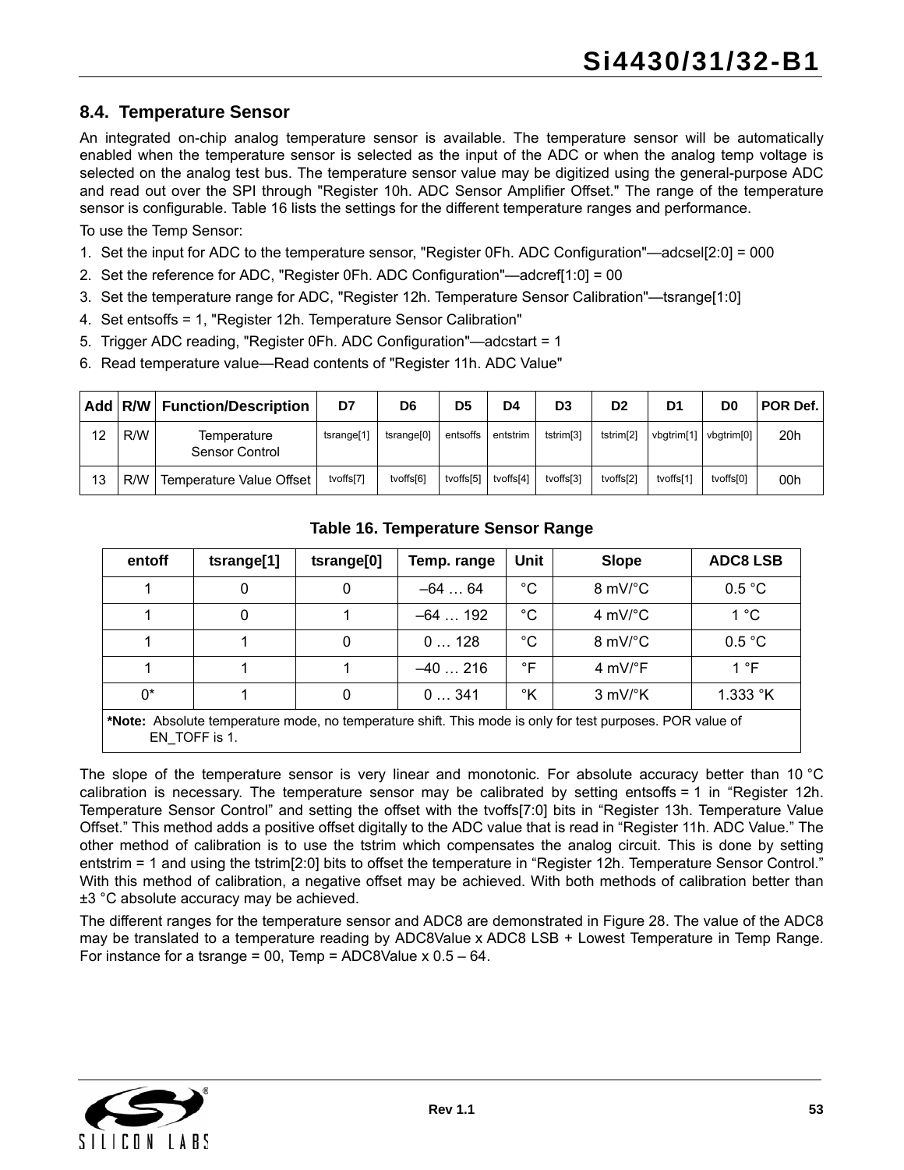### **8.4. Temperature Sensor**

An integrated on-chip analog temperature sensor is available. The temperature sensor will be automatically enabled when the temperature sensor is selected as the input of the ADC or when the analog temp voltage is selected on the analog test bus. The temperature sensor value may be digitized using the general-purpose ADC and read out over the SPI through "Register 10h. ADC Sensor Amplifier Offset." The range of the temperature sensor is configurable. [Table 16](#page-52-0) lists the settings for the different temperature ranges and performance.

To use the Temp Sensor:

- 1. Set the input for ADC to the temperature sensor, "Register 0Fh. ADC Configuration"—adcsel[2:0] = 000
- 2. Set the reference for ADC, "Register 0Fh. ADC Configuration"—adcref[1:0] = 00
- 3. Set the temperature range for ADC, "Register 12h. Temperature Sensor Calibration"—tsrange[1:0]
- 4. Set entsoffs = 1, "Register 12h. Temperature Sensor Calibration"
- 5. Trigger ADC reading, "Register 0Fh. ADC Configuration"—adcstart = 1
- 6. Read temperature value—Read contents of "Register 11h. ADC Value"

|    | Add R/W | <b>Function/Description</b>   | D7                     | D <sub>6</sub>         | D <sub>5</sub> | D4        | D3                    | D <sub>2</sub>        | D1         | D0                     | <b>POR Def.</b> |
|----|---------|-------------------------------|------------------------|------------------------|----------------|-----------|-----------------------|-----------------------|------------|------------------------|-----------------|
| 12 | R/W     | Temperature<br>Sensor Control | tsrange <sup>[1]</sup> | tsrange <sup>[0]</sup> | entsoffs       | entstrim  | tstrim <sup>[3]</sup> | tstrim <sup>[2]</sup> | vbgtrim[1] | vbatrim <sup>[0]</sup> | 20h             |
| 13 | R/W     | Temperature Value Offset      | tvoffs[7]              | tvoffs[6]              | tvoffs[5]      | tvoffs[4] | tvoffs[3]             | tvoffs[2]             | tvoffs[1]  | tvoffs[0]              | 00h             |

<span id="page-52-0"></span>

| entoff                                                                                                                     | tsrange[1] | tsrange[0] | Temp. range | Unit        | <b>Slope</b>                  | <b>ADC8 LSB</b>   |  |  |  |  |
|----------------------------------------------------------------------------------------------------------------------------|------------|------------|-------------|-------------|-------------------------------|-------------------|--|--|--|--|
|                                                                                                                            | 0          | 0          | $-64$ 64    | $^{\circ}C$ | $8 \text{ mV}$ C              | 0.5 °C            |  |  |  |  |
|                                                                                                                            | 0          |            | $-64$ 192   | $^{\circ}C$ | 4 mV/ $^{\circ}$ C            | 1°C               |  |  |  |  |
|                                                                                                                            |            | 0          | 0128        | $^{\circ}C$ | $8 \text{ mV}$ C              | 0.5 °C            |  |  |  |  |
|                                                                                                                            |            |            | $-40216$    | °F          | 4 mV/ $\degree$ F             | 1 °F              |  |  |  |  |
| $0^*$                                                                                                                      |            | 0          | 0341        | °K          | $3 \text{ mV}$ <sup>o</sup> K | 1.333 $\degree$ K |  |  |  |  |
| *Note: Absolute temperature mode, no temperature shift. This mode is only for test purposes. POR value of<br>EN TOFF is 1. |            |            |             |             |                               |                   |  |  |  |  |

#### **Table 16. Temperature Sensor Range**

The slope of the temperature sensor is very linear and monotonic. For absolute accuracy better than 10 °C calibration is necessary. The temperature sensor may be calibrated by setting entsoffs = 1 in "Register 12h. Temperature Sensor Control" and setting the offset with the tvoffs[7:0] bits in "Register 13h. Temperature Value Offset." This method adds a positive offset digitally to the ADC value that is read in "Register 11h. ADC Value." The other method of calibration is to use the tstrim which compensates the analog circuit. This is done by setting entstrim = 1 and using the tstrim[2:0] bits to offset the temperature in "Register 12h. Temperature Sensor Control." With this method of calibration, a negative offset may be achieved. With both methods of calibration better than ±3 °C absolute accuracy may be achieved.

The different ranges for the temperature sensor and ADC8 are demonstrated in [Figure 28.](#page-53-0) The value of the ADC8 may be translated to a temperature reading by ADC8Value x ADC8 LSB + Lowest Temperature in Temp Range. For instance for a tsrange = 00, Temp = ADC8Value  $x = 0.5 - 64$ .

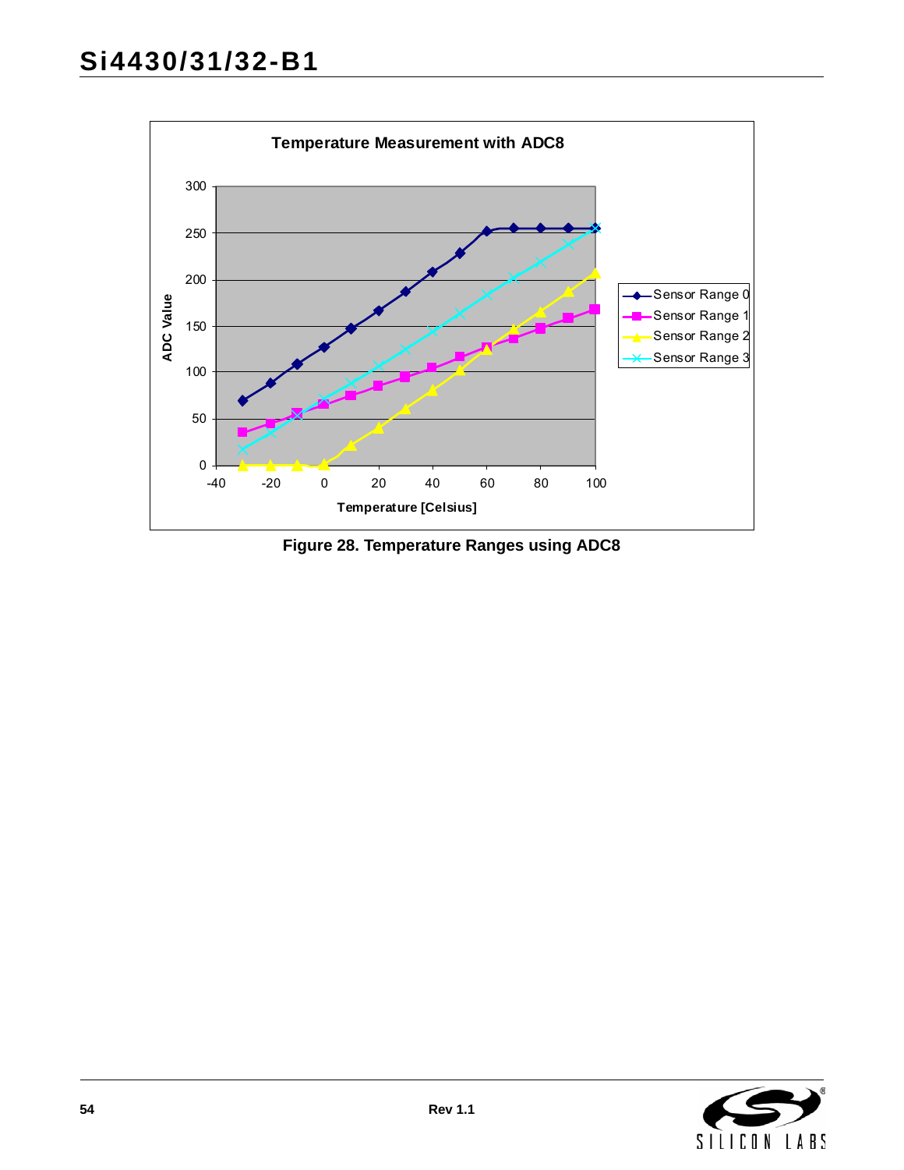

<span id="page-53-0"></span>**Figure 28. Temperature Ranges using ADC8**

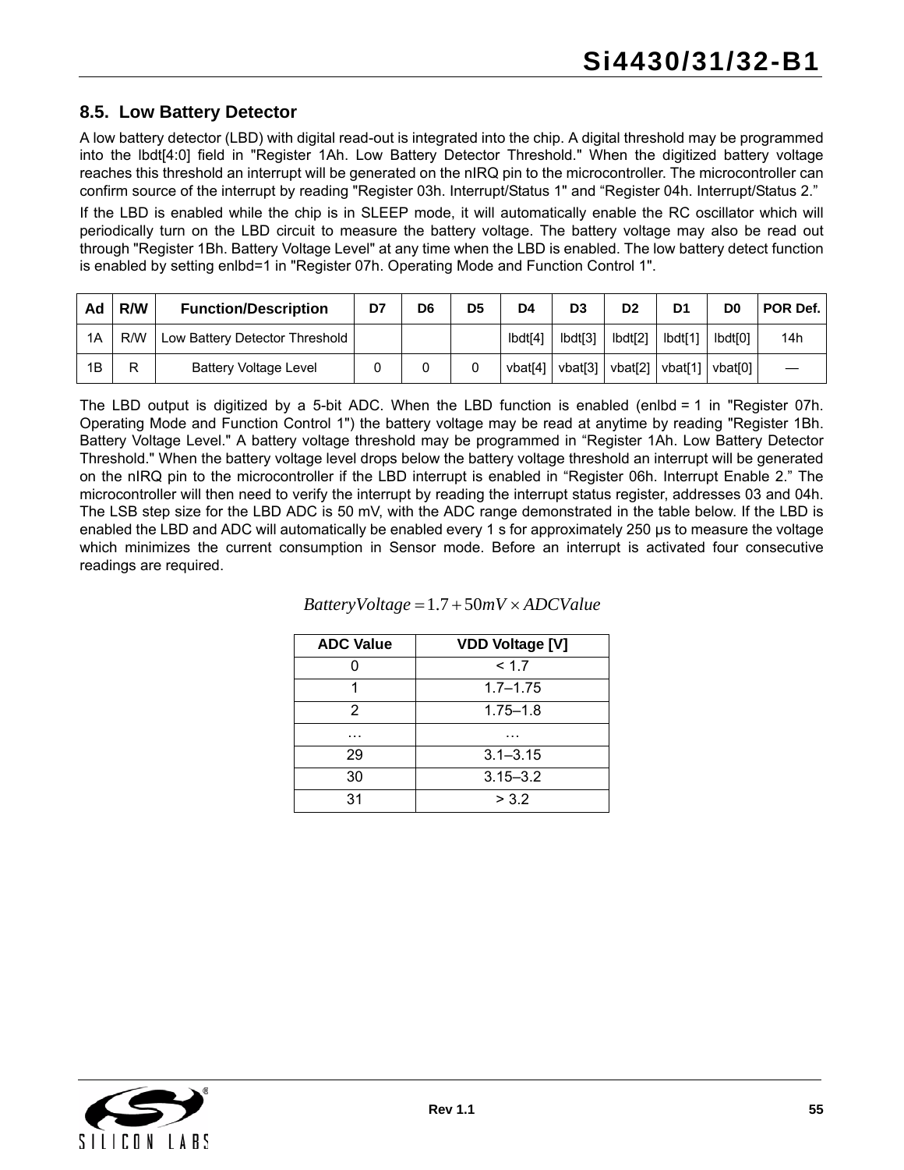### **8.5. Low Battery Detector**

A low battery detector (LBD) with digital read-out is integrated into the chip. A digital threshold may be programmed into the lbdt[4:0] field in "Register 1Ah. Low Battery Detector Threshold." When the digitized battery voltage reaches this threshold an interrupt will be generated on the nIRQ pin to the microcontroller. The microcontroller can confirm source of the interrupt by reading "Register 03h. Interrupt/Status 1" and "Register 04h. Interrupt/Status 2."

If the LBD is enabled while the chip is in SLEEP mode, it will automatically enable the RC oscillator which will periodically turn on the LBD circuit to measure the battery voltage. The battery voltage may also be read out through "Register 1Bh. Battery Voltage Level" at any time when the LBD is enabled. The low battery detect function is enabled by setting enlbd=1 in "Register 07h. Operating Mode and Function Control 1".

| Ad | R/W | <b>Function/Description</b>    | D7 | D <sub>6</sub> | D <sub>5</sub> | D <sub>4</sub>      | D <sub>3</sub> | D <sub>2</sub>   | D1                | D0                  | POR Def. |
|----|-----|--------------------------------|----|----------------|----------------|---------------------|----------------|------------------|-------------------|---------------------|----------|
| 1A | R/W | Low Battery Detector Threshold |    |                |                | Ibdt <sup>[4]</sup> | lbdt[3]        | $I\text{bdt}[2]$ | lbdt[1]           | Ibdt <sub>I01</sub> | 14h      |
| 1B | ⋼   | <b>Battery Voltage Level</b>   |    |                |                | vbat[4]             | vbat[3] ∣      | vbat[2]          | vbat[1]   vbat[0] |                     |          |

The LBD output is digitized by a 5-bit ADC. When the LBD function is enabled (enlbd = 1 in "Register 07h. Operating Mode and Function Control 1") the battery voltage may be read at anytime by reading "Register 1Bh. Battery Voltage Level." A battery voltage threshold may be programmed in "Register 1Ah. Low Battery Detector Threshold." When the battery voltage level drops below the battery voltage threshold an interrupt will be generated on the nIRQ pin to the microcontroller if the LBD interrupt is enabled in "Register 06h. Interrupt Enable 2." The microcontroller will then need to verify the interrupt by reading the interrupt status register, addresses 03 and 04h. The LSB step size for the LBD ADC is 50 mV, with the ADC range demonstrated in the table below. If the LBD is enabled the LBD and ADC will automatically be enabled every 1 s for approximately 250 µs to measure the voltage which minimizes the current consumption in Sensor mode. Before an interrupt is activated four consecutive readings are required.

| <b>ADC Value</b> | <b>VDD Voltage [V]</b> |
|------------------|------------------------|
|                  | < 1.7                  |
|                  | $1.7 - 1.75$           |
| 2                | $1.75 - 1.8$           |
| .                | .                      |
| 29               | $3.1 - 3.15$           |
| 30               | $3.15 - 3.2$           |
| 31               | > 3.2                  |

#### $Battery Voltage = 1.7 + 50mV \times ADCValue$

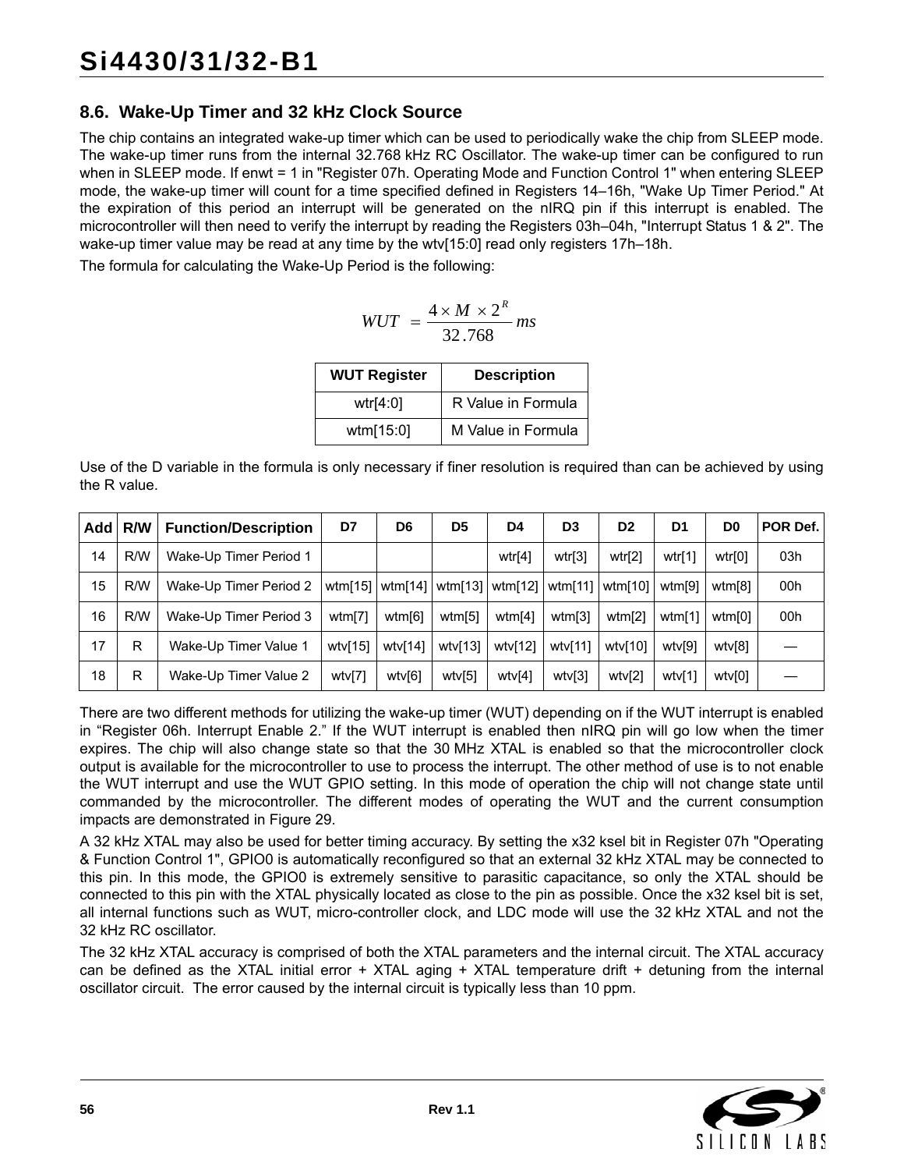## <span id="page-55-0"></span>**8.6. Wake-Up Timer and 32 kHz Clock Source**

The chip contains an integrated wake-up timer which can be used to periodically wake the chip from SLEEP mode. The wake-up timer runs from the internal 32.768 kHz RC Oscillator. The wake-up timer can be configured to run when in SLEEP mode. If enwt = 1 in "Register 07h. Operating Mode and Function Control 1" when entering SLEEP mode, the wake-up timer will count for a time specified defined in Registers 14–16h, "Wake Up Timer Period." At the expiration of this period an interrupt will be generated on the nIRQ pin if this interrupt is enabled. The microcontroller will then need to verify the interrupt by reading the Registers 03h–04h, "Interrupt Status 1 & 2". The wake-up timer value may be read at any time by the wtv[15:0] read only registers 17h–18h.

The formula for calculating the Wake-Up Period is the following:

$$
WUT = \frac{4 \times M \times 2^R}{32.768} \, \text{ms}
$$

| <b>WUT Register</b> | <b>Description</b> |
|---------------------|--------------------|
| wtr[4:0]            | R Value in Formula |
| wtm[15:0]           | M Value in Formula |

Use of the D variable in the formula is only necessary if finer resolution is required than can be achieved by using the R value.

| <b>Add</b> | <b>R/W</b> | <b>Function/Description</b> | D7         | D <sub>6</sub> | D <sub>5</sub> | D4                                    | D <sub>3</sub> | D <sub>2</sub> | D1     | D <sub>0</sub> | POR Def. |
|------------|------------|-----------------------------|------------|----------------|----------------|---------------------------------------|----------------|----------------|--------|----------------|----------|
| 14         | R/W        | Wake-Up Timer Period 1      |            |                |                | wtr[4]                                | wtr[3]         | wtr[2]         | wtr[1] | wtr[0]         | 03h      |
| 15         | R/W        | Wake-Up Timer Period 2      |            |                |                | wtm[15]   wtm[14]   wtm[13]   wtm[12] | wtm[11]        | wtm[10]        | wtm[9] | wtm[8]         | 00h      |
| 16         | R/W        | Wake-Up Timer Period 3      | wtm[7]     | wtm[6]         | wtm[5]         | wtm[4]                                | wtm[3]         | wtm[2]         | wtm[1] | wtm[0]         | 00h      |
| 17         | R          | Wake-Up Timer Value 1       | wtv $[15]$ | wtv[14]        | wtv[13]        | wtv[12]                               | wtv[11]        | wtv[10]        | wtv[9] | wtv[8]         |          |
| 18         | R          | Wake-Up Timer Value 2       | wtv[7]     | wtv[6]         | wtv[5]         | wtv[4]                                | wtv[3]         | wtv[2]         | wtv[1] | wtv[0]         |          |

There are two different methods for utilizing the wake-up timer (WUT) depending on if the WUT interrupt is enabled in "Register 06h. Interrupt Enable 2." If the WUT interrupt is enabled then nIRQ pin will go low when the timer expires. The chip will also change state so that the 30 MHz XTAL is enabled so that the microcontroller clock output is available for the microcontroller to use to process the interrupt. The other method of use is to not enable the WUT interrupt and use the WUT GPIO setting. In this mode of operation the chip will not change state until commanded by the microcontroller. The different modes of operating the WUT and the current consumption impacts are demonstrated in [Figure 29.](#page-56-0)

A 32 kHz XTAL may also be used for better timing accuracy. By setting the x32 ksel bit in Register 07h "Operating & Function Control 1", GPIO0 is automatically reconfigured so that an external 32 kHz XTAL may be connected to this pin. In this mode, the GPIO0 is extremely sensitive to parasitic capacitance, so only the XTAL should be connected to this pin with the XTAL physically located as close to the pin as possible. Once the x32 ksel bit is set, all internal functions such as WUT, micro-controller clock, and LDC mode will use the 32 kHz XTAL and not the 32 kHz RC oscillator.

The 32 kHz XTAL accuracy is comprised of both the XTAL parameters and the internal circuit. The XTAL accuracy can be defined as the XTAL initial error + XTAL aging + XTAL temperature drift + detuning from the internal oscillator circuit. The error caused by the internal circuit is typically less than 10 ppm.

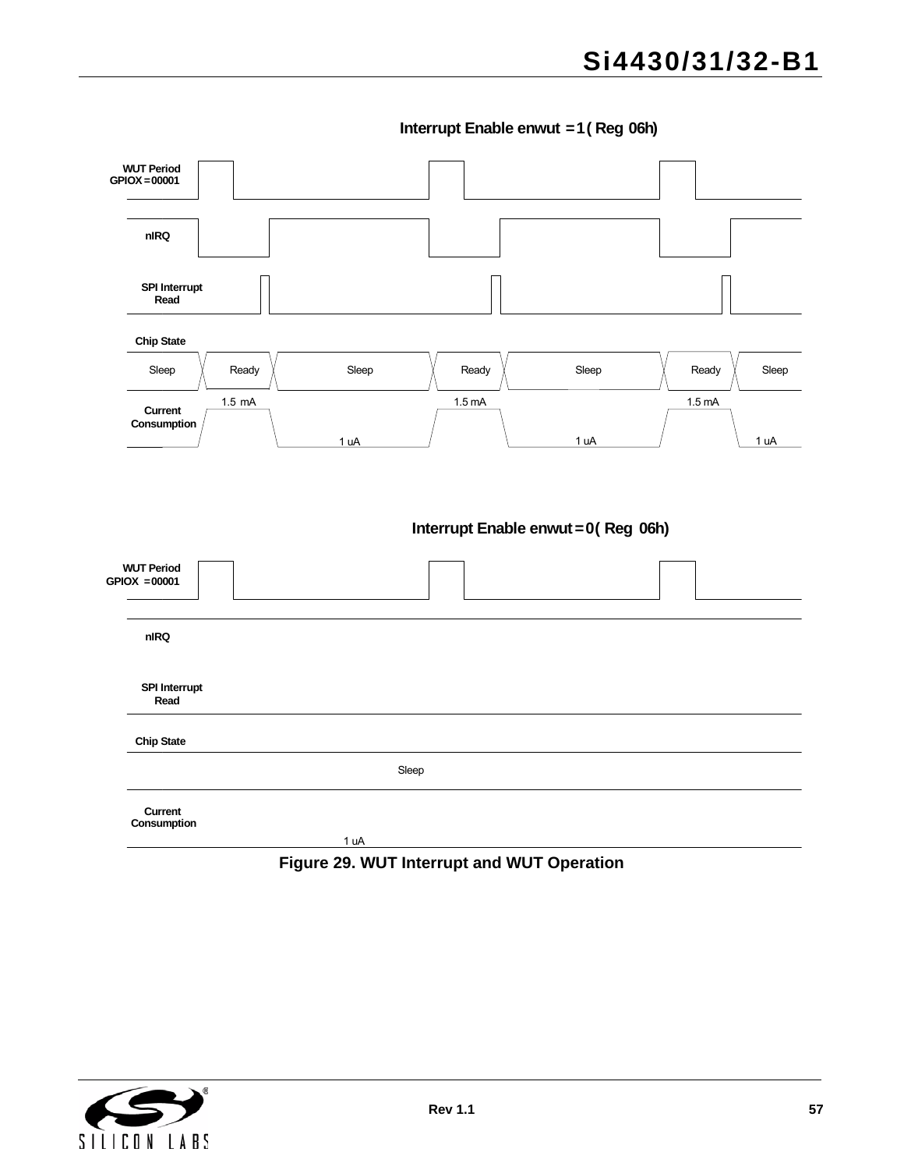**Interrupt Enable enwut =1 ( Reg 06h)**



<span id="page-56-0"></span>**Figure 29. WUT Interrupt and WUT Operation**

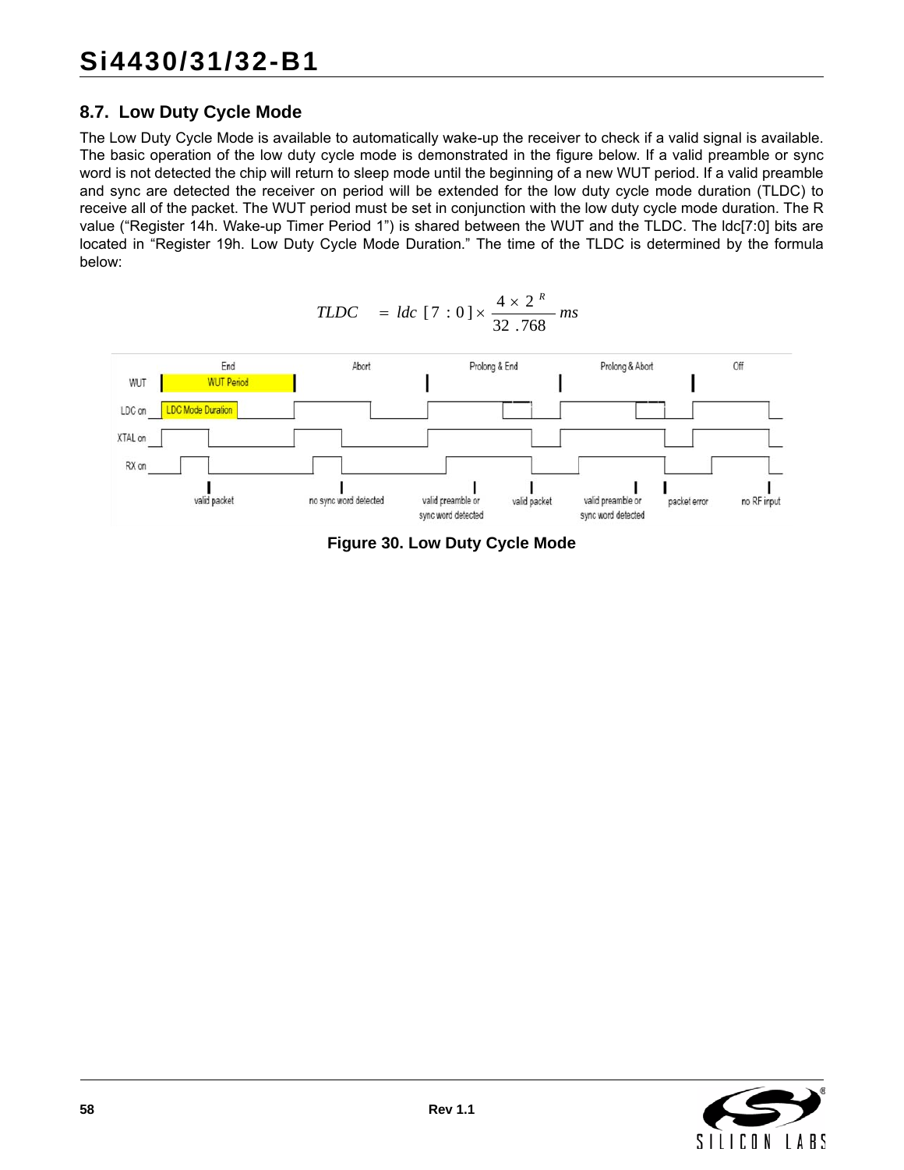## **8.7. Low Duty Cycle Mode**

The Low Duty Cycle Mode is available to automatically wake-up the receiver to check if a valid signal is available. The basic operation of the low duty cycle mode is demonstrated in the figure below. If a valid preamble or sync word is not detected the chip will return to sleep mode until the beginning of a new WUT period. If a valid preamble and sync are detected the receiver on period will be extended for the low duty cycle mode duration (TLDC) to receive all of the packet. The WUT period must be set in conjunction with the low duty cycle mode duration. The R value ("Register 14h. Wake-up Timer Period 1") is shared between the WUT and the TLDC. The ldc[7:0] bits are located in "Register 19h. Low Duty Cycle Mode Duration." The time of the TLDC is determined by the formula below:

*R*



**Figure 30. Low Duty Cycle Mode**

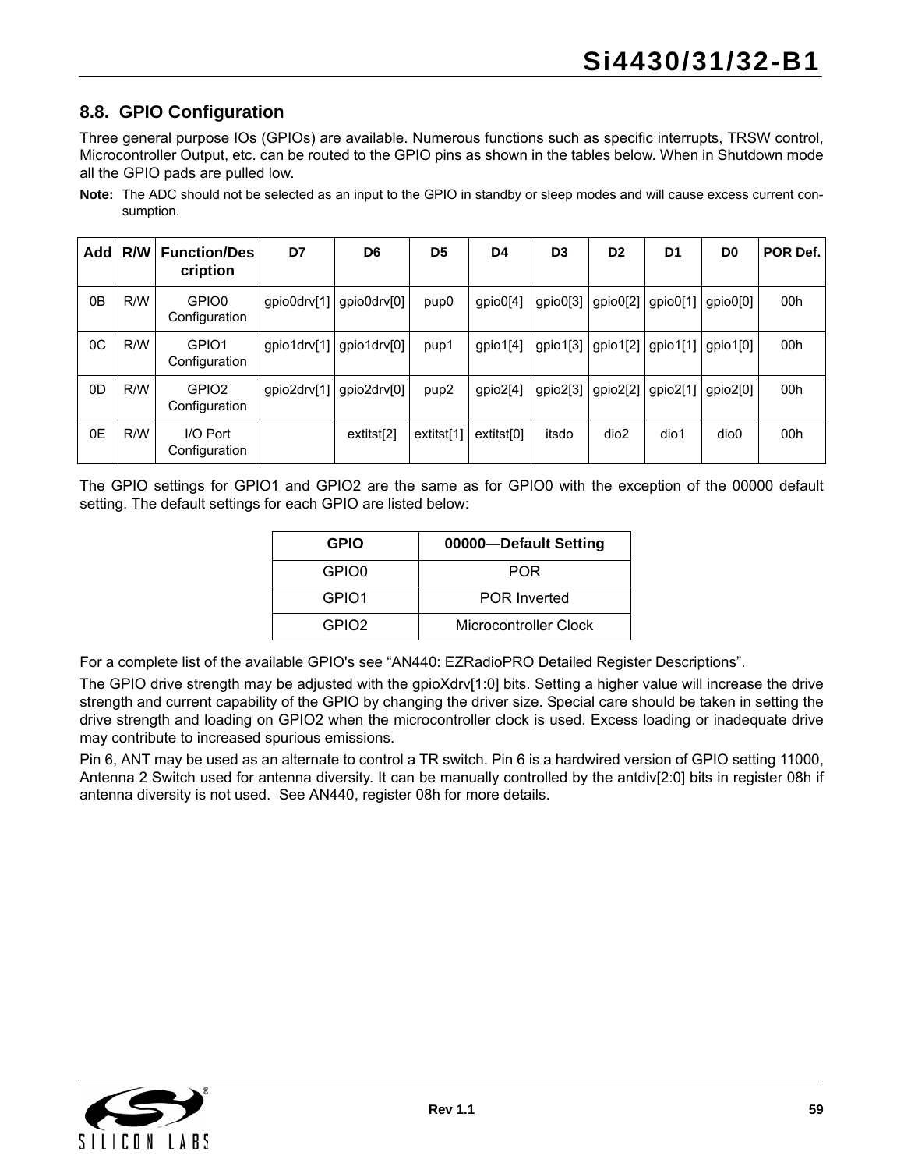## <span id="page-58-0"></span>**8.8. GPIO Configuration**

Three general purpose IOs (GPIOs) are available. Numerous functions such as specific interrupts, TRSW control, Microcontroller Output, etc. can be routed to the GPIO pins as shown in the tables below. When in Shutdown mode all the GPIO pads are pulled low.

**Note:** The ADC should not be selected as an input to the GPIO in standby or sleep modes and will cause excess current consumption.

| Add            | R/W | <b>Function/Des</b><br>cription    | D7          | D <sub>6</sub> | D <sub>5</sub>   | D4                     | D <sub>3</sub> | D <sub>2</sub> | D <sub>1</sub> | D <sub>0</sub> | POR Def. |
|----------------|-----|------------------------------------|-------------|----------------|------------------|------------------------|----------------|----------------|----------------|----------------|----------|
| 0B             | R/W | GPIO0<br>Configuration             | gpio0drv[1] | qpio0drv[0]    | pup <sub>0</sub> | gpio0[4]               | gpio0[3]       | gpio0[2]       | gpio0[1]       | gpio0[0]       | 00h      |
| $_{0C}$        | R/W | GPIO1<br>Configuration             | qpio1drv[1] | qpio1drv[0]    | pup1             | gpio1[4]               | gpi01[3]       | gpio1[2]       | $ $ gpio1[1]   | gpio1[0]       | 00h      |
| 0 <sub>D</sub> | R/W | GPIO <sub>2</sub><br>Configuration | gpio2drv[1] | qpio2drv[0]    | pup <sub>2</sub> | gpio2[4]               | gpio2[3]       | gpio2[2]       | $ $ gpio2[1]   | gpio2[0]       | 00h      |
| 0E             | R/W | I/O Port<br>Configuration          |             | extitst[2]     | extitst[1]       | extitst <sup>[0]</sup> | itsdo          | dio2           | dio1           | dio0           | 00h      |

The GPIO settings for GPIO1 and GPIO2 are the same as for GPIO0 with the exception of the 00000 default setting. The default settings for each GPIO are listed below:

| <b>GPIO</b>       | 00000-Default Setting |
|-------------------|-----------------------|
| GPIO0             | POR                   |
| GPIO <sub>1</sub> | <b>POR Inverted</b>   |
| GPIO <sub>2</sub> | Microcontroller Clock |

For a complete list of the available GPIO's see "AN440: EZRadioPRO Detailed Register Descriptions".

The GPIO drive strength may be adjusted with the gpioXdrv[1:0] bits. Setting a higher value will increase the drive strength and current capability of the GPIO by changing the driver size. Special care should be taken in setting the drive strength and loading on GPIO2 when the microcontroller clock is used. Excess loading or inadequate drive may contribute to increased spurious emissions.

Pin 6, ANT may be used as an alternate to control a TR switch. Pin 6 is a hardwired version of GPIO setting 11000, Antenna 2 Switch used for antenna diversity. It can be manually controlled by the antdiv[2:0] bits in register 08h if antenna diversity is not used. See AN440, register 08h for more details.

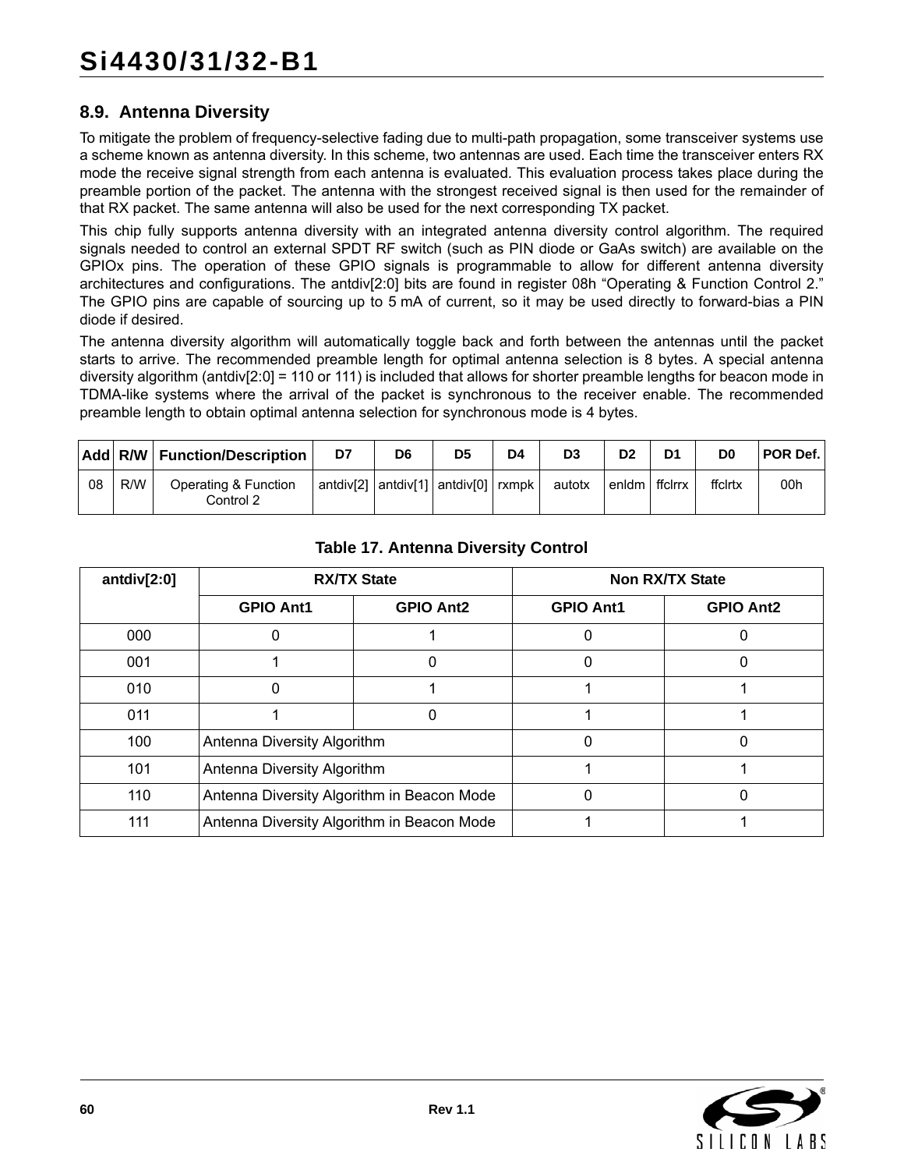### **8.9. Antenna Diversity**

To mitigate the problem of frequency-selective fading due to multi-path propagation, some transceiver systems use a scheme known as antenna diversity. In this scheme, two antennas are used. Each time the transceiver enters RX mode the receive signal strength from each antenna is evaluated. This evaluation process takes place during the preamble portion of the packet. The antenna with the strongest received signal is then used for the remainder of that RX packet. The same antenna will also be used for the next corresponding TX packet.

This chip fully supports antenna diversity with an integrated antenna diversity control algorithm. The required signals needed to control an external SPDT RF switch (such as PIN diode or GaAs switch) are available on the GPIOx pins. The operation of these GPIO signals is programmable to allow for different antenna diversity architectures and configurations. The antdiv[2:0] bits are found in register 08h "Operating & Function Control 2." The GPIO pins are capable of sourcing up to 5 mA of current, so it may be used directly to forward-bias a PIN diode if desired.

The antenna diversity algorithm will automatically toggle back and forth between the antennas until the packet starts to arrive. The recommended preamble length for optimal antenna selection is 8 bytes. A special antenna diversity algorithm (antdiv[2:0] = 110 or 111) is included that allows for shorter preamble lengths for beacon mode in TDMA-like systems where the arrival of the packet is synchronous to the receiver enable. The recommended preamble length to obtain optimal antenna selection for synchronous mode is 4 bytes.

|    |     | Add R/W Function/Description      | D7                                                      | D6 | D5 | D <sub>4</sub> | D <sub>3</sub> | D <sub>2</sub> | D1      | D <sub>0</sub> | <b>POR Def.</b> |
|----|-----|-----------------------------------|---------------------------------------------------------|----|----|----------------|----------------|----------------|---------|----------------|-----------------|
| 08 | R/W | Operating & Function<br>Control 2 | $ $ antdiv[2] $ $ antdiv[1] $ $ antdiv[0] $ $ rxmpk $ $ |    |    |                | autotx         | enidm          | ffclrrx | ffclrtx        | 00h             |

| antdiv $[2:0]$ |                                            | <b>RX/TX State</b> |                  | <b>Non RX/TX State</b> |
|----------------|--------------------------------------------|--------------------|------------------|------------------------|
|                | <b>GPIO Ant1</b>                           | <b>GPIO Ant2</b>   | <b>GPIO Ant1</b> | <b>GPIO Ant2</b>       |
| 000            |                                            |                    |                  |                        |
| 001            |                                            | O                  |                  | 0                      |
| 010            |                                            |                    |                  |                        |
| 011            |                                            |                    |                  |                        |
| 100            | Antenna Diversity Algorithm                |                    |                  | 0                      |
| 101            | Antenna Diversity Algorithm                |                    |                  |                        |
| 110            | Antenna Diversity Algorithm in Beacon Mode |                    |                  |                        |
| 111            | Antenna Diversity Algorithm in Beacon Mode |                    |                  |                        |

#### **Table 17. Antenna Diversity Control**

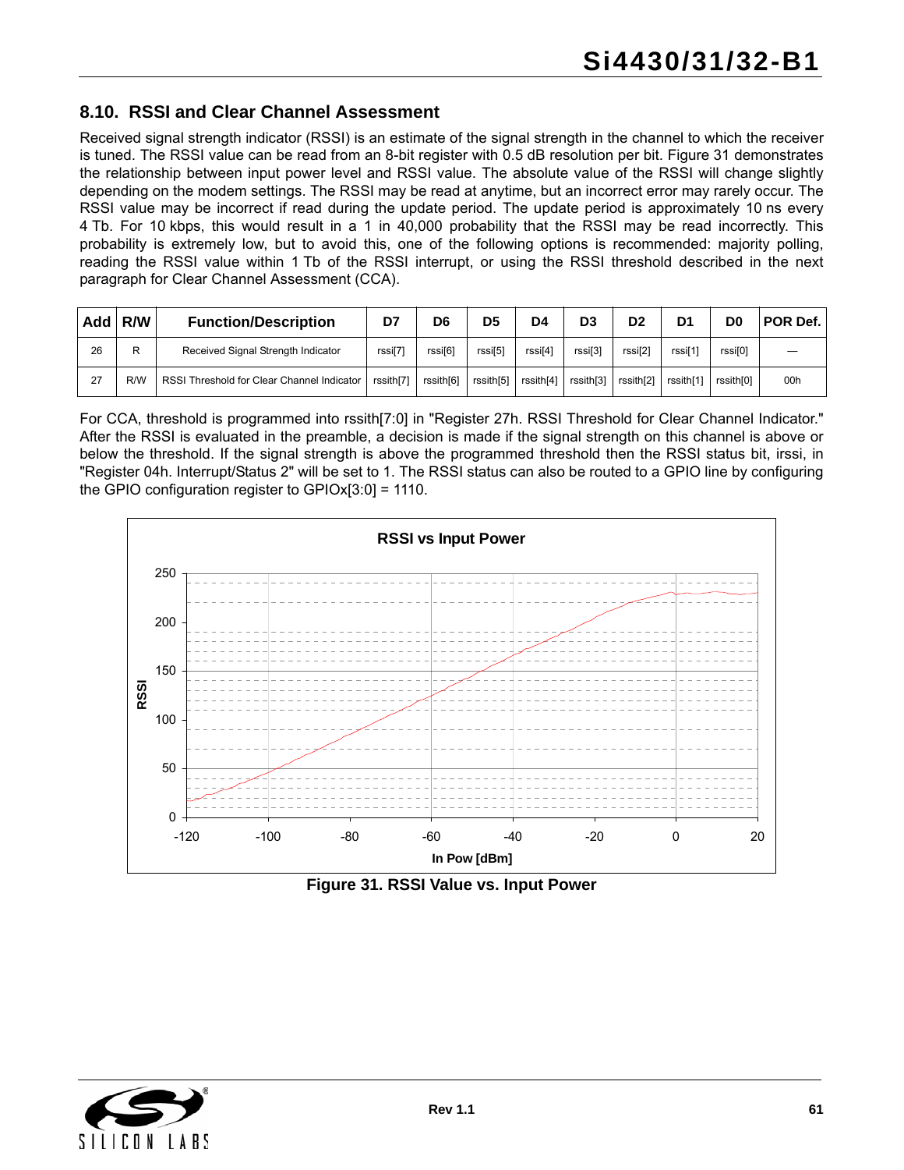#### **8.10. RSSI and Clear Channel Assessment**

Received signal strength indicator (RSSI) is an estimate of the signal strength in the channel to which the receiver is tuned. The RSSI value can be read from an 8-bit register with 0.5 dB resolution per bit. [Figure 31](#page-60-0) demonstrates the relationship between input power level and RSSI value. The absolute value of the RSSI will change slightly depending on the modem settings. The RSSI may be read at anytime, but an incorrect error may rarely occur. The RSSI value may be incorrect if read during the update period. The update period is approximately 10 ns every 4 Tb. For 10 kbps, this would result in a 1 in 40,000 probability that the RSSI may be read incorrectly. This probability is extremely low, but to avoid this, one of the following options is recommended: majority polling, reading the RSSI value within 1 Tb of the RSSI interrupt, or using the RSSI threshold described in the next paragraph for Clear Channel Assessment (CCA).

| Add l | R/W | <b>Function/Description</b>                | D7        | D6        | D5        | D4        | D <sub>3</sub> | D <sub>2</sub>      | D <sub>1</sub> | D <sub>0</sub> | POR Def. |
|-------|-----|--------------------------------------------|-----------|-----------|-----------|-----------|----------------|---------------------|----------------|----------------|----------|
| 26    | D   | Received Signal Strength Indicator         | rssi[7]   | rssi[6]   | rssi[5]   | rssi[4]   | rssi[3]        | rssi <sub>[2]</sub> | rssi[1]        | rssi[0]        |          |
| 27    | R/W | RSSI Threshold for Clear Channel Indicator | rssith[7] | rssith[6] | rssith[5] | rssith[4] | rssith[3]      | rssith[2]           | rssith[1]      | rssith[0]      | 00h      |

For CCA, threshold is programmed into rssith[7:0] in "Register 27h. RSSI Threshold for Clear Channel Indicator." After the RSSI is evaluated in the preamble, a decision is made if the signal strength on this channel is above or below the threshold. If the signal strength is above the programmed threshold then the RSSI status bit, irssi, in "Register 04h. Interrupt/Status 2" will be set to 1. The RSSI status can also be routed to a GPIO line by configuring the GPIO configuration register to GPIOx[3:0] = 1110.



**Figure 31. RSSI Value vs. Input Power**

<span id="page-60-0"></span>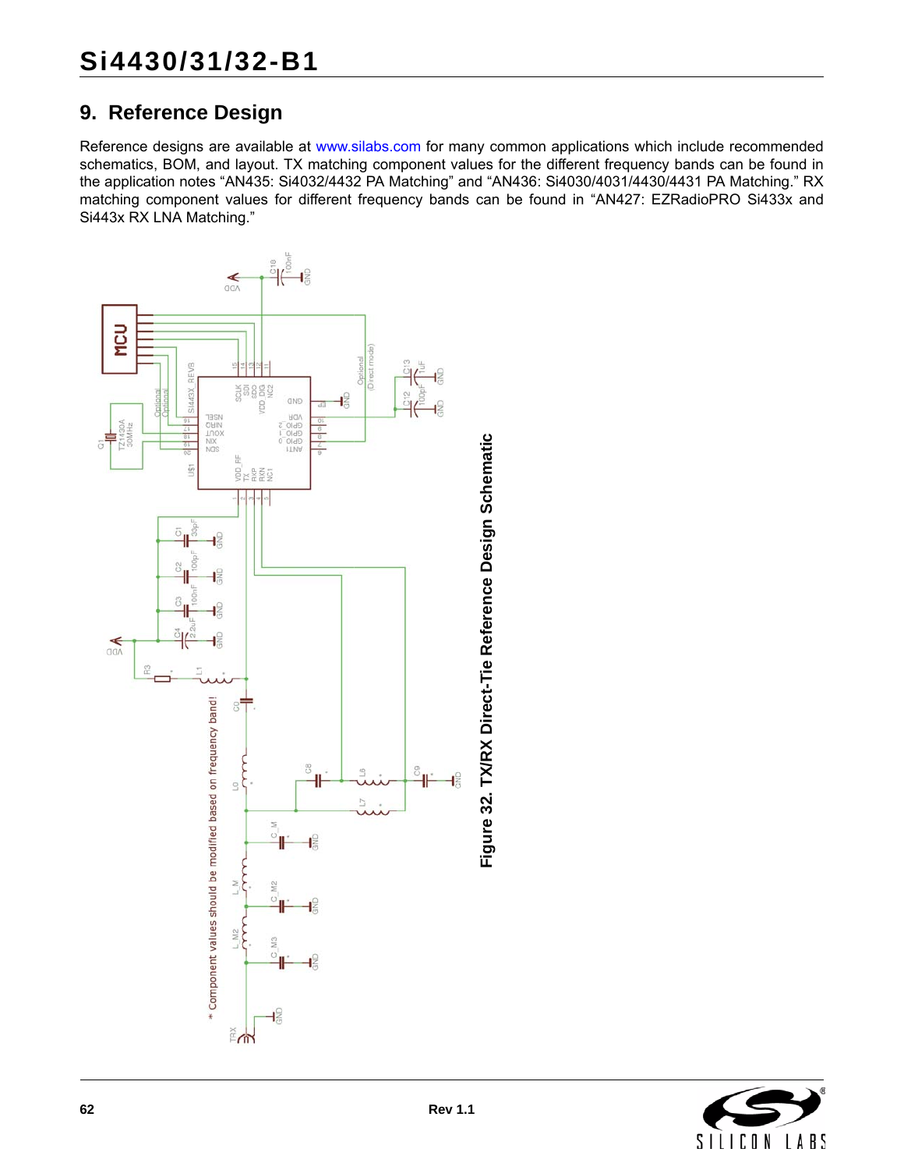# <span id="page-61-0"></span>**9. Reference Design**

[Reference designs are available at](www.silabs.com) www.silabs.com for many common applications which include recommended schematics, BOM, and layout. TX matching component values for the different frequency bands can be found in the application notes "AN435: Si4032/4432 PA Matching" and "AN436: Si4030/4031/4430/4431 PA Matching." RX matching component values for different frequency bands can be found in "AN427: EZRadioPRO Si433x and Si443x RX LNA Matching."



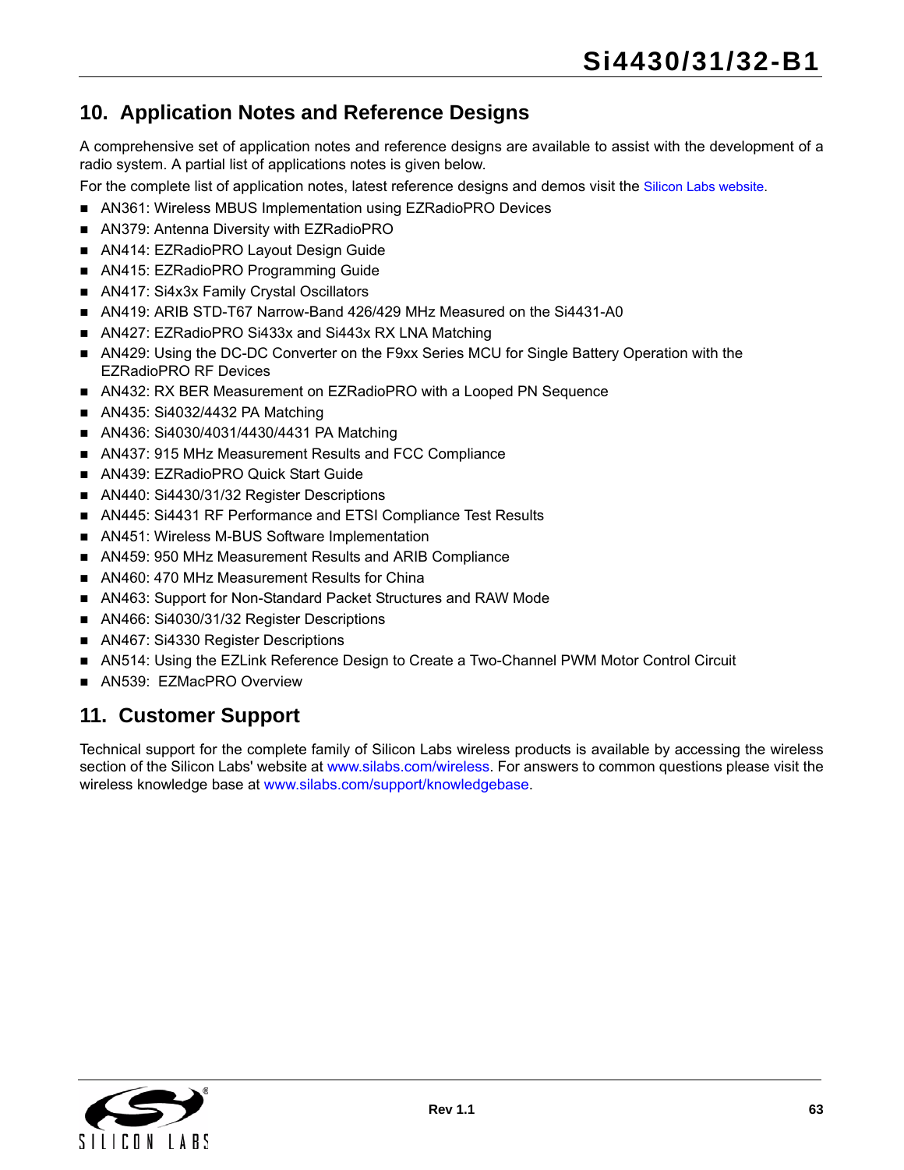# **10. Application Notes and Reference Designs**

A comprehensive set of application notes and reference designs are available to assist with the development of a radio system. A partial list of applications notes is given below.

For the complete list of application notes, latest reference designs and demos visit the [Silicon Labs website.](https://www.silabs.com/products/wireless/EZRadioPRO/Pages/default.aspx)

- AN361: Wireless MBUS Implementation using EZRadioPRO Devices
- AN379: Antenna Diversity with EZRadioPRO
- AN414: EZRadioPRO Layout Design Guide
- AN415: EZRadioPRO Programming Guide
- AN417: Si4x3x Family Crystal Oscillators
- AN419: ARIB STD-T67 Narrow-Band 426/429 MHz Measured on the Si4431-A0
- AN427: EZRadioPRO Si433x and Si443x RX LNA Matching
- AN429: Using the DC-DC Converter on the F9xx Series MCU for Single Battery Operation with the EZRadioPRO RF Devices
- AN432: RX BER Measurement on EZRadioPRO with a Looped PN Sequence
- AN435: Si4032/4432 PA Matching
- AN436: Si4030/4031/4430/4431 PA Matching
- AN437: 915 MHz Measurement Results and FCC Compliance
- AN439: EZRadioPRO Quick Start Guide
- AN440: Si4430/31/32 Register Descriptions
- AN445: Si4431 RF Performance and ETSI Compliance Test Results
- AN451: Wireless M-BUS Software Implementation
- AN459: 950 MHz Measurement Results and ARIB Compliance
- AN460: 470 MHz Measurement Results for China
- AN463: Support for Non-Standard Packet Structures and RAW Mode
- AN466: Si4030/31/32 Register Descriptions
- AN467: Si4330 Register Descriptions
- AN514: Using the EZLink Reference Design to Create a Two-Channel PWM Motor Control Circuit
- AN539: EZMacPRO Overview

# **11. Customer Support**

Technical support for the complete family of Silicon Labs wireless products is available by accessing the wireless section of the Silicon Labs' website at [www.silabs.com/wireless.](www.silabs.com/wireless) For answers to common questions please visit the wireless knowledge base at [www.silabs.com/support/knowledgebase](www.silabs.com/support/knowledgebase/Pages/EZRadioPROWirelessKB.aspx).

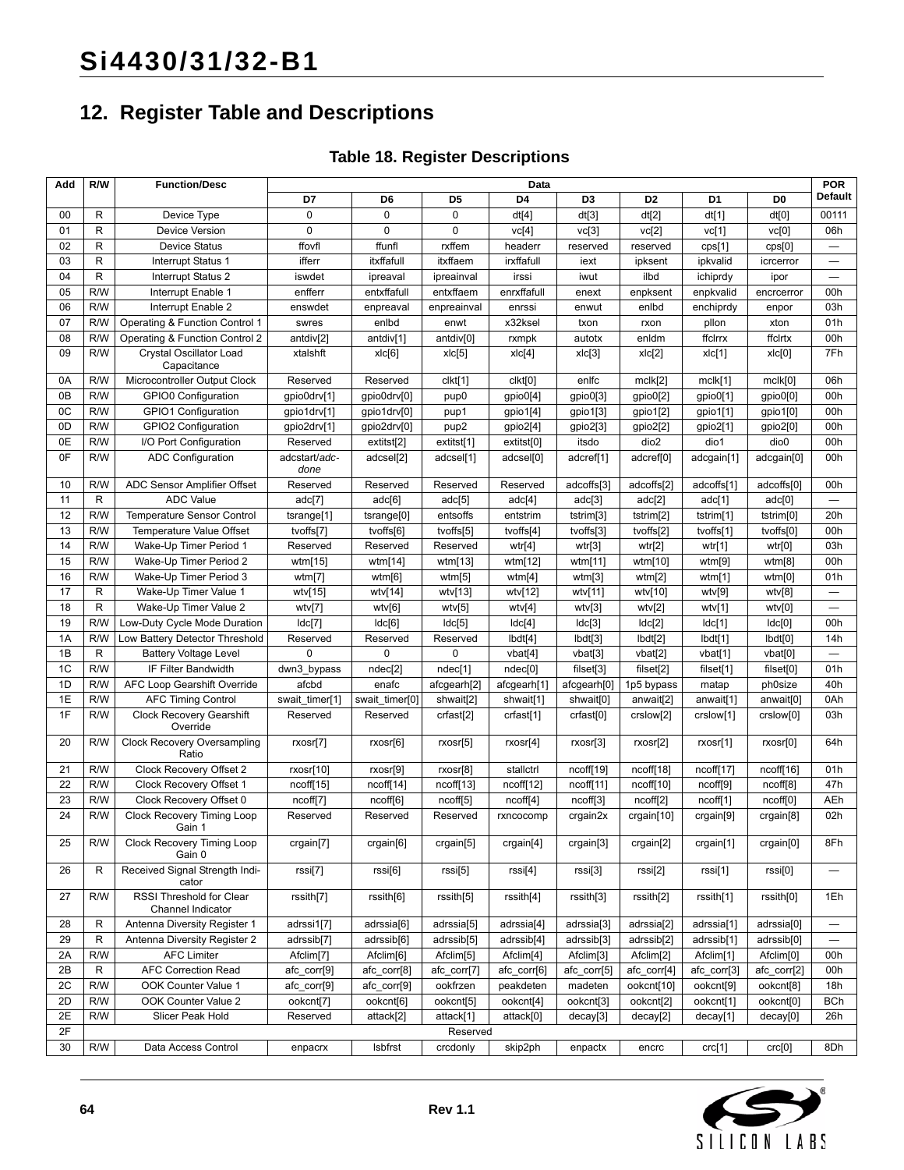# **12. Register Table and Descriptions**

## **Table 18. Register Descriptions**

| Add      | R/W          | <b>Function/Desc</b>                                         | Data                       |                            |                       |                       |                      |                        | <b>POR</b>            |                        |                          |
|----------|--------------|--------------------------------------------------------------|----------------------------|----------------------------|-----------------------|-----------------------|----------------------|------------------------|-----------------------|------------------------|--------------------------|
|          |              |                                                              | D7                         | D <sub>6</sub>             | D <sub>5</sub>        | D4                    | D <sub>3</sub>       | D <sub>2</sub>         | D <sub>1</sub>        | D <sub>0</sub>         | Default                  |
| 00       | R            | Device Type                                                  | $\mathbf 0$                | $\mathbf 0$                | $\mathbf 0$           | dt[4]                 | dt[3]                | dt[2]                  | dt[1]                 | dt[0]                  | 00111                    |
| 01       | R            | Device Version                                               | 0                          | 0                          | $\Omega$              | vc[4]                 | vc[3]                | vc[2]                  | vc[1]                 | vc[0]                  | 06h                      |
| 02       | R            | <b>Device Status</b>                                         | ffovfl                     | ffunfl                     | rxffem                | headerr               | reserved             | reserved               | cps[1]                | cps[0]                 | $\equiv$                 |
| 03       | R            | Interrupt Status 1                                           | ifferr                     | itxffafull                 | itxffaem              | irxffafull            | iext                 | ipksent                | ipkvalid              | icrcerror              | $\equiv$                 |
| 04       | R            | Interrupt Status 2                                           | iswdet                     | ipreaval                   | ipreainval            | irssi                 | iwut                 | ilbd                   | ichiprdy              | ipor                   | —                        |
| 05       | R/W          | Interrupt Enable 1                                           | enfferr                    | entxffafull                | entxffaem             | enrxffafull           | enext                | enpksent               | enpkvalid             | encrcerror             | 00h                      |
| 06       | R/W          | Interrupt Enable 2                                           | enswdet                    | enpreaval                  | enpreainval           | enrssi                | enwut                | enlbd                  | enchiprdy             | enpor                  | 03h                      |
| 07       | R/W          | Operating & Function Control 1                               | swres                      | enlbd                      | enwt                  | x32ksel               | txon                 | rxon                   | pllon                 | xton                   | 01h                      |
| 08       | R/W          | Operating & Function Control 2                               | antdiv[2]                  | antdiv[1]                  | antdiv <sup>[0]</sup> | rxmpk                 | autotx               | enIdm                  | ffclrrx               | ffclrtx                | 00h                      |
| 09       | R/W          | Crystal Oscillator Load<br>Capacitance                       | xtalshft                   | xlc[6]                     | xlc[5]                | xlc[4]                | xlc[3]               | xlc[2]                 | xlc[1]                | x c[0]                 | 7Fh                      |
| 0A       | R/W          | Microcontroller Output Clock                                 | Reserved                   | Reserved                   | clkt[1]               | clkt[0]               | enlfc                | mclk[2]                | mclk[1]               | mclk[0]                | 06h                      |
| 0B       | R/W          | GPIO0 Configuration                                          | gpio0drv[1]                | gpio0drv[0]                | pup <sub>0</sub>      | gpio0[4]              | gpio0[3]             | gpio0[2]               | gpio0[1]              | gpio0[0]               | 00h                      |
| 0C       | R/W          | GPIO1 Configuration                                          | gpio1drv[1]                | gpio1drv[0]                | pup1                  | gpio1[4]              | gpio1[3]             | gpio1[2]               | gpio1[1]              | gpio1[0]               | 00h                      |
| 0D       | R/W          | GPIO2 Configuration                                          | gpio2drv[1]                | gpio2drv[0]                | pup2                  | gpio2[4]              | gpio2[3]             | gpio2[2]               | gpio2[1]              | gpio2[0]               | 00h                      |
| 0E       | R/W          | I/O Port Configuration                                       | Reserved                   | extitst[2]                 | extitst[1]            | extitst[0]            | itsdo                | dio <sub>2</sub>       | dio1                  | dio <sub>0</sub>       | 00h                      |
| 0F       | R/W          | <b>ADC Configuration</b>                                     | adcstart/adc-<br>done      | adcsel[2]                  | adcsel[1]             | adcsel[0]             | adcref[1]            | adcref[0]              | adcgain[1]            | adcgain[0]             | 00h                      |
| 10       | R/W          | ADC Sensor Amplifier Offset                                  | Reserved                   | Reserved                   | Reserved              | Reserved              | adcoffs[3]           | adcoffs[2]             | adcoffs[1]            | adcoffs[0]             | 00h                      |
| 11       | $\mathsf{R}$ | <b>ADC Value</b>                                             | adc[7]                     | adc[6]                     | adc[5]                | adc[4]                | adc[3]               | adc[2]                 | adc[1]                | adc[0]                 | $\overline{\phantom{0}}$ |
| 12       | R/W          | <b>Temperature Sensor Control</b>                            | tsrange[1]                 | tsrange[0]                 | entsoffs              | entstrim              | tstrim[3]            | tstrim <sup>[2]</sup>  | tstrim[1]             | tstrim <sup>[0]</sup>  | 20h                      |
| 13       | R/W          | Temperature Value Offset                                     | tvoffs[7]                  | tvoffs[6]                  | tvoffs[5]             | tvoffs[4]             | tvoffs[3]            | tvoffs[2]              | tvoffs[1]             | tvoffs[0]              | 00h                      |
| 14       | R/W          | Wake-Up Timer Period 1                                       | Reserved                   | Reserved                   | Reserved              | wtr[4]                | wtr[3]               | wtr[2]                 | wtr[1]                | wtr[0]                 | 03h                      |
| 15       | R/W          | Wake-Up Timer Period 2                                       | wtm[15]                    | wtm[14]                    | wtm[13]               | wtm[12]               | wtm[11]              | wtm[10]                | wtm[9]                | wtm[8]                 | 00h                      |
| 16       | R/W          | Wake-Up Timer Period 3                                       | wtm[7]                     | wtm[6]                     | wtm[5]                | wtm[4]                | wtm[3]               | wtm[2]                 | wtm[1]                | wtm[0]                 | 01h                      |
| 17       | $\mathsf R$  | Wake-Up Timer Value 1                                        | wtv[ $15$ ]                | wtv[14]                    | wtv[13]               | wtv[12]               | wtv[11]              | wtv[10]                | wtv[9]                | wtv[8]                 | $\overline{\phantom{0}}$ |
| 18       | R            | Wake-Up Timer Value 2                                        | wtv[7]                     | wtv[6]                     | wtv[5]                | wtv[4]                | wtv[3]               | wtv[2]                 | wtv[1]                | wtv[0]                 | $\overline{\phantom{0}}$ |
| 19       | R/W          | Low-Duty Cycle Mode Duration                                 | Idc[7]                     | Idc[6]                     | Idc[5]                | ldc[4]                | Idc[3]               | Idc[2]                 | Idc[1]                | Idc[0]                 | 00h                      |
| 1A       | R/W          | Low Battery Detector Threshold                               | Reserved                   | Reserved                   | Reserved              | lbdt[4]               | lbdt[3]              | lbdt[2]                | lbdt[1]               | lbdt[0]                | 14h                      |
| 1B       | $\mathsf{R}$ | <b>Battery Voltage Level</b>                                 | $\Omega$                   | $\mathbf 0$                | 0                     | vbat[4]               | vbat[3]              | vbat[2]                | vbat[1]               | vbat <sub>[0]</sub>    | $\equiv$                 |
| 1C       | R/W          | IF Filter Bandwidth                                          | dwn3_bypass                | ndec[2]                    | ndec[1]               | ndec[0]               | fileet[3]            | filset[2]              | filset[1]             | filset[0]              | 01h                      |
| 1D       | R/W          | AFC Loop Gearshift Override                                  | afcbd                      | enafc                      | afcgearh[2]           | afcgearh[1]           | afcgearh[0]          | 1p5 bypass             | matap                 | ph0size                | 40h                      |
| 1E<br>1F | R/W<br>R/W   | <b>AFC Timing Control</b><br><b>Clock Recovery Gearshift</b> | swait timer[1]<br>Reserved | swait timer[0]<br>Reserved | shwait[2]             | shwait[1]             | shwait[0]            | anwait[2]              | anwait[1]             | anwait[0]              | 0Ah<br>03h               |
|          |              | Override                                                     |                            |                            | crfast <sup>[2]</sup> | crfast[1]             | crfast[0]            | crslow[2]              | crslow[1]             | crslow[0]              |                          |
| 20       | R/W          | <b>Clock Recovery Oversampling</b><br>Ratio                  | rxosr[7]                   | rxosr[6]                   | rxosr[5]              | rxosr[4]              | rxosr[3]             | rxosr[2]               | rxosr[1]              | rxosr[0]               | 64h                      |
| 21       | R/W          | Clock Recovery Offset 2                                      | rxosr[10]                  | rxosr[9]                   | rxosr[8]              | stallctrl             | ncoff[19]            | ncoff[18]              | ncoff[17]             | ncoff[16]              | 01h                      |
| 22       | R/W          | Clock Recovery Offset 1                                      | ncoff[15]                  | ncoff[14]                  | ncoff[13]             | ncoff[12]             | ncoff[11]            | ncoff[10]              | ncoff[9]              | ncoff[8]               | 47h                      |
| 23<br>24 | R/W<br>R/W   | Clock Recovery Offset 0<br>Clock Recovery Timing Loop        | ncoff[7]<br>Reserved       | ncoff[6]<br>Reserved       | ncoff[5]<br>Reserved  | ncoff[4]<br>rxncocomp | ncoff[3]<br>crgain2x | ncoff[2]<br>crgain[10] | ncoff[1]<br>crgain[9] | ncoff[0]<br>crgain[8]  | AEh<br>02h               |
| 25       | R/W          | Gain 1<br>Clock Recovery Timing Loop<br>Gain 0               | crgain[7]                  | crgain[6]                  | crgain[5]             | crgain[4]             | crgain[3]            | crgain[2]              | crgain[1]             | crgain[0]              | 8Fh                      |
| 26       | R            | Received Signal Strength Indi-<br>cator                      | rssi[7]                    | rssi[6]                    | rssi[5]               | rssi[4]               | rssi[3]              | rssi[2]                | rssi[1]               | rssi[0]                |                          |
| 27       | R/W          | RSSI Threshold for Clear<br>Channel Indicator                | rssith[7]                  | rssith[6]                  | rssith[5]             | rssith[4]             | rssith[3]            | rssith[2]              | rssith[1]             | rssith[0]              | 1Eh                      |
| 28       | R            | Antenna Diversity Register 1                                 | adrssi1[7]                 | adrssia[6]                 | adrssia[5]            | adrssia[4]            | adrssia[3]           | adrssia <sup>[2]</sup> | adrssia[1]            | adrssia <sup>[0]</sup> | —                        |
| 29       | R            | Antenna Diversity Register 2                                 | adrssib[7]                 | adrssib[6]                 | adrssib[5]            | adrssib[4]            | adrssib[3]           | adrssib[2]             | adrssib[1]            | adrssib[0]             |                          |
| 2A       | R/W          | <b>AFC Limiter</b>                                           | Afclim[7]                  | Afclim <sup>[6]</sup>      | Afclim[5]             | Afclim[4]             | Afclim[3]            | Afclim[2]              | Afclim[1]             | Afclim[0]              | 00h                      |
| 2В       | R            | <b>AFC Correction Read</b>                                   | afc_corr[9]                | afc_corr[8]                | afc_corr[7]           | afc_corr[6]           | afc_corr[5]          | afc_corr[4]            | afc_corr[3]           | afc_corr[2]            | 00h                      |
| 2C       | R/W          | OOK Counter Value 1                                          | afc_corr[9]                | afc_corr[9]                | ookfrzen              | peakdeten             | madeten              | ookcnt[10]             | ookcnt[9]             | ookcnt[8]              | 18h                      |
| 2D       | R/W          | OOK Counter Value 2                                          | ookcnt[7]                  | ookcnt[6]                  | ookcnt[5]             | ookcnt[4]             | ookcnt[3]            | ookcnt[2]              | ookcnt[1]             | ookcnt[0]              | BCh                      |
| 2E       | R/W          | Slicer Peak Hold                                             | Reserved                   | attack[2]                  | attack[1]             | attack[0]             | decay[3]             | decay[2]               | decay[1]              | decay[0]               | 26h                      |
| 2F       |              |                                                              |                            |                            | Reserved              |                       |                      |                        |                       |                        |                          |
| 30       | R/W          | Data Access Control                                          | enpacrx                    | Isbfrst                    | crcdonly              | skip2ph               | enpactx              | encrc                  | crc[1]                | crc[0]                 | 8Dh                      |

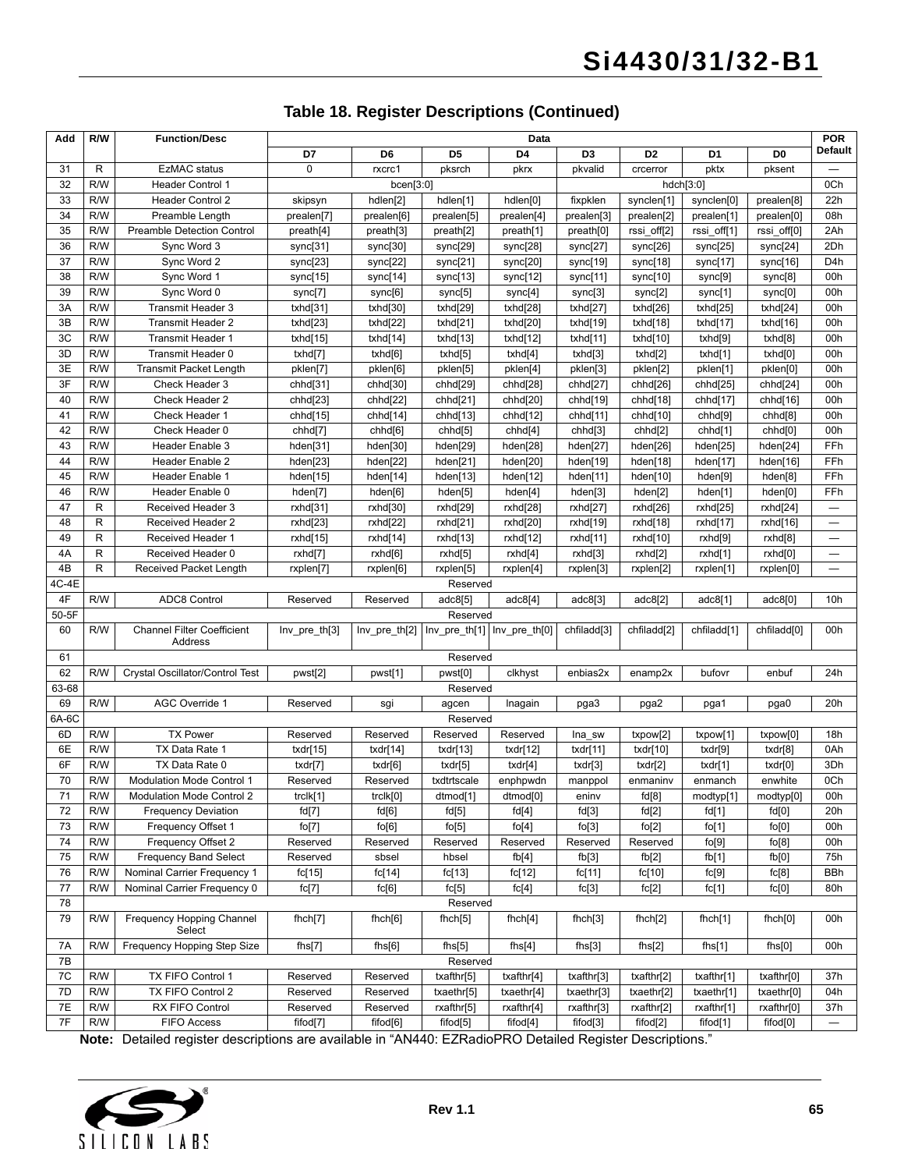#### **Table 18. Register Descriptions (Continued)**

| Add       | R/W | <b>Function/Desc</b>                         | Data              |                |                                             |                      |                |                         | <b>POR</b>     |                         |                                |
|-----------|-----|----------------------------------------------|-------------------|----------------|---------------------------------------------|----------------------|----------------|-------------------------|----------------|-------------------------|--------------------------------|
|           |     |                                              | D7                | D <sub>6</sub> | D <sub>5</sub>                              | D <sub>4</sub>       | D <sub>3</sub> | D <sub>2</sub>          | D <sub>1</sub> | D <sub>0</sub>          | <b>Default</b>                 |
| 31        | R   | <b>EzMAC</b> status                          | $\Omega$          | rxcrc1         | pksrch                                      | pkrx                 | pkvalid        | crcerror                | pktx           | pksent                  |                                |
| 32        | R/W | <b>Header Control 1</b>                      |                   | bcen[3:0]      |                                             |                      |                | hdch[3:0]               |                |                         | 0Ch                            |
| 33        | R/W | <b>Header Control 2</b>                      | skipsyn           | hdlen[2]       | hdlen[1]                                    | hdlen[0]             | fixpklen       | synclen[1]              | synclen[0]     | prealen[8]              | 22h                            |
| 34        | R/W | Preamble Length                              | prealen[7]        | prealen[6]     | prealen[5]                                  | prealen[4]           | prealen[3]     | prealen[2]              | prealen[1]     | prealen[0]              | 08h                            |
| 35        | R/W | <b>Preamble Detection Control</b>            | preath[4]         | preath[3]      | preath[2]                                   | preath[1]            | preath[0]      | rssi_off[2]             | rssi_off[1]    | rssi_off[0]             | 2Ah                            |
| 36        | R/W | Sync Word 3                                  | sync[31]          | sync[30]       | sync[29]                                    | sync[28]             | sync[27]       | sync[26]                | sync[25]       | sync[24]                | 2Dh                            |
| 37        | R/W | Sync Word 2                                  | sync[23]          | sync[22]       | sync[21]                                    | sync[20]             | sync[19]       | sync[18]                | sync[17]       | sync[16]                | D4h                            |
| 38        | R/W | Sync Word 1                                  | sync[15]          | sync[14]       | sync[13]                                    | sync[12]             | sync[11]       | sync[10]                | sync[9]        | sync[8]                 | 00h                            |
| 39        | R/W | Sync Word 0                                  | sync[7]           | sync[6]        | sync[5]                                     | sync[4]              | sync[3]        | sync[2]                 | sync[1]        | sync[0]                 | 00h                            |
| 3A        | R/W | Transmit Header 3                            | txhd[31]          | txhd[30]       | txhd[29]                                    | txhd[28]             | txhd[27]       | txhd[26]                | txhd[25]       | txhd[24]                | 00h                            |
| 3B        | R/W | <b>Transmit Header 2</b>                     | txhd[23]          | txhd[22]       | txhd[21]                                    | txhd[20]             | txhd[19]       | txhd[18]                | txhd[17]       | txhd[16]                | 00h                            |
| 3C        | R/W | Transmit Header 1                            | txhd[15]          | txhd[14]       | txhd[13]                                    | txhd[12]             | txhd[11]       | txhd[10]                | txhd[9]        | txhd[8]                 | 00h                            |
| 3D        | R/W | Transmit Header 0                            | txhd[7]           | txhd[6]        | txhd[5]                                     | txhd[4]              | txhd[3]        | txhd[2]                 | txhd[1]        | txhd[0]                 | 00h                            |
| 3E        | R/W | <b>Transmit Packet Length</b>                | pklen[7]          | pklen[6]       | pklen[5]                                    | pklen[4]             | pklen[3]       | pklen[2]                | pklen[1]       | pklen[0]                | 00h                            |
| 3F        | R/W | Check Header 3                               | chhd[31]          | chhd[30]       | chhd[29]                                    | chhd[28]             | chhd[27]       | chhd[26]                | chhd[25]       | chhd[24]                | 00h                            |
| 40        | R/W | Check Header 2                               | chhd[23]          | chhd[22]       | chhd[21]                                    | chhd[20]             | chhd[19]       | chhd[18]                | chhd[17]       | chhd[16]                | 00h                            |
| 41        | R/W | Check Header 1                               | chhd[15]          | chhd[14]       | chhd[13]                                    | chhd[12]             | chhd[11]       | chhd[10]                | chhd[9]        | chhd <sup>[8]</sup>     | 00h                            |
| 42        | R/W | Check Header 0                               | chhd[7]           | chhd[6]        | chhd[5]                                     | chhd[4]              | chhd[3]        | chhd[2]                 | chhd[1]        | chhd[0]                 | 00h                            |
| 43        | R/W | Header Enable 3                              | hden[31]          | hden[30]       | hden[29]                                    | hden[28]             | hden[27]       | hden[26]                | hden[25]       | hden[24]                | FFh                            |
| 44        | R/W | Header Enable 2                              | hden[23]          | hden[22]       | hden[21]                                    | hden[20]             | hden[19]       | hden[18]                | hden[17]       | hden[16]                | FFh                            |
| 45        | R/W | Header Enable 1                              | hden[15]          | hden[14]       | hden[13]                                    | hden[12]             | hden[11]       | hden[10]                | hden[9]        | hden[8]                 | FFh                            |
| 46        | R/W | Header Enable 0                              | hden[7]           | hden[6]        | hden[5]                                     | hden[4]              | hden[3]        | hden[2]                 | hden[1]        | hden[0]                 | FFh                            |
| 47        | R   | Received Header 3                            | rxhd[31]          | rxhd[30]       | rxhd[29]                                    | rxhd[28]             | rxhd[27]       | rxhd[26]                | rxhd[25]       | rxhd[24]                | $\qquad \qquad \longleftarrow$ |
| 48        | R   | Received Header 2                            | rxhd[23]          | rxhd[22]       | rxhd[21]                                    | rxhd[20]             | rxhd[19]       | rxhd[18]                | rxhd[17]       | rxhd[16]                | $\overline{\phantom{0}}$       |
| 49        | R   | Received Header 1                            | rxhd[15]          | rxhd[14]       | rxhd[13]                                    | rxhd[12]             | rxhd[11]       | rxhd[10]                | rxhd[9]        | rxhd[8]                 |                                |
| 4A        | R   | Received Header 0                            | rxhd[7]           | rxhd[6]        | rxhd[5]                                     | rxhd[4]              | rxhd[3]        | rxhd[2]                 | rxhd[1]        | rxhd[0]                 |                                |
| 4B        | R   | Received Packet Length                       | rxplen[7]         | rxplen[6]      | rxplen[5]                                   | rxplen[4]            | rxplen[3]      | rxplen[2]               | rxplen[1]      | rxplen[0]               |                                |
| 4C-4E     |     |                                              |                   |                | Reserved                                    |                      |                |                         |                |                         |                                |
| 4F        | R/W | <b>ADC8 Control</b>                          | Reserved          | Reserved       | adc8[5]                                     | adc8[4]              | adc8[3]        | adc8[2]                 | adc8[1]        | adc8[0]                 | 10 <sub>h</sub>                |
| 50-5F     |     |                                              |                   |                | Reserved                                    |                      |                |                         |                |                         |                                |
| 60        | R/W | <b>Channel Filter Coefficient</b><br>Address | $Inv\_pre\_th[3]$ |                | Inv_pre_th[2]  Inv_pre_th[1]  Inv_pre_th[0] |                      | chfiladd[3]    | chfiladd <sup>[2]</sup> | chfiladd[1]    | chfiladd <sup>[0]</sup> | 00h                            |
| 61        |     |                                              |                   |                | Reserved                                    |                      |                |                         |                |                         |                                |
| 62        | R/W | Crystal Oscillator/Control Test              | pwst[2]           | pwst[1]        | pwst[0]                                     | clkhyst              | enbias2x       | enamp2x                 | bufovr         | enbuf                   | 24h                            |
| $63 - 68$ |     |                                              |                   |                | Reserved                                    |                      |                |                         |                |                         |                                |
| 69        | R/W | AGC Override 1                               | Reserved          | sgi            | agcen                                       | Inagain              | pga3           | pga2                    | pga1           | pga0                    | 20h                            |
| $6A-6C$   |     |                                              |                   |                | Reserved                                    |                      |                |                         |                |                         |                                |
| 6D        | R/W | <b>TX Power</b>                              | Reserved          | Reserved       | Reserved                                    | Reserved             | Ina_sw         | txpow[2]                | txpow[1]       | txpow[0]                | 18h                            |
| 6E        | R/W | TX Data Rate 1                               | txdr $[15]$       | txdr[14]       | txdr[13]                                    | txdr $[12]$          | txdr[11]       | txdr[10]                | txdr[9]        | txdr[8]                 | 0Ah                            |
| 6F        | R/W | TX Data Rate 0                               | txdr[7]           | txdr[6]        | txdr[5]                                     | txdr[4]              | txdr[3]        | txdr[2]                 | txdr[1]        | txdr[0]                 | 3Dh                            |
| 70        | R/W | <b>Modulation Mode Control 1</b>             | Reserved          | Reserved       | txdtrtscale                                 | enphpwdn             | manppol        | enmaninv                | enmanch        | enwhite                 | 0Ch                            |
| 71        | R/W | <b>Modulation Mode Control 2</b>             | trclk[1]          | trclk[0]       | dtmod[1]                                    | dtmod <sup>[0]</sup> | eninv          | fd[8]                   | modtyp[1]      | modtyp[0]               | 00h                            |
| 72        | R/W | <b>Frequency Deviation</b>                   | fd[7]             | fd[6]          | fd[5]                                       | fd[4]                | fd[3]          | fd[2]                   | fd[1]          | fd[0]                   | 20h                            |
| 73        | R/W | Frequency Offset 1                           | fo[7]             | fo[6]          | fo[5]                                       | fo[4]                | fo[3]          | fo[2]                   | fo[1]          | fo[0]                   | 00h                            |
| 74        | R/W | Frequency Offset 2                           | Reserved          | Reserved       | Reserved                                    | Reserved             | Reserved       | Reserved                | fo[9]          | fo[8]                   | 00h                            |
| 75        | R/W | <b>Frequency Band Select</b>                 | Reserved          | sbsel          | hbsel                                       | fb[4]                | fb[3]          | fb[2]                   | fb[1]          | fb[0]                   | 75h                            |
| 76        | R/W | Nominal Carrier Frequency 1                  | fc[15]            | fc[14]         | fc[13]                                      | fc[12]               | fc[11]         | fc[10]                  | fc[9]          | fc[8]                   | <b>BBh</b>                     |
| 77        | R/W | Nominal Carrier Frequency 0                  | fc[7]             | fc[6]          | fc[5]                                       | fc[4]                | fc[3]          | fc[2]                   | fc[1]          | fc[0]                   | 80h                            |
| 78        |     |                                              |                   |                | Reserved                                    |                      |                |                         |                |                         |                                |
| 79        | R/W | Frequency Hopping Channel<br>Select          | fhch[7]           | f hch[6]       | fhch[5]                                     | f hch[4]             | f hch[3]       | f hch[2]                | fhch[1]        | fhch[0]                 | 00h                            |
| 7A        | R/W | Frequency Hopping Step Size                  | fhs[7]            | fhs[6]         | fhs[5]                                      | fhs[4]               | fhs[3]         | fhs[2]                  | fhs[1]         | fhs[0]                  | 00h                            |
| 7B        |     |                                              |                   |                | Reserved                                    |                      |                |                         |                |                         |                                |
| 7C        | R/W | TX FIFO Control 1                            | Reserved          | Reserved       | txafthr[5]                                  | txafthr[4]           | txafthr[3]     | txafthr[2]              | txafthr[1]     | txafthr[0]              | 37h                            |
| 7D        | R/W | TX FIFO Control 2                            | Reserved          | Reserved       | txaethr[5]                                  | txaethr[4]           | txaethr[3]     | txaethr[2]              | txaethr[1]     | txaethr[0]              | 04h                            |
| 7E        | R/W | RX FIFO Control                              | Reserved          | Reserved       | rxafthr[5]                                  | rxafthr[4]           | rxafthr[3]     | rxafthr[2]              | rxafthr[1]     | rxafthr[0]              | 37h                            |
| 7F        | R/W | FIFO Access                                  | fifod[7]          | fifod[6]       | fifod[5]                                    | fifod <sup>[4]</sup> | fifod[3]       | fifod[2]                | fifod[1]       | fifod[0]                | $\qquad \qquad -$              |

**Note:** Detailed register descriptions are available in "AN440: EZRadioPRO Detailed Register Descriptions."

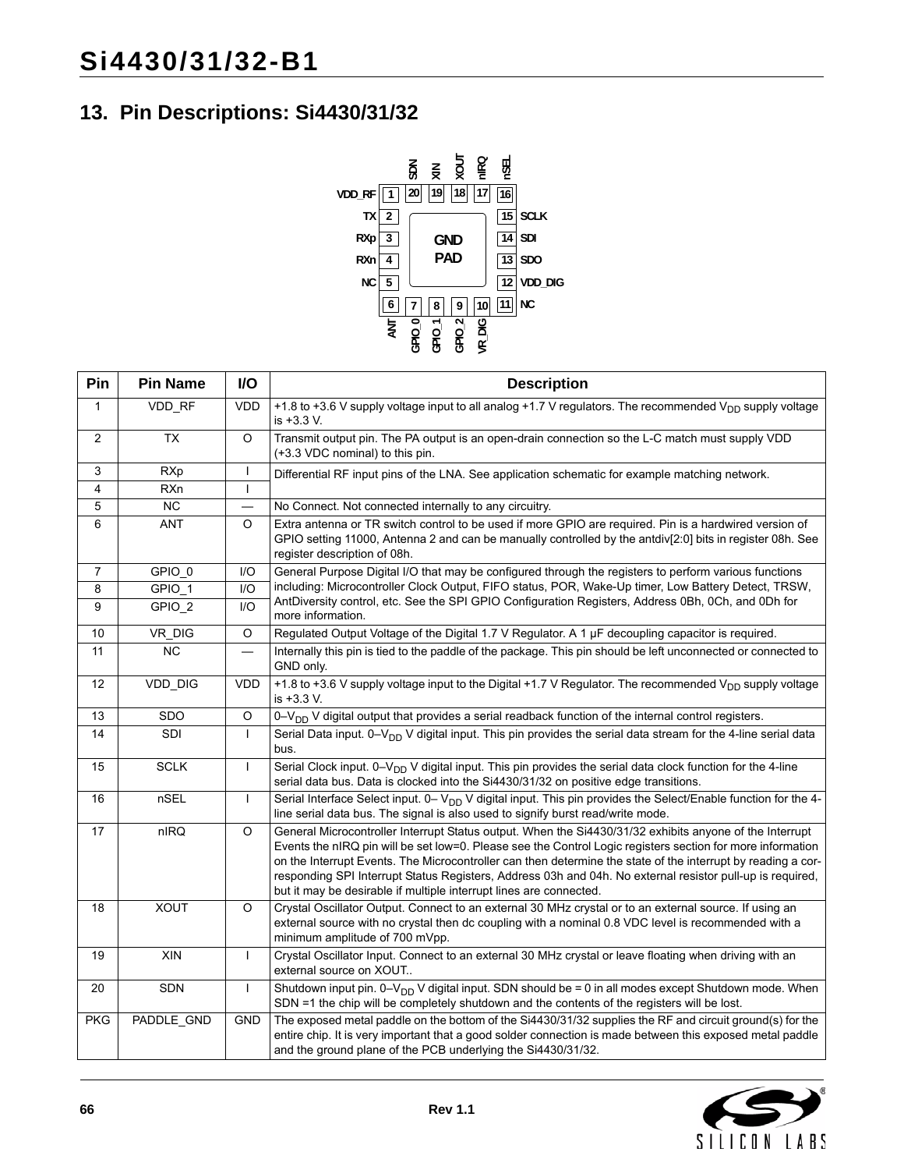# **13. Pin Descriptions: Si4430/31/32**



| Pin             | <b>Pin Name</b> | I/O          | <b>Description</b>                                                                                                                                                                                                                                                                                                                                                                                                                                                                                                       |  |
|-----------------|-----------------|--------------|--------------------------------------------------------------------------------------------------------------------------------------------------------------------------------------------------------------------------------------------------------------------------------------------------------------------------------------------------------------------------------------------------------------------------------------------------------------------------------------------------------------------------|--|
| 1               | VDD_RF          | <b>VDD</b>   | +1.8 to +3.6 V supply voltage input to all analog +1.7 V regulators. The recommended V <sub>DD</sub> supply voltage<br>is +3.3 V.                                                                                                                                                                                                                                                                                                                                                                                        |  |
| $\overline{2}$  | $\overline{TX}$ | $\circ$      | Transmit output pin. The PA output is an open-drain connection so the L-C match must supply VDD<br>(+3.3 VDC nominal) to this pin.                                                                                                                                                                                                                                                                                                                                                                                       |  |
| $\overline{3}$  | <b>RXp</b>      |              | Differential RF input pins of the LNA. See application schematic for example matching network.                                                                                                                                                                                                                                                                                                                                                                                                                           |  |
| 4               | RXn             |              |                                                                                                                                                                                                                                                                                                                                                                                                                                                                                                                          |  |
| 5               | NC              |              | No Connect. Not connected internally to any circuitry.                                                                                                                                                                                                                                                                                                                                                                                                                                                                   |  |
| 6               | <b>ANT</b>      | $\Omega$     | Extra antenna or TR switch control to be used if more GPIO are required. Pin is a hardwired version of<br>GPIO setting 11000, Antenna 2 and can be manually controlled by the antdiv[2:0] bits in register 08h. See<br>register description of 08h.                                                                                                                                                                                                                                                                      |  |
| $\overline{7}$  | GPIO 0          | 1/O          | General Purpose Digital I/O that may be configured through the registers to perform various functions                                                                                                                                                                                                                                                                                                                                                                                                                    |  |
| 8               | GPIO_1          | 1/O          | including: Microcontroller Clock Output, FIFO status, POR, Wake-Up timer, Low Battery Detect, TRSW,                                                                                                                                                                                                                                                                                                                                                                                                                      |  |
| 9               | GPIO_2          | 1/O          | AntDiversity control, etc. See the SPI GPIO Configuration Registers, Address 0Bh, 0Ch, and 0Dh for<br>more information.                                                                                                                                                                                                                                                                                                                                                                                                  |  |
| $10$            | VR_DIG          | $\circ$      | Regulated Output Voltage of the Digital 1.7 V Regulator. A 1 µF decoupling capacitor is required.                                                                                                                                                                                                                                                                                                                                                                                                                        |  |
| $\overline{11}$ | <b>NC</b>       |              | Internally this pin is tied to the paddle of the package. This pin should be left unconnected or connected to<br>GND only.                                                                                                                                                                                                                                                                                                                                                                                               |  |
| 12              | VDD_DIG         | <b>VDD</b>   | +1.8 to +3.6 V supply voltage input to the Digital +1.7 V Regulator. The recommended V <sub>DD</sub> supply voltage<br>is +3.3 V.                                                                                                                                                                                                                                                                                                                                                                                        |  |
| 13              | SDO             | $\circ$      | 0-V <sub>DD</sub> V digital output that provides a serial readback function of the internal control registers.                                                                                                                                                                                                                                                                                                                                                                                                           |  |
| 14              | SDI             | $\mathbf{I}$ | Serial Data input. 0-V <sub>DD</sub> V digital input. This pin provides the serial data stream for the 4-line serial data<br>bus.                                                                                                                                                                                                                                                                                                                                                                                        |  |
| 15              | <b>SCLK</b>     | $\mathbf{I}$ | Serial Clock input. 0-V <sub>DD</sub> V digital input. This pin provides the serial data clock function for the 4-line<br>serial data bus. Data is clocked into the Si4430/31/32 on positive edge transitions.                                                                                                                                                                                                                                                                                                           |  |
| 16              | nSEL            | L            | Serial Interface Select input. 0– $V_{DD}$ V digital input. This pin provides the Select/Enable function for the 4-<br>line serial data bus. The signal is also used to signify burst read/write mode.                                                                                                                                                                                                                                                                                                                   |  |
| 17              | nIRQ            | $\circ$      | General Microcontroller Interrupt Status output. When the Si4430/31/32 exhibits anyone of the Interrupt<br>Events the nIRQ pin will be set low=0. Please see the Control Logic registers section for more information<br>on the Interrupt Events. The Microcontroller can then determine the state of the interrupt by reading a cor-<br>responding SPI Interrupt Status Registers, Address 03h and 04h. No external resistor pull-up is required,<br>but it may be desirable if multiple interrupt lines are connected. |  |
| 18              | <b>XOUT</b>     | O            | Crystal Oscillator Output. Connect to an external 30 MHz crystal or to an external source. If using an<br>external source with no crystal then dc coupling with a nominal 0.8 VDC level is recommended with a<br>minimum amplitude of 700 mVpp.                                                                                                                                                                                                                                                                          |  |
| 19              | XIN             | $\mathbf{I}$ | Crystal Oscillator Input. Connect to an external 30 MHz crystal or leave floating when driving with an<br>external source on XOUT                                                                                                                                                                                                                                                                                                                                                                                        |  |
| $20\,$          | <b>SDN</b>      | $\mathbf{I}$ | Shutdown input pin. $0 - V_{DD}$ V digital input. SDN should be = 0 in all modes except Shutdown mode. When<br>SDN =1 the chip will be completely shutdown and the contents of the registers will be lost.                                                                                                                                                                                                                                                                                                               |  |
| <b>PKG</b>      | PADDLE_GND      | GND          | The exposed metal paddle on the bottom of the Si4430/31/32 supplies the RF and circuit ground(s) for the<br>entire chip. It is very important that a good solder connection is made between this exposed metal paddle<br>and the ground plane of the PCB underlying the Si4430/31/32.                                                                                                                                                                                                                                    |  |

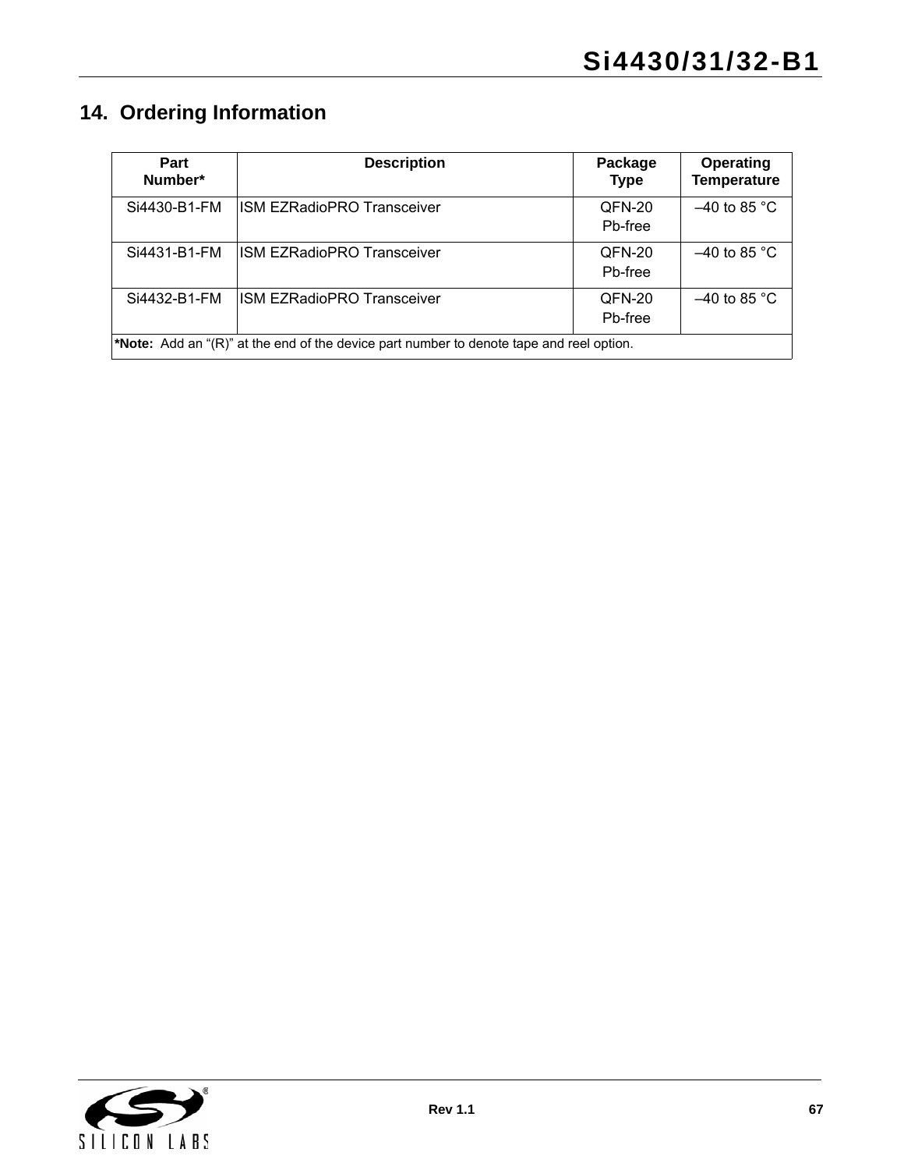# **14. Ordering Information**

| Part<br>Number* | <b>Description</b>                                                                              | Package<br><b>Type</b> | Operating<br><b>Temperature</b> |  |  |  |
|-----------------|-------------------------------------------------------------------------------------------------|------------------------|---------------------------------|--|--|--|
| Si4430-B1-FM    | <b>ISM EZRadioPRO Transceiver</b>                                                               | QFN-20<br>Pb-free      | $-40$ to 85 °C                  |  |  |  |
| Si4431-B1-FM    | <b>ISM EZRadioPRO Transceiver</b>                                                               | QFN-20<br>Pb-free      | $-40$ to 85 °C                  |  |  |  |
| Si4432-B1-FM    | <b>ISM EZRadioPRO Transceiver</b>                                                               | QFN-20<br>Pb-free      | $-40$ to 85 °C                  |  |  |  |
|                 | <b>*Note:</b> Add an "(R)" at the end of the device part number to denote tape and reel option. |                        |                                 |  |  |  |

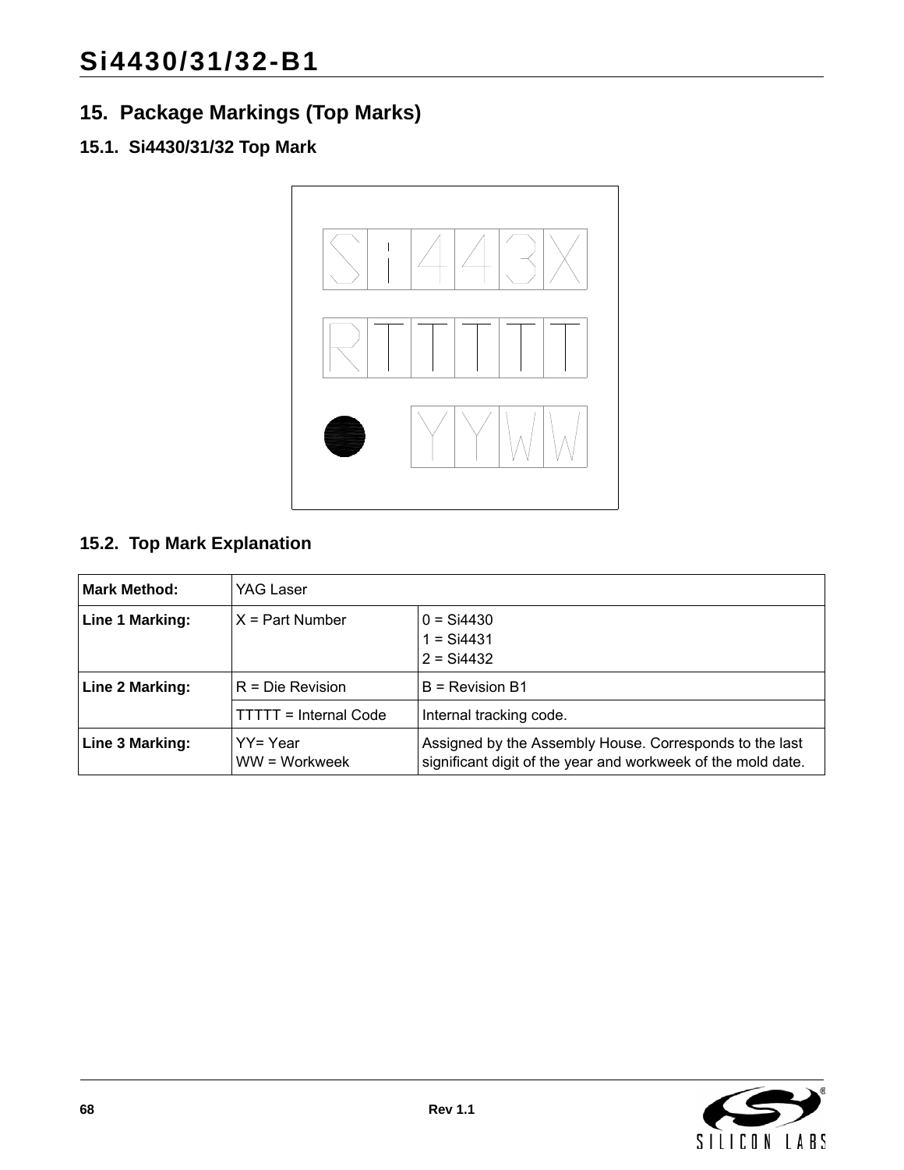# **15. Package Markings (Top Marks)**

# **15.1. Si4430/31/32 Top Mark**



# **15.2. Top Mark Explanation**

| <b>Mark Method:</b> | YAG Laser                    |                                                                                                                         |  |  |  |
|---------------------|------------------------------|-------------------------------------------------------------------------------------------------------------------------|--|--|--|
| Line 1 Marking:     | $X = Part$ Number            | $0 =$ Si4430<br>$1 =$ Si4431<br>$2 = Si4432$                                                                            |  |  |  |
| Line 2 Marking:     | $R = Die Revision$           | $B =$ Revision B1                                                                                                       |  |  |  |
|                     | <b>TTTTT = Internal Code</b> | Internal tracking code.                                                                                                 |  |  |  |
| Line 3 Marking:     | YY= Year<br>WW = Workweek    | Assigned by the Assembly House. Corresponds to the last<br>significant digit of the year and workweek of the mold date. |  |  |  |

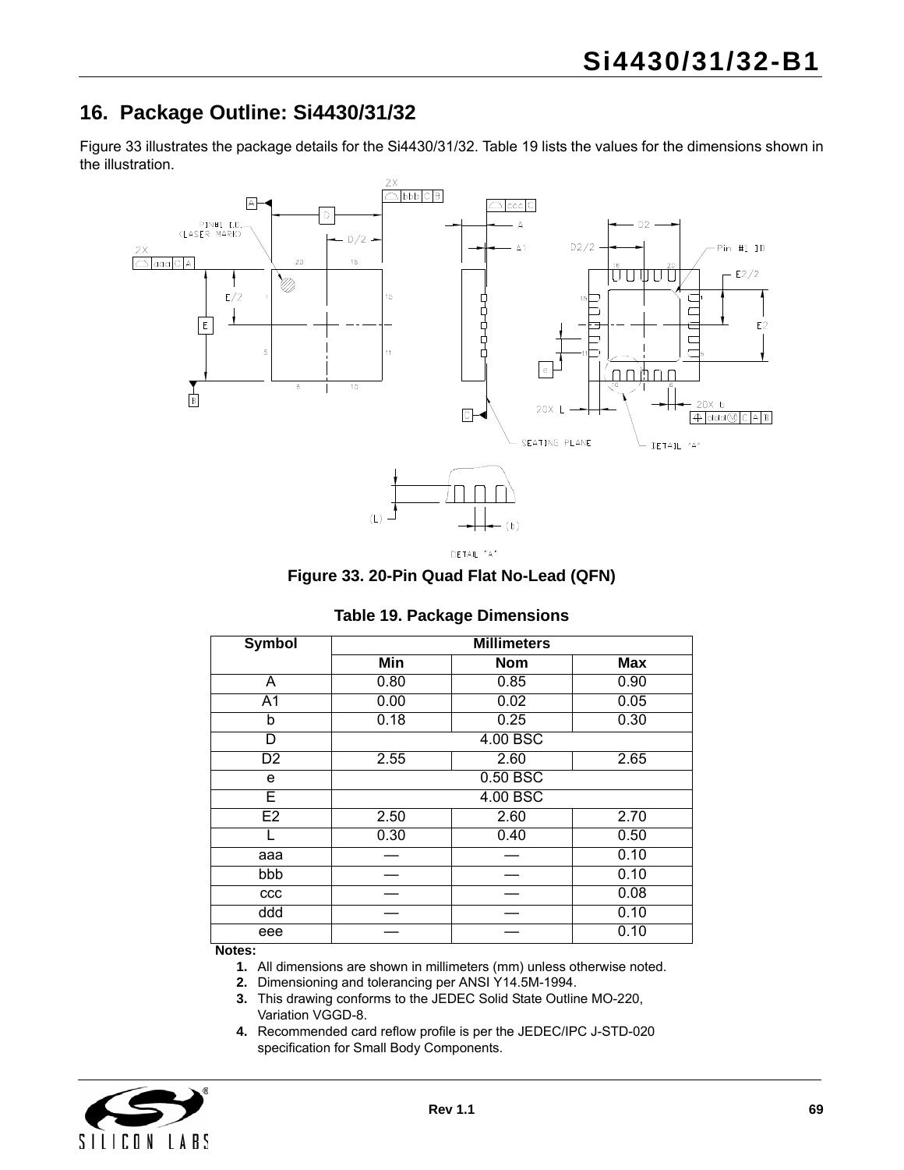# **16. Package Outline: Si4430/31/32**

[Figure 33](#page-68-0) illustrates the package details for the Si4430/31/32. [Table 19](#page-68-1) lists the values for the dimensions shown in the illustration.



DETAIL "A"

**Figure 33. 20-Pin Quad Flat No-Lead (QFN)**

|  | <b>Table 19. Package Dimensions</b> |
|--|-------------------------------------|
|  |                                     |

<span id="page-68-1"></span><span id="page-68-0"></span>

| <b>Symbol</b>  | <b>Millimeters</b> |            |            |  |  |  |  |
|----------------|--------------------|------------|------------|--|--|--|--|
|                | Min                | <b>Nom</b> | <b>Max</b> |  |  |  |  |
| A              | 0.80               | 0.85       | 0.90       |  |  |  |  |
| A1             | 0.00               | 0.02       | 0.05       |  |  |  |  |
| b              | 0.18               | 0.25       | 0.30       |  |  |  |  |
| D              |                    | 4.00 BSC   |            |  |  |  |  |
| D <sub>2</sub> | 2.55               | 2.60       | 2.65       |  |  |  |  |
| e              | 0.50 BSC           |            |            |  |  |  |  |
| E              |                    | 4.00 BSC   |            |  |  |  |  |
| E2             | 2.50               | 2.60       | 2.70       |  |  |  |  |
|                | 0.30               | 0.40       | 0.50       |  |  |  |  |
| aaa            |                    |            | 0.10       |  |  |  |  |
| bbb            |                    | 0.10       |            |  |  |  |  |
| CCC            |                    |            | 0.08       |  |  |  |  |
| ddd            |                    | 0.10       |            |  |  |  |  |
| eee            |                    |            | 0.10       |  |  |  |  |

**Notes:**

**1.** All dimensions are shown in millimeters (mm) unless otherwise noted.

- **2.** Dimensioning and tolerancing per ANSI Y14.5M-1994.
- **3.** This drawing conforms to the JEDEC Solid State Outline MO-220, Variation VGGD-8.
- **4.** Recommended card reflow profile is per the JEDEC/IPC J-STD-020 specification for Small Body Components.

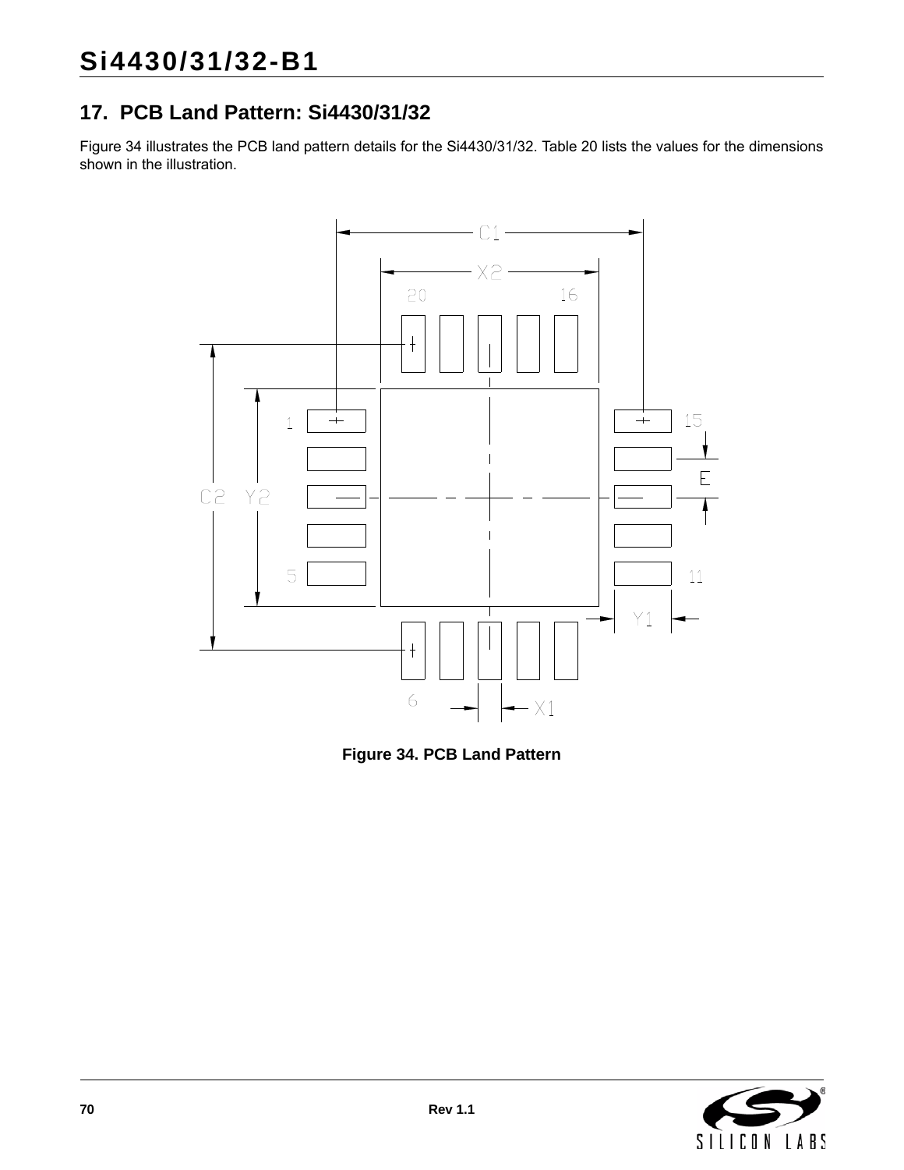# **17. PCB Land Pattern: Si4430/31/32**

[Figure 34](#page-69-0) illustrates the PCB land pattern details for the Si4430/31/32. [Table 20](#page-70-0) lists the values for the dimensions shown in the illustration.



<span id="page-69-0"></span>**Figure 34. PCB Land Pattern**

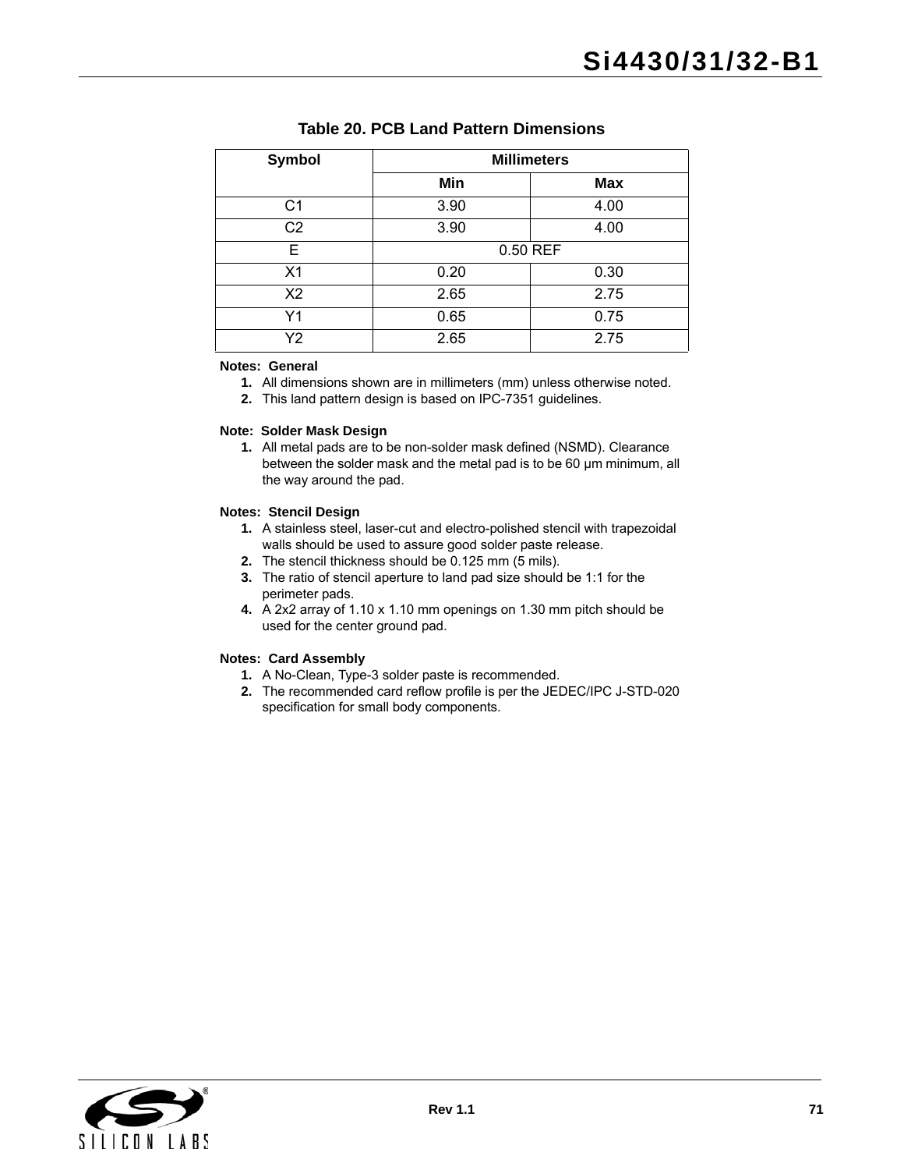<span id="page-70-0"></span>

| <b>Symbol</b>  | <b>Millimeters</b> |            |  |  |
|----------------|--------------------|------------|--|--|
|                | Min                | <b>Max</b> |  |  |
| C <sub>1</sub> | 3.90               | 4.00       |  |  |
| C <sub>2</sub> | 3.90               | 4.00       |  |  |
| Е              | 0.50 REF           |            |  |  |
| X <sub>1</sub> | 0.20               | 0.30       |  |  |
| X <sub>2</sub> | 2.65               | 2.75       |  |  |
| Y1             | 0.65               | 0.75       |  |  |
| Y2             | 2.65               | 2.75       |  |  |

#### **Table 20. PCB Land Pattern Dimensions**

#### **Notes: General**

- **1.** All dimensions shown are in millimeters (mm) unless otherwise noted.
- **2.** This land pattern design is based on IPC-7351 guidelines.

#### **Note: Solder Mask Design**

**1.** All metal pads are to be non-solder mask defined (NSMD). Clearance between the solder mask and the metal pad is to be 60 µm minimum, all the way around the pad.

#### **Notes: Stencil Design**

- **1.** A stainless steel, laser-cut and electro-polished stencil with trapezoidal walls should be used to assure good solder paste release.
- **2.** The stencil thickness should be 0.125 mm (5 mils).
- **3.** The ratio of stencil aperture to land pad size should be 1:1 for the perimeter pads.
- **4.** A 2x2 array of 1.10 x 1.10 mm openings on 1.30 mm pitch should be used for the center ground pad.

#### **Notes: Card Assembly**

- **1.** A No-Clean, Type-3 solder paste is recommended.
- **2.** The recommended card reflow profile is per the JEDEC/IPC J-STD-020 specification for small body components.

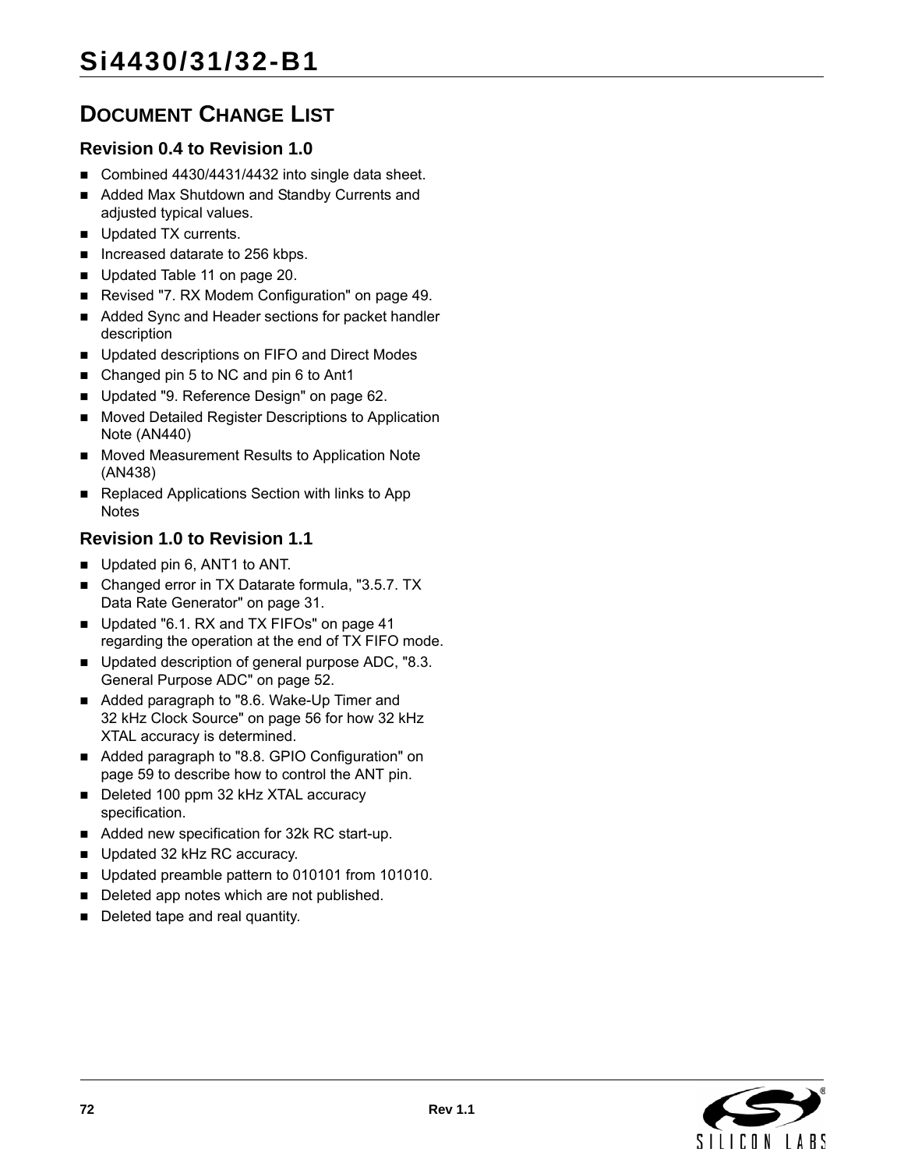# **DOCUMENT CHANGE LIST**

## **Revision 0.4 to Revision 1.0**

- Combined 4430/4431/4432 into single data sheet.
- Added Max Shutdown and Standby Currents and adjusted typical values.
- Updated TX currents.
- Increased datarate to 256 kbps.
- Updated [Table 11 on page 20.](#page-19-0)
- Revised ["7. RX Modem Configuration" on page 49](#page-48-0).
- Added Sync and Header sections for packet handler description
- Updated descriptions on FIFO and Direct Modes
- Changed pin 5 to NC and pin 6 to Ant1
- Updated ["9. Reference Design" on page 62.](#page-61-0)
- Moved Detailed Register Descriptions to Application Note (AN440)
- **Moved Measurement Results to Application Note** (AN438)
- Replaced Applications Section with links to App **Notes**

## **Revision 1.0 to Revision 1.1**

- Updated pin 6, ANT1 to ANT.
- Changed error in TX Datarate formula, "3.5.7. TX [Data Rate Generator" on page 31](#page-30-0).
- Updated "6.1. RX and TX FIFOs" on page 41 regarding the operation at the end of TX FIFO mode.
- Updated description of general purpose ADC, "8.3. [General Purpose ADC" on page 52](#page-51-1).
- Added paragraph to "8.6. Wake-Up Timer and [32 kHz Clock Source" on page 56](#page-55-0) for how 32 kHz XTAL accuracy is determined.
- Added paragraph to "8.8. GPIO Configuration" on [page 59](#page-58-0) to describe how to control the ANT pin.
- Deleted 100 ppm 32 kHz XTAL accuracy specification.
- Added new specification for 32k RC start-up.
- Updated 32 kHz RC accuracy.
- Updated preamble pattern to 010101 from 101010.
- Deleted app notes which are not published.
- Deleted tape and real quantity.

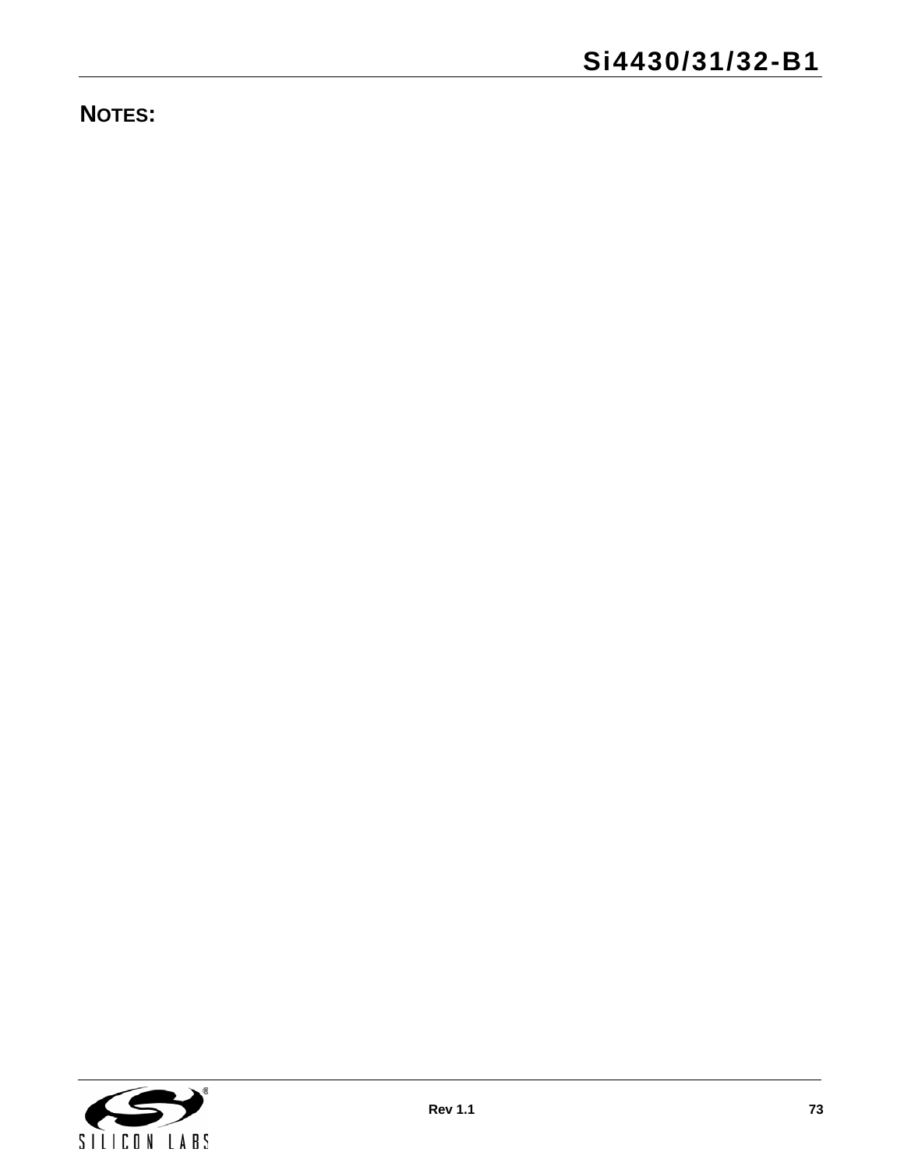**NOTES:**